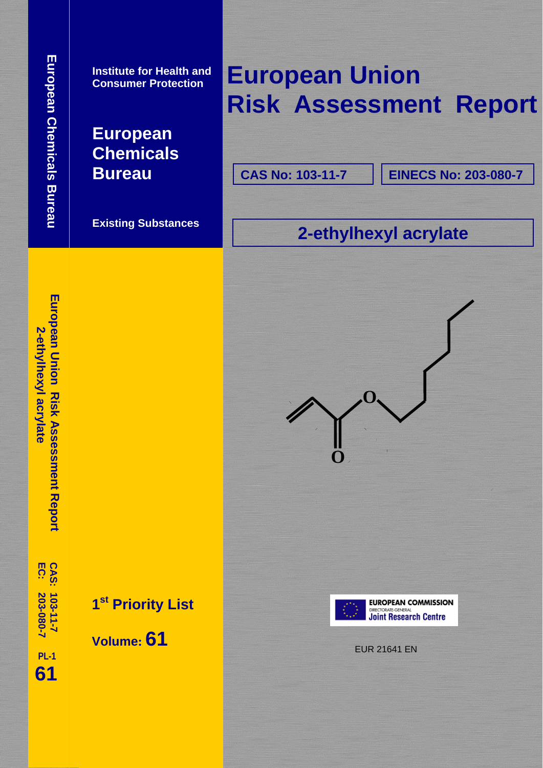**Institute for Health and Consumer Protection** 

## **European Chemicals Bureau**

 **Existing Substances**

# **European Union Risk Assessment Report**

**CAS No: 103-11-7**

**EINECS No: 203-080-7**

## **2-ethylhexyl acrylate**

 **European Chemicals Bureau European Union Risk Assessment Report 2-eth** European Union Risk Assessment Report **ylhex yl acr ylate**

CAS: 103-11-7<br>**EC:** 203-080-**203-080-7 EC:** 203-080-7 **103-11-7** 

 **PL-1 61**

## **1st Priority List**

 **Volume: 61**



**O**

**O**

EUR 21641 EN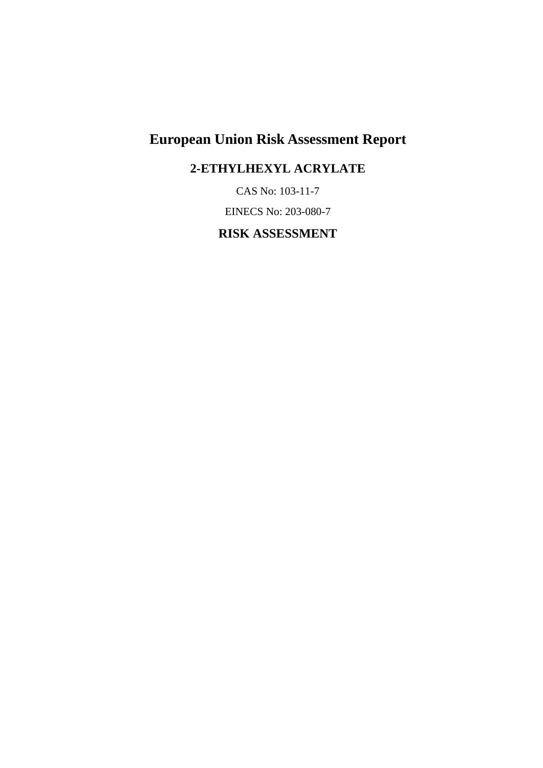## **European Union Risk Assessment Report**

## **2-ETHYLHEXYL ACRYLATE**

CAS No: 103-11-7

EINECS No: 203-080-7

## **RISK ASSESSMENT**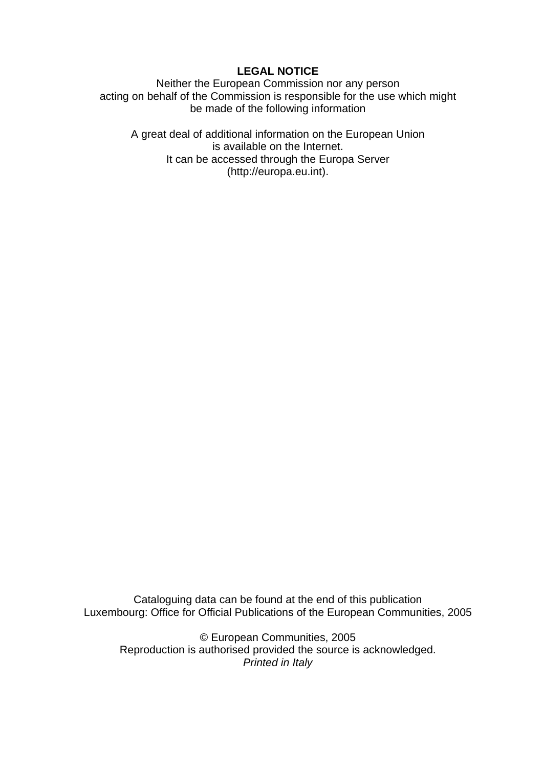#### **LEGAL NOTICE**

Neither the European Commission nor any person acting on behalf of the Commission is responsible for the use which might be made of the following information

A great deal of additional information on the European Union is available on the Internet. It can be accessed through the Europa Server (http://europa.eu.int).

Cataloguing data can be found at the end of this publication Luxembourg: Office for Official Publications of the European Communities, 2005

© European Communities, 2005 Reproduction is authorised provided the source is acknowledged. *Printed in Italy*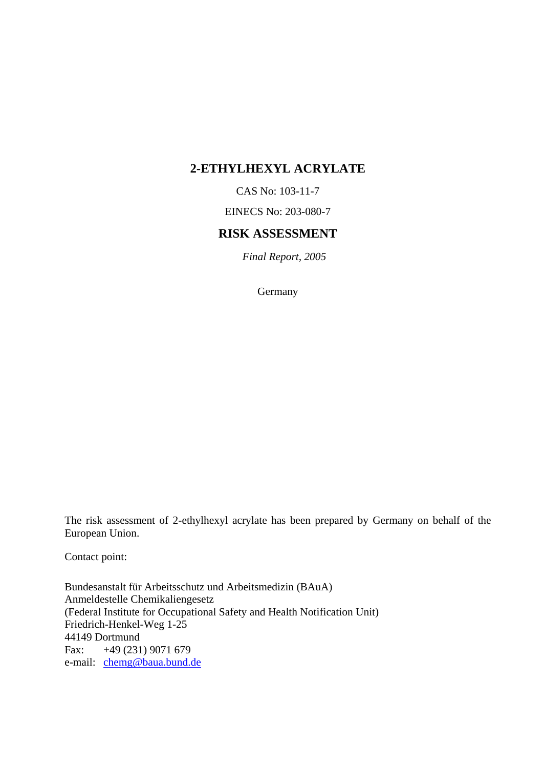### **2-ETHYLHEXYL ACRYLATE**

CAS No: 103-11-7

EINECS No: 203-080-7

#### **RISK ASSESSMENT**

*Final Report, 2005* 

Germany

The risk assessment of 2-ethylhexyl acrylate has been prepared by Germany on behalf of the European Union.

Contact point:

Bundesanstalt für Arbeitsschutz und Arbeitsmedizin (BAuA) Anmeldestelle Chemikaliengesetz (Federal Institute for Occupational Safety and Health Notification Unit) Friedrich-Henkel-Weg 1-25 44149 Dortmund Fax: +49 (231) 9071 679 e-mail: [chemg@baua.bund.de](mailto:chemg@baua.bund.de)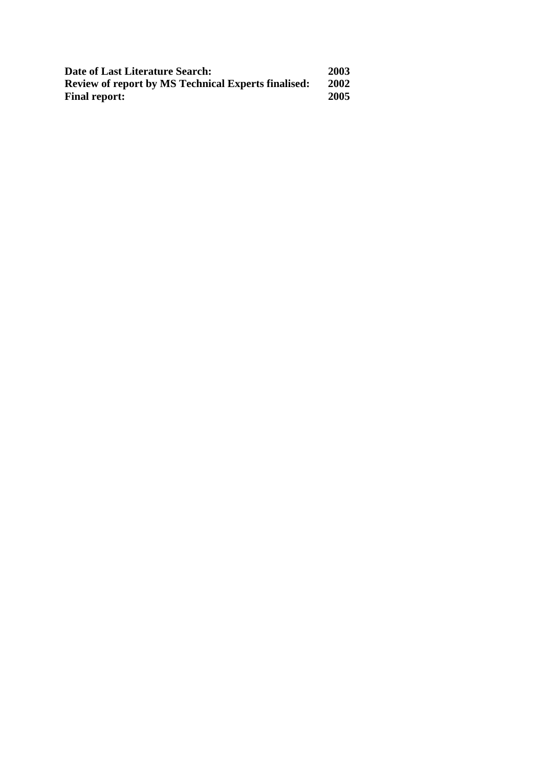| Date of Last Literature Search:                            | 2003 |
|------------------------------------------------------------|------|
| <b>Review of report by MS Technical Experts finalised:</b> | 2002 |
| <b>Final report:</b>                                       | 2005 |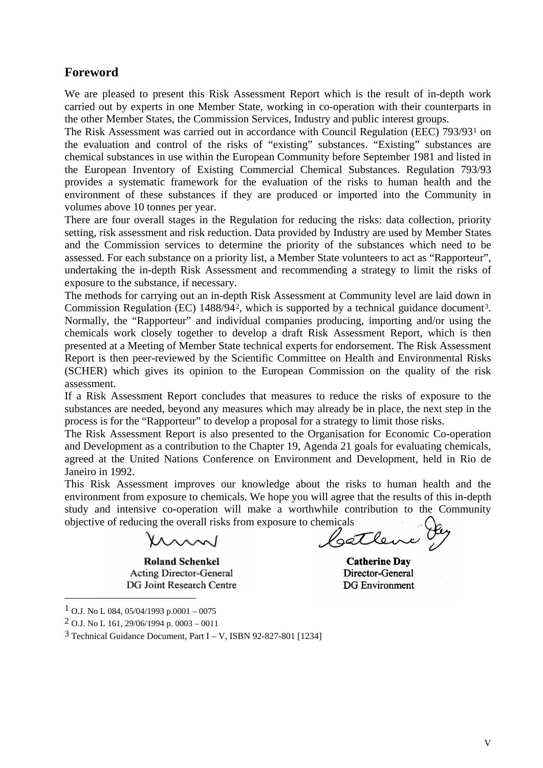## **Foreword**

We are pleased to present this Risk Assessment Report which is the result of in-depth work carried out by experts in one Member State, working in co-operation with their counterparts in the other Member States, the Commission Services, Industry and public interest groups.

The Risk Assessment was carried out in accordance with Council Regulation (EEC) 793/93[1](#page-6-0) on the evaluation and control of the risks of "existing" substances. "Existing" substances are chemical substances in use within the European Community before September 1981 and listed in the European Inventory of Existing Commercial Chemical Substances. Regulation 793/93 provides a systematic framework for the evaluation of the risks to human health and the environment of these substances if they are produced or imported into the Community in volumes above 10 tonnes per year.

There are four overall stages in the Regulation for reducing the risks: data collection, priority setting, risk assessment and risk reduction. Data provided by Industry are used by Member States and the Commission services to determine the priority of the substances which need to be assessed. For each substance on a priority list, a Member State volunteers to act as "Rapporteur", undertaking the in-depth Risk Assessment and recommending a strategy to limit the risks of exposure to the substance, if necessary.

The methods for carrying out an in-depth Risk Assessment at Community level are laid down in Commission Regulation (EC) 1488/94[2,](#page-6-1) which is supported by a technical guidance document[3.](#page-6-2) Normally, the "Rapporteur" and individual companies producing, importing and/or using the chemicals work closely together to develop a draft Risk Assessment Report, which is then presented at a Meeting of Member State technical experts for endorsement. The Risk Assessment Report is then peer-reviewed by the Scientific Committee on Health and Environmental Risks (SCHER) which gives its opinion to the European Commission on the quality of the risk assessment.

If a Risk Assessment Report concludes that measures to reduce the risks of exposure to the substances are needed, beyond any measures which may already be in place, the next step in the process is for the "Rapporteur" to develop a proposal for a strategy to limit those risks.

The Risk Assessment Report is also presented to the Organisation for Economic Co-operation and Development as a contribution to the Chapter 19, Agenda 21 goals for evaluating chemicals, agreed at the United Nations Conference on Environment and Development, held in Rio de Janeiro in 1992.

This Risk Assessment improves our knowledge about the risks to human health and the environment from exposure to chemicals. We hope you will agree that the results of this in-depth study and intensive co-operation will make a worthwhile contribution to the Community objective of reducing the overall risks from exposure to chemicals<br> $\mathcal{U}(\mathcal{U})$ 

ham

**Roland Schenkel** Acting Director-General DG Joint Research Centre

**Catherine Dav** Director-General **DG** Environment

<span id="page-6-0"></span>1 O.J. No L 084, 05/04/1993 p.0001 – 0075

<u>.</u>

<span id="page-6-1"></span><sup>2</sup> O.J. No L 161, 29/06/1994 p. 0003 – 0011

<span id="page-6-2"></span><sup>3</sup> Technical Guidance Document, Part I – V, ISBN 92-827-801 [1234]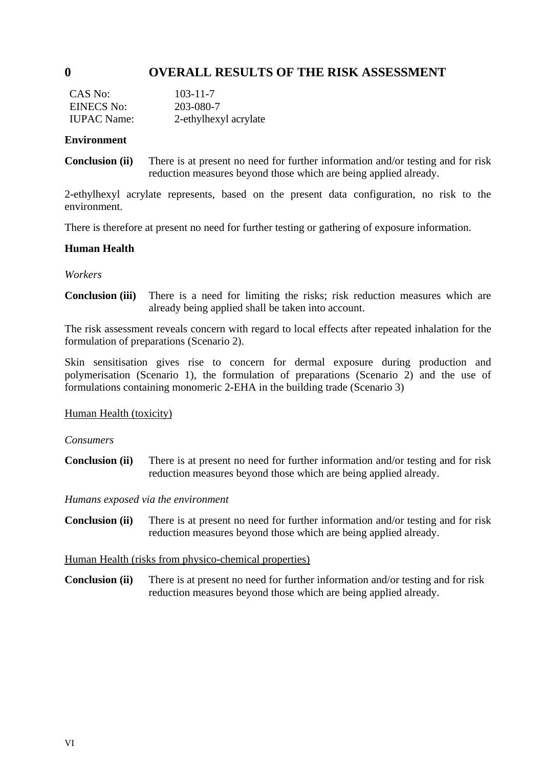## **0 OVERALL RESULTS OF THE RISK ASSESSMENT**

| CAS No:            | $103 - 11 - 7$        |
|--------------------|-----------------------|
| <b>EINECS No:</b>  | 203-080-7             |
| <b>IUPAC</b> Name: | 2-ethylhexyl acrylate |

#### **Environment**

**Conclusion (ii)** There is at present no need for further information and/or testing and for risk reduction measures beyond those which are being applied already.

2-ethylhexyl acrylate represents, based on the present data configuration, no risk to the environment.

There is therefore at present no need for further testing or gathering of exposure information.

#### **Human Health**

*Workers* 

**Conclusion (iii)** There is a need for limiting the risks; risk reduction measures which are already being applied shall be taken into account.

The risk assessment reveals concern with regard to local effects after repeated inhalation for the formulation of preparations (Scenario 2).

Skin sensitisation gives rise to concern for dermal exposure during production and polymerisation (Scenario 1), the formulation of preparations (Scenario 2) and the use of formulations containing monomeric 2-EHA in the building trade (Scenario 3)

Human Health (toxicity)

*Consumers* 

**Conclusion (ii)** There is at present no need for further information and/or testing and for risk reduction measures beyond those which are being applied already.

*Humans exposed via the environment* 

**Conclusion (ii)** There is at present no need for further information and/or testing and for risk reduction measures beyond those which are being applied already.

Human Health (risks from physico-chemical properties)

**Conclusion (ii)** There is at present no need for further information and/or testing and for risk reduction measures beyond those which are being applied already.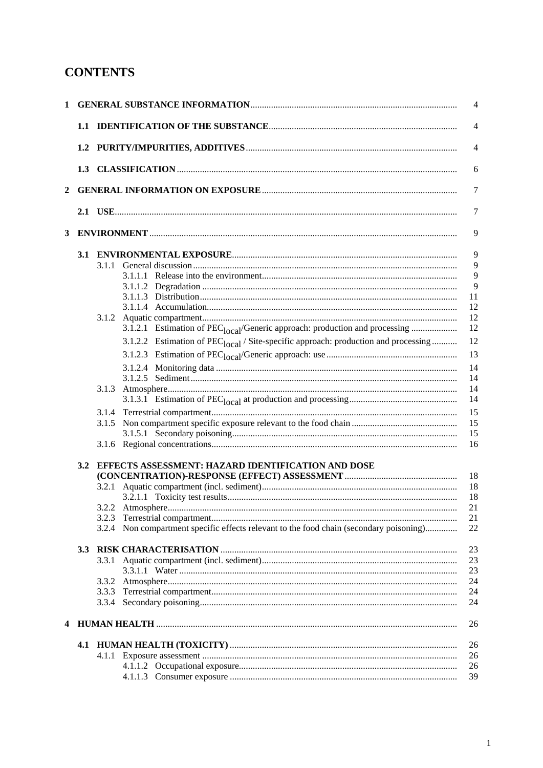## **CONTENTS**

| $\mathbf{1}$ |                  | $\overline{4}$                                                                                       |
|--------------|------------------|------------------------------------------------------------------------------------------------------|
|              | 1.1              | $\overline{4}$                                                                                       |
|              |                  | $\overline{4}$                                                                                       |
|              |                  | 6                                                                                                    |
| 2            |                  | $\overline{7}$                                                                                       |
|              |                  | 7                                                                                                    |
| 3            |                  | 9                                                                                                    |
|              |                  | 9                                                                                                    |
|              |                  | 9                                                                                                    |
|              |                  | 9                                                                                                    |
|              |                  | 9                                                                                                    |
|              |                  | 11                                                                                                   |
|              |                  | 12                                                                                                   |
|              |                  | 12                                                                                                   |
|              |                  | 3.1.2.1 Estimation of PEC <sub>local</sub> /Generic approach: production and processing<br>12        |
|              |                  | 3.1.2.2 Estimation of PEC <sub>local</sub> / Site-specific approach: production and processing<br>12 |
|              |                  | 13                                                                                                   |
|              |                  | 14                                                                                                   |
|              |                  | 14                                                                                                   |
|              |                  | 14<br>3.1.3                                                                                          |
|              |                  | 14                                                                                                   |
|              |                  | 15<br>3.1.4                                                                                          |
|              |                  | 15<br>3.1.5                                                                                          |
|              |                  | 15                                                                                                   |
|              |                  | 16                                                                                                   |
|              |                  |                                                                                                      |
|              | 3.2              | EFFECTS ASSESSMENT: HAZARD IDENTIFICATION AND DOSE                                                   |
|              |                  | 18                                                                                                   |
|              |                  | 18                                                                                                   |
|              |                  | 18                                                                                                   |
|              |                  | 21                                                                                                   |
|              |                  | 21                                                                                                   |
|              |                  | 3.2.4 Non compartment specific effects relevant to the food chain (secondary poisoning)<br>22        |
|              | 3.3 <sub>1</sub> | 23                                                                                                   |
|              |                  | 23<br>3.3.1                                                                                          |
|              |                  | 23                                                                                                   |
|              |                  | 24<br>3.3.2                                                                                          |
|              |                  | 24<br>3.3.3                                                                                          |
|              |                  | 24                                                                                                   |
| 4            |                  | 26                                                                                                   |
|              |                  | 26                                                                                                   |
|              |                  | 26                                                                                                   |
|              |                  | 26                                                                                                   |
|              |                  | 39                                                                                                   |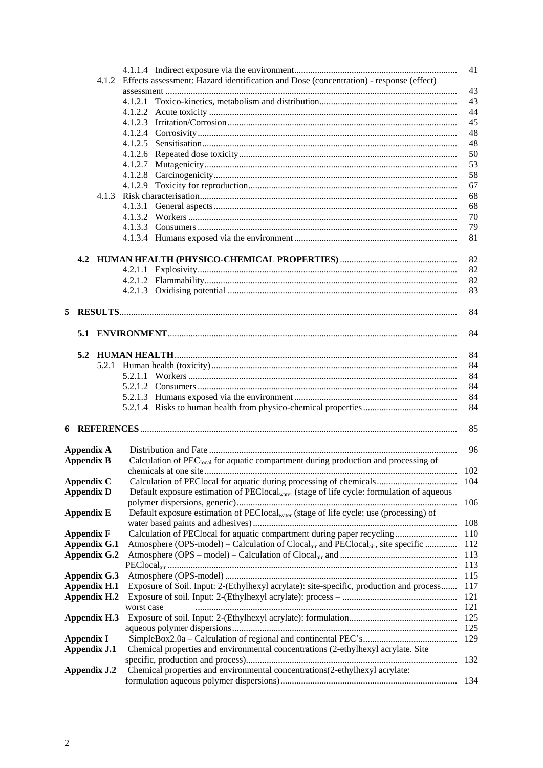|   |                   |                     |                                                                                                           | 41       |
|---|-------------------|---------------------|-----------------------------------------------------------------------------------------------------------|----------|
|   |                   |                     | 4.1.2 Effects assessment: Hazard identification and Dose (concentration) - response (effect)              |          |
|   |                   |                     |                                                                                                           | 43       |
|   |                   |                     |                                                                                                           | 43       |
|   |                   |                     |                                                                                                           | 44       |
|   |                   |                     |                                                                                                           | 45<br>48 |
|   |                   |                     |                                                                                                           | 48       |
|   |                   |                     |                                                                                                           | 50       |
|   |                   |                     |                                                                                                           | 53       |
|   |                   |                     |                                                                                                           | 58       |
|   |                   |                     |                                                                                                           | 67       |
|   |                   | 4.1.3               |                                                                                                           | 68       |
|   |                   |                     |                                                                                                           | 68       |
|   |                   |                     |                                                                                                           | 70       |
|   |                   |                     |                                                                                                           | 79       |
|   |                   |                     |                                                                                                           | 81       |
|   |                   |                     |                                                                                                           |          |
|   | 4.2               |                     |                                                                                                           | 82       |
|   |                   |                     |                                                                                                           | 82       |
|   |                   |                     |                                                                                                           | 82       |
|   |                   |                     |                                                                                                           | 83       |
|   |                   |                     |                                                                                                           |          |
| 5 |                   |                     |                                                                                                           | 84       |
|   |                   |                     |                                                                                                           |          |
|   | 5.1               |                     |                                                                                                           | 84       |
|   |                   |                     |                                                                                                           |          |
|   | 5.2               |                     |                                                                                                           | 84<br>84 |
|   |                   |                     |                                                                                                           | 84       |
|   |                   |                     |                                                                                                           | 84       |
|   |                   |                     |                                                                                                           | 84       |
|   |                   |                     |                                                                                                           | 84       |
|   |                   |                     |                                                                                                           |          |
| 6 |                   |                     |                                                                                                           | 85       |
|   |                   |                     |                                                                                                           |          |
|   | <b>Appendix A</b> |                     |                                                                                                           | 96       |
|   | <b>Appendix B</b> |                     | Calculation of PEC <sub>local</sub> for aquatic compartment during production and processing of           |          |
|   |                   |                     |                                                                                                           | 102      |
|   | <b>Appendix C</b> |                     | Calculation of PEClocal for aquatic during processing of chemicals                                        | 104      |
|   | <b>Appendix D</b> |                     | Default exposure estimation of PEClocal <sub>water</sub> (stage of life cycle: formulation of aqueous     |          |
|   |                   |                     |                                                                                                           | 106      |
|   | <b>Appendix E</b> |                     | Default exposure estimation of PEClocal <sub>water</sub> (stage of life cycle: use (processing) of        |          |
|   |                   |                     |                                                                                                           | 108      |
|   | <b>Appendix F</b> |                     | Calculation of PEClocal for aquatic compartment during paper recycling                                    | 110      |
|   |                   | <b>Appendix G.1</b> | Atmosphere (OPS-model) – Calculation of Clocal <sub>air</sub> and PEClocal <sub>air</sub> , site specific | 112      |
|   |                   | <b>Appendix G.2</b> |                                                                                                           | 113      |
|   |                   |                     |                                                                                                           | 113      |
|   |                   | <b>Appendix G.3</b> |                                                                                                           | 115      |
|   |                   | <b>Appendix H.1</b> | Exposure of Soil. Input: 2-(Ethylhexyl acrylate): site-specific, production and process                   | 117      |
|   |                   | <b>Appendix H.2</b> |                                                                                                           | 121      |
|   |                   |                     | worst case                                                                                                | 121      |
|   |                   | Appendix H.3        |                                                                                                           | 125      |
|   |                   |                     |                                                                                                           | 125      |
|   | <b>Appendix I</b> |                     |                                                                                                           | 129      |
|   |                   | <b>Appendix J.1</b> | Chemical properties and environmental concentrations (2-ethylhexyl acrylate. Site                         |          |
|   |                   |                     |                                                                                                           | 132      |
|   |                   | <b>Appendix J.2</b> | Chemical properties and environmental concentrations(2-ethylhexyl acrylate:                               |          |
|   |                   |                     |                                                                                                           | 134      |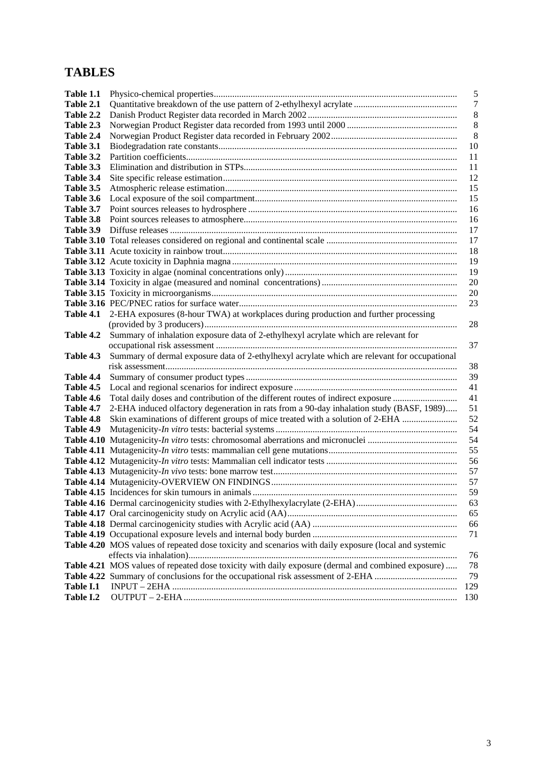## **TABLES**

| Table 1.1              |                                                                                                       | 5        |  |  |  |
|------------------------|-------------------------------------------------------------------------------------------------------|----------|--|--|--|
| Table 2.1              |                                                                                                       | 7        |  |  |  |
| Table 2.2              |                                                                                                       | 8        |  |  |  |
| Table 2.3              |                                                                                                       | 8        |  |  |  |
| <b>Table 2.4</b>       |                                                                                                       | 8        |  |  |  |
| Table 3.1              |                                                                                                       | 10       |  |  |  |
| <b>Table 3.2</b>       |                                                                                                       | 11       |  |  |  |
| Table 3.3              | 11                                                                                                    |          |  |  |  |
| Table 3.4              | 12<br>15                                                                                              |          |  |  |  |
| Table 3.5              |                                                                                                       |          |  |  |  |
| Table 3.6              |                                                                                                       |          |  |  |  |
| Table 3.7              |                                                                                                       | 16       |  |  |  |
| Table 3.8              |                                                                                                       | 16       |  |  |  |
| Table 3.9              |                                                                                                       | 17       |  |  |  |
|                        |                                                                                                       | 17       |  |  |  |
|                        |                                                                                                       | 18       |  |  |  |
|                        |                                                                                                       | 19       |  |  |  |
|                        |                                                                                                       | 19       |  |  |  |
|                        |                                                                                                       | 20       |  |  |  |
|                        |                                                                                                       | 20       |  |  |  |
|                        |                                                                                                       | 23       |  |  |  |
| Table 4.1              | 2-EHA exposures (8-hour TWA) at workplaces during production and further processing                   |          |  |  |  |
|                        |                                                                                                       | 28       |  |  |  |
| Table 4.2              | Summary of inhalation exposure data of 2-ethylhexyl acrylate which are relevant for                   | 37       |  |  |  |
|                        |                                                                                                       |          |  |  |  |
|                        |                                                                                                       |          |  |  |  |
| Table 4.3              | Summary of dermal exposure data of 2-ethylhexyl acrylate which are relevant for occupational          |          |  |  |  |
|                        |                                                                                                       | 38       |  |  |  |
| Table 4.4              |                                                                                                       | 39       |  |  |  |
| Table 4.5              |                                                                                                       | 41       |  |  |  |
| Table 4.6              | Total daily doses and contribution of the different routes of indirect exposure                       | 41       |  |  |  |
| Table 4.7              | 2-EHA induced olfactory degeneration in rats from a 90-day inhalation study (BASF, 1989)              | 51       |  |  |  |
| Table 4.8              | Skin examinations of different groups of mice treated with a solution of 2-EHA                        | 52       |  |  |  |
| Table 4.9              |                                                                                                       | 54       |  |  |  |
|                        |                                                                                                       | 54       |  |  |  |
|                        |                                                                                                       | 55       |  |  |  |
|                        |                                                                                                       | 56       |  |  |  |
|                        |                                                                                                       | 57       |  |  |  |
|                        |                                                                                                       | 57       |  |  |  |
|                        |                                                                                                       | 59       |  |  |  |
|                        |                                                                                                       | 63<br>65 |  |  |  |
|                        |                                                                                                       | 66       |  |  |  |
|                        |                                                                                                       | 71       |  |  |  |
|                        | Table 4.20 MOS values of repeated dose toxicity and scenarios with daily exposure (local and systemic |          |  |  |  |
|                        |                                                                                                       | 76       |  |  |  |
|                        | Table 4.21 MOS values of repeated dose toxicity with daily exposure (dermal and combined exposure)    | 78       |  |  |  |
|                        |                                                                                                       | 79       |  |  |  |
| Table I.1<br>Table I.2 |                                                                                                       | 129      |  |  |  |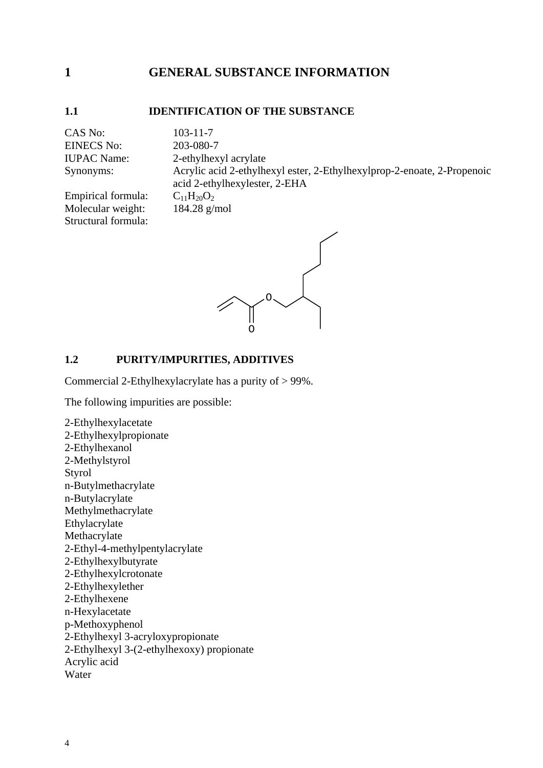#### <span id="page-11-0"></span>**1 GENERAL SUBSTANCE INFORMATION**

#### **1.1 IDENTIFICATION OF THE SUBSTANCE**

CAS No: 103-11-7 EINECS No: 203-080-7

IUPAC Name: 2-ethylhexyl acrylate Synonyms: Acrylic acid 2-ethylhexyl ester, 2-Ethylhexylprop-2-enoate, 2-Propenoic acid 2-ethylhexylester, 2-EHA

Empirical formula:  $C_{11}H_{20}O_2$ Molecular weight: 184.28 g/mol Structural formula:



#### **1.2 PURITY/IMPURITIES, ADDITIVES**

Commercial 2-Ethylhexylacrylate has a purity of > 99%.

The following impurities are possible:

2-Ethylhexylacetate 2-Ethylhexylpropionate 2-Ethylhexanol 2-Methylstyrol Styrol n-Butylmethacrylate n-Butylacrylate Methylmethacrylate Ethylacrylate Methacrylate 2-Ethyl-4-methylpentylacrylate 2-Ethylhexylbutyrate 2-Ethylhexylcrotonate 2-Ethylhexylether 2-Ethylhexene n-Hexylacetate p-Methoxyphenol 2-Ethylhexyl 3-acryloxypropionate 2-Ethylhexyl 3-(2-ethylhexoxy) propionate Acrylic acid Water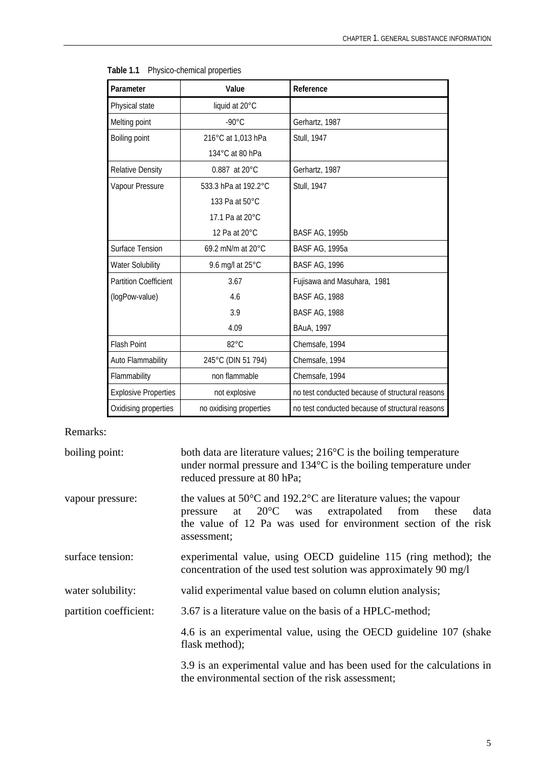| Parameter                    | Value                   | Reference                                       |
|------------------------------|-------------------------|-------------------------------------------------|
| Physical state               | liquid at 20°C          |                                                 |
| Melting point                | $-90^{\circ}$ C         | Gerhartz, 1987                                  |
| Boiling point                | 216°C at 1,013 hPa      | <b>Stull, 1947</b>                              |
|                              | 134°C at 80 hPa         |                                                 |
| <b>Relative Density</b>      | 0.887 at 20°C           | Gerhartz, 1987                                  |
| Vapour Pressure              | 533.3 hPa at 192.2°C    | Stull, 1947                                     |
|                              | 133 Pa at 50°C          |                                                 |
|                              | 17.1 Pa at 20°C         |                                                 |
|                              | 12 Pa at 20°C           | <b>BASF AG, 1995b</b>                           |
| <b>Surface Tension</b>       | 69.2 mN/m at 20°C       | <b>BASF AG, 1995a</b>                           |
| Water Solubility             | 9.6 mg/l at 25°C        | <b>BASF AG, 1996</b>                            |
| <b>Partition Coefficient</b> | 3.67                    | Fujisawa and Masuhara, 1981                     |
| (logPow-value)               | 4.6                     | <b>BASF AG, 1988</b>                            |
|                              | 3.9                     | <b>BASF AG, 1988</b>                            |
|                              | 4.09                    | BAuA, 1997                                      |
| <b>Flash Point</b>           | 82°C                    | Chemsafe, 1994                                  |
| Auto Flammability            | 245°C (DIN 51 794)      | Chemsafe, 1994                                  |
| Flammability                 | non flammable           | Chemsafe, 1994                                  |
| <b>Explosive Properties</b>  | not explosive           | no test conducted because of structural reasons |
| Oxidising properties         | no oxidising properties | no test conducted because of structural reasons |

<span id="page-12-0"></span>**Table 1.1** Physico-chemical properties

#### Remarks:

| boiling point:         | both data are literature values; $216^{\circ}$ C is the boiling temperature<br>under normal pressure and $134^{\circ}$ C is the boiling temperature under<br>reduced pressure at 80 hPa;                                                          |
|------------------------|---------------------------------------------------------------------------------------------------------------------------------------------------------------------------------------------------------------------------------------------------|
| vapour pressure:       | the values at $50^{\circ}$ C and $192.2^{\circ}$ C are literature values; the vapour<br>extrapolated from<br>at $20^{\circ}$ C was<br>data<br>these<br>pressure<br>the value of 12 Pa was used for environment section of the risk<br>assessment; |
| surface tension:       | experimental value, using OECD guideline 115 (ring method); the<br>concentration of the used test solution was approximately 90 mg/l                                                                                                              |
| water solubility:      | valid experimental value based on column elution analysis;                                                                                                                                                                                        |
| partition coefficient: | 3.67 is a literature value on the basis of a HPLC-method;                                                                                                                                                                                         |
|                        | 4.6 is an experimental value, using the OECD guideline 107 (shake<br>flask method);                                                                                                                                                               |
|                        | 3.9 is an experimental value and has been used for the calculations in<br>the environmental section of the risk assessment;                                                                                                                       |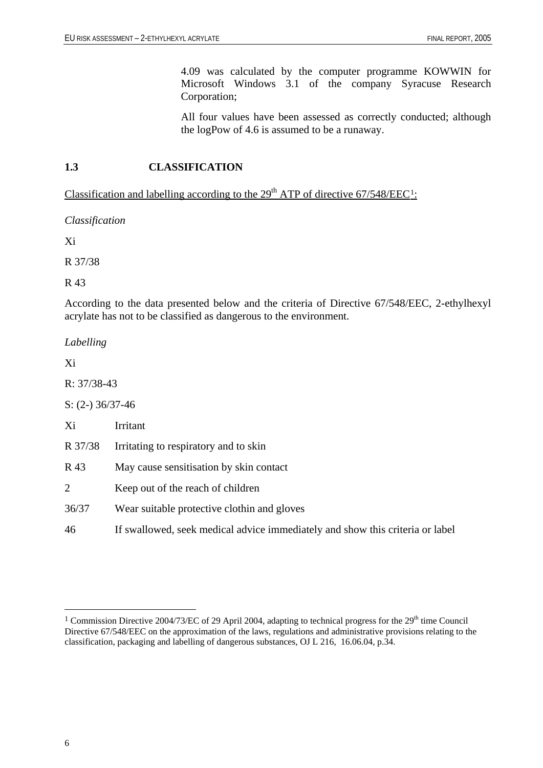4.09 was calculated by the computer programme KOWWIN for Microsoft Windows 3.1 of the company Syracuse Research Corporation;

All four values have been assessed as correctly conducted; although the logPow of 4.6 is assumed to be a runaway.

#### <span id="page-13-0"></span>**1.3 CLASSIFICATION**

Classification and labelling according to the  $29<sup>th</sup>$  ATP of directive 67/548/EEC<sup>[1](#page-13-1)</sup>:

*Classification* 

Xi

R 37/38

R 43

According to the data presented below and the criteria of Directive 67/548/EEC, 2-ethylhexyl acrylate has not to be classified as dangerous to the environment.

*Labelling* 

Xi

R: 37/38-43

S: (2-) 36/37-46

Xi Irritant

- R 37/38 Irritating to respiratory and to skin
- R 43 May cause sensitisation by skin contact
- 2 Keep out of the reach of children
- 36/37 Wear suitable protective clothin and gloves
- 46 If swallowed, seek medical advice immediately and show this criteria or label

1

<span id="page-13-1"></span><sup>&</sup>lt;sup>1</sup> Commission Directive 2004/73/EC of 29 April 2004, adapting to technical progress for the  $29<sup>th</sup>$  time Council Directive 67/548/EEC on the approximation of the laws, regulations and administrative provisions relating to the classification, packaging and labelling of dangerous substances, OJ L 216, 16.06.04, p.34.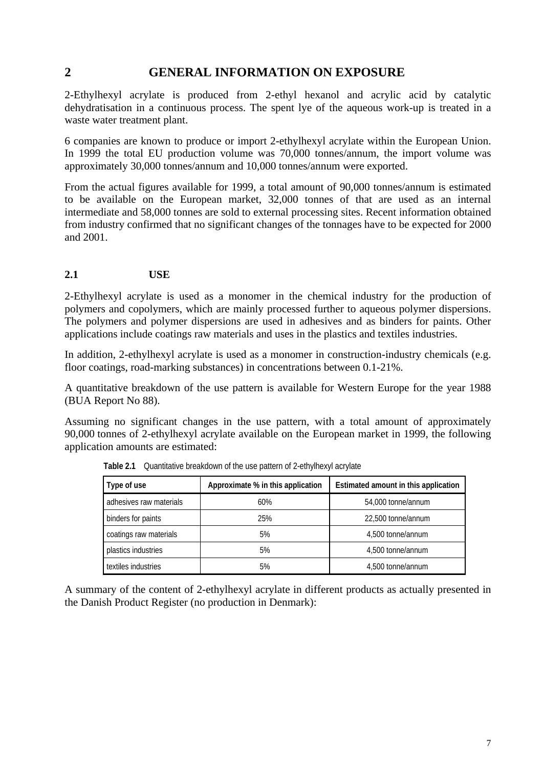## <span id="page-14-0"></span>**2 GENERAL INFORMATION ON EXPOSURE**

2-Ethylhexyl acrylate is produced from 2-ethyl hexanol and acrylic acid by catalytic dehydratisation in a continuous process. The spent lye of the aqueous work-up is treated in a waste water treatment plant.

6 companies are known to produce or import 2-ethylhexyl acrylate within the European Union. In 1999 the total EU production volume was 70,000 tonnes/annum, the import volume was approximately 30,000 tonnes/annum and 10,000 tonnes/annum were exported.

From the actual figures available for 1999, a total amount of 90,000 tonnes/annum is estimated to be available on the European market, 32,000 tonnes of that are used as an internal intermediate and 58,000 tonnes are sold to external processing sites. Recent information obtained from industry confirmed that no significant changes of the tonnages have to be expected for 2000 and 2001.

### **2.1 USE**

2-Ethylhexyl acrylate is used as a monomer in the chemical industry for the production of polymers and copolymers, which are mainly processed further to aqueous polymer dispersions. The polymers and polymer dispersions are used in adhesives and as binders for paints. Other applications include coatings raw materials and uses in the plastics and textiles industries.

In addition, 2-ethylhexyl acrylate is used as a monomer in construction-industry chemicals (e.g. floor coatings, road-marking substances) in concentrations between 0.1-21%.

A quantitative breakdown of the use pattern is available for Western Europe for the year 1988 (BUA Report No 88).

Assuming no significant changes in the use pattern, with a total amount of approximately 90,000 tonnes of 2-ethylhexyl acrylate available on the European market in 1999, the following application amounts are estimated:

| Type of use             | Approximate % in this application | Estimated amount in this application |
|-------------------------|-----------------------------------|--------------------------------------|
| adhesives raw materials | 60%                               | 54,000 tonne/annum                   |
| binders for paints      | 25%                               | 22,500 tonne/annum                   |
| coatings raw materials  | 5%                                | 4,500 tonne/annum                    |
| plastics industries     | 5%                                | 4,500 tonne/annum                    |
| textiles industries     | 5%                                | 4,500 tonne/annum                    |

**Table 2.1** Quantitative breakdown of the use pattern of 2-ethylhexyl acrylate

A summary of the content of 2-ethylhexyl acrylate in different products as actually presented in the Danish Product Register (no production in Denmark):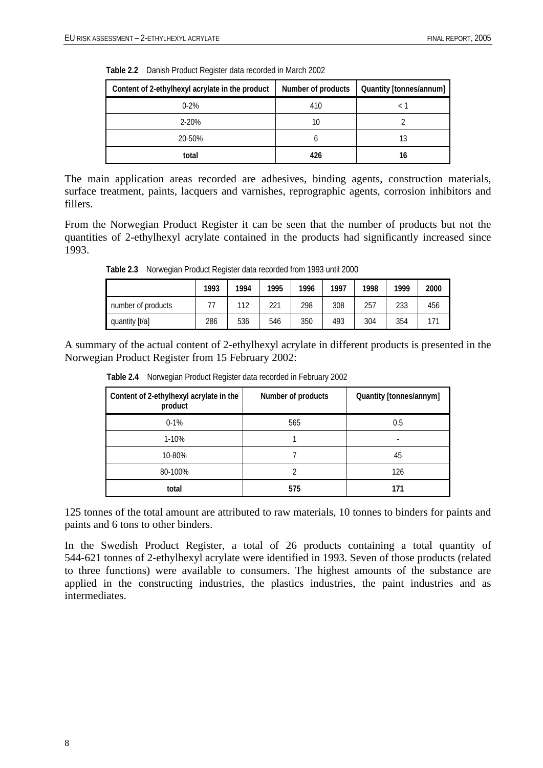| Content of 2-ethylhexyl acrylate in the product | Number of products | Quantity [tonnes/annum] |
|-------------------------------------------------|--------------------|-------------------------|
| $0 - 2%$                                        | 410                |                         |
| $2 - 20%$                                       |                    |                         |
| 20-50%                                          |                    | 13                      |
| total                                           | 426                | 16                      |

<span id="page-15-0"></span>**Table 2.2** Danish Product Register data recorded in March 2002

The main application areas recorded are adhesives, binding agents, construction materials, surface treatment, paints, lacquers and varnishes, reprographic agents, corrosion inhibitors and fillers.

From the Norwegian Product Register it can be seen that the number of products but not the quantities of 2-ethylhexyl acrylate contained in the products had significantly increased since 1993.

**Table 2.3** Norwegian Product Register data recorded from 1993 until 2000

|                    | 1993 | 1994 | 1995 | 1996 | 1997 | 1998 | 1999 | 2000 |
|--------------------|------|------|------|------|------|------|------|------|
| number of products |      | 112  | 221  | 298  | 308  | 257  | 233  | 456  |
| quantity [t/a]     | 286  | 536  | 546  | 350  | 493  | 304  | 354  | 171  |

A summary of the actual content of 2-ethylhexyl acrylate in different products is presented in the Norwegian Product Register from 15 February 2002:

| Content of 2-ethylhexyl acrylate in the<br>product | Number of products | Quantity [tonnes/annym] |
|----------------------------------------------------|--------------------|-------------------------|
| $0-1%$                                             | 565                | 0.5                     |
| 1-10%                                              |                    | -                       |
| 10-80%                                             |                    | 45                      |
| 80-100%                                            | റ                  | 126                     |
| total                                              | 575                | 171                     |

**Table 2.4** Norwegian Product Register data recorded in February 2002

125 tonnes of the total amount are attributed to raw materials, 10 tonnes to binders for paints and paints and 6 tons to other binders.

In the Swedish Product Register, a total of 26 products containing a total quantity of 544-621 tonnes of 2-ethylhexyl acrylate were identified in 1993. Seven of those products (related to three functions) were available to consumers. The highest amounts of the substance are applied in the constructing industries, the plastics industries, the paint industries and as intermediates.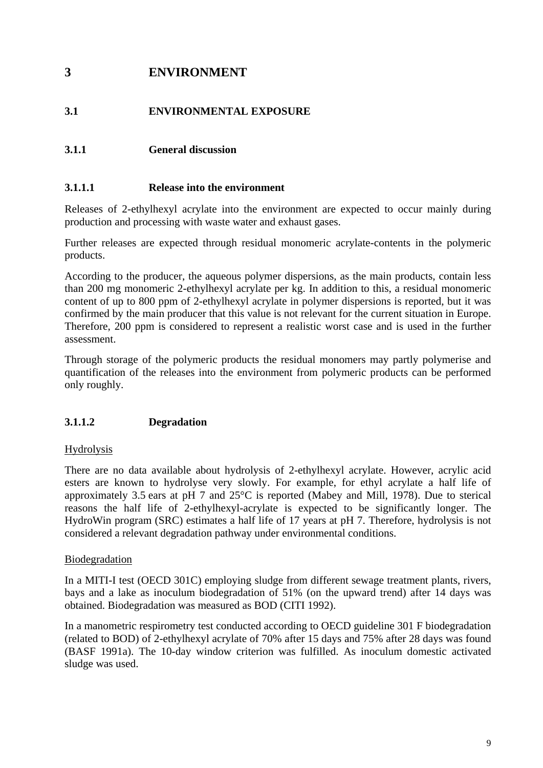## <span id="page-16-0"></span>**3 ENVIRONMENT**

### **3.1 ENVIRONMENTAL EXPOSURE**

#### **3.1.1 General discussion**

#### **3.1.1.1 Release into the environment**

Releases of 2-ethylhexyl acrylate into the environment are expected to occur mainly during production and processing with waste water and exhaust gases.

Further releases are expected through residual monomeric acrylate-contents in the polymeric products.

According to the producer, the aqueous polymer dispersions, as the main products, contain less than 200 mg monomeric 2-ethylhexyl acrylate per kg. In addition to this, a residual monomeric content of up to 800 ppm of 2-ethylhexyl acrylate in polymer dispersions is reported, but it was confirmed by the main producer that this value is not relevant for the current situation in Europe. Therefore, 200 ppm is considered to represent a realistic worst case and is used in the further assessment.

Through storage of the polymeric products the residual monomers may partly polymerise and quantification of the releases into the environment from polymeric products can be performed only roughly.

#### **3.1.1.2 Degradation**

#### Hydrolysis

There are no data available about hydrolysis of 2-ethylhexyl acrylate. However, acrylic acid esters are known to hydrolyse very slowly. For example, for ethyl acrylate a half life of approximately 3.5 ears at pH 7 and 25°C is reported (Mabey and Mill, 1978). Due to sterical reasons the half life of 2-ethylhexyl-acrylate is expected to be significantly longer. The HydroWin program (SRC) estimates a half life of 17 years at pH 7. Therefore, hydrolysis is not considered a relevant degradation pathway under environmental conditions.

#### Biodegradation

In a MITI-I test (OECD 301C) employing sludge from different sewage treatment plants, rivers, bays and a lake as inoculum biodegradation of 51% (on the upward trend) after 14 days was obtained. Biodegradation was measured as BOD (CITI 1992).

In a manometric respirometry test conducted according to OECD guideline 301 F biodegradation (related to BOD) of 2-ethylhexyl acrylate of 70% after 15 days and 75% after 28 days was found (BASF 1991a). The 10-day window criterion was fulfilled. As inoculum domestic activated sludge was used.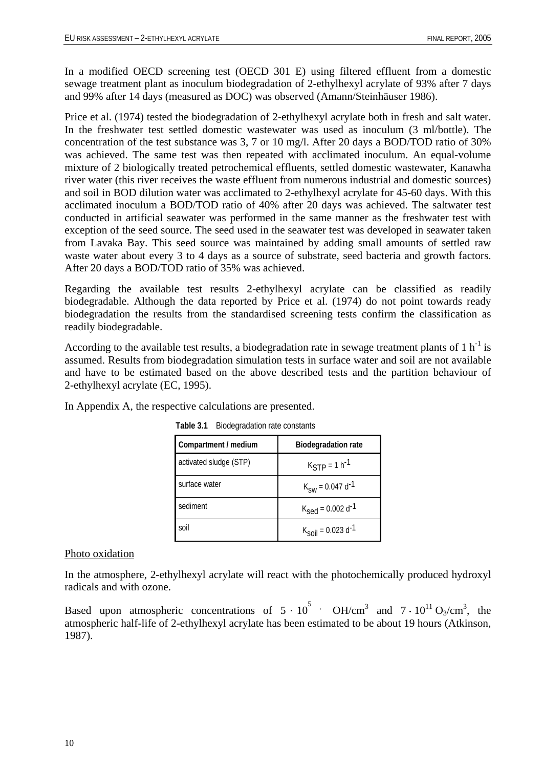<span id="page-17-0"></span>In a modified OECD screening test (OECD 301 E) using filtered effluent from a domestic sewage treatment plant as inoculum biodegradation of 2-ethylhexyl acrylate of 93% after 7 days and 99% after 14 days (measured as DOC) was observed (Amann/Steinhäuser 1986).

Price et al. (1974) tested the biodegradation of 2-ethylhexyl acrylate both in fresh and salt water. In the freshwater test settled domestic wastewater was used as inoculum (3 ml/bottle). The concentration of the test substance was 3, 7 or 10 mg/l. After 20 days a BOD/TOD ratio of 30% was achieved. The same test was then repeated with acclimated inoculum. An equal-volume mixture of 2 biologically treated petrochemical effluents, settled domestic wastewater, Kanawha river water (this river receives the waste effluent from numerous industrial and domestic sources) and soil in BOD dilution water was acclimated to 2-ethylhexyl acrylate for 45-60 days. With this acclimated inoculum a BOD/TOD ratio of 40% after 20 days was achieved. The saltwater test conducted in artificial seawater was performed in the same manner as the freshwater test with exception of the seed source. The seed used in the seawater test was developed in seawater taken from Lavaka Bay. This seed source was maintained by adding small amounts of settled raw waste water about every 3 to 4 days as a source of substrate, seed bacteria and growth factors. After 20 days a BOD/TOD ratio of 35% was achieved.

Regarding the available test results 2-ethylhexyl acrylate can be classified as readily biodegradable. Although the data reported by Price et al. (1974) do not point towards ready biodegradation the results from the standardised screening tests confirm the classification as readily biodegradable.

According to the available test results, a biodegradation rate in sewage treatment plants of 1  $h^{-1}$  is assumed. Results from biodegradation simulation tests in surface water and soil are not available and have to be estimated based on the above described tests and the partition behaviour of 2-ethylhexyl acrylate (EC, 1995).

In Appendix A, the respective calculations are presented.

| Compartment / medium   | <b>Biodegradation rate</b>               |
|------------------------|------------------------------------------|
| activated sludge (STP) | $K_{\text{STP}} = 1 h^{-1}$              |
| surface water          | $K_{SW} = 0.047 d^{-1}$                  |
| sediment               | $K_{\text{Sed}} = 0.002 \text{ d}^{-1}$  |
| soil                   | $K_{\text{SOII}} = 0.023 \text{ d}^{-1}$ |

**Table 3.1** Biodegradation rate constants

#### Photo oxidation

In the atmosphere, 2-ethylhexyl acrylate will react with the photochemically produced hydroxyl radicals and with ozone.

Based upon atmospheric concentrations of  $5 \cdot 10^5$  · OH/cm<sup>3</sup> and  $7 \cdot 10^{11}$  O<sub>3</sub>/cm<sup>3</sup>, the atmospheric half-life of 2-ethylhexyl acrylate has been estimated to be about 19 hours (Atkinson, 1987).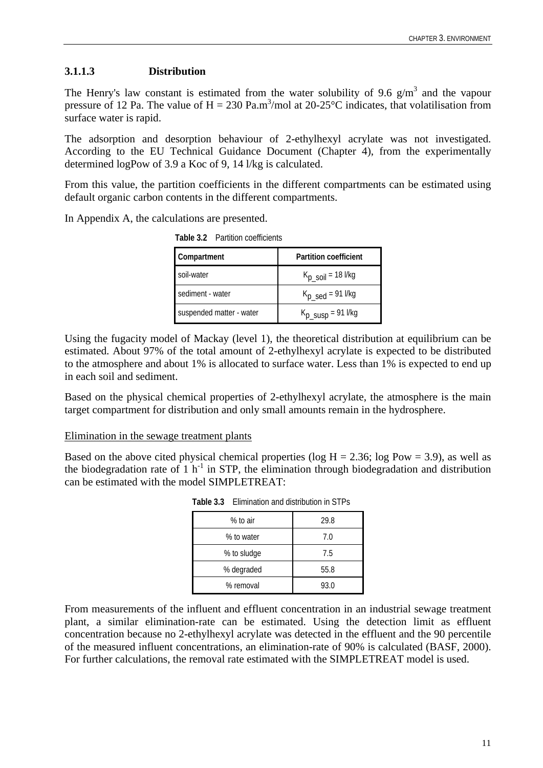#### <span id="page-18-0"></span>**3.1.1.3 Distribution**

The Henry's law constant is estimated from the water solubility of 9.6  $g/m<sup>3</sup>$  and the vapour pressure of 12 Pa. The value of  $H = 230$  Pa.m<sup>3</sup>/mol at 20-25 °C indicates, that volatilisation from surface water is rapid.

The adsorption and desorption behaviour of 2-ethylhexyl acrylate was not investigated. According to the EU Technical Guidance Document (Chapter 4), from the experimentally determined logPow of 3.9 a Koc of 9, 14 l/kg is calculated.

From this value, the partition coefficients in the different compartments can be estimated using default organic carbon contents in the different compartments.

In Appendix A, the calculations are presented.

| Compartment              | <b>Partition coefficient</b> |
|--------------------------|------------------------------|
| soil-water               | $K_{p\_soll}$ = 18 l/kg      |
| sediment - water         | $K_{p\_sed} = 91$ l/kg       |
| suspended matter - water | $K_{p\_SUBp} = 91$ I/kg      |

**Table 3.2** Partition coefficients

Using the fugacity model of Mackay (level 1), the theoretical distribution at equilibrium can be estimated. About 97% of the total amount of 2-ethylhexyl acrylate is expected to be distributed to the atmosphere and about 1% is allocated to surface water. Less than 1% is expected to end up in each soil and sediment.

Based on the physical chemical properties of 2-ethylhexyl acrylate, the atmosphere is the main target compartment for distribution and only small amounts remain in the hydrosphere.

#### Elimination in the sewage treatment plants

Based on the above cited physical chemical properties (log  $H = 2.36$ ; log Pow = 3.9), as well as the biodegradation rate of  $1 h^{-1}$  in STP, the elimination through biodegradation and distribution can be estimated with the model SIMPLETREAT:

| % to air    | 29.8 |
|-------------|------|
| % to water  | 7.0  |
| % to sludge | 7.5  |
| % degraded  | 55.8 |
| % removal   | 93.0 |

**Table 3.3** Elimination and distribution in STPs

From measurements of the influent and effluent concentration in an industrial sewage treatment plant, a similar elimination-rate can be estimated. Using the detection limit as effluent concentration because no 2-ethylhexyl acrylate was detected in the effluent and the 90 percentile of the measured influent concentrations, an elimination-rate of 90% is calculated (BASF, 2000). For further calculations, the removal rate estimated with the SIMPLETREAT model is used.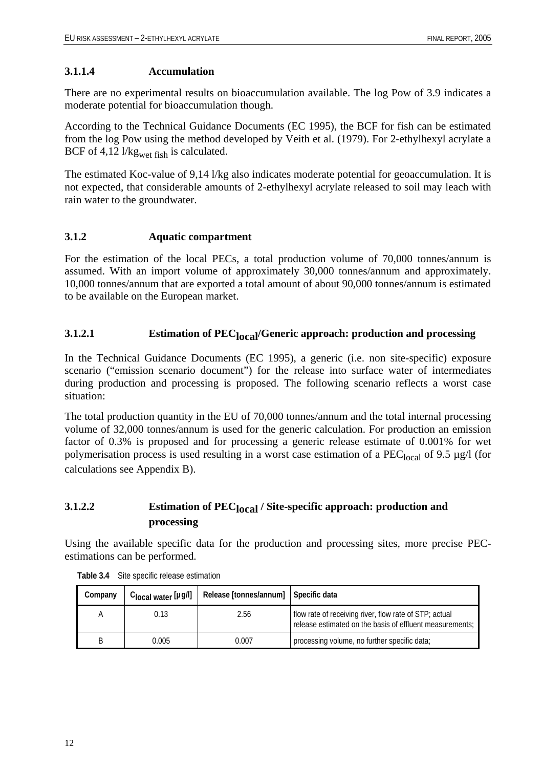#### <span id="page-19-0"></span>**3.1.1.4 Accumulation**

There are no experimental results on bioaccumulation available. The log Pow of 3.9 indicates a moderate potential for bioaccumulation though.

According to the Technical Guidance Documents (EC 1995), the BCF for fish can be estimated from the log Pow using the method developed by Veith et al. (1979). For 2-ethylhexyl acrylate a BCF of 4,12 l/kg<sub>wet fish</sub> is calculated.

The estimated Koc-value of 9,14 l/kg also indicates moderate potential for geoaccumulation. It is not expected, that considerable amounts of 2-ethylhexyl acrylate released to soil may leach with rain water to the groundwater.

#### **3.1.2 Aquatic compartment**

For the estimation of the local PECs, a total production volume of 70,000 tonnes/annum is assumed. With an import volume of approximately 30,000 tonnes/annum and approximately. 10,000 tonnes/annum that are exported a total amount of about 90,000 tonnes/annum is estimated to be available on the European market.

#### **3.1.2.1 Estimation of PEClocal/Generic approach: production and processing**

In the Technical Guidance Documents (EC 1995), a generic (i.e. non site-specific) exposure scenario ("emission scenario document") for the release into surface water of intermediates during production and processing is proposed. The following scenario reflects a worst case situation:

The total production quantity in the EU of 70,000 tonnes/annum and the total internal processing volume of 32,000 tonnes/annum is used for the generic calculation. For production an emission factor of 0.3% is proposed and for processing a generic release estimate of 0.001% for wet polymerisation process is used resulting in a worst case estimation of a  $PEC<sub>local</sub>$  of 9.5 µg/l (for calculations see Appendix B).

### **3.1.2.2 Estimation of PEC**<sub>local</sub> / Site-specific approach: production and **processing**

Using the available specific data for the production and processing sites, more precise PECestimations can be performed.

| Company | C <sub>local water</sub> [µg/l] | Release [tonnes/annum] | Specific data                                                                                                      |
|---------|---------------------------------|------------------------|--------------------------------------------------------------------------------------------------------------------|
|         | 0.13                            | 2.56                   | flow rate of receiving river, flow rate of STP; actual<br>release estimated on the basis of effluent measurements; |
|         | 0.005                           | 0.007                  | processing volume, no further specific data;                                                                       |

**Table 3.4** Site specific release estimation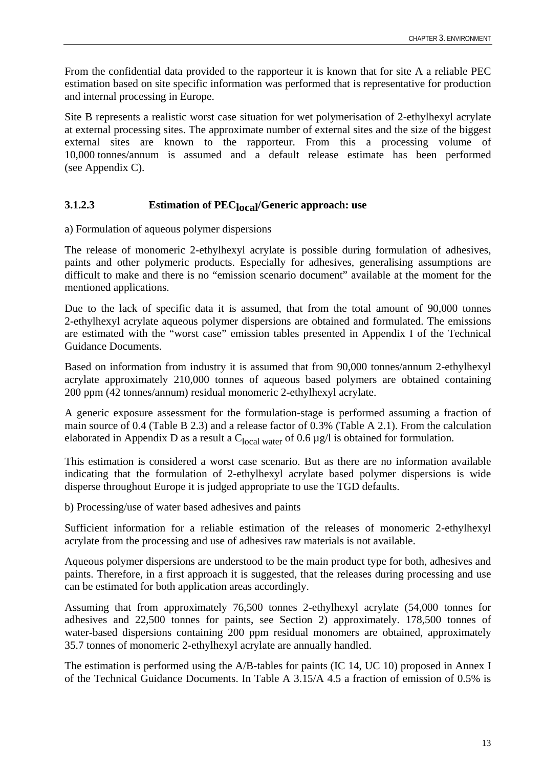<span id="page-20-0"></span>From the confidential data provided to the rapporteur it is known that for site A a reliable PEC estimation based on site specific information was performed that is representative for production and internal processing in Europe.

Site B represents a realistic worst case situation for wet polymerisation of 2-ethylhexyl acrylate at external processing sites. The approximate number of external sites and the size of the biggest external sites are known to the rapporteur. From this a processing volume of 10,000 tonnes/annum is assumed and a default release estimate has been performed (see Appendix C).

#### **3.1.2.3 Estimation of PEC**<sub>local</sub>/Generic approach: use

a) Formulation of aqueous polymer dispersions

The release of monomeric 2-ethylhexyl acrylate is possible during formulation of adhesives, paints and other polymeric products. Especially for adhesives, generalising assumptions are difficult to make and there is no "emission scenario document" available at the moment for the mentioned applications.

Due to the lack of specific data it is assumed, that from the total amount of 90,000 tonnes 2-ethylhexyl acrylate aqueous polymer dispersions are obtained and formulated. The emissions are estimated with the "worst case" emission tables presented in Appendix I of the Technical Guidance Documents.

Based on information from industry it is assumed that from 90,000 tonnes/annum 2-ethylhexyl acrylate approximately 210,000 tonnes of aqueous based polymers are obtained containing 200 ppm (42 tonnes/annum) residual monomeric 2-ethylhexyl acrylate.

A generic exposure assessment for the formulation-stage is performed assuming a fraction of main source of 0.4 (Table B 2.3) and a release factor of 0.3% (Table A 2.1). From the calculation elaborated in Appendix D as a result a  $C_{local water}$  of 0.6  $\mu$ g/l is obtained for formulation.

This estimation is considered a worst case scenario. But as there are no information available indicating that the formulation of 2-ethylhexyl acrylate based polymer dispersions is wide disperse throughout Europe it is judged appropriate to use the TGD defaults.

b) Processing/use of water based adhesives and paints

Sufficient information for a reliable estimation of the releases of monomeric 2-ethylhexyl acrylate from the processing and use of adhesives raw materials is not available.

Aqueous polymer dispersions are understood to be the main product type for both, adhesives and paints. Therefore, in a first approach it is suggested, that the releases during processing and use can be estimated for both application areas accordingly.

Assuming that from approximately 76,500 tonnes 2-ethylhexyl acrylate (54,000 tonnes for adhesives and 22,500 tonnes for paints, see Section 2) approximately. 178,500 tonnes of water-based dispersions containing 200 ppm residual monomers are obtained, approximately 35.7 tonnes of monomeric 2-ethylhexyl acrylate are annually handled.

The estimation is performed using the A/B-tables for paints (IC 14, UC 10) proposed in Annex I of the Technical Guidance Documents. In Table A 3.15/A 4.5 a fraction of emission of 0.5% is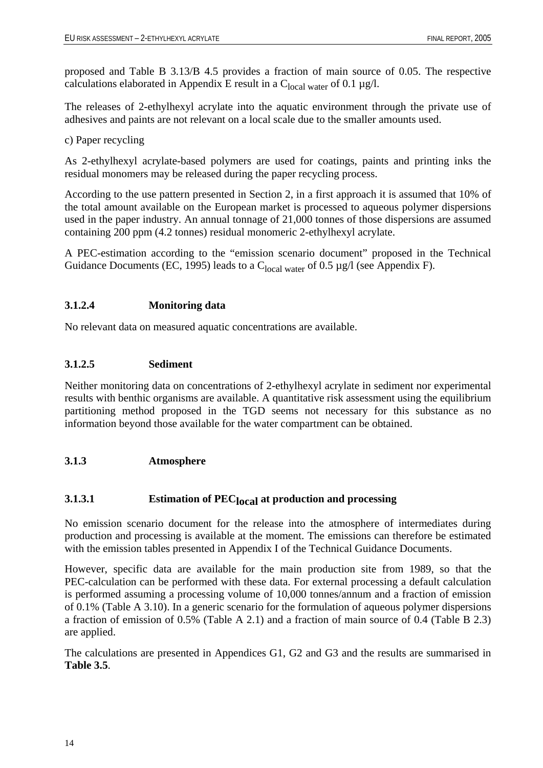<span id="page-21-0"></span>proposed and Table B 3.13/B 4.5 provides a fraction of main source of 0.05. The respective calculations elaborated in Appendix E result in a  $C_{local water}$  of 0.1  $\mu$ g/l.

The releases of 2-ethylhexyl acrylate into the aquatic environment through the private use of adhesives and paints are not relevant on a local scale due to the smaller amounts used.

c) Paper recycling

As 2-ethylhexyl acrylate-based polymers are used for coatings, paints and printing inks the residual monomers may be released during the paper recycling process.

According to the use pattern presented in Section 2, in a first approach it is assumed that 10% of the total amount available on the European market is processed to aqueous polymer dispersions used in the paper industry. An annual tonnage of 21,000 tonnes of those dispersions are assumed containing 200 ppm (4.2 tonnes) residual monomeric 2-ethylhexyl acrylate.

A PEC-estimation according to the "emission scenario document" proposed in the Technical Guidance Documents (EC, 1995) leads to a  $C_{local water}$  of 0.5 µg/l (see Appendix F).

#### **3.1.2.4 Monitoring data**

No relevant data on measured aquatic concentrations are available.

#### **3.1.2.5 Sediment**

Neither monitoring data on concentrations of 2-ethylhexyl acrylate in sediment nor experimental results with benthic organisms are available. A quantitative risk assessment using the equilibrium partitioning method proposed in the TGD seems not necessary for this substance as no information beyond those available for the water compartment can be obtained.

#### **3.1.3 Atmosphere**

#### **3.1.3.1 Estimation of PEC**<sub>local</sub> at production and processing

No emission scenario document for the release into the atmosphere of intermediates during production and processing is available at the moment. The emissions can therefore be estimated with the emission tables presented in Appendix I of the Technical Guidance Documents.

However, specific data are available for the main production site from 1989, so that the PEC-calculation can be performed with these data. For external processing a default calculation is performed assuming a processing volume of 10,000 tonnes/annum and a fraction of emission of 0.1% (Table A 3.10). In a generic scenario for the formulation of aqueous polymer dispersions a fraction of emission of 0.5% (Table A 2.1) and a fraction of main source of 0.4 (Table B 2.3) are applied.

The calculations are presented in Appendices G1, G2 and G3 and the results are summarised in **Table 3.5**.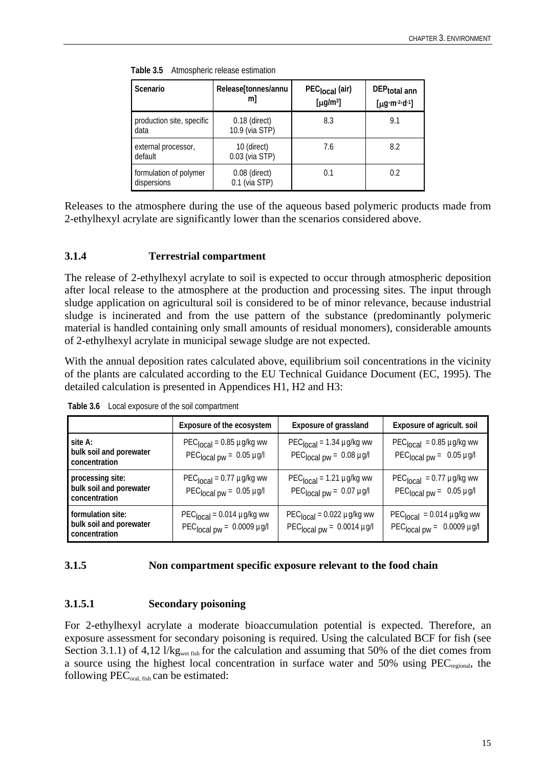| Scenario                              | Release[tonnes/annu<br>ml         | PEC <sub>local</sub> (air)<br>[ $\mu$ g/m <sup>3</sup> ] | DEP <sub>total</sub> ann<br>$[\mu q \cdot m^{-2} \cdot d^{-1}]$ |
|---------------------------------------|-----------------------------------|----------------------------------------------------------|-----------------------------------------------------------------|
| production site, specific<br>data     | $0.18$ (direct)<br>10.9 (via STP) | 8.3                                                      | 9.1                                                             |
| external processor,<br>default        | 10 (direct)<br>0.03 (via STP)     | 7.6                                                      | 8.2                                                             |
| formulation of polymer<br>dispersions | $0.08$ (direct)<br>0.1 (via STP)  | 0.1                                                      | 0.2                                                             |

<span id="page-22-0"></span>**Table 3.5** Atmospheric release estimation

Releases to the atmosphere during the use of the aqueous based polymeric products made from 2-ethylhexyl acrylate are significantly lower than the scenarios considered above.

#### **3.1.4 Terrestrial compartment**

The release of 2-ethylhexyl acrylate to soil is expected to occur through atmospheric deposition after local release to the atmosphere at the production and processing sites. The input through sludge application on agricultural soil is considered to be of minor relevance, because industrial sludge is incinerated and from the use pattern of the substance (predominantly polymeric material is handled containing only small amounts of residual monomers), considerable amounts of 2-ethylhexyl acrylate in municipal sewage sludge are not expected.

With the annual deposition rates calculated above, equilibrium soil concentrations in the vicinity of the plants are calculated according to the EU Technical Guidance Document (EC, 1995). The detailed calculation is presented in Appendices H1, H2 and H3:

|                                                               | Exposure of the ecosystem                                          | <b>Exposure of grassland</b>                                            | Exposure of agricult. soil                                        |
|---------------------------------------------------------------|--------------------------------------------------------------------|-------------------------------------------------------------------------|-------------------------------------------------------------------|
| site A:<br>bulk soil and porewater<br>concentration           | $PEClocal = 0.85 \mu g/kg$ ww<br>$PEClocal pw = 0.05 µg/l$         | $PEClocal = 1.34 \mu g/kg$ ww<br>PEC local pw = $0.08 \mu g/l$          | $PEClocal = 0.85 \mu g/kg$ ww<br>PEC local $pw = 0.05 \mu g/l$    |
| processing site:<br>bulk soil and porewater<br>concentration  | $PEClocal = 0.77 \mu g/kg$ ww<br>PEC local pw = $0.05 \mu g/l$     | $PEClocal = 1.21 \mu g/kg$ ww<br>$PEClocal pw = 0.07 µg/l$              | $PEClocal = 0.77 \mu g/kg$ ww<br>PEC local $pw = 0.05 \mu g/l$    |
| formulation site:<br>bulk soil and porewater<br>concentration | $PEClocal = 0.014 \mu g/kg$ ww<br>PEC $_{local\,pw}$ = 0.0009 µg/l | $PEClocal = 0.022 \mu g/kg$ ww<br>PEC $_{local\,pw}$ = 0.0014 $\mu$ g/l | $PEClocal = 0.014 \mu g/kg$ ww<br>PEC local pw = $0.0009 \mu g/l$ |

**Table 3.6** Local exposure of the soil compartment

#### **3.1.5 Non compartment specific exposure relevant to the food chain**

#### **3.1.5.1 Secondary poisoning**

For 2-ethylhexyl acrylate a moderate bioaccumulation potential is expected. Therefore, an exposure assessment for secondary poisoning is required. Using the calculated BCF for fish (see Section 3.1.1) of 4,12 l/kg<sub>wet fish</sub> for the calculation and assuming that 50% of the diet comes from a source using the highest local concentration in surface water and  $50\%$  using  $PEC_{\text{resional}}$ , the following  $PEC_{\text{oral fish}}$  can be estimated: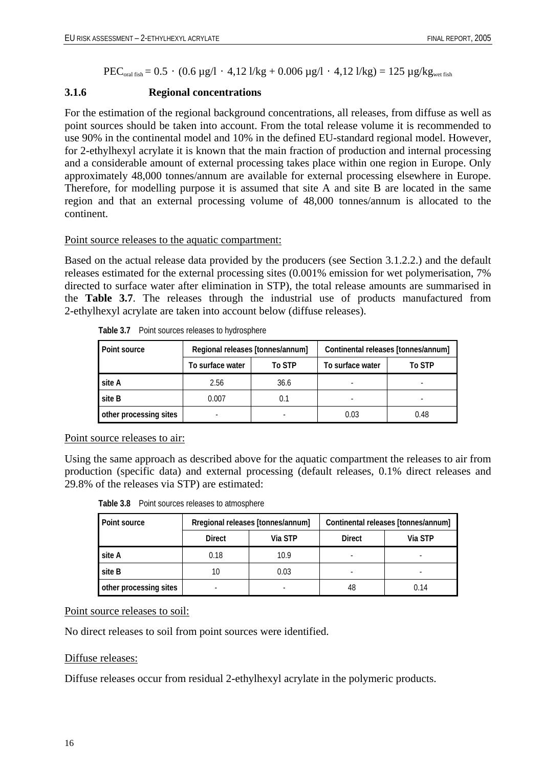PEC<sub>oral fish</sub> =  $0.5 \cdot (0.6 \,\mu g/l \cdot 4.12 \, \text{l/kg} + 0.006 \,\mu g/l \cdot 4.12 \, \text{l/kg}) = 125 \,\mu g/kg_{\text{wet fish}}$ 

#### <span id="page-23-0"></span>**3.1.6 Regional concentrations**

For the estimation of the regional background concentrations, all releases, from diffuse as well as point sources should be taken into account. From the total release volume it is recommended to use 90% in the continental model and 10% in the defined EU-standard regional model. However, for 2-ethylhexyl acrylate it is known that the main fraction of production and internal processing and a considerable amount of external processing takes place within one region in Europe. Only approximately 48,000 tonnes/annum are available for external processing elsewhere in Europe. Therefore, for modelling purpose it is assumed that site A and site B are located in the same region and that an external processing volume of 48,000 tonnes/annum is allocated to the continent.

#### Point source releases to the aquatic compartment:

Based on the actual release data provided by the producers (see Section 3.1.2.2.) and the default releases estimated for the external processing sites (0.001% emission for wet polymerisation, 7% directed to surface water after elimination in STP), the total release amounts are summarised in the **Table 3.7**. The releases through the industrial use of products manufactured from 2-ethylhexyl acrylate are taken into account below (diffuse releases).

| Point source           | Regional releases [tonnes/annum] |               | Continental releases [tonnes/annum] |               |
|------------------------|----------------------------------|---------------|-------------------------------------|---------------|
|                        | To surface water                 | <b>To STP</b> | To surface water                    | <b>To STP</b> |
| site A                 | 2.56                             | 36.6          |                                     |               |
| site B                 | 0.007                            | 0.1           |                                     |               |
| other processing sites |                                  |               | 0.03                                | 0.48          |

| Table 3.7 Point sources releases to hydrosphere |  |
|-------------------------------------------------|--|
|                                                 |  |

#### Point source releases to air:

Using the same approach as described above for the aquatic compartment the releases to air from production (specific data) and external processing (default releases, 0.1% direct releases and 29.8% of the releases via STP) are estimated:

| Point source           | Rregional releases [tonnes/annum] |         |               | Continental releases [tonnes/annum] |
|------------------------|-----------------------------------|---------|---------------|-------------------------------------|
|                        | <b>Direct</b>                     | Via STP | <b>Direct</b> | Via STP                             |
| site A                 | 0.18                              | 10.9    |               |                                     |
| site B                 | 10                                | 0.03    |               |                                     |
| other processing sites |                                   |         | 48            | 0.14                                |

**Table 3.8** Point sources releases to atmosphere

Point source releases to soil:

No direct releases to soil from point sources were identified.

#### Diffuse releases:

Diffuse releases occur from residual 2-ethylhexyl acrylate in the polymeric products.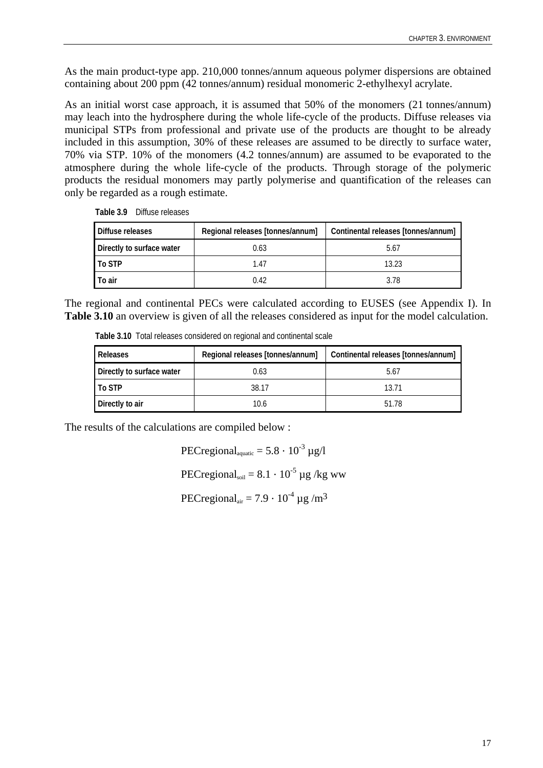<span id="page-24-0"></span>As the main product-type app. 210,000 tonnes/annum aqueous polymer dispersions are obtained containing about 200 ppm (42 tonnes/annum) residual monomeric 2-ethylhexyl acrylate.

As an initial worst case approach, it is assumed that 50% of the monomers (21 tonnes/annum) may leach into the hydrosphere during the whole life-cycle of the products. Diffuse releases via municipal STPs from professional and private use of the products are thought to be already included in this assumption, 30% of these releases are assumed to be directly to surface water, 70% via STP. 10% of the monomers (4.2 tonnes/annum) are assumed to be evaporated to the atmosphere during the whole life-cycle of the products. Through storage of the polymeric products the residual monomers may partly polymerise and quantification of the releases can only be regarded as a rough estimate.

| Diffuse releases          | Regional releases [tonnes/annum] | Continental releases [tonnes/annum] |
|---------------------------|----------------------------------|-------------------------------------|
| Directly to surface water | 0.63                             | 5.67                                |
| To STP                    | 1.47                             | 13.23                               |
| To air                    | 0.42                             | 3.78                                |

**Table 3.9** Diffuse releases

The regional and continental PECs were calculated according to EUSES (see Appendix I). In **Table 3.10** an overview is given of all the releases considered as input for the model calculation.

| <b>Releases</b>           | Regional releases [tonnes/annum] | Continental releases [tonnes/annum] |
|---------------------------|----------------------------------|-------------------------------------|
| Directly to surface water | 0.63                             | 5.67                                |
| <b>To STP</b>             | 38.17                            | 13.71                               |
| Directly to air           | 10.6                             | 51.78                               |

**Table 3.10** Total releases considered on regional and continental scale

The results of the calculations are compiled below :

PECregional<sub>aquatic</sub> =  $5.8 \cdot 10^{-3}$  µg/l

PECregional<sub>soil</sub> =  $8.1 \cdot 10^{-5}$  µg /kg ww

PECregional<sub>air</sub> = 7.9  $\cdot$  10<sup>-4</sup> µg /m<sup>3</sup>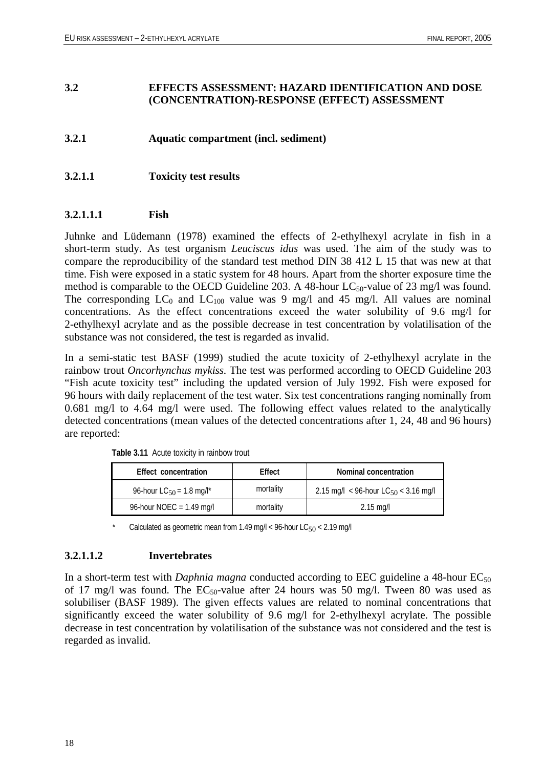#### <span id="page-25-0"></span>**3.2 EFFECTS ASSESSMENT: HAZARD IDENTIFICATION AND DOSE (CONCENTRATION)-RESPONSE (EFFECT) ASSESSMENT**

#### **3.2.1 Aquatic compartment (incl. sediment)**

#### **3.2.1.1 Toxicity test results**

#### **3.2.1.1.1 Fish**

Juhnke and Lüdemann (1978) examined the effects of 2-ethylhexyl acrylate in fish in a short-term study. As test organism *Leuciscus idus* was used. The aim of the study was to compare the reproducibility of the standard test method DIN 38 412 L 15 that was new at that time. Fish were exposed in a static system for 48 hours. Apart from the shorter exposure time the method is comparable to the OECD Guideline 203. A 48-hour  $LC_{50}$ -value of 23 mg/l was found. The corresponding  $LC_0$  and  $LC_{100}$  value was 9 mg/l and 45 mg/l. All values are nominal concentrations. As the effect concentrations exceed the water solubility of 9.6 mg/l for 2-ethylhexyl acrylate and as the possible decrease in test concentration by volatilisation of the substance was not considered, the test is regarded as invalid.

In a semi-static test BASF (1999) studied the acute toxicity of 2-ethylhexyl acrylate in the rainbow trout *Oncorhynchus mykiss.* The test was performed according to OECD Guideline 203 "Fish acute toxicity test" including the updated version of July 1992. Fish were exposed for 96 hours with daily replacement of the test water. Six test concentrations ranging nominally from 0.681 mg/l to 4.64 mg/l were used. The following effect values related to the analytically detected concentrations (mean values of the detected concentrations after 1, 24, 48 and 96 hours) are reported:

| Effect concentration                             | Effect    | Nominal concentration                     |
|--------------------------------------------------|-----------|-------------------------------------------|
| 96-hour LC <sub>50</sub> = 1.8 mg/l <sup>*</sup> | mortality | 2.15 mg/l < 96-hour $LC_{50}$ < 3.16 mg/l |
| 96-hour NOEC = $1.49$ mg/l                       | mortality | $2.15 \text{ mg/l}$                       |

|  | Table 3.11 Acute toxicity in rainbow trout |  |
|--|--------------------------------------------|--|
|--|--------------------------------------------|--|

Calculated as geometric mean from 1.49 mg/l < 96-hour LC $50 < 2.19$  mg/l

#### **3.2.1.1.2 Invertebrates**

In a short-term test with *Daphnia magna* conducted according to EEC guideline a 48-hour EC<sub>50</sub> of 17 mg/l was found. The  $EC_{50}$ -value after 24 hours was 50 mg/l. Tween 80 was used as solubiliser (BASF 1989). The given effects values are related to nominal concentrations that significantly exceed the water solubility of 9.6 mg/l for 2-ethylhexyl acrylate. The possible decrease in test concentration by volatilisation of the substance was not considered and the test is regarded as invalid.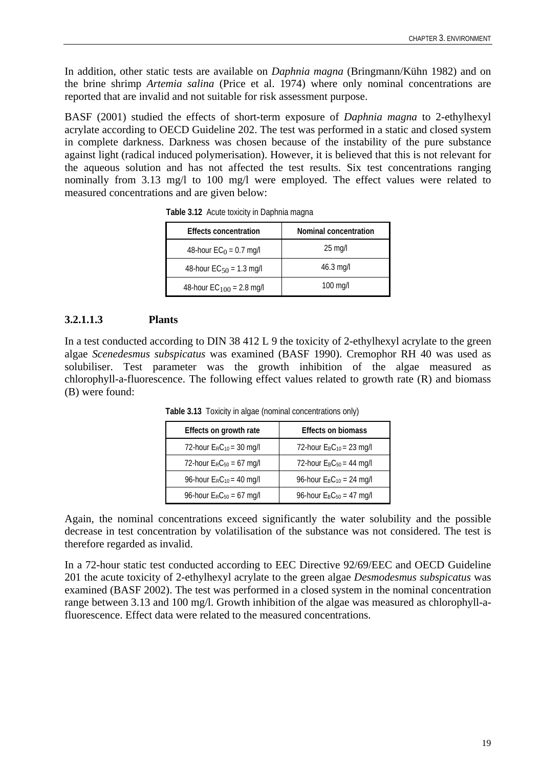<span id="page-26-0"></span>In addition, other static tests are available on *Daphnia magna* (Bringmann/Kühn 1982) and on the brine shrimp *Artemia salina* (Price et al. 1974) where only nominal concentrations are reported that are invalid and not suitable for risk assessment purpose.

BASF (2001) studied the effects of short-term exposure of *Daphnia magna* to 2-ethylhexyl acrylate according to OECD Guideline 202. The test was performed in a static and closed system in complete darkness. Darkness was chosen because of the instability of the pure substance against light (radical induced polymerisation). However, it is believed that this is not relevant for the aqueous solution and has not affected the test results. Six test concentrations ranging nominally from 3.13 mg/l to 100 mg/l were employed. The effect values were related to measured concentrations and are given below:

| <b>Effects concentration</b>  | Nominal concentration |  |
|-------------------------------|-----------------------|--|
| 48-hour $EC_0 = 0.7$ mg/l     | $25 \text{ mg/l}$     |  |
| 48-hour $EC_{50} = 1.3$ mg/l  | $46.3$ mg/l           |  |
| 48-hour $EC_{100} = 2.8$ mg/l | $100 \text{ mq/l}$    |  |

**Table 3.12** Acute toxicity in Daphnia magna

#### **3.2.1.1.3 Plants**

In a test conducted according to DIN 38 412 L 9 the toxicity of 2-ethylhexyl acrylate to the green algae *Scenedesmus subspicatus* was examined (BASF 1990). Cremophor RH 40 was used as solubiliser. Test parameter was the growth inhibition of the algae measured as chlorophyll-a-fluorescence. The following effect values related to growth rate (R) and biomass (B) were found:

| Effects on growth rate         | <b>Effects on biomass</b>      |
|--------------------------------|--------------------------------|
| 72-hour $E_R C_{10} = 30$ mg/l | 72-hour $E_B C_{10} = 23$ mg/l |
| 72-hour $E_RC_{50} = 67$ mg/l  | 72-hour $E_BC_{50} = 44$ mg/l  |
| 96-hour $E_R C_{10} = 40$ mg/l | 96-hour $E_B C_{10} = 24$ mg/l |
| 96-hour $E_R C_{50} = 67$ mg/l | 96-hour $E_BC_{50} = 47$ mg/l  |

**Table 3.13** Toxicity in algae (nominal concentrations only)

Again, the nominal concentrations exceed significantly the water solubility and the possible decrease in test concentration by volatilisation of the substance was not considered. The test is therefore regarded as invalid.

In a 72-hour static test conducted according to EEC Directive 92/69/EEC and OECD Guideline 201 the acute toxicity of 2-ethylhexyl acrylate to the green algae *Desmodesmus subspicatus* was examined (BASF 2002). The test was performed in a closed system in the nominal concentration range between 3.13 and 100 mg/l. Growth inhibition of the algae was measured as chlorophyll-afluorescence. Effect data were related to the measured concentrations.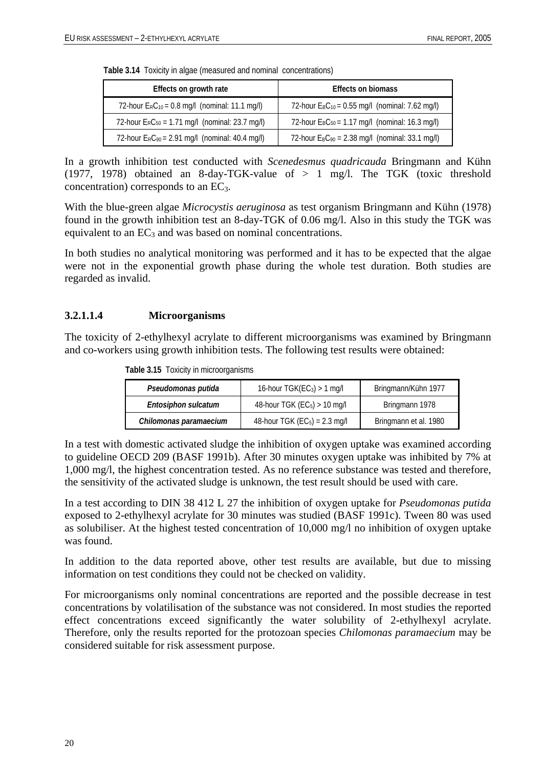<span id="page-27-0"></span>

| Effects on growth rate                                | <b>Effects on biomass</b>                             |  |  |
|-------------------------------------------------------|-------------------------------------------------------|--|--|
| 72-hour $E_R C_{10} = 0.8$ mg/l (nominal: 11.1 mg/l)  | 72-hour $E_B C_{10} = 0.55$ mg/l (nominal: 7.62 mg/l) |  |  |
| 72-hour $E_R C_{50} = 1.71$ mg/l (nominal: 23.7 mg/l) | 72-hour $E_B C_{50} = 1.17$ mg/l (nominal: 16.3 mg/l) |  |  |
| 72-hour $E_R C_{90} = 2.91$ mg/l (nominal: 40.4 mg/l) | 72-hour $E_B C_{90} = 2.38$ mg/l (nominal: 33.1 mg/l) |  |  |

In a growth inhibition test conducted with *Scenedesmus quadricauda* Bringmann and Kühn (1977, 1978) obtained an 8-day-TGK-value of > 1 mg/l. The TGK (toxic threshold concentration) corresponds to an  $EC<sub>3</sub>$ .

With the blue-green algae *Microcystis aeruginosa* as test organism Bringmann and Kühn (1978) found in the growth inhibition test an 8-day-TGK of 0.06 mg/l. Also in this study the TGK was equivalent to an  $EC<sub>3</sub>$  and was based on nominal concentrations.

In both studies no analytical monitoring was performed and it has to be expected that the algae were not in the exponential growth phase during the whole test duration. Both studies are regarded as invalid.

#### **3.2.1.1.4 Microorganisms**

The toxicity of 2-ethylhexyl acrylate to different microorganisms was examined by Bringmann and co-workers using growth inhibition tests. The following test results were obtained:

| Pseudomonas putida         | 16-hour $TGK(EC_3) > 1$ mg/l     | Bringmann/Kühn 1977   |  |
|----------------------------|----------------------------------|-----------------------|--|
| <b>Entosiphon sulcatum</b> | 48-hour TGK ( $EC_5$ ) > 10 mg/l | Bringmann 1978        |  |
| Chilomonas paramaecium     | 48-hour TGK $(EC_5) = 2.3$ mg/l  | Bringmann et al. 1980 |  |

**Table 3.15** Toxicity in microorganisms

In a test with domestic activated sludge the inhibition of oxygen uptake was examined according to guideline OECD 209 (BASF 1991b). After 30 minutes oxygen uptake was inhibited by 7% at 1,000 mg/l, the highest concentration tested. As no reference substance was tested and therefore, the sensitivity of the activated sludge is unknown, the test result should be used with care.

In a test according to DIN 38 412 L 27 the inhibition of oxygen uptake for *Pseudomonas putida* exposed to 2-ethylhexyl acrylate for 30 minutes was studied (BASF 1991c). Tween 80 was used as solubiliser. At the highest tested concentration of 10,000 mg/l no inhibition of oxygen uptake was found.

In addition to the data reported above, other test results are available, but due to missing information on test conditions they could not be checked on validity.

For microorganisms only nominal concentrations are reported and the possible decrease in test concentrations by volatilisation of the substance was not considered. In most studies the reported effect concentrations exceed significantly the water solubility of 2-ethylhexyl acrylate. Therefore, only the results reported for the protozoan species *Chilomonas paramaecium* may be considered suitable for risk assessment purpose.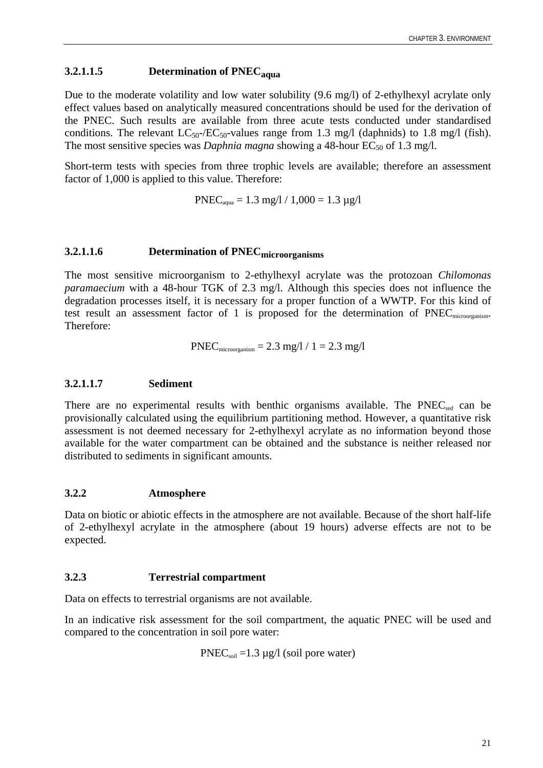#### <span id="page-28-0"></span>**3.2.1.1.5 Determination of PNEC**<sub>aqua</sub>

Due to the moderate volatility and low water solubility (9.6 mg/l) of 2-ethylhexyl acrylate only effect values based on analytically measured concentrations should be used for the derivation of the PNEC. Such results are available from three acute tests conducted under standardised conditions. The relevant  $LC_{50}$ -/EC<sub>50</sub>-values range from 1.3 mg/l (daphnids) to 1.8 mg/l (fish). The most sensitive species was *Daphnia magna* showing a 48-hour  $EC_{50}$  of 1.3 mg/l.

Short-term tests with species from three trophic levels are available; therefore an assessment factor of 1,000 is applied to this value. Therefore:

 $PNEC<sub>a</sub><sub>001</sub> = 1.3 mg/l / 1,000 = 1.3 ug/l$ 

#### **3.2.1.1.6 Determination of PNECmicroorganisms**

The most sensitive microorganism to 2-ethylhexyl acrylate was the protozoan *Chilomonas paramaecium* with a 48-hour TGK of 2.3 mg/l. Although this species does not influence the degradation processes itself, it is necessary for a proper function of a WWTP. For this kind of test result an assessment factor of 1 is proposed for the determination of PNEC<sub>microorganism</sub>. Therefore:

$$
PNEC_{microorganism} = 2.3 mg/l / 1 = 2.3 mg/l
$$

#### **3.2.1.1.7 Sediment**

There are no experimental results with benthic organisms available. The  $\text{PNEC}_{\text{sed}}$  can be provisionally calculated using the equilibrium partitioning method. However, a quantitative risk assessment is not deemed necessary for 2-ethylhexyl acrylate as no information beyond those available for the water compartment can be obtained and the substance is neither released nor distributed to sediments in significant amounts.

#### **3.2.2 Atmosphere**

Data on biotic or abiotic effects in the atmosphere are not available. Because of the short half-life of 2-ethylhexyl acrylate in the atmosphere (about 19 hours) adverse effects are not to be expected.

#### **3.2.3 Terrestrial compartment**

Data on effects to terrestrial organisms are not available.

In an indicative risk assessment for the soil compartment, the aquatic PNEC will be used and compared to the concentration in soil pore water:

PNEC<sub>soil</sub> =1.3  $\mu$ g/l (soil pore water)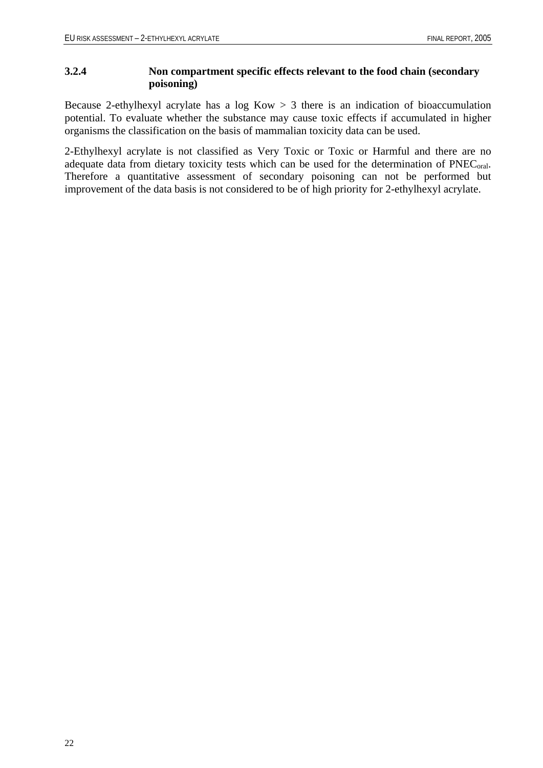#### <span id="page-29-0"></span>**3.2.4 Non compartment specific effects relevant to the food chain (secondary poisoning)**

Because 2-ethylhexyl acrylate has a log  $Kow > 3$  there is an indication of bioaccumulation potential. To evaluate whether the substance may cause toxic effects if accumulated in higher organisms the classification on the basis of mammalian toxicity data can be used.

2-Ethylhexyl acrylate is not classified as Very Toxic or Toxic or Harmful and there are no adequate data from dietary toxicity tests which can be used for the determination of PNEC<sub>oral</sub>. Therefore a quantitative assessment of secondary poisoning can not be performed but improvement of the data basis is not considered to be of high priority for 2-ethylhexyl acrylate.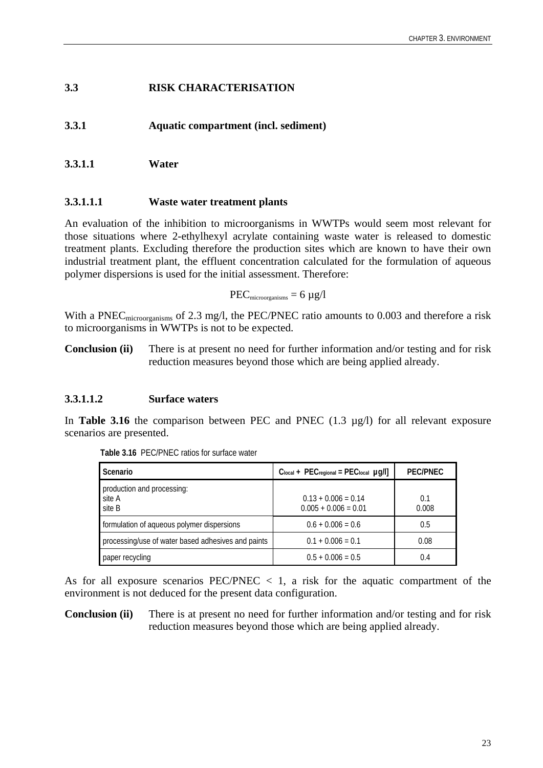#### <span id="page-30-0"></span>**3.3 RISK CHARACTERISATION**

**3.3.1 Aquatic compartment (incl. sediment)** 

#### **3.3.1.1 Water**

#### **3.3.1.1.1 Waste water treatment plants**

An evaluation of the inhibition to microorganisms in WWTPs would seem most relevant for those situations where 2-ethylhexyl acrylate containing waste water is released to domestic treatment plants. Excluding therefore the production sites which are known to have their own industrial treatment plant, the effluent concentration calculated for the formulation of aqueous polymer dispersions is used for the initial assessment. Therefore:

 $PEC<sub>microorganisms</sub> = 6 µg/l$ 

With a PNEC<sub>microorganisms</sub> of 2.3 mg/l, the PEC/PNEC ratio amounts to 0.003 and therefore a risk to microorganisms in WWTPs is not to be expected.

**Conclusion (ii)** There is at present no need for further information and/or testing and for risk reduction measures beyond those which are being applied already.

#### **3.3.1.1.2 Surface waters**

In **Table 3.16** the comparison between PEC and PNEC (1.3 µg/l) for all relevant exposure scenarios are presented.

| Scenario                                           | $C_{local}$ + $PEC_{regional}$ = $PEC_{local}$ $\mu$ g/l] | <b>PEC/PNEC</b> |
|----------------------------------------------------|-----------------------------------------------------------|-----------------|
| production and processing:<br>site A<br>site B     | $0.13 + 0.006 = 0.14$<br>$0.005 + 0.006 = 0.01$           | 0.1<br>0.008    |
| formulation of aqueous polymer dispersions         | $0.6 + 0.006 = 0.6$                                       | 0.5             |
| processing/use of water based adhesives and paints | $0.1 + 0.006 = 0.1$                                       | 0.08            |
| paper recycling                                    | $0.5 + 0.006 = 0.5$                                       | 0.4             |

**Table 3.16** PEC/PNEC ratios for surface water

As for all exposure scenarios  $PEC/PNEC < 1$ , a risk for the aquatic compartment of the environment is not deduced for the present data configuration.

**Conclusion (ii)** There is at present no need for further information and/or testing and for risk reduction measures beyond those which are being applied already.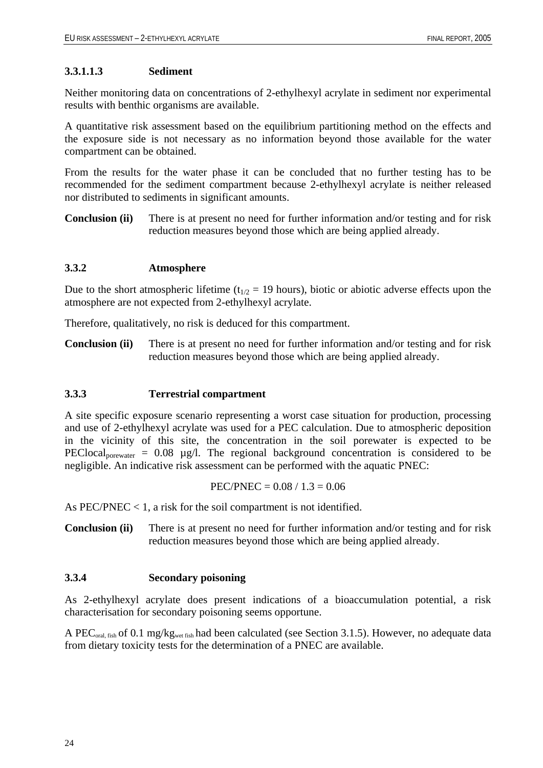#### <span id="page-31-0"></span>**3.3.1.1.3 Sediment**

Neither monitoring data on concentrations of 2-ethylhexyl acrylate in sediment nor experimental results with benthic organisms are available.

A quantitative risk assessment based on the equilibrium partitioning method on the effects and the exposure side is not necessary as no information beyond those available for the water compartment can be obtained.

From the results for the water phase it can be concluded that no further testing has to be recommended for the sediment compartment because 2-ethylhexyl acrylate is neither released nor distributed to sediments in significant amounts.

**Conclusion (ii)** There is at present no need for further information and/or testing and for risk reduction measures beyond those which are being applied already.

#### **3.3.2 Atmosphere**

Due to the short atmospheric lifetime ( $t_{1/2}$  = 19 hours), biotic or abiotic adverse effects upon the atmosphere are not expected from 2-ethylhexyl acrylate.

Therefore, qualitatively, no risk is deduced for this compartment.

**Conclusion (ii)** There is at present no need for further information and/or testing and for risk reduction measures beyond those which are being applied already.

#### **3.3.3 Terrestrial compartment**

A site specific exposure scenario representing a worst case situation for production, processing and use of 2-ethylhexyl acrylate was used for a PEC calculation. Due to atmospheric deposition in the vicinity of this site, the concentration in the soil porewater is expected to be PEClocal<sub>porewater</sub> = 0.08  $\mu$ g/l. The regional background concentration is considered to be negligible. An indicative risk assessment can be performed with the aquatic PNEC:

#### $PEC/PNEC = 0.08 / 1.3 = 0.06$

As  $PEC/PNEC < 1$ , a risk for the soil compartment is not identified.

**Conclusion (ii)** There is at present no need for further information and/or testing and for risk reduction measures beyond those which are being applied already.

#### **3.3.4 Secondary poisoning**

As 2-ethylhexyl acrylate does present indications of a bioaccumulation potential, a risk characterisation for secondary poisoning seems opportune.

A PEC<sub>oral, fish</sub> of 0.1 mg/kg<sub>wet fish</sub> had been calculated (see Section 3.1.5). However, no adequate data from dietary toxicity tests for the determination of a PNEC are available.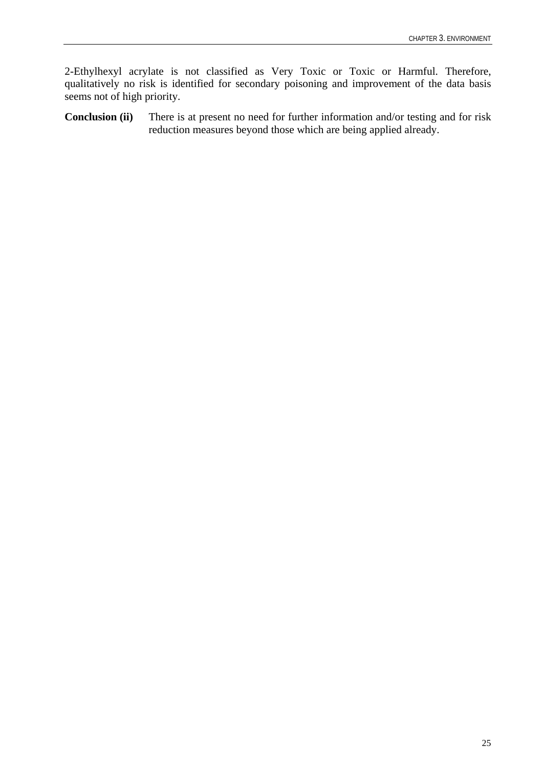2-Ethylhexyl acrylate is not classified as Very Toxic or Toxic or Harmful. Therefore, qualitatively no risk is identified for secondary poisoning and improvement of the data basis seems not of high priority.

**Conclusion (ii)** There is at present no need for further information and/or testing and for risk reduction measures beyond those which are being applied already.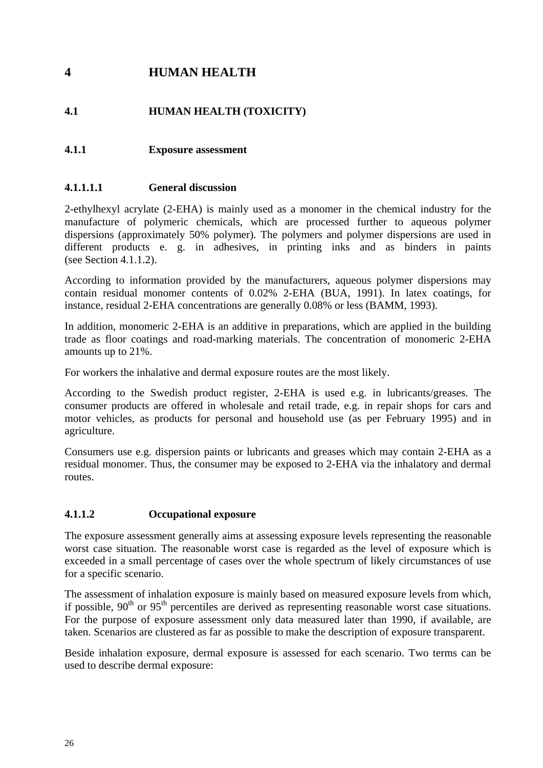## <span id="page-33-0"></span>**4 HUMAN HEALTH**

## **4.1 HUMAN HEALTH (TOXICITY)**

#### **4.1.1 Exposure assessment**

#### **4.1.1.1.1 General discussion**

2-ethylhexyl acrylate (2-EHA) is mainly used as a monomer in the chemical industry for the manufacture of polymeric chemicals, which are processed further to aqueous polymer dispersions (approximately 50% polymer). The polymers and polymer dispersions are used in different products e. g. in adhesives, in printing inks and as binders in paints (see Section 4.1.1.2).

According to information provided by the manufacturers, aqueous polymer dispersions may contain residual monomer contents of 0.02% 2-EHA (BUA, 1991). In latex coatings, for instance, residual 2-EHA concentrations are generally 0.08% or less (BAMM, 1993).

In addition, monomeric 2-EHA is an additive in preparations, which are applied in the building trade as floor coatings and road-marking materials. The concentration of monomeric 2-EHA amounts up to 21%.

For workers the inhalative and dermal exposure routes are the most likely.

According to the Swedish product register, 2-EHA is used e.g. in lubricants/greases. The consumer products are offered in wholesale and retail trade, e.g. in repair shops for cars and motor vehicles, as products for personal and household use (as per February 1995) and in agriculture.

Consumers use e.g. dispersion paints or lubricants and greases which may contain 2-EHA as a residual monomer. Thus, the consumer may be exposed to 2-EHA via the inhalatory and dermal routes.

#### **4.1.1.2 Occupational exposure**

The exposure assessment generally aims at assessing exposure levels representing the reasonable worst case situation. The reasonable worst case is regarded as the level of exposure which is exceeded in a small percentage of cases over the whole spectrum of likely circumstances of use for a specific scenario.

The assessment of inhalation exposure is mainly based on measured exposure levels from which, if possible,  $90<sup>th</sup>$  or  $95<sup>th</sup>$  percentiles are derived as representing reasonable worst case situations. For the purpose of exposure assessment only data measured later than 1990, if available, are taken. Scenarios are clustered as far as possible to make the description of exposure transparent.

Beside inhalation exposure, dermal exposure is assessed for each scenario. Two terms can be used to describe dermal exposure: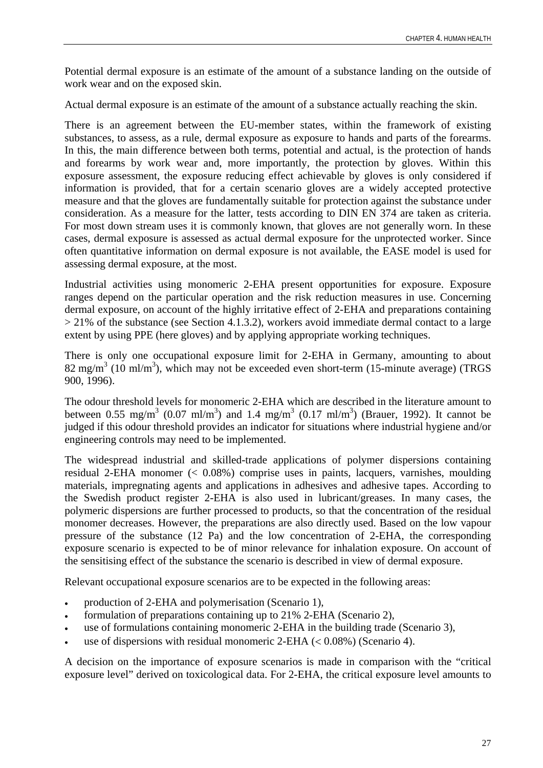Potential dermal exposure is an estimate of the amount of a substance landing on the outside of work wear and on the exposed skin.

Actual dermal exposure is an estimate of the amount of a substance actually reaching the skin.

There is an agreement between the EU-member states, within the framework of existing substances, to assess, as a rule, dermal exposure as exposure to hands and parts of the forearms. In this, the main difference between both terms, potential and actual, is the protection of hands and forearms by work wear and, more importantly, the protection by gloves. Within this exposure assessment, the exposure reducing effect achievable by gloves is only considered if information is provided, that for a certain scenario gloves are a widely accepted protective measure and that the gloves are fundamentally suitable for protection against the substance under consideration. As a measure for the latter, tests according to DIN EN 374 are taken as criteria. For most down stream uses it is commonly known, that gloves are not generally worn. In these cases, dermal exposure is assessed as actual dermal exposure for the unprotected worker. Since often quantitative information on dermal exposure is not available, the EASE model is used for assessing dermal exposure, at the most.

Industrial activities using monomeric 2-EHA present opportunities for exposure. Exposure ranges depend on the particular operation and the risk reduction measures in use. Concerning dermal exposure, on account of the highly irritative effect of 2-EHA and preparations containing  $> 21\%$  of the substance (see Section 4.1.3.2), workers avoid immediate dermal contact to a large extent by using PPE (here gloves) and by applying appropriate working techniques.

There is only one occupational exposure limit for 2-EHA in Germany, amounting to about  $82 \text{ mg/m}^3$  (10 ml/m<sup>3</sup>), which may not be exceeded even short-term (15-minute average) (TRGS 900, 1996).

The odour threshold levels for monomeric 2-EHA which are described in the literature amount to between 0.55 mg/m<sup>3</sup> (0.07 ml/m<sup>3</sup>) and 1.4 mg/m<sup>3</sup> (0.17 ml/m<sup>3</sup>) (Brauer, 1992). It cannot be judged if this odour threshold provides an indicator for situations where industrial hygiene and/or engineering controls may need to be implemented.

The widespread industrial and skilled-trade applications of polymer dispersions containing residual 2-EHA monomer (< 0.08%) comprise uses in paints, lacquers, varnishes, moulding materials, impregnating agents and applications in adhesives and adhesive tapes. According to the Swedish product register 2-EHA is also used in lubricant/greases. In many cases, the polymeric dispersions are further processed to products, so that the concentration of the residual monomer decreases. However, the preparations are also directly used. Based on the low vapour pressure of the substance (12 Pa) and the low concentration of 2-EHA, the corresponding exposure scenario is expected to be of minor relevance for inhalation exposure. On account of the sensitising effect of the substance the scenario is described in view of dermal exposure.

Relevant occupational exposure scenarios are to be expected in the following areas:

- production of 2-EHA and polymerisation (Scenario 1),
- formulation of preparations containing up to 21% 2-EHA (Scenario 2),
- use of formulations containing monomeric 2-EHA in the building trade (Scenario 3),
- use of dispersions with residual monomeric 2-EHA  $( $0.08\%$ )$  (Scenario 4).

A decision on the importance of exposure scenarios is made in comparison with the "critical exposure level" derived on toxicological data. For 2-EHA, the critical exposure level amounts to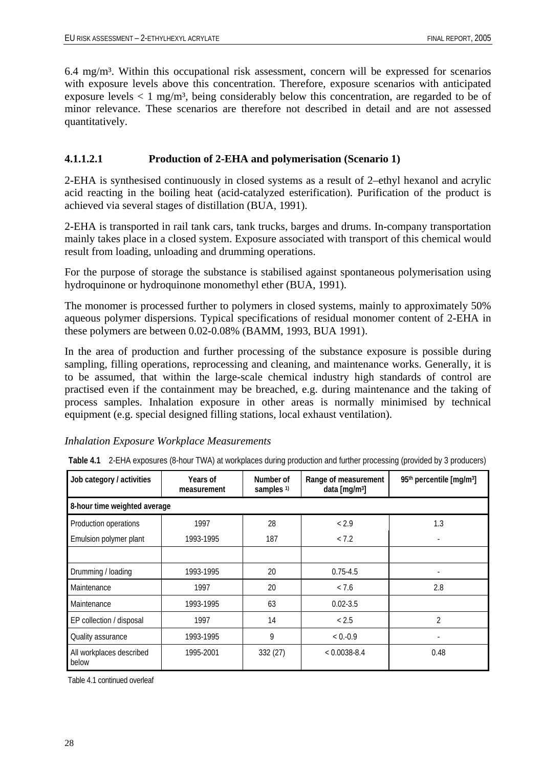<span id="page-35-0"></span> $6.4 \text{ mg/m}^3$ . Within this occupational risk assessment, concern will be expressed for scenarios with exposure levels above this concentration. Therefore, exposure scenarios with anticipated exposure levels  $\langle 1 \text{ mg/m}^3$ , being considerably below this concentration, are regarded to be of minor relevance. These scenarios are therefore not described in detail and are not assessed quantitatively.

#### **4.1.1.2.1 Production of 2-EHA and polymerisation (Scenario 1)**

2-EHA is synthesised continuously in closed systems as a result of 2–ethyl hexanol and acrylic acid reacting in the boiling heat (acid-catalyzed esterification). Purification of the product is achieved via several stages of distillation (BUA, 1991).

2-EHA is transported in rail tank cars, tank trucks, barges and drums. In-company transportation mainly takes place in a closed system. Exposure associated with transport of this chemical would result from loading, unloading and drumming operations.

For the purpose of storage the substance is stabilised against spontaneous polymerisation using hydroquinone or hydroquinone monomethyl ether (BUA, 1991).

The monomer is processed further to polymers in closed systems, mainly to approximately 50% aqueous polymer dispersions. Typical specifications of residual monomer content of 2-EHA in these polymers are between 0.02-0.08% (BAMM, 1993, BUA 1991).

In the area of production and further processing of the substance exposure is possible during sampling, filling operations, reprocessing and cleaning, and maintenance works. Generally, it is to be assumed, that within the large-scale chemical industry high standards of control are practised even if the containment may be breached, e.g. during maintenance and the taking of process samples. Inhalation exposure in other areas is normally minimised by technical equipment (e.g. special designed filling stations, local exhaust ventilation).

#### *Inhalation Exposure Workplace Measurements*

| Job category / activities         | Years of<br>measurement | Number of<br>samples <sup>1)</sup> | Range of measurement<br>data [mg/m <sup>3</sup> ] | 95 <sup>th</sup> percentile [mg/m <sup>3</sup> ] |  |  |
|-----------------------------------|-------------------------|------------------------------------|---------------------------------------------------|--------------------------------------------------|--|--|
| 8-hour time weighted average      |                         |                                    |                                                   |                                                  |  |  |
| Production operations             | 1997                    | 28                                 | < 2.9                                             | 1.3                                              |  |  |
| Emulsion polymer plant            | 1993-1995               | 187                                | < 7.2                                             |                                                  |  |  |
|                                   |                         |                                    |                                                   |                                                  |  |  |
| Drumming / loading                | 1993-1995               | 20                                 | $0.75 - 4.5$                                      |                                                  |  |  |
| Maintenance                       | 1997                    | 20                                 | < 7.6                                             | 2.8                                              |  |  |
| Maintenance                       | 1993-1995               | 63                                 | $0.02 - 3.5$                                      |                                                  |  |  |
| EP collection / disposal          | 1997                    | 14                                 | < 2.5                                             | 2                                                |  |  |
| Quality assurance                 | 1993-1995               | 9                                  | < 0.009                                           |                                                  |  |  |
| All workplaces described<br>below | 1995-2001               | 332 (27)                           | $< 0.0038 - 8.4$                                  | 0.48                                             |  |  |

**Table 4.1** 2-EHA exposures (8-hour TWA) at workplaces during production and further processing (provided by 3 producers)

Table 4.1 continued overleaf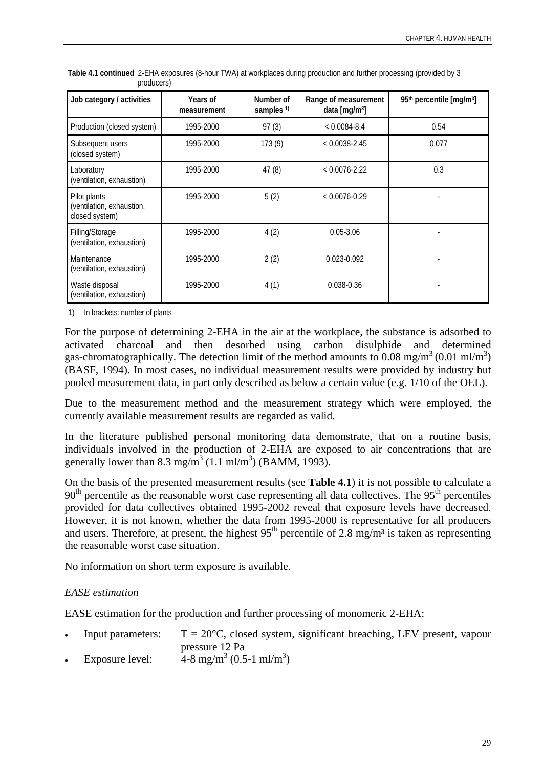| Job category / activities                                   | Years of<br>measurement | Number of<br>samples <sup>1)</sup> | Range of measurement<br>data [mg/m <sup>3</sup> ] | 95 <sup>th</sup> percentile [mg/m <sup>3</sup> ] |
|-------------------------------------------------------------|-------------------------|------------------------------------|---------------------------------------------------|--------------------------------------------------|
| Production (closed system)                                  | 1995-2000               | 97 (3)                             | $< 0.0084 - 8.4$                                  | 0.54                                             |
| Subsequent users<br>(closed system)                         | 1995-2000               | 173(9)                             | $< 0.0038 - 2.45$                                 | 0.077                                            |
| Laboratory<br>(ventilation, exhaustion)                     | 1995-2000               | 47(8)                              | $< 0.0076 - 2.22$                                 | 0.3                                              |
| Pilot plants<br>(ventilation, exhaustion,<br>closed system) | 1995-2000               | 5(2)                               | $< 0.0076 - 0.29$                                 |                                                  |
| Filling/Storage<br>(ventilation, exhaustion)                | 1995-2000               | 4(2)                               | $0.05 - 3.06$                                     |                                                  |
| Maintenance<br>(ventilation, exhaustion)                    | 1995-2000               | 2(2)                               | 0.023-0.092                                       |                                                  |
| Waste disposal<br>(ventilation, exhaustion)                 | 1995-2000               | 4(1)                               | 0.038-0.36                                        |                                                  |

**Table 4.1 continued** 2-EHA exposures (8-hour TWA) at workplaces during production and further processing (provided by 3 producers)

1) In brackets: number of plants

For the purpose of determining 2-EHA in the air at the workplace, the substance is adsorbed to activated charcoal and then desorbed using carbon disulphide and determined gas-chromatographically. The detection limit of the method amounts to 0.08 mg/m<sup>3</sup> (0.01 ml/m<sup>3</sup>) (BASF, 1994). In most cases, no individual measurement results were provided by industry but pooled measurement data, in part only described as below a certain value (e.g. 1/10 of the OEL).

Due to the measurement method and the measurement strategy which were employed, the currently available measurement results are regarded as valid.

In the literature published personal monitoring data demonstrate, that on a routine basis, individuals involved in the production of 2-EHA are exposed to air concentrations that are generally lower than 8.3 mg/m<sup>3</sup> (1.1 ml/m<sup>3</sup>) (BAMM, 1993).

On the basis of the presented measurement results (see **Table 4.1**) it is not possible to calculate a  $90<sup>th</sup>$  percentile as the reasonable worst case representing all data collectives. The  $95<sup>th</sup>$  percentiles provided for data collectives obtained 1995-2002 reveal that exposure levels have decreased. However, it is not known, whether the data from 1995-2000 is representative for all producers and users. Therefore, at present, the highest  $95<sup>th</sup>$  percentile of 2.8 mg/m<sup>3</sup> is taken as representing the reasonable worst case situation.

No information on short term exposure is available.

# *EASE estimation*

EASE estimation for the production and further processing of monomeric 2-EHA:

- Input parameters:  $T = 20^{\circ}$ C, closed system, significant breaching, LEV present, vapour pressure 12 Pa
- Exposure level:  $(0.5-1 \text{ ml/m}^3)$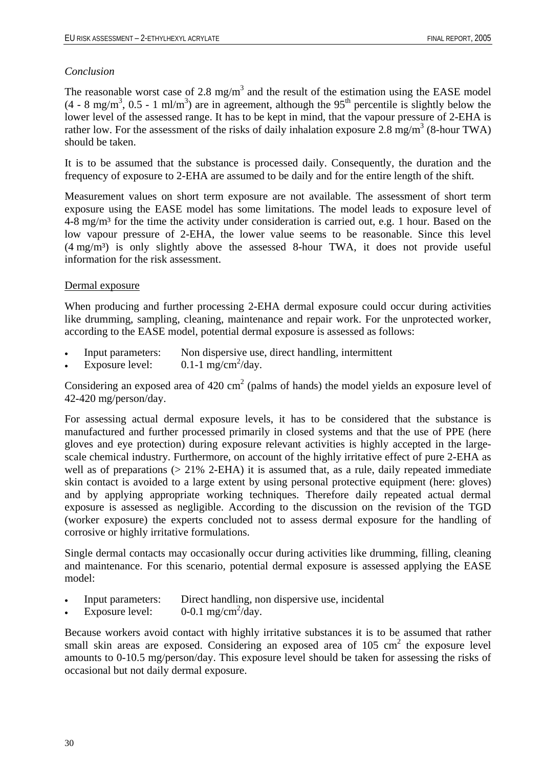# *Conclusion*

The reasonable worst case of 2.8 mg/m<sup>3</sup> and the result of the estimation using the EASE model  $(4 - 8 \text{ mg/m}^3, 0.5 - 1 \text{ ml/m}^3)$  are in agreement, although the 95<sup>th</sup> percentile is slightly below the lower level of the assessed range. It has to be kept in mind, that the vapour pressure of 2-EHA is rather low. For the assessment of the risks of daily inhalation exposure 2.8 mg/m<sup>3</sup> (8-hour TWA) should be taken.

It is to be assumed that the substance is processed daily. Consequently, the duration and the frequency of exposure to 2-EHA are assumed to be daily and for the entire length of the shift.

Measurement values on short term exposure are not available. The assessment of short term exposure using the EASE model has some limitations. The model leads to exposure level of 4-8 mg/m³ for the time the activity under consideration is carried out, e.g. 1 hour. Based on the low vapour pressure of 2-EHA, the lower value seems to be reasonable. Since this level  $(4 \text{ mg/m}^3)$  is only slightly above the assessed 8-hour TWA, it does not provide useful information for the risk assessment.

# Dermal exposure

When producing and further processing 2-EHA dermal exposure could occur during activities like drumming, sampling, cleaning, maintenance and repair work. For the unprotected worker, according to the EASE model, potential dermal exposure is assessed as follows:

- Input parameters: Non dispersive use, direct handling, intermittent
- Exposure level: 0.1-1 mg/cm<sup>2</sup>/day.

Considering an exposed area of  $420 \text{ cm}^2$  (palms of hands) the model yields an exposure level of 42-420 mg/person/day.

For assessing actual dermal exposure levels, it has to be considered that the substance is manufactured and further processed primarily in closed systems and that the use of PPE (here gloves and eye protection) during exposure relevant activities is highly accepted in the largescale chemical industry. Furthermore, on account of the highly irritative effect of pure 2-EHA as well as of preparations ( $> 21\%$  2-EHA) it is assumed that, as a rule, daily repeated immediate skin contact is avoided to a large extent by using personal protective equipment (here: gloves) and by applying appropriate working techniques. Therefore daily repeated actual dermal exposure is assessed as negligible. According to the discussion on the revision of the TGD (worker exposure) the experts concluded not to assess dermal exposure for the handling of corrosive or highly irritative formulations.

Single dermal contacts may occasionally occur during activities like drumming, filling, cleaning and maintenance. For this scenario, potential dermal exposure is assessed applying the EASE model:

- Input parameters: Direct handling, non dispersive use, incidental
- Exposure level: 0-0.1 mg/cm<sup>2</sup>/day.

Because workers avoid contact with highly irritative substances it is to be assumed that rather small skin areas are exposed. Considering an exposed area of  $105 \text{ cm}^2$  the exposure level amounts to 0-10.5 mg/person/day. This exposure level should be taken for assessing the risks of occasional but not daily dermal exposure.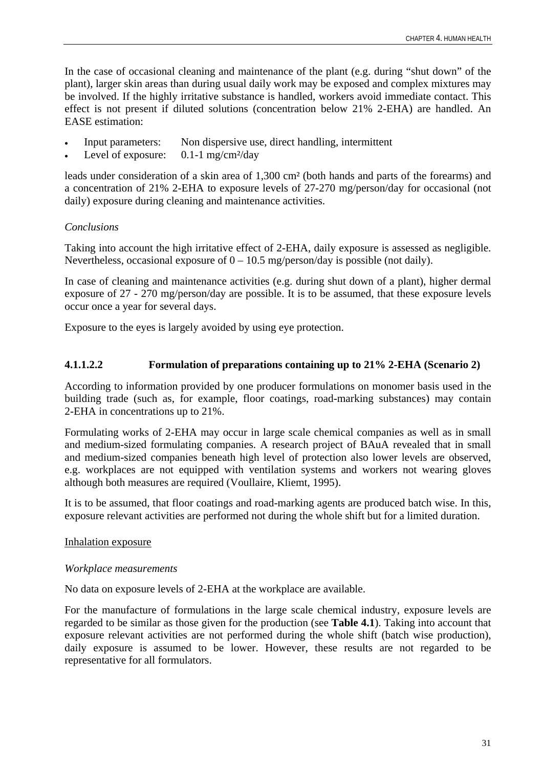In the case of occasional cleaning and maintenance of the plant (e.g. during "shut down" of the plant), larger skin areas than during usual daily work may be exposed and complex mixtures may be involved. If the highly irritative substance is handled, workers avoid immediate contact. This effect is not present if diluted solutions (concentration below 21% 2-EHA) are handled. An EASE estimation:

- Input parameters: Non dispersive use, direct handling, intermittent
- Level of exposure:  $0.1$ -1 mg/cm<sup>2</sup>/day

leads under consideration of a skin area of 1,300 cm² (both hands and parts of the forearms) and a concentration of 21% 2-EHA to exposure levels of 27-270 mg/person/day for occasional (not daily) exposure during cleaning and maintenance activities.

# *Conclusions*

Taking into account the high irritative effect of 2-EHA, daily exposure is assessed as negligible. Nevertheless, occasional exposure of  $0 - 10.5$  mg/person/day is possible (not daily).

In case of cleaning and maintenance activities (e.g. during shut down of a plant), higher dermal exposure of 27 - 270 mg/person/day are possible. It is to be assumed, that these exposure levels occur once a year for several days.

Exposure to the eyes is largely avoided by using eye protection.

# **4.1.1.2.2 Formulation of preparations containing up to 21% 2-EHA (Scenario 2)**

According to information provided by one producer formulations on monomer basis used in the building trade (such as, for example, floor coatings, road-marking substances) may contain 2-EHA in concentrations up to 21%.

Formulating works of 2-EHA may occur in large scale chemical companies as well as in small and medium-sized formulating companies. A research project of BAuA revealed that in small and medium-sized companies beneath high level of protection also lower levels are observed, e.g. workplaces are not equipped with ventilation systems and workers not wearing gloves although both measures are required (Voullaire, Kliemt, 1995).

It is to be assumed, that floor coatings and road-marking agents are produced batch wise. In this, exposure relevant activities are performed not during the whole shift but for a limited duration.

# Inhalation exposure

#### *Workplace measurements*

No data on exposure levels of 2-EHA at the workplace are available.

For the manufacture of formulations in the large scale chemical industry, exposure levels are regarded to be similar as those given for the production (see **Table 4.1**). Taking into account that exposure relevant activities are not performed during the whole shift (batch wise production), daily exposure is assumed to be lower. However, these results are not regarded to be representative for all formulators.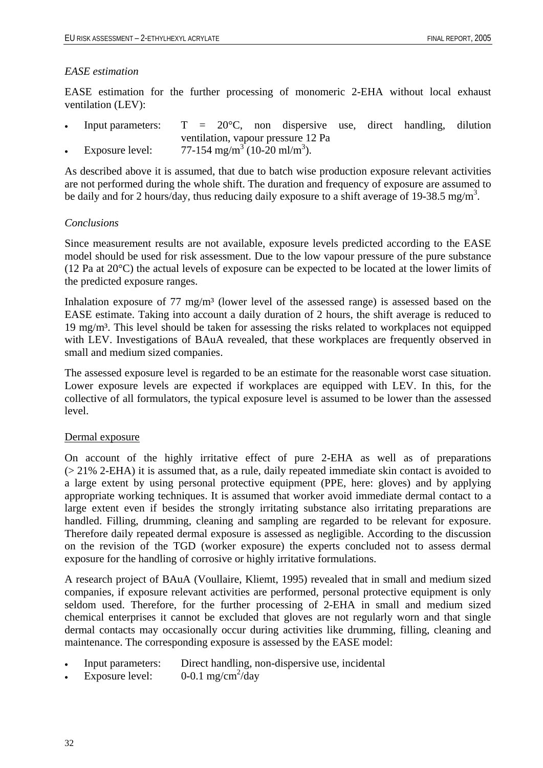### *EASE estimation*

EASE estimation for the further processing of monomeric 2-EHA without local exhaust ventilation (LEV):

- Input parameters:  $T = 20^{\circ}C$ , non dispersive use, direct handling, dilution ventilation, vapour pressure 12 Pa
- Exposure level:  $77-154 \text{ mg/m}^3 (10-20 \text{ ml/m}^3)$ .

As described above it is assumed, that due to batch wise production exposure relevant activities are not performed during the whole shift. The duration and frequency of exposure are assumed to be daily and for 2 hours/day, thus reducing daily exposure to a shift average of 19-38.5 mg/m<sup>3</sup>.

### *Conclusions*

Since measurement results are not available, exposure levels predicted according to the EASE model should be used for risk assessment. Due to the low vapour pressure of the pure substance (12 Pa at 20°C) the actual levels of exposure can be expected to be located at the lower limits of the predicted exposure ranges.

Inhalation exposure of 77 mg/m<sup>3</sup> (lower level of the assessed range) is assessed based on the EASE estimate. Taking into account a daily duration of 2 hours, the shift average is reduced to 19 mg/m³. This level should be taken for assessing the risks related to workplaces not equipped with LEV. Investigations of BAuA revealed, that these workplaces are frequently observed in small and medium sized companies.

The assessed exposure level is regarded to be an estimate for the reasonable worst case situation. Lower exposure levels are expected if workplaces are equipped with LEV. In this, for the collective of all formulators, the typical exposure level is assumed to be lower than the assessed level.

#### Dermal exposure

On account of the highly irritative effect of pure 2-EHA as well as of preparations (> 21% 2-EHA) it is assumed that, as a rule, daily repeated immediate skin contact is avoided to a large extent by using personal protective equipment (PPE, here: gloves) and by applying appropriate working techniques. It is assumed that worker avoid immediate dermal contact to a large extent even if besides the strongly irritating substance also irritating preparations are handled. Filling, drumming, cleaning and sampling are regarded to be relevant for exposure. Therefore daily repeated dermal exposure is assessed as negligible. According to the discussion on the revision of the TGD (worker exposure) the experts concluded not to assess dermal exposure for the handling of corrosive or highly irritative formulations.

A research project of BAuA (Voullaire, Kliemt, 1995) revealed that in small and medium sized companies, if exposure relevant activities are performed, personal protective equipment is only seldom used. Therefore, for the further processing of 2-EHA in small and medium sized chemical enterprises it cannot be excluded that gloves are not regularly worn and that single dermal contacts may occasionally occur during activities like drumming, filling, cleaning and maintenance. The corresponding exposure is assessed by the EASE model:

- Input parameters: Direct handling, non-dispersive use, incidental
- Exposure level:  $0-0.1 \text{ mg/cm}^2/\text{day}$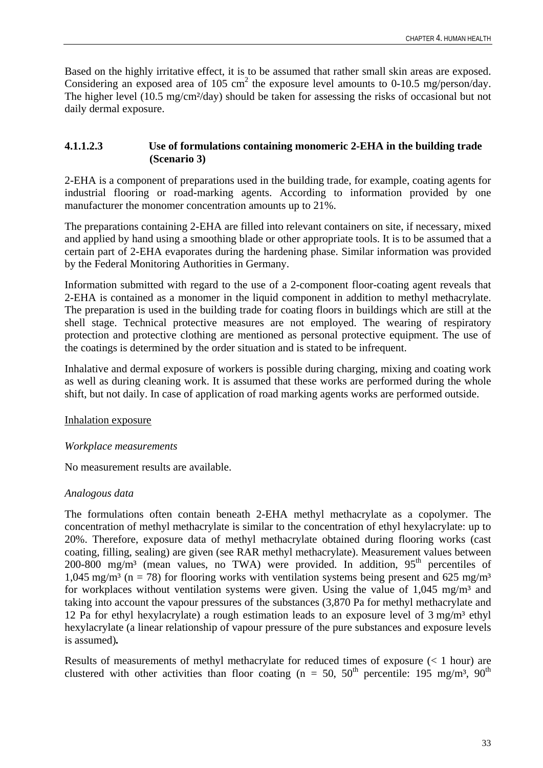Based on the highly irritative effect, it is to be assumed that rather small skin areas are exposed. Considering an exposed area of 105 cm<sup>2</sup> the exposure level amounts to 0-10.5 mg/person/day. The higher level (10.5 mg/cm<sup>2</sup>/day) should be taken for assessing the risks of occasional but not daily dermal exposure.

# **4.1.1.2.3 Use of formulations containing monomeric 2-EHA in the building trade (Scenario 3)**

2-EHA is a component of preparations used in the building trade, for example, coating agents for industrial flooring or road-marking agents. According to information provided by one manufacturer the monomer concentration amounts up to 21%.

The preparations containing 2-EHA are filled into relevant containers on site, if necessary, mixed and applied by hand using a smoothing blade or other appropriate tools. It is to be assumed that a certain part of 2-EHA evaporates during the hardening phase. Similar information was provided by the Federal Monitoring Authorities in Germany.

Information submitted with regard to the use of a 2-component floor-coating agent reveals that 2-EHA is contained as a monomer in the liquid component in addition to methyl methacrylate. The preparation is used in the building trade for coating floors in buildings which are still at the shell stage. Technical protective measures are not employed. The wearing of respiratory protection and protective clothing are mentioned as personal protective equipment. The use of the coatings is determined by the order situation and is stated to be infrequent.

Inhalative and dermal exposure of workers is possible during charging, mixing and coating work as well as during cleaning work. It is assumed that these works are performed during the whole shift, but not daily. In case of application of road marking agents works are performed outside.

# Inhalation exposure

#### *Workplace measurements*

No measurement results are available.

# *Analogous data*

The formulations often contain beneath 2-EHA methyl methacrylate as a copolymer. The concentration of methyl methacrylate is similar to the concentration of ethyl hexylacrylate: up to 20%. Therefore, exposure data of methyl methacrylate obtained during flooring works (cast coating, filling, sealing) are given (see RAR methyl methacrylate). Measurement values between 200-800 mg/m³ (mean values, no TWA) were provided. In addition, 95th percentiles of 1,045 mg/m<sup>3</sup> (n = 78) for flooring works with ventilation systems being present and 625 mg/m<sup>3</sup> for workplaces without ventilation systems were given. Using the value of  $1,045 \text{ mg/m}^3$  and taking into account the vapour pressures of the substances (3,870 Pa for methyl methacrylate and 12 Pa for ethyl hexylacrylate) a rough estimation leads to an exposure level of  $3 \text{ mg/m}^3$  ethyl hexylacrylate (a linear relationship of vapour pressure of the pure substances and exposure levels is assumed)*.* 

Results of measurements of methyl methacrylate for reduced times of exposure (< 1 hour) are clustered with other activities than floor coating (n = 50,  $50<sup>th</sup>$  percentile: 195 mg/m<sup>3</sup>, 90<sup>th</sup>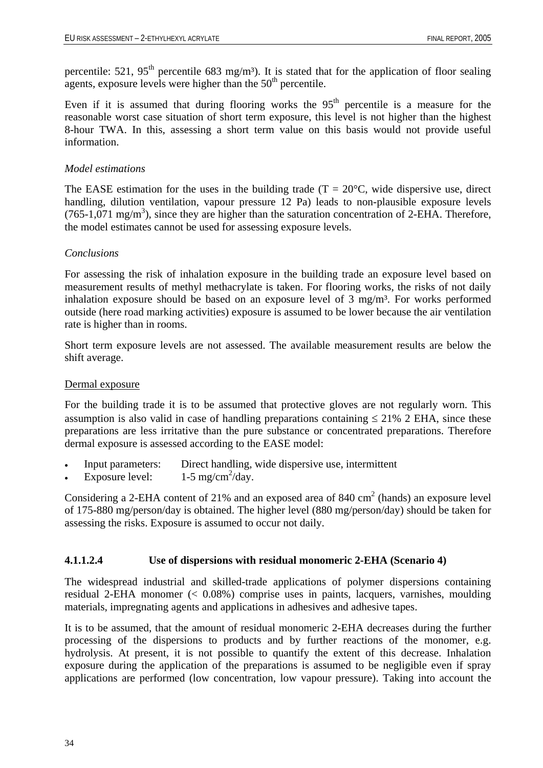percentile: 521, 95<sup>th</sup> percentile 683 mg/m<sup>3</sup>). It is stated that for the application of floor sealing agents, exposure levels were higher than the  $50<sup>th</sup>$  percentile.

Even if it is assumed that during flooring works the  $95<sup>th</sup>$  percentile is a measure for the reasonable worst case situation of short term exposure, this level is not higher than the highest 8-hour TWA. In this, assessing a short term value on this basis would not provide useful information.

### *Model estimations*

The EASE estimation for the uses in the building trade  $(T = 20^{\circ}C)$ , wide dispersive use, direct handling, dilution ventilation, vapour pressure 12 Pa) leads to non-plausible exposure levels  $(765-1.071 \text{ mg/m}^3)$ , since they are higher than the saturation concentration of 2-EHA. Therefore, the model estimates cannot be used for assessing exposure levels.

### *Conclusions*

For assessing the risk of inhalation exposure in the building trade an exposure level based on measurement results of methyl methacrylate is taken. For flooring works, the risks of not daily inhalation exposure should be based on an exposure level of 3 mg/m<sup>3</sup>. For works performed outside (here road marking activities) exposure is assumed to be lower because the air ventilation rate is higher than in rooms.

Short term exposure levels are not assessed. The available measurement results are below the shift average.

### Dermal exposure

For the building trade it is to be assumed that protective gloves are not regularly worn. This assumption is also valid in case of handling preparations containing  $\leq$  21% 2 EHA, since these preparations are less irritative than the pure substance or concentrated preparations. Therefore dermal exposure is assessed according to the EASE model:

- Input parameters: Direct handling, wide dispersive use, intermittent
- Exposure level: 1-5 mg/cm<sup>2</sup>/day.

Considering a 2-EHA content of 21% and an exposed area of 840  $\text{cm}^2$  (hands) an exposure level of 175-880 mg/person/day is obtained. The higher level (880 mg/person/day) should be taken for assessing the risks. Exposure is assumed to occur not daily.

# **4.1.1.2.4 Use of dispersions with residual monomeric 2-EHA (Scenario 4)**

The widespread industrial and skilled-trade applications of polymer dispersions containing residual 2-EHA monomer (< 0.08%) comprise uses in paints, lacquers, varnishes, moulding materials, impregnating agents and applications in adhesives and adhesive tapes.

It is to be assumed, that the amount of residual monomeric 2-EHA decreases during the further processing of the dispersions to products and by further reactions of the monomer, e.g. hydrolysis. At present, it is not possible to quantify the extent of this decrease. Inhalation exposure during the application of the preparations is assumed to be negligible even if spray applications are performed (low concentration, low vapour pressure). Taking into account the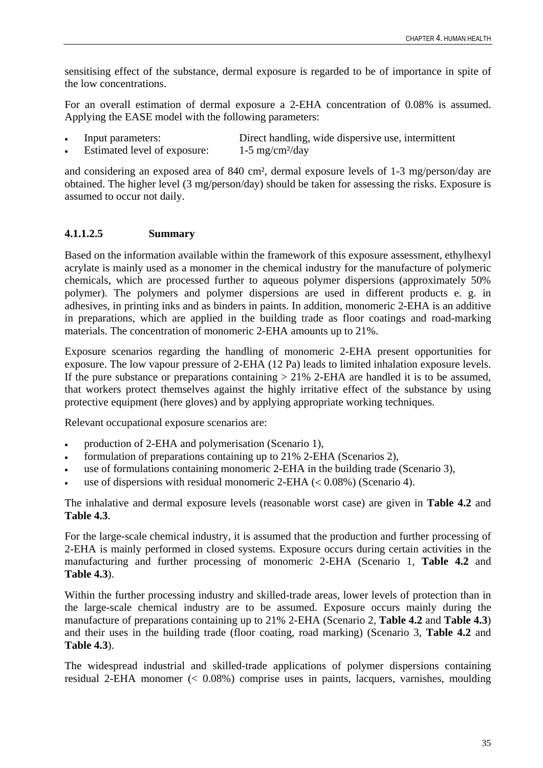sensitising effect of the substance, dermal exposure is regarded to be of importance in spite of the low concentrations.

For an overall estimation of dermal exposure a 2-EHA concentration of 0.08% is assumed. Applying the EASE model with the following parameters:

- Input parameters: Direct handling, wide dispersive use, intermittent
- Estimated level of exposure: 1-5 mg/cm²/day

and considering an exposed area of 840 cm², dermal exposure levels of 1-3 mg/person/day are obtained. The higher level (3 mg/person/day) should be taken for assessing the risks. Exposure is assumed to occur not daily.

# **4.1.1.2.5 Summary**

Based on the information available within the framework of this exposure assessment, ethylhexyl acrylate is mainly used as a monomer in the chemical industry for the manufacture of polymeric chemicals, which are processed further to aqueous polymer dispersions (approximately 50% polymer). The polymers and polymer dispersions are used in different products e. g. in adhesives, in printing inks and as binders in paints. In addition, monomeric 2-EHA is an additive in preparations, which are applied in the building trade as floor coatings and road-marking materials. The concentration of monomeric 2-EHA amounts up to 21%.

Exposure scenarios regarding the handling of monomeric 2-EHA present opportunities for exposure. The low vapour pressure of 2-EHA (12 Pa) leads to limited inhalation exposure levels. If the pure substance or preparations containing  $> 21\%$  2-EHA are handled it is to be assumed, that workers protect themselves against the highly irritative effect of the substance by using protective equipment (here gloves) and by applying appropriate working techniques.

Relevant occupational exposure scenarios are:

- production of 2-EHA and polymerisation (Scenario 1),
- formulation of preparations containing up to 21% 2-EHA (Scenarios 2),
- use of formulations containing monomeric 2-EHA in the building trade (Scenario 3),
- use of dispersions with residual monomeric 2-EHA  $( $0.08\%$ )$  (Scenario 4).

The inhalative and dermal exposure levels (reasonable worst case) are given in **Table 4.2** and **Table 4.3**.

For the large-scale chemical industry, it is assumed that the production and further processing of 2-EHA is mainly performed in closed systems. Exposure occurs during certain activities in the manufacturing and further processing of monomeric 2-EHA (Scenario 1, **Table 4.2** and **Table 4.3**).

Within the further processing industry and skilled-trade areas, lower levels of protection than in the large-scale chemical industry are to be assumed. Exposure occurs mainly during the manufacture of preparations containing up to 21% 2-EHA (Scenario 2, **Table 4.2** and **Table 4.3**) and their uses in the building trade (floor coating, road marking) (Scenario 3, **Table 4.2** and **Table 4.3**).

The widespread industrial and skilled-trade applications of polymer dispersions containing residual 2-EHA monomer (< 0.08%) comprise uses in paints, lacquers, varnishes, moulding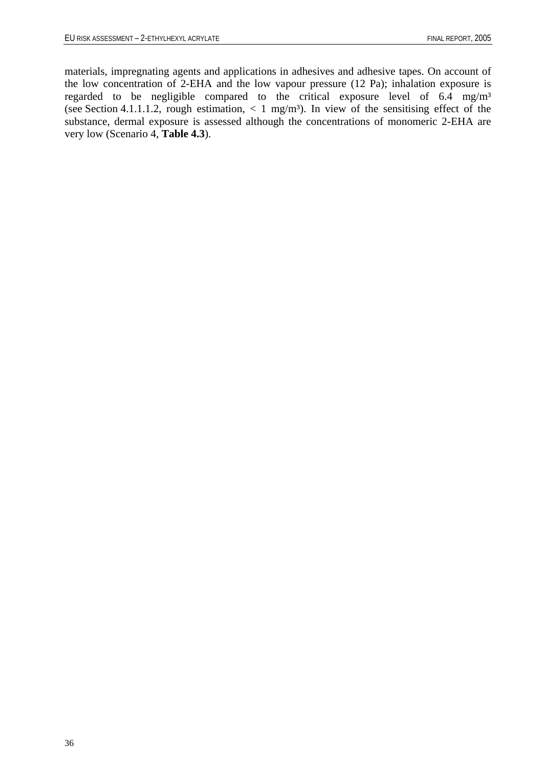materials, impregnating agents and applications in adhesives and adhesive tapes. On account of the low concentration of 2-EHA and the low vapour pressure (12 Pa); inhalation exposure is regarded to be negligible compared to the critical exposure level of 6.4 mg/m<sup>3</sup> (see Section 4.1.1.1.2, rough estimation,  $\langle 1 \text{ mg/m}^3 \rangle$ ). In view of the sensitising effect of the substance, dermal exposure is assessed although the concentrations of monomeric 2-EHA are very low (Scenario 4, **Table 4.3**).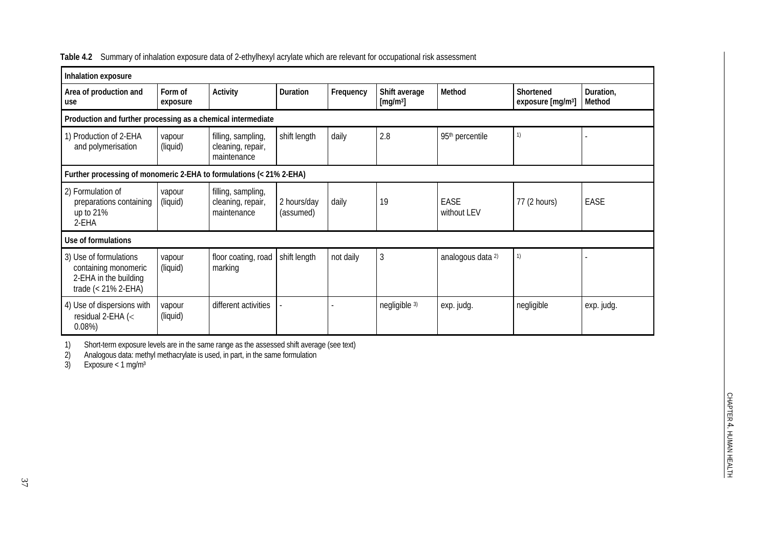| Inhalation exposure                                                                             |                     |                                                        |                          |           |                                       |                              |                                            |                     |
|-------------------------------------------------------------------------------------------------|---------------------|--------------------------------------------------------|--------------------------|-----------|---------------------------------------|------------------------------|--------------------------------------------|---------------------|
| Area of production and<br>use                                                                   | Form of<br>exposure | Activity                                               | Duration                 | Frequency | Shift average<br>[mg/m <sup>3</sup> ] | Method                       | Shortened<br>exposure [mg/m <sup>3</sup> ] | Duration,<br>Method |
| Production and further processing as a chemical intermediate                                    |                     |                                                        |                          |           |                                       |                              |                                            |                     |
| 1) Production of 2-EHA<br>and polymerisation                                                    | vapour<br>(liquid)  | filling, sampling,<br>cleaning, repair,<br>maintenance | shift length             | daily     | 2.8                                   | 95th percentile              | 1)                                         |                     |
| Further processing of monomeric 2-EHA to formulations (< 21% 2-EHA)                             |                     |                                                        |                          |           |                                       |                              |                                            |                     |
| 2) Formulation of<br>preparations containing<br>up to $21%$<br>2-EHA                            | vapour<br>(liquid)  | filling, sampling,<br>cleaning, repair,<br>maintenance | 2 hours/day<br>(assumed) | daily     | 19                                    | EASE<br>without LEV          | 77 (2 hours)                               | <b>EASE</b>         |
| Use of formulations                                                                             |                     |                                                        |                          |           |                                       |                              |                                            |                     |
| 3) Use of formulations<br>containing monomeric<br>2-EHA in the building<br>trade $(21\% 2-EHA)$ | vapour<br>(liquid)  | floor coating, road<br>marking                         | shift length             | not daily | 3                                     | analogous data <sup>2)</sup> | 1)                                         |                     |
| 4) Use of dispersions with<br>residual 2-EHA (<<br>0.08%                                        | vapour<br>(liquid)  | different activities                                   |                          |           | negligible 3)                         | exp. judg.                   | negligible                                 | exp. judg.          |

#### **Table 4.2** Summary of inhalation exposure data of 2-ethylhexyl acrylate which are relevant for occupational risk assessment

1) Short-term exposure levels are in the same range as the assessed shift average (see text)

2) Analogous data: methyl methacrylate is used, in part, in the same formulation

3) Exposure  $<$  1 mg/m<sup>3</sup>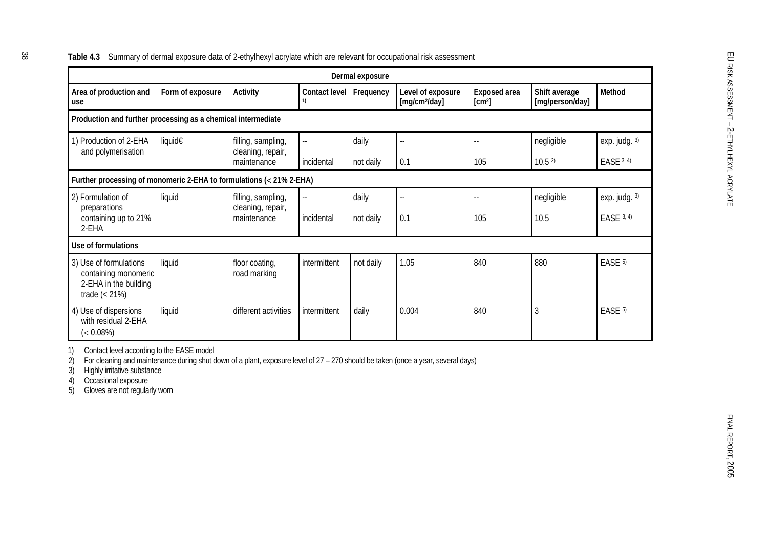|                                                                                           |                   |                                         |                     | Dermal exposure |                                                |                                    |                                  |                    |
|-------------------------------------------------------------------------------------------|-------------------|-----------------------------------------|---------------------|-----------------|------------------------------------------------|------------------------------------|----------------------------------|--------------------|
| Area of production and<br>use                                                             | Form of exposure  | Activity                                | Contact level<br>1) | Frequency       | Level of exposure<br>[mg/cm <sup>2</sup> /day] | Exposed area<br>[cm <sup>2</sup> ] | Shift average<br>[mg/person/day] | Method             |
| Production and further processing as a chemical intermediate                              |                   |                                         |                     |                 |                                                |                                    |                                  |                    |
| 1) Production of 2-EHA<br>and polymerisation                                              | liquid $\epsilon$ | filling, sampling,<br>cleaning, repair, |                     | daily           |                                                |                                    | negligible                       | exp. judg. $3$ )   |
|                                                                                           |                   | maintenance                             | incidental          | not daily       | 0.1                                            | 105                                | 10.5 <sup>2</sup>                | EASE $3, 4$        |
| Further processing of monomeric 2-EHA to formulations (< 21% 2-EHA)                       |                   |                                         |                     |                 |                                                |                                    |                                  |                    |
| 2) Formulation of<br>preparations                                                         | liquid            | filling, sampling,<br>cleaning, repair, |                     | daily           |                                                |                                    | negligible                       | exp. judg. $3$ )   |
| containing up to 21%<br>2-EHA                                                             |                   | maintenance                             | incidental          | not daily       | 0.1                                            | 105                                | 10.5                             | EASE 3, 4)         |
| Use of formulations                                                                       |                   |                                         |                     |                 |                                                |                                    |                                  |                    |
| 3) Use of formulations<br>containing monomeric<br>2-EHA in the building<br>trade $(21\%)$ | liquid            | floor coating,<br>road marking          | intermittent        | not daily       | 1.05                                           | 840                                | 880                              | EASE 5)            |
| 4) Use of dispersions<br>with residual 2-EHA<br>$(< 0.08\%)$                              | liquid            | different activities                    | intermittent        | daily           | 0.004                                          | 840                                | 3                                | EASE <sup>5)</sup> |

### 38**Table 4.3** Summary of dermal exposure data of 2-ethylhexyl acrylate which are relevant for occupational risk assessment

1) Contact level according to the EASE model

2) For cleaning and maintenance during shut down of a plant, exposure level of 27 – 270 should be taken (once a year, several days)

3) Highly irritative substance

4) Occasional exposure

5) Gloves are not regularly worn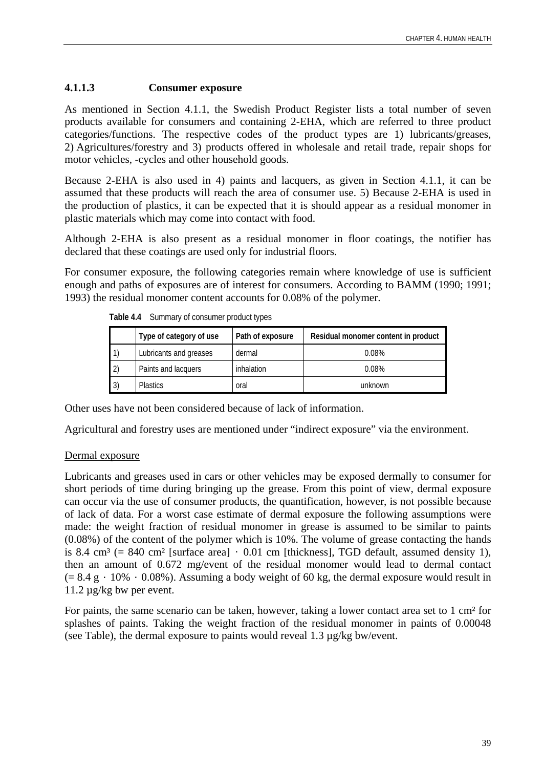### **4.1.1.3 Consumer exposure**

As mentioned in Section 4.1.1, the Swedish Product Register lists a total number of seven products available for consumers and containing 2-EHA, which are referred to three product categories/functions. The respective codes of the product types are 1) lubricants/greases, 2) Agricultures/forestry and 3) products offered in wholesale and retail trade, repair shops for motor vehicles, -cycles and other household goods.

Because 2-EHA is also used in 4) paints and lacquers, as given in Section 4.1.1, it can be assumed that these products will reach the area of consumer use. 5) Because 2-EHA is used in the production of plastics, it can be expected that it is should appear as a residual monomer in plastic materials which may come into contact with food.

Although 2-EHA is also present as a residual monomer in floor coatings, the notifier has declared that these coatings are used only for industrial floors.

For consumer exposure, the following categories remain where knowledge of use is sufficient enough and paths of exposures are of interest for consumers. According to BAMM (1990; 1991; 1993) the residual monomer content accounts for 0.08% of the polymer.

|    | Type of category of use | Path of exposure | Residual monomer content in product |
|----|-------------------------|------------------|-------------------------------------|
|    | Lubricants and greases  | dermal           | 0.08%                               |
|    | Paints and lacquers     | inhalation       | 0.08%                               |
| 3) | <b>Plastics</b>         | oral             | unknown                             |

**Table 4.4** Summary of consumer product types

Other uses have not been considered because of lack of information.

Agricultural and forestry uses are mentioned under "indirect exposure" via the environment.

# Dermal exposure

Lubricants and greases used in cars or other vehicles may be exposed dermally to consumer for short periods of time during bringing up the grease. From this point of view, dermal exposure can occur via the use of consumer products, the quantification, however, is not possible because of lack of data. For a worst case estimate of dermal exposure the following assumptions were made: the weight fraction of residual monomer in grease is assumed to be similar to paints (0.08%) of the content of the polymer which is 10%. The volume of grease contacting the hands is 8.4 cm<sup>3</sup> (= 840 cm<sup>2</sup> [surface area]  $\cdot$  0.01 cm [thickness], TGD default, assumed density 1), then an amount of 0.672 mg/event of the residual monomer would lead to dermal contact  $(= 8.4 \text{ g} \cdot 10\% \cdot 0.08\%)$ . Assuming a body weight of 60 kg, the dermal exposure would result in 11.2 µg/kg bw per event.

For paints, the same scenario can be taken, however, taking a lower contact area set to 1 cm² for splashes of paints. Taking the weight fraction of the residual monomer in paints of 0.00048 (see Table), the dermal exposure to paints would reveal 1.3 µg/kg bw/event.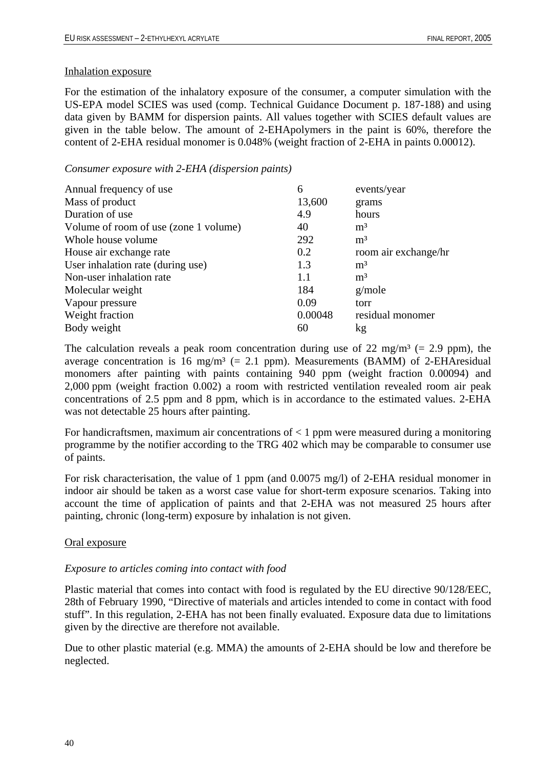#### Inhalation exposure

For the estimation of the inhalatory exposure of the consumer, a computer simulation with the US-EPA model SCIES was used (comp. Technical Guidance Document p. 187-188) and using data given by BAMM for dispersion paints. All values together with SCIES default values are given in the table below. The amount of 2-EHApolymers in the paint is 60%, therefore the content of 2-EHA residual monomer is 0.048% (weight fraction of 2-EHA in paints 0.00012).

### *Consumer exposure with 2-EHA (dispersion paints)*

| Annual frequency of use               | 6       | events/year          |
|---------------------------------------|---------|----------------------|
| Mass of product                       | 13,600  | grams                |
| Duration of use                       | 4.9     | hours                |
| Volume of room of use (zone 1 volume) | 40      | m <sup>3</sup>       |
| Whole house volume                    | 292     | m <sup>3</sup>       |
| House air exchange rate               | 0.2     | room air exchange/hr |
| User inhalation rate (during use)     | 1.3     | m <sup>3</sup>       |
| Non-user inhalation rate              | 1.1     | m <sup>3</sup>       |
| Molecular weight                      | 184     | g/mole               |
| Vapour pressure                       | 0.09    | torr                 |
| Weight fraction                       | 0.00048 | residual monomer     |
| Body weight                           | 60      | kg                   |

The calculation reveals a peak room concentration during use of 22 mg/m<sup>3</sup> (= 2.9 ppm), the average concentration is 16 mg/m<sup>3</sup> (= 2.1 ppm). Measurements (BAMM) of 2-EHAresidual monomers after painting with paints containing 940 ppm (weight fraction 0.00094) and 2,000 ppm (weight fraction 0.002) a room with restricted ventilation revealed room air peak concentrations of 2.5 ppm and 8 ppm, which is in accordance to the estimated values. 2-EHA was not detectable 25 hours after painting.

For handicraftsmen, maximum air concentrations of  $< 1$  ppm were measured during a monitoring programme by the notifier according to the TRG 402 which may be comparable to consumer use of paints.

For risk characterisation, the value of 1 ppm (and 0.0075 mg/l) of 2-EHA residual monomer in indoor air should be taken as a worst case value for short-term exposure scenarios. Taking into account the time of application of paints and that 2-EHA was not measured 25 hours after painting, chronic (long-term) exposure by inhalation is not given.

#### Oral exposure

#### *Exposure to articles coming into contact with food*

Plastic material that comes into contact with food is regulated by the EU directive 90/128/EEC, 28th of February 1990, "Directive of materials and articles intended to come in contact with food stuff". In this regulation, 2-EHA has not been finally evaluated. Exposure data due to limitations given by the directive are therefore not available.

Due to other plastic material (e.g. MMA) the amounts of 2-EHA should be low and therefore be neglected.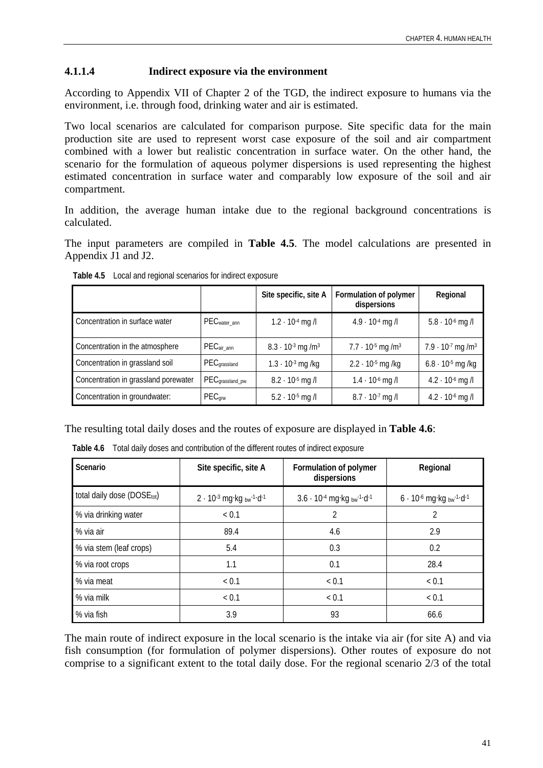# **4.1.1.4 Indirect exposure via the environment**

According to Appendix VII of Chapter 2 of the TGD, the indirect exposure to humans via the environment, i.e. through food, drinking water and air is estimated.

Two local scenarios are calculated for comparison purpose. Site specific data for the main production site are used to represent worst case exposure of the soil and air compartment combined with a lower but realistic concentration in surface water. On the other hand, the scenario for the formulation of aqueous polymer dispersions is used representing the highest estimated concentration in surface water and comparably low exposure of the soil and air compartment.

In addition, the average human intake due to the regional background concentrations is calculated.

The input parameters are compiled in **Table 4.5**. The model calculations are presented in Appendix J1 and J2.

|                                      |                          | Site specific, site A                  | Formulation of polymer<br>dispersions  | Regional                               |
|--------------------------------------|--------------------------|----------------------------------------|----------------------------------------|----------------------------------------|
| Concentration in surface water       | $PEC_{water\_ann}$       | $1.2 \cdot 10^{-4}$ mg /               | $4.9 \cdot 10^{-4}$ mg /l              | $5.8 \cdot 10^{.6}$ mg /l              |
| Concentration in the atmosphere      | $PEC_{\text{air\_ann}}$  | $8.3 \cdot 10^{-3}$ mg /m <sup>3</sup> | $7.7 \cdot 10^{-5}$ mg /m <sup>3</sup> | $7.9 \cdot 10^{-7}$ mg /m <sup>3</sup> |
| Concentration in grassland soil      | PEC <sub>grassland</sub> | $1.3 \cdot 10^{-3}$ mg /kg             | $2.2 \cdot 10^{-5}$ mg /kg             | $6.8 \cdot 10^{-5}$ mg /kg             |
| Concentration in grassland porewater | $PEC_{gravsland\_pw}$    | $8.2 \cdot 10^{-5}$ mg /               | $1.4 \cdot 10^{6}$ mg /l               | $4.2 \cdot 10^{-6}$ mg /l              |
| Concentration in groundwater:        | PEC <sub>grav</sub>      | $5.2 \cdot 10^{-5}$ mg /               | $8.7 \cdot 10^{-7}$ mg /l              | $4.2 \cdot 10^{-6}$ mg /l              |

**Table 4.5** Local and regional scenarios for indirect exposure

#### The resulting total daily doses and the routes of exposure are displayed in **Table 4.6**:

| Scenario                   | Site specific, site A                                     | Formulation of polymer<br>dispersions          | Regional                                                  |
|----------------------------|-----------------------------------------------------------|------------------------------------------------|-----------------------------------------------------------|
| total daily dose (DOSEtot) | $2 \cdot 10^{-3}$ mg·kg bw <sup>-1-</sup> d <sup>-1</sup> | $3.6 \cdot 10^{-4}$ mg·kg bw <sup>-1-d-1</sup> | $6 \cdot 10^{-6}$ mg·kg bw <sup>-1</sup> ·d <sup>-1</sup> |
| % via drinking water       | < 0.1                                                     | 2                                              | 2                                                         |
| % via air                  | 89.4                                                      | 4.6                                            | 2.9                                                       |
| % via stem (leaf crops)    | 5.4                                                       | 0.3                                            | 0.2                                                       |
| % via root crops           | 1.1                                                       | 0.1                                            | 28.4                                                      |
| % via meat                 | < 0.1                                                     | < 0.1                                          | < 0.1                                                     |
| % via milk                 | < 0.1                                                     | < 0.1                                          | < 0.1                                                     |
| % via fish                 | 3.9                                                       | 93                                             | 66.6                                                      |

**Table 4.6** Total daily doses and contribution of the different routes of indirect exposure

The main route of indirect exposure in the local scenario is the intake via air (for site A) and via fish consumption (for formulation of polymer dispersions). Other routes of exposure do not comprise to a significant extent to the total daily dose. For the regional scenario 2/3 of the total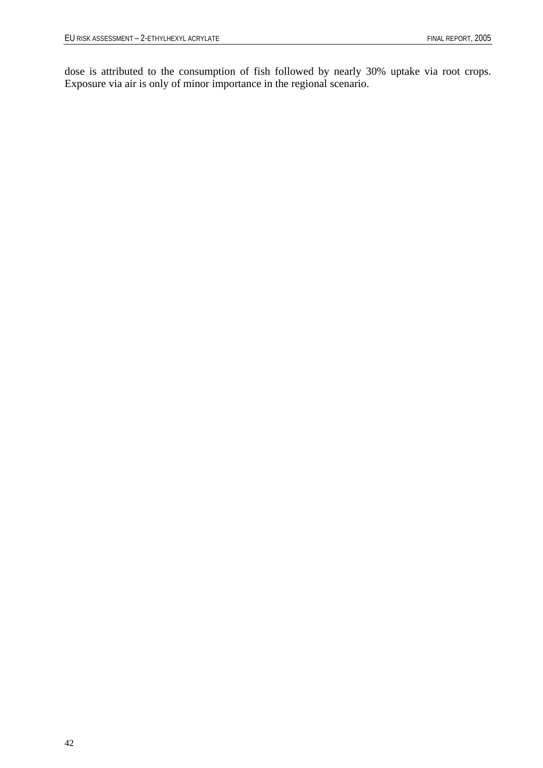dose is attributed to the consumption of fish followed by nearly 30% uptake via root crops. Exposure via air is only of minor importance in the regional scenario.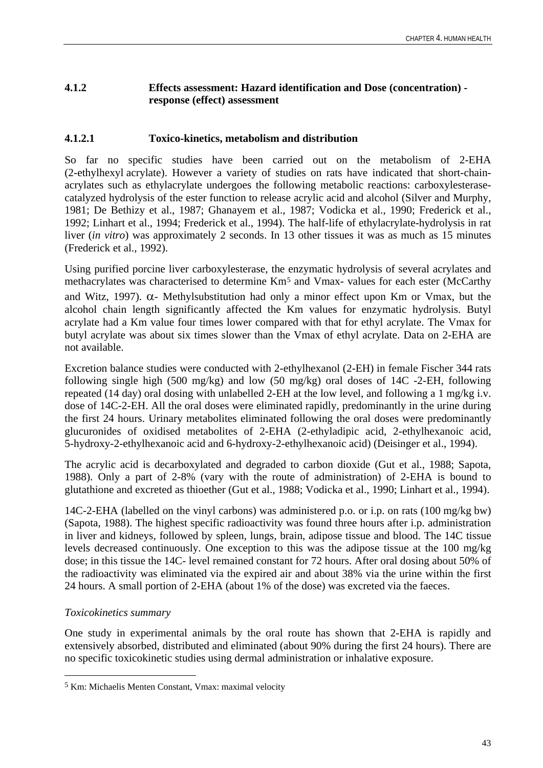# <span id="page-50-0"></span>**4.1.2 Effects assessment: Hazard identification and Dose (concentration) response (effect) assessment**

### **4.1.2.1 Toxico-kinetics, metabolism and distribution**

So far no specific studies have been carried out on the metabolism of 2-EHA (2-ethylhexyl acrylate). However a variety of studies on rats have indicated that short-chainacrylates such as ethylacrylate undergoes the following metabolic reactions: carboxylesterasecatalyzed hydrolysis of the ester function to release acrylic acid and alcohol (Silver and Murphy, 1981; De Bethizy et al., 1987; Ghanayem et al., 1987; Vodicka et al., 1990; Frederick et al., 1992; Linhart et al., 1994; Frederick et al., 1994). The half-life of ethylacrylate-hydrolysis in rat liver (*in vitro*) was approximately 2 seconds. In 13 other tissues it was as much as 15 minutes (Frederick et al., 1992).

Using purified porcine liver carboxylesterase, the enzymatic hydrolysis of several acrylates and methacrylates was characterised to determine Km[5](#page-50-0) and Vmax- values for each ester (McCarthy and Witz, 1997).  $\alpha$ - Methylsubstitution had only a minor effect upon Km or Vmax, but the alcohol chain length significantly affected the Km values for enzymatic hydrolysis. Butyl acrylate had a Km value four times lower compared with that for ethyl acrylate. The Vmax for butyl acrylate was about six times slower than the Vmax of ethyl acrylate. Data on 2-EHA are not available.

Excretion balance studies were conducted with 2-ethylhexanol (2-EH) in female Fischer 344 rats following single high (500 mg/kg) and low (50 mg/kg) oral doses of 14C -2-EH, following repeated (14 day) oral dosing with unlabelled 2-EH at the low level, and following a 1 mg/kg i.v. dose of 14C-2-EH. All the oral doses were eliminated rapidly, predominantly in the urine during the first 24 hours. Urinary metabolites eliminated following the oral doses were predominantly glucuronides of oxidised metabolites of 2-EHA (2-ethyladipic acid, 2-ethylhexanoic acid, 5-hydroxy-2-ethylhexanoic acid and 6-hydroxy-2-ethylhexanoic acid) (Deisinger et al., 1994).

The acrylic acid is decarboxylated and degraded to carbon dioxide (Gut et al., 1988; Sapota, 1988). Only a part of 2-8% (vary with the route of administration) of 2-EHA is bound to glutathione and excreted as thioether (Gut et al., 1988; Vodicka et al., 1990; Linhart et al., 1994).

14C-2-EHA (labelled on the vinyl carbons) was administered p.o. or i.p. on rats (100 mg/kg bw) (Sapota, 1988). The highest specific radioactivity was found three hours after i.p. administration in liver and kidneys, followed by spleen, lungs, brain, adipose tissue and blood. The 14C tissue levels decreased continuously. One exception to this was the adipose tissue at the 100 mg/kg dose; in this tissue the 14C- level remained constant for 72 hours. After oral dosing about 50% of the radioactivity was eliminated via the expired air and about 38% via the urine within the first 24 hours. A small portion of 2-EHA (about 1% of the dose) was excreted via the faeces.

# *Toxicokinetics summary*

1

One study in experimental animals by the oral route has shown that 2-EHA is rapidly and extensively absorbed, distributed and eliminated (about 90% during the first 24 hours). There are no specific toxicokinetic studies using dermal administration or inhalative exposure.

<sup>5</sup> Km: Michaelis Menten Constant, Vmax: maximal velocity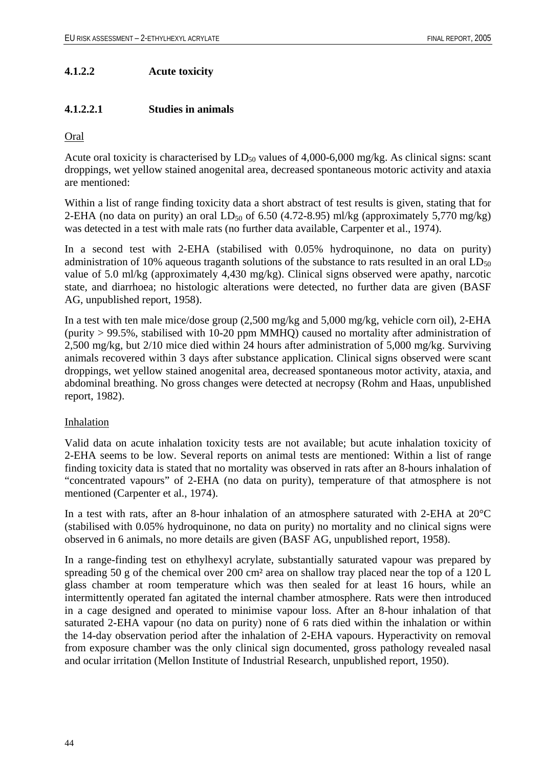### **4.1.2.2 Acute toxicity**

### **4.1.2.2.1 Studies in animals**

#### Oral

Acute oral toxicity is characterised by  $LD_{50}$  values of 4,000-6,000 mg/kg. As clinical signs: scant droppings, wet yellow stained anogenital area, decreased spontaneous motoric activity and ataxia are mentioned:

Within a list of range finding toxicity data a short abstract of test results is given, stating that for 2-EHA (no data on purity) an oral  $LD_{50}$  of 6.50 (4.72-8.95) ml/kg (approximately 5,770 mg/kg) was detected in a test with male rats (no further data available, Carpenter et al., 1974).

In a second test with 2-EHA (stabilised with 0.05% hydroquinone, no data on purity) administration of 10% aqueous traganth solutions of the substance to rats resulted in an oral  $LD_{50}$ value of 5.0 ml/kg (approximately 4,430 mg/kg). Clinical signs observed were apathy, narcotic state, and diarrhoea; no histologic alterations were detected, no further data are given (BASF AG, unpublished report, 1958).

In a test with ten male mice/dose group (2,500 mg/kg and 5,000 mg/kg, vehicle corn oil), 2-EHA (purity > 99.5%, stabilised with 10-20 ppm MMHQ) caused no mortality after administration of 2,500 mg/kg, but 2/10 mice died within 24 hours after administration of 5,000 mg/kg. Surviving animals recovered within 3 days after substance application. Clinical signs observed were scant droppings, wet yellow stained anogenital area, decreased spontaneous motor activity, ataxia, and abdominal breathing. No gross changes were detected at necropsy (Rohm and Haas, unpublished report, 1982).

#### Inhalation

Valid data on acute inhalation toxicity tests are not available; but acute inhalation toxicity of 2-EHA seems to be low. Several reports on animal tests are mentioned: Within a list of range finding toxicity data is stated that no mortality was observed in rats after an 8-hours inhalation of "concentrated vapours" of 2-EHA (no data on purity), temperature of that atmosphere is not mentioned (Carpenter et al., 1974).

In a test with rats, after an 8-hour inhalation of an atmosphere saturated with 2-EHA at 20°C (stabilised with 0.05% hydroquinone, no data on purity) no mortality and no clinical signs were observed in 6 animals, no more details are given (BASF AG, unpublished report, 1958).

In a range-finding test on ethylhexyl acrylate, substantially saturated vapour was prepared by spreading 50 g of the chemical over 200 cm² area on shallow tray placed near the top of a 120 L glass chamber at room temperature which was then sealed for at least 16 hours, while an intermittently operated fan agitated the internal chamber atmosphere. Rats were then introduced in a cage designed and operated to minimise vapour loss. After an 8-hour inhalation of that saturated 2-EHA vapour (no data on purity) none of 6 rats died within the inhalation or within the 14-day observation period after the inhalation of 2-EHA vapours. Hyperactivity on removal from exposure chamber was the only clinical sign documented, gross pathology revealed nasal and ocular irritation (Mellon Institute of Industrial Research, unpublished report, 1950).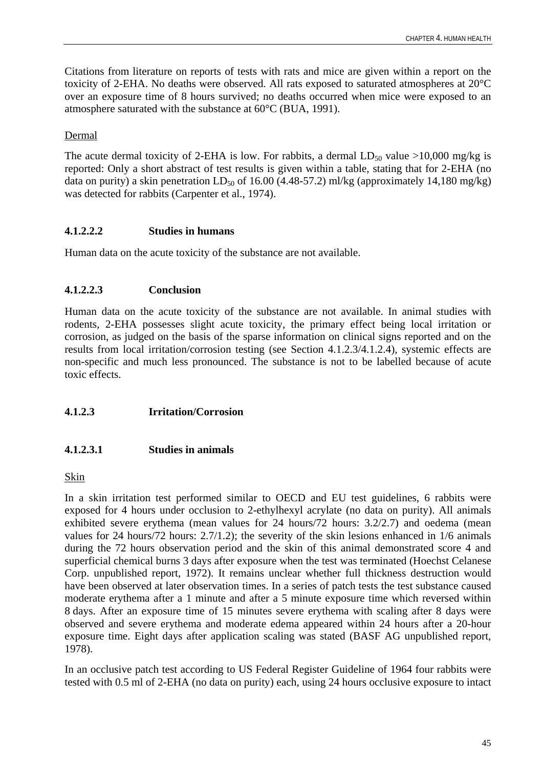Citations from literature on reports of tests with rats and mice are given within a report on the toxicity of 2-EHA. No deaths were observed. All rats exposed to saturated atmospheres at 20°C over an exposure time of 8 hours survived; no deaths occurred when mice were exposed to an atmosphere saturated with the substance at 60°C (BUA, 1991).

# Dermal

The acute dermal toxicity of 2-EHA is low. For rabbits, a dermal  $LD_{50}$  value >10,000 mg/kg is reported: Only a short abstract of test results is given within a table, stating that for 2-EHA (no data on purity) a skin penetration  $LD_{50}$  of 16.00 (4.48-57.2) ml/kg (approximately 14,180 mg/kg) was detected for rabbits (Carpenter et al., 1974).

# **4.1.2.2.2 Studies in humans**

Human data on the acute toxicity of the substance are not available.

# **4.1.2.2.3 Conclusion**

Human data on the acute toxicity of the substance are not available. In animal studies with rodents, 2-EHA possesses slight acute toxicity, the primary effect being local irritation or corrosion, as judged on the basis of the sparse information on clinical signs reported and on the results from local irritation/corrosion testing (see Section 4.1.2.3/4.1.2.4), systemic effects are non-specific and much less pronounced. The substance is not to be labelled because of acute toxic effects.

# **4.1.2.3 Irritation/Corrosion**

# **4.1.2.3.1 Studies in animals**

# Skin

In a skin irritation test performed similar to OECD and EU test guidelines, 6 rabbits were exposed for 4 hours under occlusion to 2-ethylhexyl acrylate (no data on purity). All animals exhibited severe erythema (mean values for 24 hours/72 hours: 3.2/2.7) and oedema (mean values for 24 hours/72 hours: 2.7/1.2); the severity of the skin lesions enhanced in 1/6 animals during the 72 hours observation period and the skin of this animal demonstrated score 4 and superficial chemical burns 3 days after exposure when the test was terminated (Hoechst Celanese Corp. unpublished report, 1972). It remains unclear whether full thickness destruction would have been observed at later observation times. In a series of patch tests the test substance caused moderate erythema after a 1 minute and after a 5 minute exposure time which reversed within 8 days. After an exposure time of 15 minutes severe erythema with scaling after 8 days were observed and severe erythema and moderate edema appeared within 24 hours after a 20-hour exposure time. Eight days after application scaling was stated (BASF AG unpublished report, 1978).

In an occlusive patch test according to US Federal Register Guideline of 1964 four rabbits were tested with 0.5 ml of 2-EHA (no data on purity) each, using 24 hours occlusive exposure to intact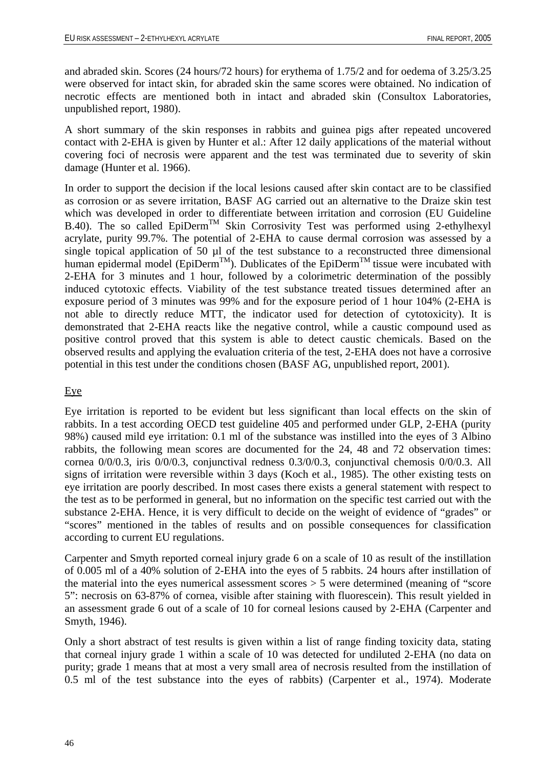and abraded skin. Scores (24 hours/72 hours) for erythema of 1.75/2 and for oedema of 3.25/3.25 were observed for intact skin, for abraded skin the same scores were obtained. No indication of necrotic effects are mentioned both in intact and abraded skin (Consultox Laboratories, unpublished report, 1980).

A short summary of the skin responses in rabbits and guinea pigs after repeated uncovered contact with 2-EHA is given by Hunter et al.: After 12 daily applications of the material without covering foci of necrosis were apparent and the test was terminated due to severity of skin damage (Hunter et al. 1966).

In order to support the decision if the local lesions caused after skin contact are to be classified as corrosion or as severe irritation, BASF AG carried out an alternative to the Draize skin test which was developed in order to differentiate between irritation and corrosion (EU Guideline B.40). The so called EpiDerm<sup>TM</sup> Skin Corrosivity Test was performed using 2-ethylhexyl acrylate, purity 99.7%. The potential of 2-EHA to cause dermal corrosion was assessed by a single topical application of 50 µl of the test substance to a reconstructed three dimensional human epidermal model (EpiDerm<sup>TM</sup>). Dublicates of the EpiDerm<sup>TM</sup> tissue were incubated with 2-EHA for 3 minutes and 1 hour, followed by a colorimetric determination of the possibly induced cytotoxic effects. Viability of the test substance treated tissues determined after an exposure period of 3 minutes was 99% and for the exposure period of 1 hour 104% (2-EHA is not able to directly reduce MTT, the indicator used for detection of cytotoxicity). It is demonstrated that 2-EHA reacts like the negative control, while a caustic compound used as positive control proved that this system is able to detect caustic chemicals. Based on the observed results and applying the evaluation criteria of the test, 2-EHA does not have a corrosive potential in this test under the conditions chosen (BASF AG, unpublished report, 2001).

# Eye

Eye irritation is reported to be evident but less significant than local effects on the skin of rabbits. In a test according OECD test guideline 405 and performed under GLP, 2-EHA (purity 98%) caused mild eye irritation: 0.1 ml of the substance was instilled into the eyes of 3 Albino rabbits, the following mean scores are documented for the 24, 48 and 72 observation times: cornea 0/0/0.3, iris 0/0/0.3, conjunctival redness 0.3/0/0.3, conjunctival chemosis 0/0/0.3. All signs of irritation were reversible within 3 days (Koch et al., 1985). The other existing tests on eye irritation are poorly described. In most cases there exists a general statement with respect to the test as to be performed in general, but no information on the specific test carried out with the substance 2-EHA. Hence, it is very difficult to decide on the weight of evidence of "grades" or "scores" mentioned in the tables of results and on possible consequences for classification according to current EU regulations.

Carpenter and Smyth reported corneal injury grade 6 on a scale of 10 as result of the instillation of 0.005 ml of a 40% solution of 2-EHA into the eyes of 5 rabbits. 24 hours after instillation of the material into the eyes numerical assessment scores > 5 were determined (meaning of "score 5": necrosis on 63-87% of cornea, visible after staining with fluorescein). This result yielded in an assessment grade 6 out of a scale of 10 for corneal lesions caused by 2-EHA (Carpenter and Smyth, 1946).

Only a short abstract of test results is given within a list of range finding toxicity data, stating that corneal injury grade 1 within a scale of 10 was detected for undiluted 2-EHA (no data on purity; grade 1 means that at most a very small area of necrosis resulted from the instillation of 0.5 ml of the test substance into the eyes of rabbits) (Carpenter et al., 1974). Moderate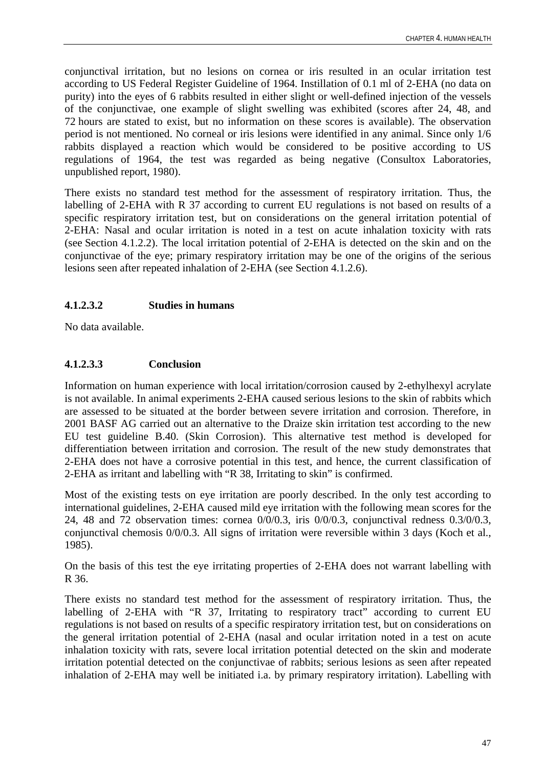conjunctival irritation, but no lesions on cornea or iris resulted in an ocular irritation test according to US Federal Register Guideline of 1964. Instillation of 0.1 ml of 2-EHA (no data on purity) into the eyes of 6 rabbits resulted in either slight or well-defined injection of the vessels of the conjunctivae, one example of slight swelling was exhibited (scores after 24, 48, and 72 hours are stated to exist, but no information on these scores is available). The observation period is not mentioned. No corneal or iris lesions were identified in any animal. Since only 1/6 rabbits displayed a reaction which would be considered to be positive according to US regulations of 1964, the test was regarded as being negative (Consultox Laboratories, unpublished report, 1980).

There exists no standard test method for the assessment of respiratory irritation. Thus, the labelling of 2-EHA with R 37 according to current EU regulations is not based on results of a specific respiratory irritation test, but on considerations on the general irritation potential of 2-EHA: Nasal and ocular irritation is noted in a test on acute inhalation toxicity with rats (see Section 4.1.2.2). The local irritation potential of 2-EHA is detected on the skin and on the conjunctivae of the eye; primary respiratory irritation may be one of the origins of the serious lesions seen after repeated inhalation of 2-EHA (see Section 4.1.2.6).

# **4.1.2.3.2 Studies in humans**

No data available.

# **4.1.2.3.3 Conclusion**

Information on human experience with local irritation/corrosion caused by 2-ethylhexyl acrylate is not available. In animal experiments 2-EHA caused serious lesions to the skin of rabbits which are assessed to be situated at the border between severe irritation and corrosion. Therefore, in 2001 BASF AG carried out an alternative to the Draize skin irritation test according to the new EU test guideline B.40. (Skin Corrosion). This alternative test method is developed for differentiation between irritation and corrosion. The result of the new study demonstrates that 2-EHA does not have a corrosive potential in this test, and hence, the current classification of 2-EHA as irritant and labelling with "R 38, Irritating to skin" is confirmed.

Most of the existing tests on eye irritation are poorly described. In the only test according to international guidelines, 2-EHA caused mild eye irritation with the following mean scores for the 24, 48 and 72 observation times: cornea 0/0/0.3, iris 0/0/0.3, conjunctival redness 0.3/0/0.3, conjunctival chemosis 0/0/0.3. All signs of irritation were reversible within 3 days (Koch et al., 1985).

On the basis of this test the eye irritating properties of 2-EHA does not warrant labelling with R 36.

There exists no standard test method for the assessment of respiratory irritation. Thus, the labelling of 2-EHA with "R 37, Irritating to respiratory tract" according to current EU regulations is not based on results of a specific respiratory irritation test, but on considerations on the general irritation potential of 2-EHA (nasal and ocular irritation noted in a test on acute inhalation toxicity with rats, severe local irritation potential detected on the skin and moderate irritation potential detected on the conjunctivae of rabbits; serious lesions as seen after repeated inhalation of 2-EHA may well be initiated i.a. by primary respiratory irritation). Labelling with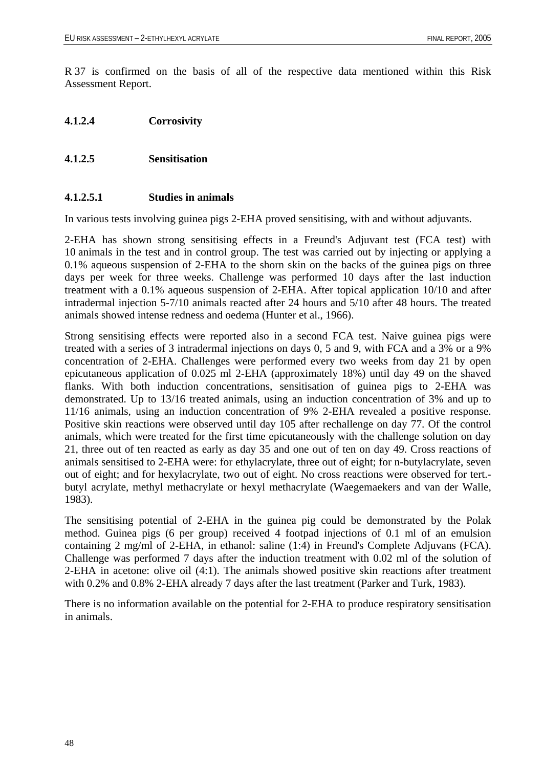R 37 is confirmed on the basis of all of the respective data mentioned within this Risk Assessment Report.

#### **4.1.2.4 Corrosivity**

#### **4.1.2.5 Sensitisation**

#### **4.1.2.5.1 Studies in animals**

In various tests involving guinea pigs 2-EHA proved sensitising, with and without adjuvants.

2-EHA has shown strong sensitising effects in a Freund's Adjuvant test (FCA test) with 10 animals in the test and in control group. The test was carried out by injecting or applying a 0.1% aqueous suspension of 2-EHA to the shorn skin on the backs of the guinea pigs on three days per week for three weeks. Challenge was performed 10 days after the last induction treatment with a 0.1% aqueous suspension of 2-EHA. After topical application 10/10 and after intradermal injection 5-7/10 animals reacted after 24 hours and 5/10 after 48 hours. The treated animals showed intense redness and oedema (Hunter et al., 1966).

Strong sensitising effects were reported also in a second FCA test. Naive guinea pigs were treated with a series of 3 intradermal injections on days 0, 5 and 9, with FCA and a 3% or a 9% concentration of 2-EHA. Challenges were performed every two weeks from day 21 by open epicutaneous application of 0.025 ml 2-EHA (approximately 18%) until day 49 on the shaved flanks. With both induction concentrations, sensitisation of guinea pigs to 2-EHA was demonstrated. Up to 13/16 treated animals, using an induction concentration of 3% and up to 11/16 animals, using an induction concentration of 9% 2-EHA revealed a positive response. Positive skin reactions were observed until day 105 after rechallenge on day 77. Of the control animals, which were treated for the first time epicutaneously with the challenge solution on day 21, three out of ten reacted as early as day 35 and one out of ten on day 49. Cross reactions of animals sensitised to 2-EHA were: for ethylacrylate, three out of eight; for n-butylacrylate, seven out of eight; and for hexylacrylate, two out of eight. No cross reactions were observed for tert. butyl acrylate, methyl methacrylate or hexyl methacrylate (Waegemaekers and van der Walle, 1983).

The sensitising potential of 2-EHA in the guinea pig could be demonstrated by the Polak method. Guinea pigs (6 per group) received 4 footpad injections of 0.1 ml of an emulsion containing 2 mg/ml of 2-EHA, in ethanol: saline (1:4) in Freund's Complete Adjuvans (FCA). Challenge was performed 7 days after the induction treatment with 0.02 ml of the solution of 2-EHA in acetone: olive oil (4:1). The animals showed positive skin reactions after treatment with 0.2% and 0.8% 2-EHA already 7 days after the last treatment (Parker and Turk, 1983).

There is no information available on the potential for 2-EHA to produce respiratory sensitisation in animals.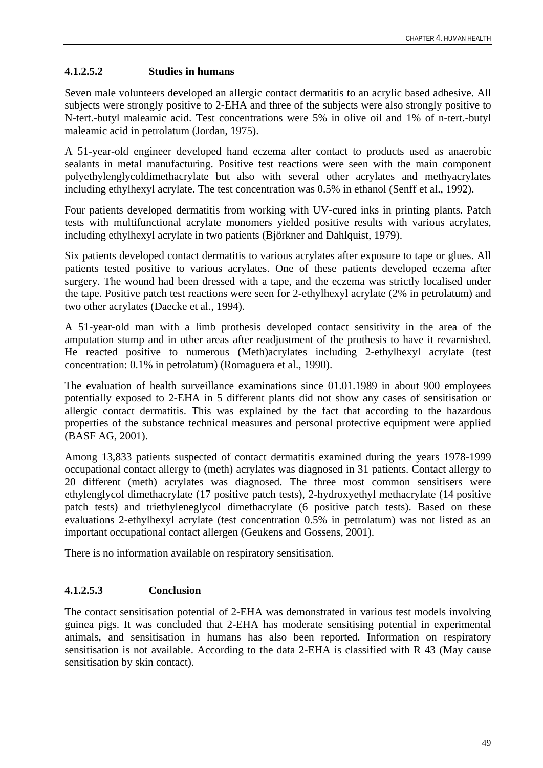### **4.1.2.5.2 Studies in humans**

Seven male volunteers developed an allergic contact dermatitis to an acrylic based adhesive. All subjects were strongly positive to 2-EHA and three of the subjects were also strongly positive to N-tert.-butyl maleamic acid. Test concentrations were 5% in olive oil and 1% of n-tert.-butyl maleamic acid in petrolatum (Jordan, 1975).

A 51-year-old engineer developed hand eczema after contact to products used as anaerobic sealants in metal manufacturing. Positive test reactions were seen with the main component polyethylenglycoldimethacrylate but also with several other acrylates and methyacrylates including ethylhexyl acrylate. The test concentration was 0.5% in ethanol (Senff et al., 1992).

Four patients developed dermatitis from working with UV-cured inks in printing plants. Patch tests with multifunctional acrylate monomers yielded positive results with various acrylates, including ethylhexyl acrylate in two patients (Björkner and Dahlquist, 1979).

Six patients developed contact dermatitis to various acrylates after exposure to tape or glues. All patients tested positive to various acrylates. One of these patients developed eczema after surgery. The wound had been dressed with a tape, and the eczema was strictly localised under the tape. Positive patch test reactions were seen for 2-ethylhexyl acrylate (2% in petrolatum) and two other acrylates (Daecke et al., 1994).

A 51-year-old man with a limb prothesis developed contact sensitivity in the area of the amputation stump and in other areas after readjustment of the prothesis to have it revarnished. He reacted positive to numerous (Meth)acrylates including 2-ethylhexyl acrylate (test concentration: 0.1% in petrolatum) (Romaguera et al., 1990).

The evaluation of health surveillance examinations since 01.01.1989 in about 900 employees potentially exposed to 2-EHA in 5 different plants did not show any cases of sensitisation or allergic contact dermatitis. This was explained by the fact that according to the hazardous properties of the substance technical measures and personal protective equipment were applied (BASF AG, 2001).

Among 13,833 patients suspected of contact dermatitis examined during the years 1978-1999 occupational contact allergy to (meth) acrylates was diagnosed in 31 patients. Contact allergy to 20 different (meth) acrylates was diagnosed. The three most common sensitisers were ethylenglycol dimethacrylate (17 positive patch tests), 2-hydroxyethyl methacrylate (14 positive patch tests) and triethyleneglycol dimethacrylate (6 positive patch tests). Based on these evaluations 2-ethylhexyl acrylate (test concentration 0.5% in petrolatum) was not listed as an important occupational contact allergen (Geukens and Gossens, 2001).

There is no information available on respiratory sensitisation.

#### **4.1.2.5.3 Conclusion**

The contact sensitisation potential of 2-EHA was demonstrated in various test models involving guinea pigs. It was concluded that 2-EHA has moderate sensitising potential in experimental animals, and sensitisation in humans has also been reported. Information on respiratory sensitisation is not available. According to the data 2-EHA is classified with R 43 (May cause sensitisation by skin contact).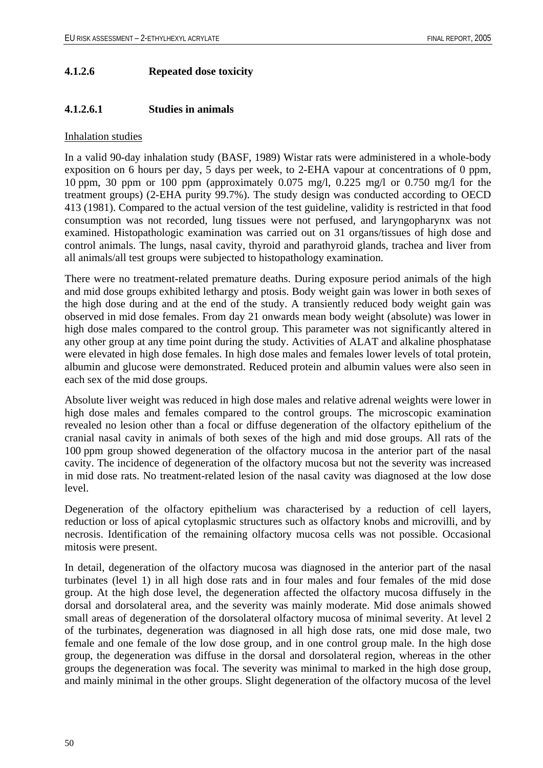#### **4.1.2.6 Repeated dose toxicity**

#### **4.1.2.6.1 Studies in animals**

#### Inhalation studies

In a valid 90-day inhalation study (BASF, 1989) Wistar rats were administered in a whole-body exposition on 6 hours per day, 5 days per week, to 2-EHA vapour at concentrations of 0 ppm, 10 ppm, 30 ppm or 100 ppm (approximately 0.075 mg/l, 0.225 mg/l or 0.750 mg/l for the treatment groups) (2-EHA purity 99.7%). The study design was conducted according to OECD 413 (1981). Compared to the actual version of the test guideline, validity is restricted in that food consumption was not recorded, lung tissues were not perfused, and laryngopharynx was not examined. Histopathologic examination was carried out on 31 organs/tissues of high dose and control animals. The lungs, nasal cavity, thyroid and parathyroid glands, trachea and liver from all animals/all test groups were subjected to histopathology examination.

There were no treatment-related premature deaths. During exposure period animals of the high and mid dose groups exhibited lethargy and ptosis. Body weight gain was lower in both sexes of the high dose during and at the end of the study. A transiently reduced body weight gain was observed in mid dose females. From day 21 onwards mean body weight (absolute) was lower in high dose males compared to the control group. This parameter was not significantly altered in any other group at any time point during the study. Activities of ALAT and alkaline phosphatase were elevated in high dose females. In high dose males and females lower levels of total protein, albumin and glucose were demonstrated. Reduced protein and albumin values were also seen in each sex of the mid dose groups.

Absolute liver weight was reduced in high dose males and relative adrenal weights were lower in high dose males and females compared to the control groups. The microscopic examination revealed no lesion other than a focal or diffuse degeneration of the olfactory epithelium of the cranial nasal cavity in animals of both sexes of the high and mid dose groups. All rats of the 100 ppm group showed degeneration of the olfactory mucosa in the anterior part of the nasal cavity. The incidence of degeneration of the olfactory mucosa but not the severity was increased in mid dose rats. No treatment-related lesion of the nasal cavity was diagnosed at the low dose level.

Degeneration of the olfactory epithelium was characterised by a reduction of cell layers, reduction or loss of apical cytoplasmic structures such as olfactory knobs and microvilli, and by necrosis. Identification of the remaining olfactory mucosa cells was not possible. Occasional mitosis were present.

In detail, degeneration of the olfactory mucosa was diagnosed in the anterior part of the nasal turbinates (level 1) in all high dose rats and in four males and four females of the mid dose group. At the high dose level, the degeneration affected the olfactory mucosa diffusely in the dorsal and dorsolateral area, and the severity was mainly moderate. Mid dose animals showed small areas of degeneration of the dorsolateral olfactory mucosa of minimal severity. At level 2 of the turbinates, degeneration was diagnosed in all high dose rats, one mid dose male, two female and one female of the low dose group, and in one control group male. In the high dose group, the degeneration was diffuse in the dorsal and dorsolateral region, whereas in the other groups the degeneration was focal. The severity was minimal to marked in the high dose group, and mainly minimal in the other groups. Slight degeneration of the olfactory mucosa of the level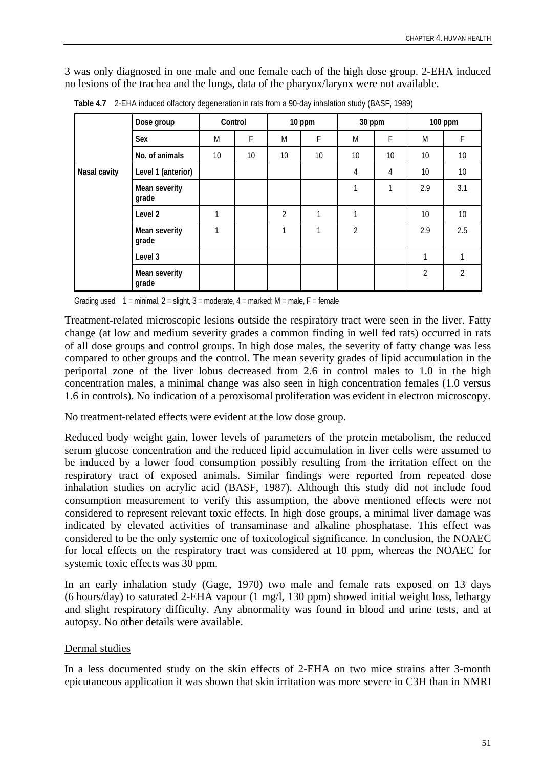3 was only diagnosed in one male and one female each of the high dose group. 2-EHA induced no lesions of the trachea and the lungs, data of the pharynx/larynx were not available.

|              | Dose group             |    | Control |                 | 10 ppm |                | 30 ppm |                | 100 ppm         |  |
|--------------|------------------------|----|---------|-----------------|--------|----------------|--------|----------------|-----------------|--|
|              | <b>Sex</b>             | M  | F       | M               | F      | M              | F      | M              | F               |  |
|              | No. of animals         | 10 | 10      | 10 <sup>°</sup> | 10     | 10             | 10     | 10             | 10 <sup>°</sup> |  |
| Nasal cavity | Level 1 (anterior)     |    |         |                 |        | 4              | 4      | 10             | 10 <sup>°</sup> |  |
|              | Mean severity<br>grade |    |         |                 |        | 1              | 1      | 2.9            | 3.1             |  |
|              | Level 2                |    |         | $\overline{2}$  | 1      | 1              |        | 10             | 10              |  |
|              | Mean severity<br>grade | 1  |         | 1               | 1      | $\overline{2}$ |        | 2.9            | 2.5             |  |
|              | Level 3                |    |         |                 |        |                |        | 1              |                 |  |
|              | Mean severity<br>grade |    |         |                 |        |                |        | $\overline{2}$ | $\mathfrak{D}$  |  |

**Table 4.7** 2-EHA induced olfactory degeneration in rats from a 90-day inhalation study (BASF, 1989)

Grading used  $1 = \text{minimal}$ ,  $2 = \text{slight}$ ,  $3 = \text{moderate}$ ,  $4 = \text{marked}$ ;  $M = \text{male}$ ,  $F = \text{female}$ 

Treatment-related microscopic lesions outside the respiratory tract were seen in the liver. Fatty change (at low and medium severity grades a common finding in well fed rats) occurred in rats of all dose groups and control groups. In high dose males, the severity of fatty change was less compared to other groups and the control. The mean severity grades of lipid accumulation in the periportal zone of the liver lobus decreased from 2.6 in control males to 1.0 in the high concentration males, a minimal change was also seen in high concentration females (1.0 versus 1.6 in controls). No indication of a peroxisomal proliferation was evident in electron microscopy.

No treatment-related effects were evident at the low dose group.

Reduced body weight gain, lower levels of parameters of the protein metabolism, the reduced serum glucose concentration and the reduced lipid accumulation in liver cells were assumed to be induced by a lower food consumption possibly resulting from the irritation effect on the respiratory tract of exposed animals. Similar findings were reported from repeated dose inhalation studies on acrylic acid (BASF, 1987). Although this study did not include food consumption measurement to verify this assumption, the above mentioned effects were not considered to represent relevant toxic effects. In high dose groups, a minimal liver damage was indicated by elevated activities of transaminase and alkaline phosphatase. This effect was considered to be the only systemic one of toxicological significance. In conclusion, the NOAEC for local effects on the respiratory tract was considered at 10 ppm, whereas the NOAEC for systemic toxic effects was 30 ppm.

In an early inhalation study (Gage, 1970) two male and female rats exposed on 13 days (6 hours/day) to saturated 2-EHA vapour (1 mg/l, 130 ppm) showed initial weight loss, lethargy and slight respiratory difficulty. Any abnormality was found in blood and urine tests, and at autopsy. No other details were available.

# Dermal studies

In a less documented study on the skin effects of 2-EHA on two mice strains after 3-month epicutaneous application it was shown that skin irritation was more severe in C3H than in NMRI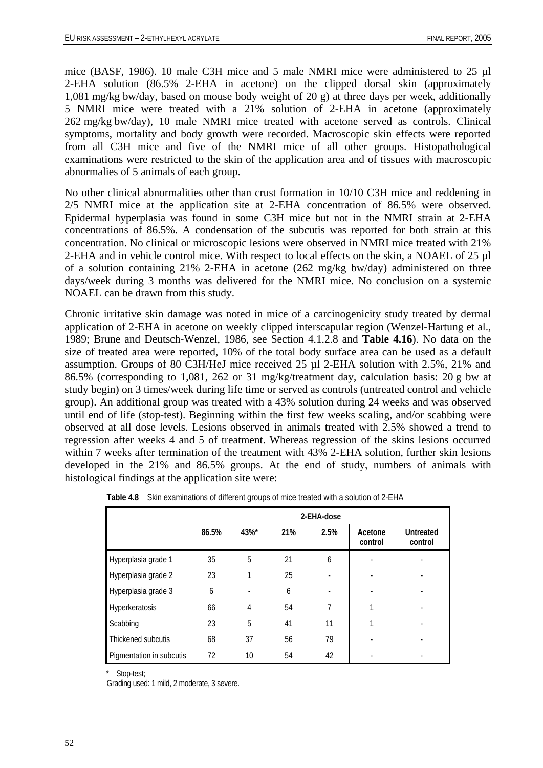mice (BASF, 1986). 10 male C3H mice and 5 male NMRI mice were administered to 25 µl 2-EHA solution (86.5% 2-EHA in acetone) on the clipped dorsal skin (approximately 1,081 mg/kg bw/day, based on mouse body weight of 20 g) at three days per week, additionally 5 NMRI mice were treated with a 21% solution of 2-EHA in acetone (approximately 262 mg/kg bw/day), 10 male NMRI mice treated with acetone served as controls. Clinical symptoms, mortality and body growth were recorded. Macroscopic skin effects were reported from all C3H mice and five of the NMRI mice of all other groups. Histopathological examinations were restricted to the skin of the application area and of tissues with macroscopic abnormalies of 5 animals of each group.

No other clinical abnormalities other than crust formation in 10/10 C3H mice and reddening in 2/5 NMRI mice at the application site at 2-EHA concentration of 86.5% were observed. Epidermal hyperplasia was found in some C3H mice but not in the NMRI strain at 2-EHA concentrations of 86.5%. A condensation of the subcutis was reported for both strain at this concentration. No clinical or microscopic lesions were observed in NMRI mice treated with 21% 2-EHA and in vehicle control mice. With respect to local effects on the skin, a NOAEL of 25 µl of a solution containing 21% 2-EHA in acetone (262 mg/kg bw/day) administered on three days/week during 3 months was delivered for the NMRI mice. No conclusion on a systemic NOAEL can be drawn from this study.

Chronic irritative skin damage was noted in mice of a carcinogenicity study treated by dermal application of 2-EHA in acetone on weekly clipped interscapular region (Wenzel-Hartung et al., 1989; Brune and Deutsch-Wenzel, 1986, see Section 4.1.2.8 and **Table 4.16**). No data on the size of treated area were reported, 10% of the total body surface area can be used as a default assumption. Groups of 80 C3H/HeJ mice received 25 µl 2-EHA solution with 2.5%, 21% and 86.5% (corresponding to 1,081, 262 or 31 mg/kg/treatment day, calculation basis: 20 g bw at study begin) on 3 times/week during life time or served as controls (untreated control and vehicle group). An additional group was treated with a 43% solution during 24 weeks and was observed until end of life (stop-test). Beginning within the first few weeks scaling, and/or scabbing were observed at all dose levels. Lesions observed in animals treated with 2.5% showed a trend to regression after weeks 4 and 5 of treatment. Whereas regression of the skins lesions occurred within 7 weeks after termination of the treatment with 43% 2-EHA solution, further skin lesions developed in the 21% and 86.5% groups. At the end of study, numbers of animals with histological findings at the application site were:

|                          | 2-EHA-dose |      |     |                          |                          |                      |  |  |  |
|--------------------------|------------|------|-----|--------------------------|--------------------------|----------------------|--|--|--|
|                          | 86.5%      | 43%* | 21% | 2.5%                     | Acetone<br>control       | Untreated<br>control |  |  |  |
| Hyperplasia grade 1      | 35         | 5    | 21  | 6                        |                          |                      |  |  |  |
| Hyperplasia grade 2      | 23         | 1    | 25  | $\overline{\phantom{a}}$ | $\overline{\phantom{a}}$ |                      |  |  |  |
| Hyperplasia grade 3      | 6          |      | 6   | ٠                        |                          |                      |  |  |  |
| Hyperkeratosis           | 66         | 4    | 54  | 7                        |                          |                      |  |  |  |
| Scabbing                 | 23         | 5    | 41  | 11                       | 1                        |                      |  |  |  |
| Thickened subcutis       | 68         | 37   | 56  | 79                       |                          |                      |  |  |  |
| Pigmentation in subcutis | 72         | 10   | 54  | 42                       |                          |                      |  |  |  |

**Table 4.8** Skin examinations of different groups of mice treated with a solution of 2-EHA

Stop-test;

Grading used: 1 mild, 2 moderate, 3 severe.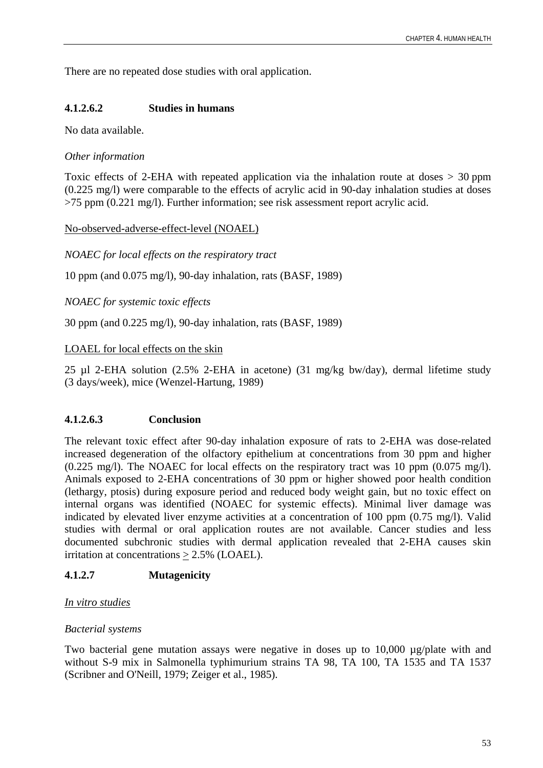There are no repeated dose studies with oral application.

### **4.1.2.6.2 Studies in humans**

No data available.

### *Other information*

Toxic effects of 2-EHA with repeated application via the inhalation route at doses > 30 ppm (0.225 mg/l) were comparable to the effects of acrylic acid in 90-day inhalation studies at doses >75 ppm (0.221 mg/l). Further information; see risk assessment report acrylic acid.

#### No-observed-adverse-effect-level (NOAEL)

### *NOAEC for local effects on the respiratory tract*

10 ppm (and 0.075 mg/l), 90-day inhalation, rats (BASF, 1989)

*NOAEC for systemic toxic effects* 

30 ppm (and 0.225 mg/l), 90-day inhalation, rats (BASF, 1989)

### LOAEL for local effects on the skin

25 µl 2-EHA solution (2.5% 2-EHA in acetone) (31 mg/kg bw/day), dermal lifetime study (3 days/week), mice (Wenzel-Hartung, 1989)

#### **4.1.2.6.3 Conclusion**

The relevant toxic effect after 90-day inhalation exposure of rats to 2-EHA was dose-related increased degeneration of the olfactory epithelium at concentrations from 30 ppm and higher (0.225 mg/l). The NOAEC for local effects on the respiratory tract was 10 ppm (0.075 mg/l). Animals exposed to 2-EHA concentrations of 30 ppm or higher showed poor health condition (lethargy, ptosis) during exposure period and reduced body weight gain, but no toxic effect on internal organs was identified (NOAEC for systemic effects). Minimal liver damage was indicated by elevated liver enzyme activities at a concentration of 100 ppm (0.75 mg/l). Valid studies with dermal or oral application routes are not available. Cancer studies and less documented subchronic studies with dermal application revealed that 2-EHA causes skin irritation at concentrations > 2.5% (LOAEL).

# **4.1.2.7 Mutagenicity**

# *In vitro studies*

#### *Bacterial systems*

Two bacterial gene mutation assays were negative in doses up to 10,000  $\mu$ g/plate with and without S-9 mix in Salmonella typhimurium strains TA 98, TA 100, TA 1535 and TA 1537 (Scribner and O'Neill, 1979; Zeiger et al., 1985).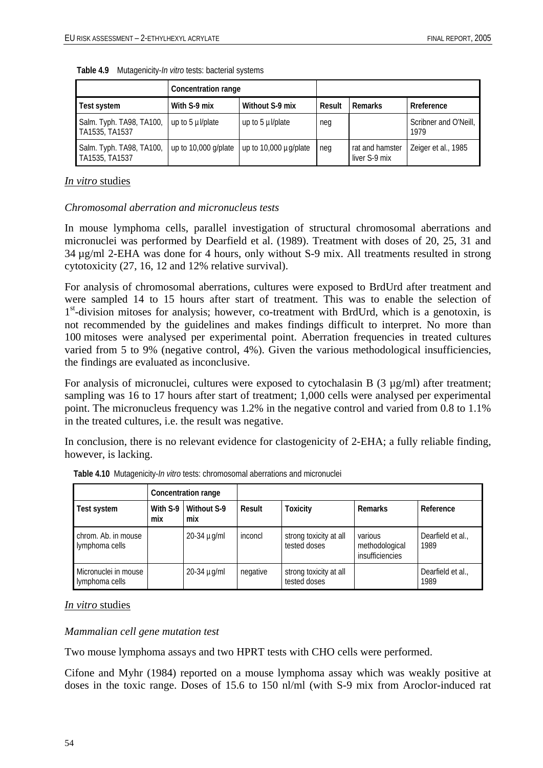|                                            | Concentration range         |                            |        |                                  |                               |
|--------------------------------------------|-----------------------------|----------------------------|--------|----------------------------------|-------------------------------|
| Test system                                | With S-9 mix                | Without S-9 mix            | Result | Remarks                          | Rreference                    |
| Salm. Typh. TA98, TA100,<br>TA1535, TA1537 | $\mu$ up to 5 $\mu$ //plate | up to 5 $\mu$ I/plate      | neg    |                                  | Scribner and O'Neill.<br>1979 |
| Salm. Typh. TA98, TA100,<br>TA1535, TA1537 | up to 10,000 g/plate        | up to $10,000 \mu$ g/plate | neg    | rat and hamster<br>liver S-9 mix | Zeiger et al., 1985           |

| Table 4.9 | Mutagenicity- <i>In vitro</i> tests: bacterial systems |
|-----------|--------------------------------------------------------|
|           |                                                        |

### *In vitro* studies

#### *Chromosomal aberration and micronucleus tests*

In mouse lymphoma cells, parallel investigation of structural chromosomal aberrations and micronuclei was performed by Dearfield et al. (1989). Treatment with doses of 20, 25, 31 and 34 µg/ml 2-EHA was done for 4 hours, only without S-9 mix. All treatments resulted in strong cytotoxicity (27, 16, 12 and 12% relative survival).

For analysis of chromosomal aberrations, cultures were exposed to BrdUrd after treatment and were sampled 14 to 15 hours after start of treatment. This was to enable the selection of 1<sup>st</sup>-division mitoses for analysis; however, co-treatment with BrdUrd, which is a genotoxin, is not recommended by the guidelines and makes findings difficult to interpret. No more than 100 mitoses were analysed per experimental point. Aberration frequencies in treated cultures varied from 5 to 9% (negative control, 4%). Given the various methodological insufficiencies, the findings are evaluated as inconclusive.

For analysis of micronuclei, cultures were exposed to cytochalasin B  $(3 \mu g/ml)$  after treatment; sampling was 16 to 17 hours after start of treatment; 1,000 cells were analysed per experimental point. The micronucleus frequency was 1.2% in the negative control and varied from 0.8 to 1.1% in the treated cultures, i.e. the result was negative.

In conclusion, there is no relevant evidence for clastogenicity of 2-EHA; a fully reliable finding, however, is lacking.

|                                        |                 | Concentration range |          |                                        |                                              |                           |  |
|----------------------------------------|-----------------|---------------------|----------|----------------------------------------|----------------------------------------------|---------------------------|--|
| Test system                            | With S-9<br>mix | Without S-9<br>mix  | Result   | <b>Toxicity</b>                        | Remarks                                      | Reference                 |  |
| chrom. Ab. in mouse<br>lymphoma cells  |                 | $20-34 \mu g/ml$    | inconcl  | strong toxicity at all<br>tested doses | various<br>methodological<br>insufficiencies | Dearfield et al.,<br>1989 |  |
| Micronuclei in mouse<br>Iymphoma cells |                 | $20-34 \mu g/ml$    | negative | strong toxicity at all<br>tested doses |                                              | Dearfield et al.,<br>1989 |  |

**Table 4.10** Mutagenicity-*In vitro* tests: chromosomal aberrations and micronuclei

#### *In vitro* studies

#### *Mammalian cell gene mutation test*

Two mouse lymphoma assays and two HPRT tests with CHO cells were performed.

Cifone and Myhr (1984) reported on a mouse lymphoma assay which was weakly positive at doses in the toxic range. Doses of 15.6 to 150 nl/ml (with S-9 mix from Aroclor-induced rat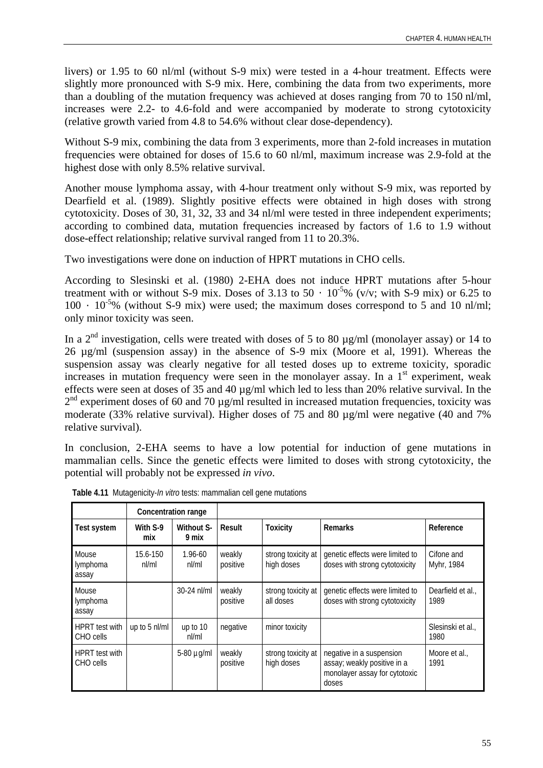livers) or 1.95 to 60 nl/ml (without S-9 mix) were tested in a 4-hour treatment. Effects were slightly more pronounced with S-9 mix. Here, combining the data from two experiments, more than a doubling of the mutation frequency was achieved at doses ranging from 70 to 150 nl/ml, increases were 2.2- to 4.6-fold and were accompanied by moderate to strong cytotoxicity (relative growth varied from 4.8 to 54.6% without clear dose-dependency).

Without S-9 mix, combining the data from 3 experiments, more than 2-fold increases in mutation frequencies were obtained for doses of 15.6 to 60 nl/ml, maximum increase was 2.9-fold at the highest dose with only 8.5% relative survival.

Another mouse lymphoma assay, with 4-hour treatment only without S-9 mix, was reported by Dearfield et al. (1989). Slightly positive effects were obtained in high doses with strong cytotoxicity. Doses of 30, 31, 32, 33 and 34 nl/ml were tested in three independent experiments; according to combined data, mutation frequencies increased by factors of 1.6 to 1.9 without dose-effect relationship; relative survival ranged from 11 to 20.3%.

Two investigations were done on induction of HPRT mutations in CHO cells.

According to Slesinski et al. (1980) 2-EHA does not induce HPRT mutations after 5-hour treatment with or without S-9 mix. Doses of 3.13 to  $50 \cdot 10^{-5}$ % (v/v; with S-9 mix) or 6.25 to  $100 \cdot 10^{-5}$ % (without S-9 mix) were used; the maximum doses correspond to 5 and 10 nl/ml; only minor toxicity was seen.

In a  $2<sup>nd</sup>$  investigation, cells were treated with doses of 5 to 80  $\mu$ g/ml (monolayer assay) or 14 to 26 µg/ml (suspension assay) in the absence of S-9 mix (Moore et al, 1991). Whereas the suspension assay was clearly negative for all tested doses up to extreme toxicity, sporadic increases in mutation frequency were seen in the monolayer assay. In a  $1<sup>st</sup>$  experiment, weak effects were seen at doses of 35 and 40 µg/ml which led to less than 20% relative survival. In the  $2<sup>nd</sup>$  experiment doses of 60 and 70  $\mu$ g/ml resulted in increased mutation frequencies, toxicity was moderate (33% relative survival). Higher doses of 75 and 80 ug/ml were negative (40 and 7%) relative survival).

In conclusion, 2-EHA seems to have a low potential for induction of gene mutations in mammalian cells. Since the genetic effects were limited to doses with strong cytotoxicity, the potential will probably not be expressed *in vivo*.

|                                    | Concentration range |                            |                    |                                  |                                                                                                   |                           |
|------------------------------------|---------------------|----------------------------|--------------------|----------------------------------|---------------------------------------------------------------------------------------------------|---------------------------|
| Test system                        | With S-9<br>mix     | <b>Without S-</b><br>9 mix | Result             | <b>Toxicity</b>                  | <b>Remarks</b>                                                                                    | Reference                 |
| Mouse<br>lymphoma<br>assay         | 15.6-150<br>nl/ml   | 1.96-60<br>nl/ml           | weakly<br>positive | strong toxicity at<br>high doses | genetic effects were limited to<br>doses with strong cytotoxicity                                 | Cifone and<br>Myhr, 1984  |
| Mouse<br>lymphoma<br>assay         |                     | 30-24 nl/ml                | weakly<br>positive | strong toxicity at<br>all doses  | genetic effects were limited to<br>doses with strong cytotoxicity                                 | Dearfield et al.<br>1989  |
| <b>HPRT</b> test with<br>CHO cells | up to 5 nl/ml       | up to 10<br>nl/ml          | negative           | minor toxicity                   |                                                                                                   | Slesinski et al.,<br>1980 |
| <b>HPRT</b> test with<br>CHO cells |                     | $5-80 \mu g/ml$            | weakly<br>positive | strong toxicity at<br>high doses | negative in a suspension<br>assay; weakly positive in a<br>monolayer assay for cytotoxic<br>doses | Moore et al.,<br>1991     |

**Table 4.11** Mutagenicity-*In vitro* tests: mammalian cell gene mutations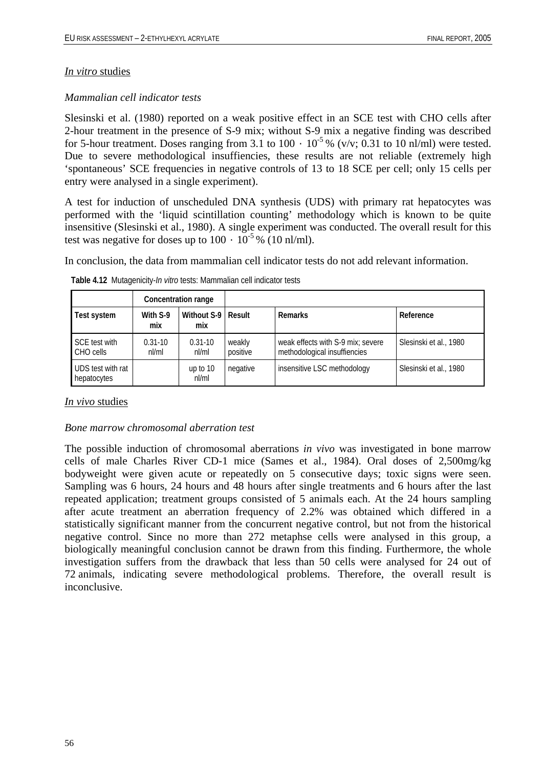### *In vitro* studies

### *Mammalian cell indicator tests*

Slesinski et al. (1980) reported on a weak positive effect in an SCE test with CHO cells after 2-hour treatment in the presence of S-9 mix; without S-9 mix a negative finding was described for 5-hour treatment. Doses ranging from 3.1 to  $100 \cdot 10^{-5}$  % (v/v; 0.31 to 10 nl/ml) were tested. Due to severe methodological insuffiencies, these results are not reliable (extremely high 'spontaneous' SCE frequencies in negative controls of 13 to 18 SCE per cell; only 15 cells per entry were analysed in a single experiment).

A test for induction of unscheduled DNA synthesis (UDS) with primary rat hepatocytes was performed with the 'liquid scintillation counting' methodology which is known to be quite insensitive (Slesinski et al., 1980). A single experiment was conducted. The overall result for this test was negative for doses up to  $100 \cdot 10^{-5}$  % (10 nl/ml).

In conclusion, the data from mammalian cell indicator tests do not add relevant information.

|                                  |                      | Concentration range         |                    |                                                                   |                        |
|----------------------------------|----------------------|-----------------------------|--------------------|-------------------------------------------------------------------|------------------------|
| Test system                      | With S-9<br>mix      | Without S-9   Result<br>mix |                    | Remarks                                                           | Reference              |
| SCE test with<br>CHO cells       | $0.31 - 10$<br>nl/ml | $0.31 - 10$<br>nl/ml        | weakly<br>positive | weak effects with S-9 mix; severe<br>methodological insuffiencies | Slesinski et al., 1980 |
| UDS test with rat<br>hepatocytes |                      | up to 10<br>nl/ml           | negative           | insensitive LSC methodology                                       | Slesinski et al., 1980 |

**Table 4.12** Mutagenicity-*In vitro* tests: Mammalian cell indicator tests

# *In vivo* studies

#### *Bone marrow chromosomal aberration test*

The possible induction of chromosomal aberrations *in vivo* was investigated in bone marrow cells of male Charles River CD-1 mice (Sames et al., 1984). Oral doses of 2,500mg/kg bodyweight were given acute or repeatedly on 5 consecutive days; toxic signs were seen. Sampling was 6 hours, 24 hours and 48 hours after single treatments and 6 hours after the last repeated application; treatment groups consisted of 5 animals each. At the 24 hours sampling after acute treatment an aberration frequency of 2.2% was obtained which differed in a statistically significant manner from the concurrent negative control, but not from the historical negative control. Since no more than 272 metaphse cells were analysed in this group, a biologically meaningful conclusion cannot be drawn from this finding. Furthermore, the whole investigation suffers from the drawback that less than 50 cells were analysed for 24 out of 72 animals, indicating severe methodological problems. Therefore, the overall result is inconclusive.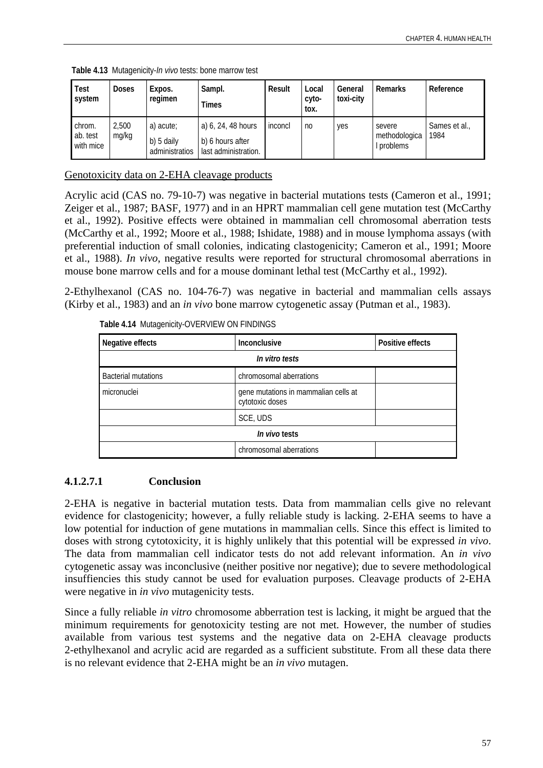| Test<br>system                  | <b>Doses</b>   | Expos.<br>regimen                         | Sampl.<br>Times                                                | Result  | Local<br>cyto-<br>tox. | General<br>toxi-city | <b>Remarks</b>                        | Reference             |
|---------------------------------|----------------|-------------------------------------------|----------------------------------------------------------------|---------|------------------------|----------------------|---------------------------------------|-----------------------|
| chrom.<br>ab. test<br>with mice | 2.500<br>mg/kg | a) acute;<br>b) 5 daily<br>administratios | a) 6, 24, 48 hours<br>b) 6 hours after<br>last administration. | inconcl | no                     | yes                  | severe<br>methodologica<br>I problems | Sames et al.,<br>1984 |

**Table 4.13** Mutagenicity-*In vivo* tests: bone marrow test

Genotoxicity data on 2-EHA cleavage products

Acrylic acid (CAS no. 79-10-7) was negative in bacterial mutations tests (Cameron et al., 1991; Zeiger et al., 1987; BASF, 1977) and in an HPRT mammalian cell gene mutation test (McCarthy et al., 1992). Positive effects were obtained in mammalian cell chromosomal aberration tests (McCarthy et al., 1992; Moore et al., 1988; Ishidate, 1988) and in mouse lymphoma assays (with preferential induction of small colonies, indicating clastogenicity; Cameron et al., 1991; Moore et al., 1988). *In vivo*, negative results were reported for structural chromosomal aberrations in mouse bone marrow cells and for a mouse dominant lethal test (McCarthy et al., 1992).

2-Ethylhexanol (CAS no. 104-76-7) was negative in bacterial and mammalian cells assays (Kirby et al., 1983) and an *in vivo* bone marrow cytogenetic assay (Putman et al., 1983).

| Negative effects           | <b>Inconclusive</b>                                     | Positive effects |  |  |  |  |
|----------------------------|---------------------------------------------------------|------------------|--|--|--|--|
| In vitro tests             |                                                         |                  |  |  |  |  |
| <b>Bacterial mutations</b> | chromosomal aberrations                                 |                  |  |  |  |  |
| micronuclei                | gene mutations in mammalian cells at<br>cytotoxic doses |                  |  |  |  |  |
|                            | SCE, UDS                                                |                  |  |  |  |  |
| <i>In vivo</i> tests       |                                                         |                  |  |  |  |  |
|                            | chromosomal aberrations                                 |                  |  |  |  |  |

**Table 4.14** Mutagenicity-OVERVIEW ON FINDINGS

# **4.1.2.7.1 Conclusion**

2-EHA is negative in bacterial mutation tests. Data from mammalian cells give no relevant evidence for clastogenicity; however, a fully reliable study is lacking. 2-EHA seems to have a low potential for induction of gene mutations in mammalian cells. Since this effect is limited to doses with strong cytotoxicity, it is highly unlikely that this potential will be expressed *in vivo*. The data from mammalian cell indicator tests do not add relevant information. An *in vivo* cytogenetic assay was inconclusive (neither positive nor negative); due to severe methodological insuffiencies this study cannot be used for evaluation purposes. Cleavage products of 2-EHA were negative in *in vivo* mutagenicity tests.

Since a fully reliable *in vitro* chromosome abberration test is lacking, it might be argued that the minimum requirements for genotoxicity testing are not met. However, the number of studies available from various test systems and the negative data on 2-EHA cleavage products 2-ethylhexanol and acrylic acid are regarded as a sufficient substitute. From all these data there is no relevant evidence that 2-EHA might be an *in vivo* mutagen.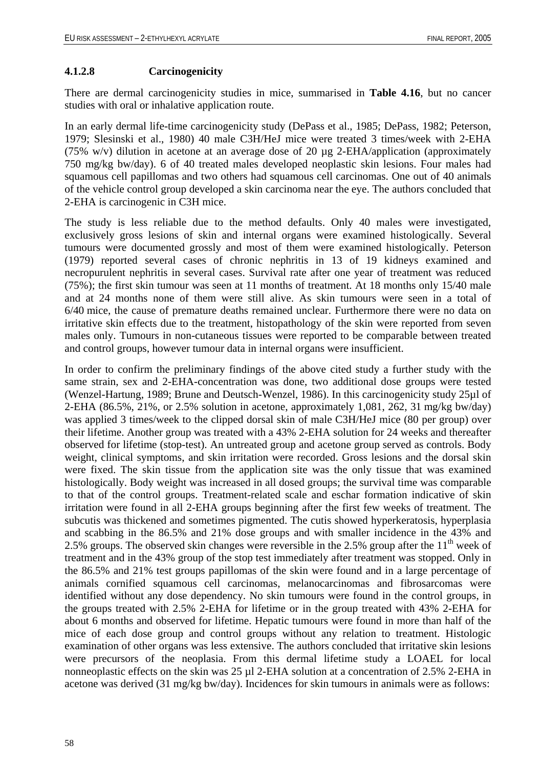### **4.1.2.8 Carcinogenicity**

There are dermal carcinogenicity studies in mice, summarised in **Table 4.16**, but no cancer studies with oral or inhalative application route.

In an early dermal life-time carcinogenicity study (DePass et al., 1985; DePass, 1982; Peterson, 1979; Slesinski et al., 1980) 40 male C3H/HeJ mice were treated 3 times/week with 2-EHA (75% w/v) dilution in acetone at an average dose of 20  $\mu$ g 2-EHA/application (approximately 750 mg/kg bw/day). 6 of 40 treated males developed neoplastic skin lesions. Four males had squamous cell papillomas and two others had squamous cell carcinomas. One out of 40 animals of the vehicle control group developed a skin carcinoma near the eye. The authors concluded that 2-EHA is carcinogenic in C3H mice.

The study is less reliable due to the method defaults. Only 40 males were investigated, exclusively gross lesions of skin and internal organs were examined histologically. Several tumours were documented grossly and most of them were examined histologically. Peterson (1979) reported several cases of chronic nephritis in 13 of 19 kidneys examined and necropurulent nephritis in several cases. Survival rate after one year of treatment was reduced (75%); the first skin tumour was seen at 11 months of treatment. At 18 months only 15/40 male and at 24 months none of them were still alive. As skin tumours were seen in a total of 6/40 mice, the cause of premature deaths remained unclear. Furthermore there were no data on irritative skin effects due to the treatment, histopathology of the skin were reported from seven males only. Tumours in non-cutaneous tissues were reported to be comparable between treated and control groups, however tumour data in internal organs were insufficient.

In order to confirm the preliminary findings of the above cited study a further study with the same strain, sex and 2-EHA-concentration was done, two additional dose groups were tested (Wenzel-Hartung, 1989; Brune and Deutsch-Wenzel, 1986). In this carcinogenicity study 25µl of 2-EHA (86.5%, 21%, or 2.5% solution in acetone, approximately 1,081, 262, 31 mg/kg bw/day) was applied 3 times/week to the clipped dorsal skin of male C3H/HeJ mice (80 per group) over their lifetime. Another group was treated with a 43% 2-EHA solution for 24 weeks and thereafter observed for lifetime (stop-test). An untreated group and acetone group served as controls. Body weight, clinical symptoms, and skin irritation were recorded. Gross lesions and the dorsal skin were fixed. The skin tissue from the application site was the only tissue that was examined histologically. Body weight was increased in all dosed groups; the survival time was comparable to that of the control groups. Treatment-related scale and eschar formation indicative of skin irritation were found in all 2-EHA groups beginning after the first few weeks of treatment. The subcutis was thickened and sometimes pigmented. The cutis showed hyperkeratosis, hyperplasia and scabbing in the 86.5% and 21% dose groups and with smaller incidence in the 43% and 2.5% groups. The observed skin changes were reversible in the 2.5% group after the  $11<sup>th</sup>$  week of treatment and in the 43% group of the stop test immediately after treatment was stopped. Only in the 86.5% and 21% test groups papillomas of the skin were found and in a large percentage of animals cornified squamous cell carcinomas, melanocarcinomas and fibrosarcomas were identified without any dose dependency. No skin tumours were found in the control groups, in the groups treated with 2.5% 2-EHA for lifetime or in the group treated with 43% 2-EHA for about 6 months and observed for lifetime. Hepatic tumours were found in more than half of the mice of each dose group and control groups without any relation to treatment. Histologic examination of other organs was less extensive. The authors concluded that irritative skin lesions were precursors of the neoplasia. From this dermal lifetime study a LOAEL for local nonneoplastic effects on the skin was 25 µl 2-EHA solution at a concentration of 2.5% 2-EHA in acetone was derived (31 mg/kg bw/day). Incidences for skin tumours in animals were as follows: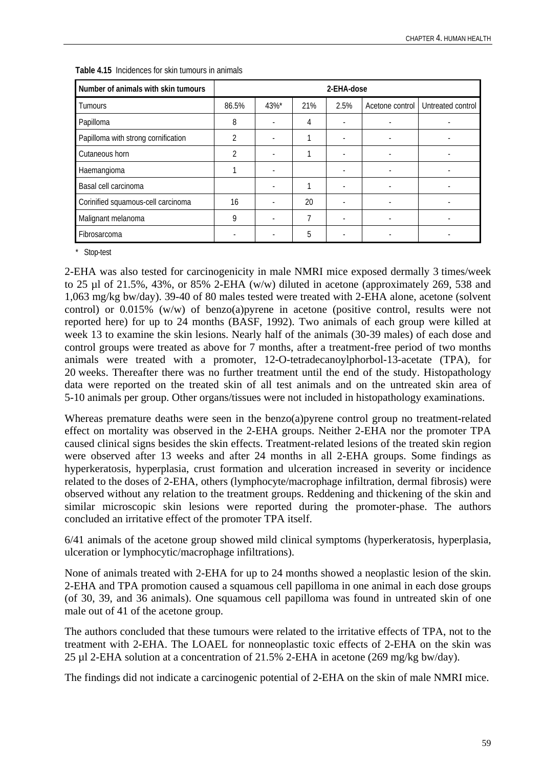| Number of animals with skin tumours | 2-EHA-dose     |          |     |      |                 |                   |  |  |
|-------------------------------------|----------------|----------|-----|------|-----------------|-------------------|--|--|
| Tumours                             | 86.5%          | $43\%$ * | 21% | 2.5% | Acetone control | Untreated control |  |  |
| Papilloma                           | 8              |          | 4   |      |                 |                   |  |  |
| Papilloma with strong cornification | $\mathfrak{p}$ |          |     |      |                 |                   |  |  |
| Cutaneous horn                      | $\overline{2}$ |          |     |      |                 |                   |  |  |
| Haemangioma                         |                |          |     |      |                 |                   |  |  |
| Basal cell carcinoma                |                |          |     |      |                 |                   |  |  |
| Corinified squamous-cell carcinoma  | 16             |          | 20  |      |                 |                   |  |  |
| Malignant melanoma                  | 9              |          | ℸ   |      |                 |                   |  |  |
| Fibrosarcoma                        |                |          | 5   |      |                 |                   |  |  |

**Table 4.15** Incidences for skin tumours in animals

\* Stop-test

2-EHA was also tested for carcinogenicity in male NMRI mice exposed dermally 3 times/week to 25 µl of 21.5%, 43%, or 85% 2-EHA (w/w) diluted in acetone (approximately 269, 538 and 1,063 mg/kg bw/day). 39-40 of 80 males tested were treated with 2-EHA alone, acetone (solvent control) or 0.015% (w/w) of benzo(a)pyrene in acetone (positive control, results were not reported here) for up to 24 months (BASF, 1992). Two animals of each group were killed at week 13 to examine the skin lesions. Nearly half of the animals (30-39 males) of each dose and control groups were treated as above for 7 months, after a treatment-free period of two months animals were treated with a promoter, 12-O-tetradecanoylphorbol-13-acetate (TPA), for 20 weeks. Thereafter there was no further treatment until the end of the study. Histopathology data were reported on the treated skin of all test animals and on the untreated skin area of 5-10 animals per group. Other organs/tissues were not included in histopathology examinations.

Whereas premature deaths were seen in the benzo(a)pyrene control group no treatment-related effect on mortality was observed in the 2-EHA groups. Neither 2-EHA nor the promoter TPA caused clinical signs besides the skin effects. Treatment-related lesions of the treated skin region were observed after 13 weeks and after 24 months in all 2-EHA groups. Some findings as hyperkeratosis, hyperplasia, crust formation and ulceration increased in severity or incidence related to the doses of 2-EHA, others (lymphocyte/macrophage infiltration, dermal fibrosis) were observed without any relation to the treatment groups. Reddening and thickening of the skin and similar microscopic skin lesions were reported during the promoter-phase. The authors concluded an irritative effect of the promoter TPA itself.

6/41 animals of the acetone group showed mild clinical symptoms (hyperkeratosis, hyperplasia, ulceration or lymphocytic/macrophage infiltrations).

None of animals treated with 2-EHA for up to 24 months showed a neoplastic lesion of the skin. 2-EHA and TPA promotion caused a squamous cell papilloma in one animal in each dose groups (of 30, 39, and 36 animals). One squamous cell papilloma was found in untreated skin of one male out of 41 of the acetone group.

The authors concluded that these tumours were related to the irritative effects of TPA, not to the treatment with 2-EHA. The LOAEL for nonneoplastic toxic effects of 2-EHA on the skin was 25 µl 2-EHA solution at a concentration of 21.5% 2-EHA in acetone (269 mg/kg bw/day).

The findings did not indicate a carcinogenic potential of 2-EHA on the skin of male NMRI mice.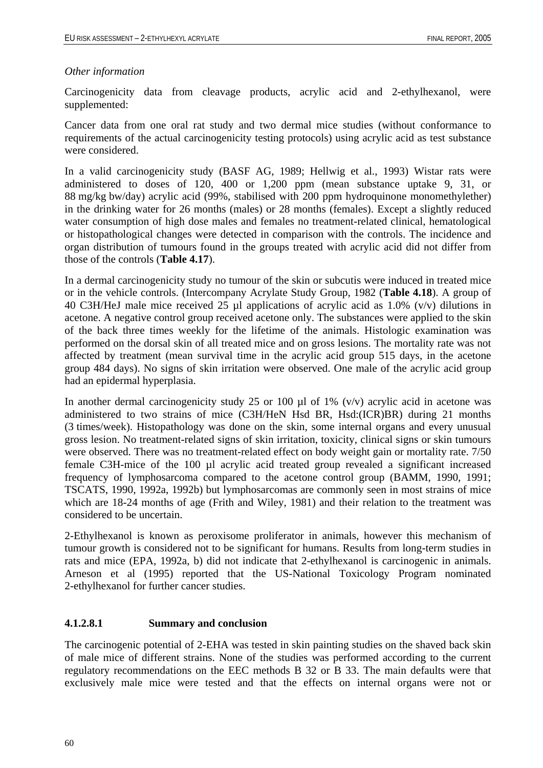### *Other information*

Carcinogenicity data from cleavage products, acrylic acid and 2-ethylhexanol, were supplemented:

Cancer data from one oral rat study and two dermal mice studies (without conformance to requirements of the actual carcinogenicity testing protocols) using acrylic acid as test substance were considered.

In a valid carcinogenicity study (BASF AG, 1989; Hellwig et al., 1993) Wistar rats were administered to doses of 120, 400 or 1,200 ppm (mean substance uptake 9, 31, or 88 mg/kg bw/day) acrylic acid (99%, stabilised with 200 ppm hydroquinone monomethylether) in the drinking water for 26 months (males) or 28 months (females). Except a slightly reduced water consumption of high dose males and females no treatment-related clinical, hematological or histopathological changes were detected in comparison with the controls. The incidence and organ distribution of tumours found in the groups treated with acrylic acid did not differ from those of the controls (**Table 4.17**).

In a dermal carcinogenicity study no tumour of the skin or subcutis were induced in treated mice or in the vehicle controls. (Intercompany Acrylate Study Group, 1982 (**Table 4.18**). A group of 40 C3H/HeJ male mice received 25 µl applications of acrylic acid as 1.0% (v/v) dilutions in acetone. A negative control group received acetone only. The substances were applied to the skin of the back three times weekly for the lifetime of the animals. Histologic examination was performed on the dorsal skin of all treated mice and on gross lesions. The mortality rate was not affected by treatment (mean survival time in the acrylic acid group 515 days, in the acetone group 484 days). No signs of skin irritation were observed. One male of the acrylic acid group had an epidermal hyperplasia.

In another dermal carcinogenicity study 25 or 100  $\mu$ l of 1% (v/v) acrylic acid in acetone was administered to two strains of mice (C3H/HeN Hsd BR, Hsd:(ICR)BR) during 21 months (3 times/week). Histopathology was done on the skin, some internal organs and every unusual gross lesion. No treatment-related signs of skin irritation, toxicity, clinical signs or skin tumours were observed. There was no treatment-related effect on body weight gain or mortality rate. 7/50 female C3H-mice of the 100 µl acrylic acid treated group revealed a significant increased frequency of lymphosarcoma compared to the acetone control group (BAMM, 1990, 1991; TSCATS, 1990, 1992a, 1992b) but lymphosarcomas are commonly seen in most strains of mice which are 18-24 months of age (Frith and Wiley, 1981) and their relation to the treatment was considered to be uncertain.

2-Ethylhexanol is known as peroxisome proliferator in animals, however this mechanism of tumour growth is considered not to be significant for humans. Results from long-term studies in rats and mice (EPA, 1992a, b) did not indicate that 2-ethylhexanol is carcinogenic in animals. Arneson et al (1995) reported that the US-National Toxicology Program nominated 2-ethylhexanol for further cancer studies.

#### **4.1.2.8.1 Summary and conclusion**

The carcinogenic potential of 2-EHA was tested in skin painting studies on the shaved back skin of male mice of different strains. None of the studies was performed according to the current regulatory recommendations on the EEC methods B 32 or B 33. The main defaults were that exclusively male mice were tested and that the effects on internal organs were not or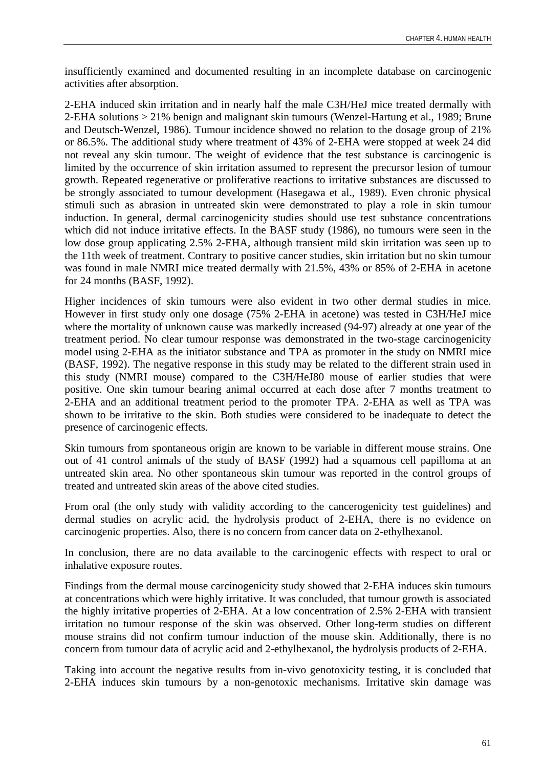insufficiently examined and documented resulting in an incomplete database on carcinogenic activities after absorption.

2-EHA induced skin irritation and in nearly half the male C3H/HeJ mice treated dermally with 2-EHA solutions > 21% benign and malignant skin tumours (Wenzel-Hartung et al., 1989; Brune and Deutsch-Wenzel, 1986). Tumour incidence showed no relation to the dosage group of 21% or 86.5%. The additional study where treatment of 43% of 2-EHA were stopped at week 24 did not reveal any skin tumour. The weight of evidence that the test substance is carcinogenic is limited by the occurrence of skin irritation assumed to represent the precursor lesion of tumour growth. Repeated regenerative or proliferative reactions to irritative substances are discussed to be strongly associated to tumour development (Hasegawa et al., 1989). Even chronic physical stimuli such as abrasion in untreated skin were demonstrated to play a role in skin tumour induction. In general, dermal carcinogenicity studies should use test substance concentrations which did not induce irritative effects. In the BASF study (1986), no tumours were seen in the low dose group applicating 2.5% 2-EHA, although transient mild skin irritation was seen up to the 11th week of treatment. Contrary to positive cancer studies, skin irritation but no skin tumour was found in male NMRI mice treated dermally with 21.5%, 43% or 85% of 2-EHA in acetone for 24 months (BASF, 1992).

Higher incidences of skin tumours were also evident in two other dermal studies in mice. However in first study only one dosage (75% 2-EHA in acetone) was tested in C3H/HeJ mice where the mortality of unknown cause was markedly increased (94-97) already at one year of the treatment period. No clear tumour response was demonstrated in the two-stage carcinogenicity model using 2-EHA as the initiator substance and TPA as promoter in the study on NMRI mice (BASF, 1992). The negative response in this study may be related to the different strain used in this study (NMRI mouse) compared to the C3H/HeJ80 mouse of earlier studies that were positive. One skin tumour bearing animal occurred at each dose after 7 months treatment to 2-EHA and an additional treatment period to the promoter TPA. 2-EHA as well as TPA was shown to be irritative to the skin. Both studies were considered to be inadequate to detect the presence of carcinogenic effects.

Skin tumours from spontaneous origin are known to be variable in different mouse strains. One out of 41 control animals of the study of BASF (1992) had a squamous cell papilloma at an untreated skin area. No other spontaneous skin tumour was reported in the control groups of treated and untreated skin areas of the above cited studies.

From oral (the only study with validity according to the cancerogenicity test guidelines) and dermal studies on acrylic acid, the hydrolysis product of 2-EHA, there is no evidence on carcinogenic properties. Also, there is no concern from cancer data on 2-ethylhexanol.

In conclusion, there are no data available to the carcinogenic effects with respect to oral or inhalative exposure routes.

Findings from the dermal mouse carcinogenicity study showed that 2-EHA induces skin tumours at concentrations which were highly irritative. It was concluded, that tumour growth is associated the highly irritative properties of 2-EHA. At a low concentration of 2.5% 2-EHA with transient irritation no tumour response of the skin was observed. Other long-term studies on different mouse strains did not confirm tumour induction of the mouse skin. Additionally, there is no concern from tumour data of acrylic acid and 2-ethylhexanol, the hydrolysis products of 2-EHA.

Taking into account the negative results from in-vivo genotoxicity testing, it is concluded that 2-EHA induces skin tumours by a non-genotoxic mechanisms. Irritative skin damage was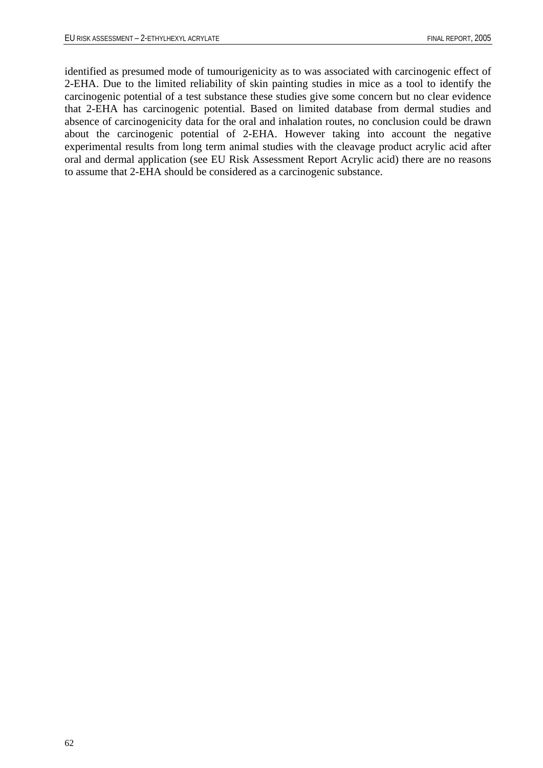identified as presumed mode of tumourigenicity as to was associated with carcinogenic effect of 2-EHA. Due to the limited reliability of skin painting studies in mice as a tool to identify the carcinogenic potential of a test substance these studies give some concern but no clear evidence that 2-EHA has carcinogenic potential. Based on limited database from dermal studies and absence of carcinogenicity data for the oral and inhalation routes, no conclusion could be drawn about the carcinogenic potential of 2-EHA. However taking into account the negative experimental results from long term animal studies with the cleavage product acrylic acid after oral and dermal application (see EU Risk Assessment Report Acrylic acid) there are no reasons to assume that 2-EHA should be considered as a carcinogenic substance.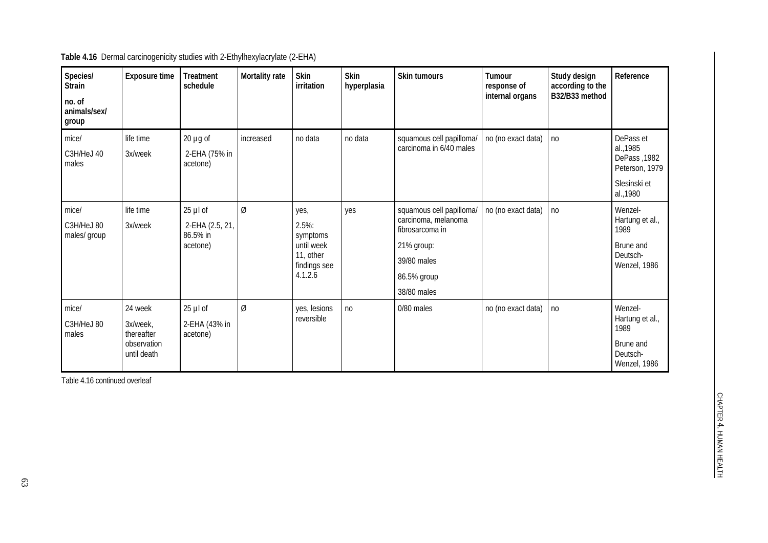| Table 4.16 Dermal carcinogenicity studies with 2-Ethylhexylacrylate (2-EHA) |  |  |  |
|-----------------------------------------------------------------------------|--|--|--|
|-----------------------------------------------------------------------------|--|--|--|

| Species/<br>Strain<br>no. of<br>animals/sex/<br>group | Exposure time                                                   | <b>Treatment</b><br>schedule                          | Mortality rate | Skin<br>irritation                                                              | <b>Skin</b><br>hyperplasia | Skin tumours                                                                                                                  | Tumour<br>response of<br>internal organs | Study design<br>according to the<br>B32/B33 method | Reference                                                                             |
|-------------------------------------------------------|-----------------------------------------------------------------|-------------------------------------------------------|----------------|---------------------------------------------------------------------------------|----------------------------|-------------------------------------------------------------------------------------------------------------------------------|------------------------------------------|----------------------------------------------------|---------------------------------------------------------------------------------------|
| mice/<br>C3H/HeJ 40<br>males                          | life time<br>3x/week                                            | $20 \mu g$ of<br>2-EHA (75% in<br>acetone)            | increased      | no data                                                                         | no data                    | squamous cell papilloma/<br>carcinoma in 6/40 males                                                                           | no (no exact data) $ $ no                |                                                    | DePass et<br>al., 1985<br>DePass, 1982<br>Peterson, 1979<br>Slesinski et<br>al., 1980 |
| mice/<br>C3H/HeJ 80<br>males/ group                   | life time<br>3x/week                                            | $25$ µl of<br>2-EHA (2.5, 21,<br>86.5% in<br>acetone) | Ø              | yes,<br>2.5%:<br>symptoms<br>until week<br>11, other<br>findings see<br>4.1.2.6 | yes                        | squamous cell papilloma/<br>carcinoma, melanoma<br>fibrosarcoma in<br>21% group:<br>39/80 males<br>86.5% group<br>38/80 males | no (no exact data)                       | no                                                 | Wenzel-<br>Hartung et al.,<br>1989<br>Brune and<br>Deutsch-<br>Wenzel, 1986           |
| mice/<br>C3H/HeJ 80<br>males                          | 24 week<br>3x/week,<br>thereafter<br>observation<br>until death | $25$ µl of<br>2-EHA (43% in<br>acetone)               | Ø              | yes, lesions<br>reversible                                                      | no                         | 0/80 males                                                                                                                    | no (no exact data)                       | no                                                 | Wenzel-<br>Hartung et al.,<br>1989<br>Brune and<br>Deutsch-<br>Wenzel, 1986           |

Table 4.16 continued overleaf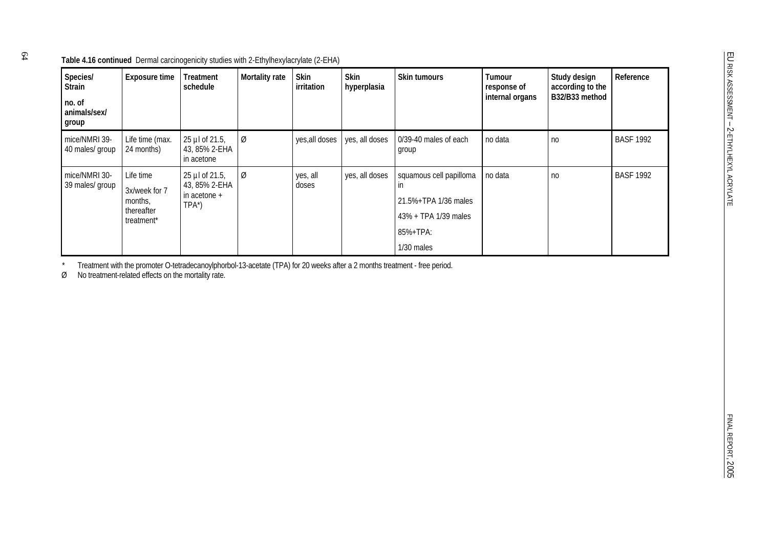# <sup>64</sup> **Table 4.16 continued** Dermal carcinogenicity studies with 2-Ethylhexylacrylate (2-EHA)

| Species/<br>Strain<br>no. of<br>animals/sex/<br>group | Exposure time                                                     | <b>Treatment</b><br>schedule                                            | <b>Mortality rate</b> | Skin<br>irritation | Skin<br>hyperplasia | Skin tumours                                                                                            | Tumour<br>response of<br>internal organs | Study design<br>according to the<br>B32/B33 method | Reference        |
|-------------------------------------------------------|-------------------------------------------------------------------|-------------------------------------------------------------------------|-----------------------|--------------------|---------------------|---------------------------------------------------------------------------------------------------------|------------------------------------------|----------------------------------------------------|------------------|
| mice/NMRI 39-<br>40 males/ group                      | Life time (max.<br>24 months)                                     | 25 µl of 21.5,<br>43, 85% 2-EHA<br>in acetone                           | Ø                     | yes, all doses     | yes, all doses      | 0/39-40 males of each<br>group                                                                          | no data                                  | n <sub>0</sub>                                     | <b>BASF 1992</b> |
| mice/NMRI 30-<br>39 males/ group                      | Life time<br>3x/week for 7<br>months,<br>thereafter<br>treatment* | 25 µl of 21.5,<br>43, 85% 2-EHA<br>in acetone $+$<br>TPA <sup>*</sup> ) | Ø                     | yes, all<br>doses  | yes, all doses      | squamous cell papilloma<br>ın<br>21.5%+TPA 1/36 males<br>43% + TPA 1/39 males<br>85%+TPA:<br>1/30 males | no data                                  | n <sub>0</sub>                                     | <b>BASF 1992</b> |

\* Treatment with the promoter O-tetradecanoylphorbol-13-acetate (TPA) for 20 weeks after a 2 months treatment - free period.

Ø No treatment-related effects on the mortality rate.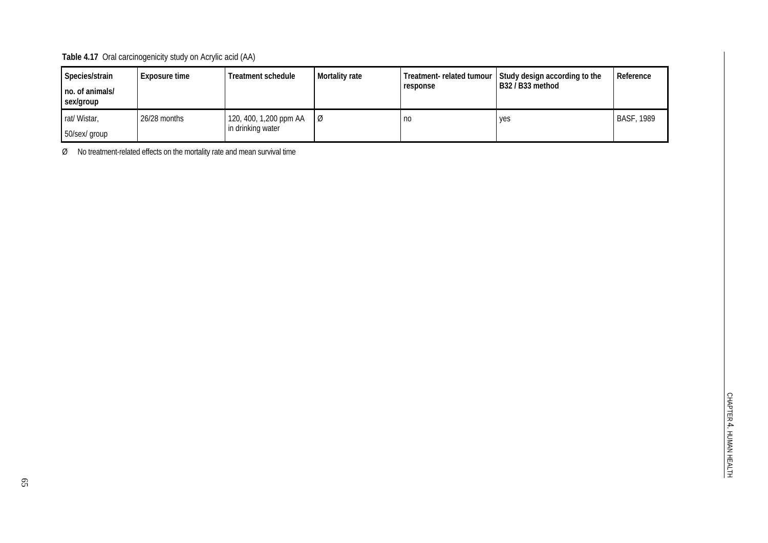**Table 4.17** Oral carcinogenicity study on Acrylic acid (AA)

| Species/strain<br>no. of animals/<br>sex/group | Exposure time | Treatment schedule     | Mortality rate | Treatment-related tumour<br>response | Study design according to the<br>B32 / B33 method | Reference         |
|------------------------------------------------|---------------|------------------------|----------------|--------------------------------------|---------------------------------------------------|-------------------|
| rat/ Wistar,                                   | 26/28 months  | 120, 400, 1,200 ppm AA | I Ø            | no                                   | yes                                               | <b>BASF, 1989</b> |
| 50/sex/ group                                  |               | in drinking water      |                |                                      |                                                   |                   |

Ø No treatment-related effects on the mortality rate and mean survival time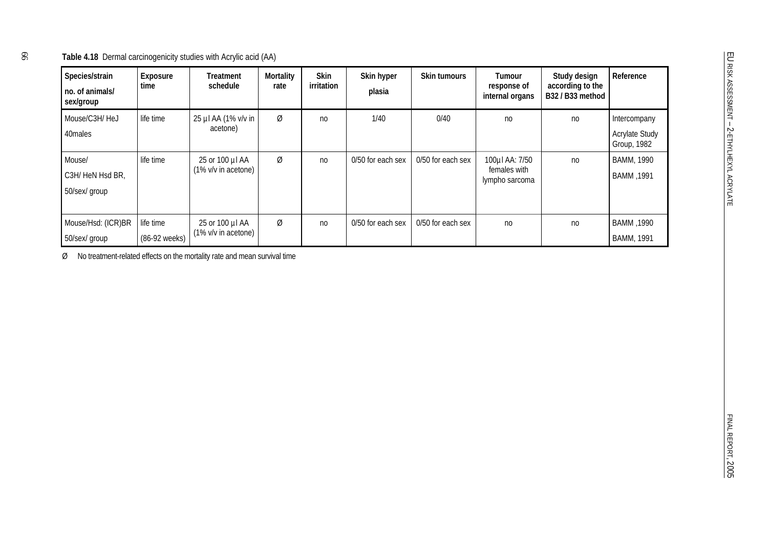# 66**Table 4.18** Dermal carcinogenicity studies with Acrylic acid (AA)

| Species/strain<br>no. of animals/<br>sex/group | Exposure<br>time           | <b>Treatment</b><br>schedule           | Mortality<br>rate | Skin<br>irritation | Skin hyper<br>plasia | Skin tumours      | <b>Tumour</b><br>response of<br>internal organs  | Study design<br>according to the<br>B32 / B33 method | Reference                                            |
|------------------------------------------------|----------------------------|----------------------------------------|-------------------|--------------------|----------------------|-------------------|--------------------------------------------------|------------------------------------------------------|------------------------------------------------------|
| Mouse/C3H/ HeJ<br>40males                      | life time                  | 25 µl AA (1% v/v in<br>acetone)        | Ø                 | n <sub>0</sub>     | 1/40                 | 0/40              | no                                               | no                                                   | Intercompany<br><b>Acrylate Study</b><br>Group, 1982 |
| Mouse/<br>C3H/ HeN Hsd BR,<br>50/sex/ group    | life time                  | 25 or 100 µl AA<br>(1% v/v in acetone) | Ø                 | n <sub>0</sub>     | 0/50 for each sex    | 0/50 for each sex | 100µl AA: 7/50<br>females with<br>lympho sarcoma | no                                                   | <b>BAMM, 1990</b><br>BAMM .1991                      |
| Mouse/Hsd: (ICR)BR<br>50/sex/ group            | life time<br>(86-92 weeks) | 25 or 100 µl AA<br>(1% v/v in acetone) | Ø                 | n <sub>0</sub>     | 0/50 for each sex    | 0/50 for each sex | no                                               | no                                                   | BAMM, 1990<br><b>BAMM, 1991</b>                      |

Ø No treatment-related effects on the mortality rate and mean survival time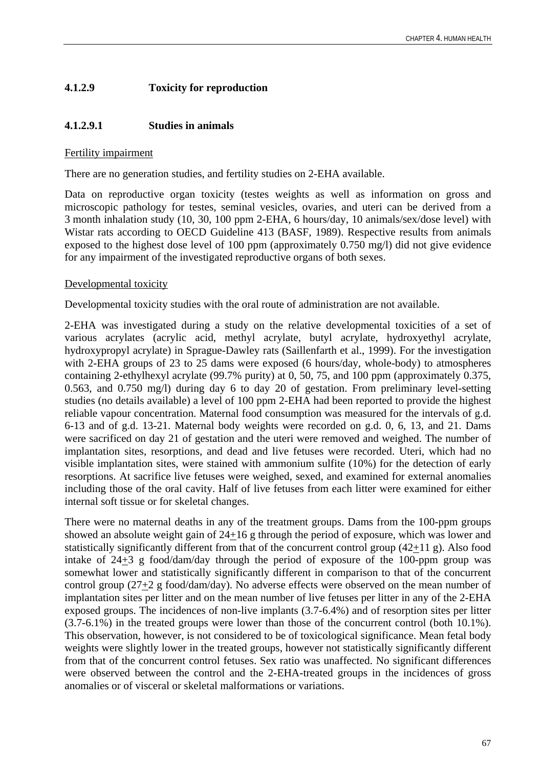# **4.1.2.9 Toxicity for reproduction**

# **4.1.2.9.1 Studies in animals**

#### Fertility impairment

There are no generation studies, and fertility studies on 2-EHA available.

Data on reproductive organ toxicity (testes weights as well as information on gross and microscopic pathology for testes, seminal vesicles, ovaries, and uteri can be derived from a 3 month inhalation study (10, 30, 100 ppm 2-EHA, 6 hours/day, 10 animals/sex/dose level) with Wistar rats according to OECD Guideline 413 (BASF, 1989). Respective results from animals exposed to the highest dose level of 100 ppm (approximately 0.750 mg/l) did not give evidence for any impairment of the investigated reproductive organs of both sexes.

## Developmental toxicity

Developmental toxicity studies with the oral route of administration are not available.

2-EHA was investigated during a study on the relative developmental toxicities of a set of various acrylates (acrylic acid, methyl acrylate, butyl acrylate, hydroxyethyl acrylate, hydroxypropyl acrylate) in Sprague-Dawley rats (Saillenfarth et al., 1999). For the investigation with 2-EHA groups of 23 to 25 dams were exposed (6 hours/day, whole-body) to atmospheres containing 2-ethylhexyl acrylate (99.7% purity) at 0, 50, 75, and 100 ppm (approximately 0.375, 0.563, and 0.750 mg/l) during day 6 to day 20 of gestation. From preliminary level-setting studies (no details available) a level of 100 ppm 2-EHA had been reported to provide the highest reliable vapour concentration. Maternal food consumption was measured for the intervals of g.d. 6-13 and of g.d. 13-21. Maternal body weights were recorded on g.d. 0, 6, 13, and 21. Dams were sacrificed on day 21 of gestation and the uteri were removed and weighed. The number of implantation sites, resorptions, and dead and live fetuses were recorded. Uteri, which had no visible implantation sites, were stained with ammonium sulfite (10%) for the detection of early resorptions. At sacrifice live fetuses were weighed, sexed, and examined for external anomalies including those of the oral cavity. Half of live fetuses from each litter were examined for either internal soft tissue or for skeletal changes.

There were no maternal deaths in any of the treatment groups. Dams from the 100-ppm groups showed an absolute weight gain of 24+16 g through the period of exposure, which was lower and statistically significantly different from that of the concurrent control group (42+11 g). Also food intake of  $24\pm3$  g food/dam/day through the period of exposure of the 100-ppm group was somewhat lower and statistically significantly different in comparison to that of the concurrent control group (27+2 g food/dam/day). No adverse effects were observed on the mean number of implantation sites per litter and on the mean number of live fetuses per litter in any of the 2-EHA exposed groups. The incidences of non-live implants (3.7-6.4%) and of resorption sites per litter (3.7-6.1%) in the treated groups were lower than those of the concurrent control (both 10.1%). This observation, however, is not considered to be of toxicological significance. Mean fetal body weights were slightly lower in the treated groups, however not statistically significantly different from that of the concurrent control fetuses. Sex ratio was unaffected. No significant differences were observed between the control and the 2-EHA-treated groups in the incidences of gross anomalies or of visceral or skeletal malformations or variations.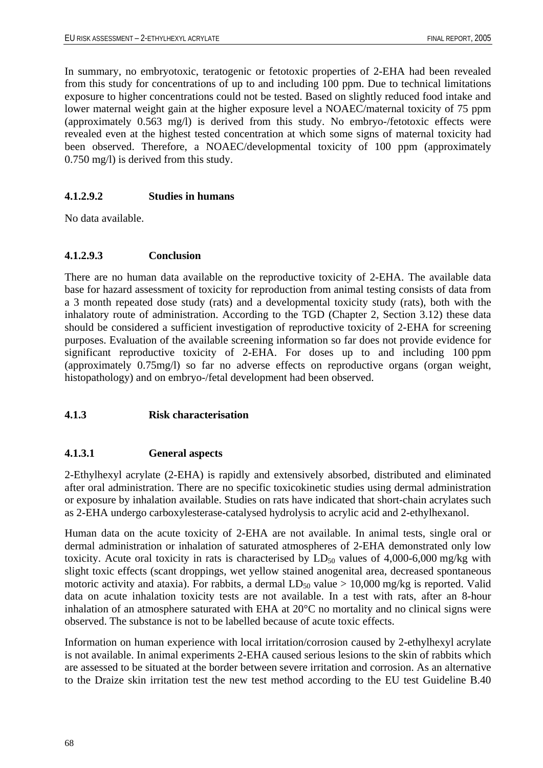In summary, no embryotoxic, teratogenic or fetotoxic properties of 2-EHA had been revealed from this study for concentrations of up to and including 100 ppm. Due to technical limitations exposure to higher concentrations could not be tested. Based on slightly reduced food intake and lower maternal weight gain at the higher exposure level a NOAEC/maternal toxicity of 75 ppm (approximately 0.563 mg/l) is derived from this study. No embryo-/fetotoxic effects were revealed even at the highest tested concentration at which some signs of maternal toxicity had been observed. Therefore, a NOAEC/developmental toxicity of 100 ppm (approximately 0.750 mg/l) is derived from this study.

# **4.1.2.9.2 Studies in humans**

No data available.

# **4.1.2.9.3 Conclusion**

There are no human data available on the reproductive toxicity of 2-EHA. The available data base for hazard assessment of toxicity for reproduction from animal testing consists of data from a 3 month repeated dose study (rats) and a developmental toxicity study (rats), both with the inhalatory route of administration. According to the TGD (Chapter 2, Section 3.12) these data should be considered a sufficient investigation of reproductive toxicity of 2-EHA for screening purposes. Evaluation of the available screening information so far does not provide evidence for significant reproductive toxicity of 2-EHA. For doses up to and including 100 ppm (approximately 0.75mg/l) so far no adverse effects on reproductive organs (organ weight, histopathology) and on embryo-/fetal development had been observed.

# **4.1.3 Risk characterisation**

# **4.1.3.1 General aspects**

2-Ethylhexyl acrylate (2-EHA) is rapidly and extensively absorbed, distributed and eliminated after oral administration. There are no specific toxicokinetic studies using dermal administration or exposure by inhalation available. Studies on rats have indicated that short-chain acrylates such as 2-EHA undergo carboxylesterase-catalysed hydrolysis to acrylic acid and 2-ethylhexanol.

Human data on the acute toxicity of 2-EHA are not available. In animal tests, single oral or dermal administration or inhalation of saturated atmospheres of 2-EHA demonstrated only low toxicity. Acute oral toxicity in rats is characterised by  $LD_{50}$  values of 4,000-6,000 mg/kg with slight toxic effects (scant droppings, wet yellow stained anogenital area, decreased spontaneous motoric activity and ataxia). For rabbits, a dermal  $LD_{50}$  value  $> 10,000$  mg/kg is reported. Valid data on acute inhalation toxicity tests are not available. In a test with rats, after an 8-hour inhalation of an atmosphere saturated with EHA at 20°C no mortality and no clinical signs were observed. The substance is not to be labelled because of acute toxic effects.

Information on human experience with local irritation/corrosion caused by 2-ethylhexyl acrylate is not available. In animal experiments 2-EHA caused serious lesions to the skin of rabbits which are assessed to be situated at the border between severe irritation and corrosion. As an alternative to the Draize skin irritation test the new test method according to the EU test Guideline B.40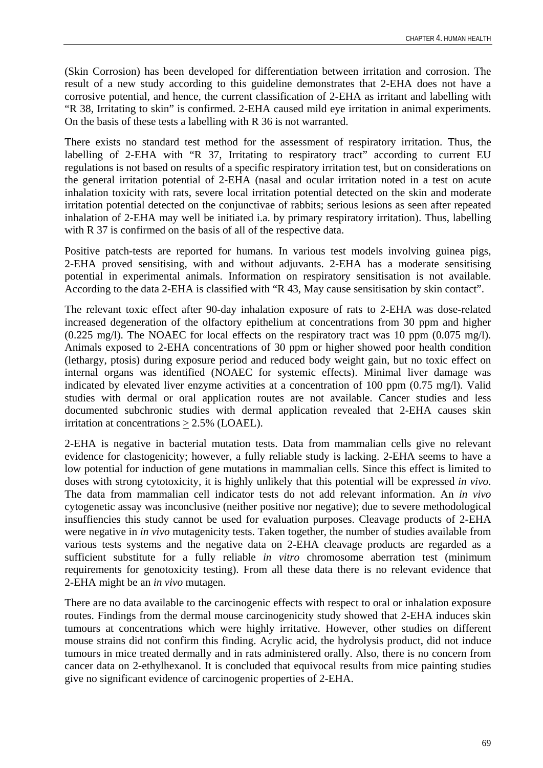(Skin Corrosion) has been developed for differentiation between irritation and corrosion. The result of a new study according to this guideline demonstrates that 2-EHA does not have a corrosive potential, and hence, the current classification of 2-EHA as irritant and labelling with "R 38, Irritating to skin" is confirmed. 2-EHA caused mild eye irritation in animal experiments. On the basis of these tests a labelling with R 36 is not warranted.

There exists no standard test method for the assessment of respiratory irritation. Thus, the labelling of 2-EHA with "R 37, Irritating to respiratory tract" according to current EU regulations is not based on results of a specific respiratory irritation test, but on considerations on the general irritation potential of 2-EHA (nasal and ocular irritation noted in a test on acute inhalation toxicity with rats, severe local irritation potential detected on the skin and moderate irritation potential detected on the conjunctivae of rabbits; serious lesions as seen after repeated inhalation of 2-EHA may well be initiated i.a. by primary respiratory irritation). Thus, labelling with R 37 is confirmed on the basis of all of the respective data.

Positive patch-tests are reported for humans. In various test models involving guinea pigs, 2-EHA proved sensitising, with and without adjuvants. 2-EHA has a moderate sensitising potential in experimental animals. Information on respiratory sensitisation is not available. According to the data 2-EHA is classified with "R 43, May cause sensitisation by skin contact".

The relevant toxic effect after 90-day inhalation exposure of rats to 2-EHA was dose-related increased degeneration of the olfactory epithelium at concentrations from 30 ppm and higher  $(0.225 \text{ mg/l})$ . The NOAEC for local effects on the respiratory tract was 10 ppm  $(0.075 \text{ mg/l})$ . Animals exposed to 2-EHA concentrations of 30 ppm or higher showed poor health condition (lethargy, ptosis) during exposure period and reduced body weight gain, but no toxic effect on internal organs was identified (NOAEC for systemic effects). Minimal liver damage was indicated by elevated liver enzyme activities at a concentration of 100 ppm (0.75 mg/l). Valid studies with dermal or oral application routes are not available. Cancer studies and less documented subchronic studies with dermal application revealed that 2-EHA causes skin irritation at concentrations  $\geq$  2.5% (LOAEL).

2-EHA is negative in bacterial mutation tests. Data from mammalian cells give no relevant evidence for clastogenicity; however, a fully reliable study is lacking. 2-EHA seems to have a low potential for induction of gene mutations in mammalian cells. Since this effect is limited to doses with strong cytotoxicity, it is highly unlikely that this potential will be expressed *in vivo*. The data from mammalian cell indicator tests do not add relevant information. An *in vivo* cytogenetic assay was inconclusive (neither positive nor negative); due to severe methodological insuffiencies this study cannot be used for evaluation purposes. Cleavage products of 2-EHA were negative in *in vivo* mutagenicity tests. Taken together, the number of studies available from various tests systems and the negative data on 2-EHA cleavage products are regarded as a sufficient substitute for a fully reliable *in vitro* chromosome aberration test (minimum requirements for genotoxicity testing). From all these data there is no relevant evidence that 2-EHA might be an *in vivo* mutagen.

There are no data available to the carcinogenic effects with respect to oral or inhalation exposure routes. Findings from the dermal mouse carcinogenicity study showed that 2-EHA induces skin tumours at concentrations which were highly irritative. However, other studies on different mouse strains did not confirm this finding. Acrylic acid, the hydrolysis product, did not induce tumours in mice treated dermally and in rats administered orally. Also, there is no concern from cancer data on 2-ethylhexanol. It is concluded that equivocal results from mice painting studies give no significant evidence of carcinogenic properties of 2-EHA.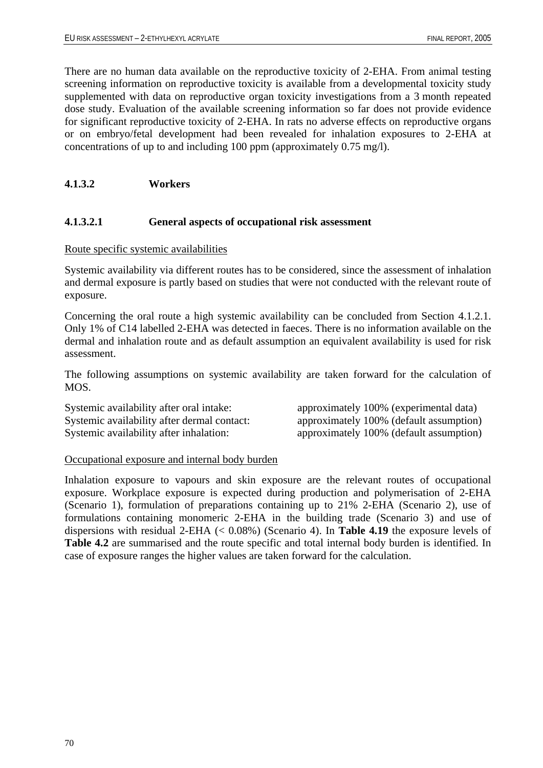There are no human data available on the reproductive toxicity of 2-EHA. From animal testing screening information on reproductive toxicity is available from a developmental toxicity study supplemented with data on reproductive organ toxicity investigations from a 3 month repeated dose study. Evaluation of the available screening information so far does not provide evidence for significant reproductive toxicity of 2-EHA. In rats no adverse effects on reproductive organs or on embryo/fetal development had been revealed for inhalation exposures to 2-EHA at concentrations of up to and including 100 ppm (approximately 0.75 mg/l).

## **4.1.3.2 Workers**

# **4.1.3.2.1 General aspects of occupational risk assessment**

## Route specific systemic availabilities

Systemic availability via different routes has to be considered, since the assessment of inhalation and dermal exposure is partly based on studies that were not conducted with the relevant route of exposure.

Concerning the oral route a high systemic availability can be concluded from Section 4.1.2.1. Only 1% of C14 labelled 2-EHA was detected in faeces. There is no information available on the dermal and inhalation route and as default assumption an equivalent availability is used for risk assessment.

The following assumptions on systemic availability are taken forward for the calculation of MOS.

Systemic availability after oral intake: approximately 100% (experimental data) Systemic availability after dermal contact: approximately 100% (default assumption) Systemic availability after inhalation: approximately 100% (default assumption)

## Occupational exposure and internal body burden

Inhalation exposure to vapours and skin exposure are the relevant routes of occupational exposure. Workplace exposure is expected during production and polymerisation of 2-EHA (Scenario 1), formulation of preparations containing up to 21% 2-EHA (Scenario 2), use of formulations containing monomeric 2-EHA in the building trade (Scenario 3) and use of dispersions with residual 2-EHA (< 0.08%) (Scenario 4). In **Table 4.19** the exposure levels of **Table 4.2** are summarised and the route specific and total internal body burden is identified. In case of exposure ranges the higher values are taken forward for the calculation.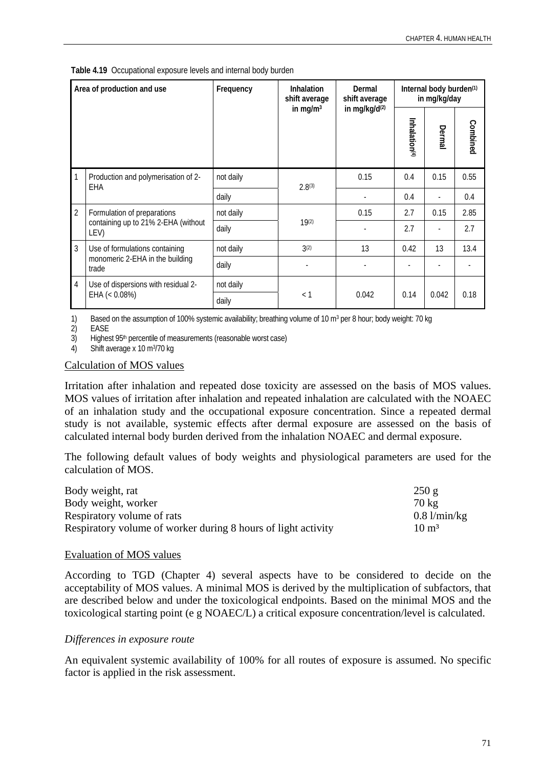| Area of production and use |                                             | Frequency | <b>Inhalation</b><br>shift average | Dermal<br>shift average | Internal body burden <sup>(1)</sup><br>in mg/kg/day |                |          |
|----------------------------|---------------------------------------------|-----------|------------------------------------|-------------------------|-----------------------------------------------------|----------------|----------|
|                            |                                             |           | in mg/m $3$                        | in mg/kg/d(2)           | Inhalation <sup>(4)</sup>                           | Dermal         | Combined |
|                            | Production and polymerisation of 2-<br>EHA  | not daily | $2.8^{(3)}$                        | 0.15                    | 0.4                                                 | 0.15           | 0.55     |
|                            |                                             | daily     |                                    |                         | 0.4                                                 | $\overline{a}$ | 0.4      |
| $\overline{2}$             | Formulation of preparations                 | not daily | $19^{(2)}$                         | 0.15                    | 2.7                                                 | 0.15           | 2.85     |
|                            | containing up to 21% 2-EHA (without<br>LEV) | daily     |                                    |                         | 2.7                                                 |                | 2.7      |
| $\mathfrak{Z}$             | Use of formulations containing              | not daily | $3^{(2)}$                          | 13                      | 0.42                                                | 13             | 13.4     |
|                            | monomeric 2-EHA in the building<br>trade    | daily     |                                    |                         |                                                     |                |          |
| $\overline{4}$             | Use of dispersions with residual 2-         | not daily |                                    |                         |                                                     |                |          |
|                            | EHA (< 0.08%)                               | daily     | $<$ 1                              | 0.042                   | 0.14                                                | 0.042          | 0.18     |

**Table 4.19** Occupational exposure levels and internal body burden

1) Based on the assumption of 100% systemic availability; breathing volume of 10 m<sup>3</sup> per 8 hour; body weight: 70 kg

2) EASE<br>3) Highes

Highest 95<sup>th</sup> percentile of measurements (reasonable worst case)

4) Shift average x 10 m3/70 kg

Calculation of MOS values

Irritation after inhalation and repeated dose toxicity are assessed on the basis of MOS values. MOS values of irritation after inhalation and repeated inhalation are calculated with the NOAEC of an inhalation study and the occupational exposure concentration. Since a repeated dermal study is not available, systemic effects after dermal exposure are assessed on the basis of calculated internal body burden derived from the inhalation NOAEC and dermal exposure.

The following default values of body weights and physiological parameters are used for the calculation of MOS.

| Body weight, rat                                              | 250 g            |
|---------------------------------------------------------------|------------------|
| Body weight, worker                                           | $70 \text{ kg}$  |
| Respiratory volume of rats                                    | $0.8$ l/min/kg   |
| Respiratory volume of worker during 8 hours of light activity | $10 \text{ m}^3$ |

## Evaluation of MOS values

According to TGD (Chapter 4) several aspects have to be considered to decide on the acceptability of MOS values. A minimal MOS is derived by the multiplication of subfactors, that are described below and under the toxicological endpoints. Based on the minimal MOS and the toxicological starting point (e g NOAEC/L) a critical exposure concentration/level is calculated.

## *Differences in exposure route*

An equivalent systemic availability of 100% for all routes of exposure is assumed. No specific factor is applied in the risk assessment.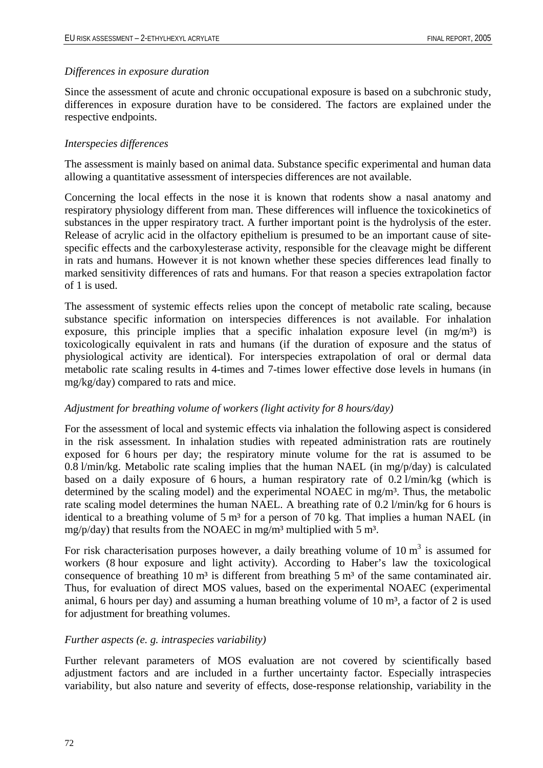## *Differences in exposure duration*

Since the assessment of acute and chronic occupational exposure is based on a subchronic study, differences in exposure duration have to be considered. The factors are explained under the respective endpoints.

# *Interspecies differences*

The assessment is mainly based on animal data. Substance specific experimental and human data allowing a quantitative assessment of interspecies differences are not available.

Concerning the local effects in the nose it is known that rodents show a nasal anatomy and respiratory physiology different from man. These differences will influence the toxicokinetics of substances in the upper respiratory tract. A further important point is the hydrolysis of the ester. Release of acrylic acid in the olfactory epithelium is presumed to be an important cause of sitespecific effects and the carboxylesterase activity, responsible for the cleavage might be different in rats and humans. However it is not known whether these species differences lead finally to marked sensitivity differences of rats and humans. For that reason a species extrapolation factor of 1 is used.

The assessment of systemic effects relies upon the concept of metabolic rate scaling, because substance specific information on interspecies differences is not available. For inhalation exposure, this principle implies that a specific inhalation exposure level (in mg/m<sup>3</sup>) is toxicologically equivalent in rats and humans (if the duration of exposure and the status of physiological activity are identical). For interspecies extrapolation of oral or dermal data metabolic rate scaling results in 4-times and 7-times lower effective dose levels in humans (in mg/kg/day) compared to rats and mice.

## *Adjustment for breathing volume of workers (light activity for 8 hours/day)*

For the assessment of local and systemic effects via inhalation the following aspect is considered in the risk assessment. In inhalation studies with repeated administration rats are routinely exposed for 6 hours per day; the respiratory minute volume for the rat is assumed to be 0.8 l/min/kg. Metabolic rate scaling implies that the human NAEL (in mg/p/day) is calculated based on a daily exposure of 6 hours, a human respiratory rate of 0.2 l/min/kg (which is determined by the scaling model) and the experimental NOAEC in mg/m<sup>3</sup>. Thus, the metabolic rate scaling model determines the human NAEL. A breathing rate of 0.2 l/min/kg for 6 hours is identical to a breathing volume of  $5 \text{ m}^3$  for a person of  $70 \text{ kg}$ . That implies a human NAEL (in mg/p/day) that results from the NOAEC in mg/m<sup>3</sup> multiplied with 5 m<sup>3</sup>.

For risk characterisation purposes however, a daily breathing volume of 10  $m<sup>3</sup>$  is assumed for workers (8 hour exposure and light activity). According to Haber's law the toxicological consequence of breathing 10 m<sup>3</sup> is different from breathing 5 m<sup>3</sup> of the same contaminated air. Thus, for evaluation of direct MOS values, based on the experimental NOAEC (experimental animal, 6 hours per day) and assuming a human breathing volume of 10  $m<sup>3</sup>$ , a factor of 2 is used for adjustment for breathing volumes.

## *Further aspects (e. g. intraspecies variability)*

Further relevant parameters of MOS evaluation are not covered by scientifically based adjustment factors and are included in a further uncertainty factor. Especially intraspecies variability, but also nature and severity of effects, dose-response relationship, variability in the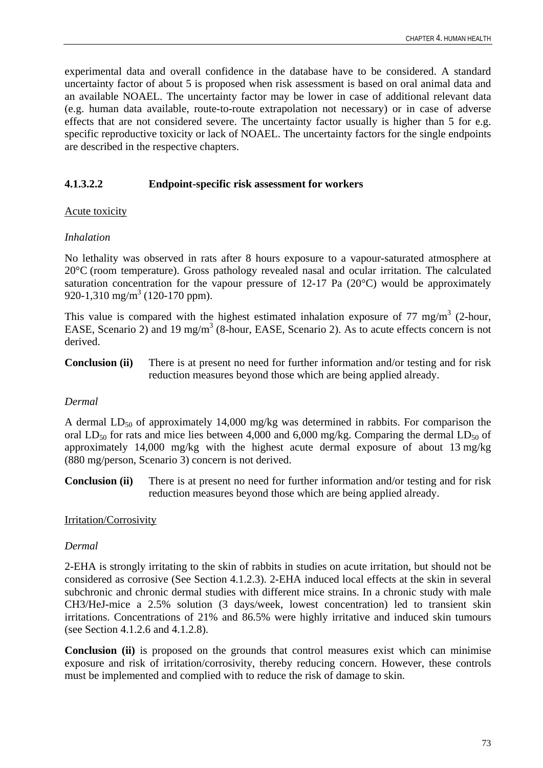experimental data and overall confidence in the database have to be considered. A standard uncertainty factor of about 5 is proposed when risk assessment is based on oral animal data and an available NOAEL. The uncertainty factor may be lower in case of additional relevant data (e.g. human data available, route-to-route extrapolation not necessary) or in case of adverse effects that are not considered severe. The uncertainty factor usually is higher than 5 for e.g. specific reproductive toxicity or lack of NOAEL. The uncertainty factors for the single endpoints are described in the respective chapters.

# **4.1.3.2.2 Endpoint-specific risk assessment for workers**

# Acute toxicity

## *Inhalation*

No lethality was observed in rats after 8 hours exposure to a vapour-saturated atmosphere at 20°C (room temperature). Gross pathology revealed nasal and ocular irritation. The calculated saturation concentration for the vapour pressure of 12-17 Pa  $(20^{\circ}C)$  would be approximately 920-1,310 mg/m<sup>3</sup> (120-170 ppm).

This value is compared with the highest estimated inhalation exposure of 77 mg/m<sup>3</sup> (2-hour, EASE, Scenario 2) and 19 mg/m<sup>3</sup> (8-hour, EASE, Scenario 2). As to acute effects concern is not derived.

**Conclusion (ii)** There is at present no need for further information and/or testing and for risk reduction measures beyond those which are being applied already.

# *Dermal*

A dermal  $LD_{50}$  of approximately 14,000 mg/kg was determined in rabbits. For comparison the oral  $LD_{50}$  for rats and mice lies between 4,000 and 6,000 mg/kg. Comparing the dermal  $LD_{50}$  of approximately 14,000 mg/kg with the highest acute dermal exposure of about 13 mg/kg (880 mg/person, Scenario 3) concern is not derived.

**Conclusion (ii)** There is at present no need for further information and/or testing and for risk reduction measures beyond those which are being applied already.

## Irritation/Corrosivity

## *Dermal*

2-EHA is strongly irritating to the skin of rabbits in studies on acute irritation, but should not be considered as corrosive (See Section 4.1.2.3). 2-EHA induced local effects at the skin in several subchronic and chronic dermal studies with different mice strains. In a chronic study with male CH3/HeJ-mice a 2.5% solution (3 days/week, lowest concentration) led to transient skin irritations. Concentrations of 21% and 86.5% were highly irritative and induced skin tumours (see Section 4.1.2.6 and 4.1.2.8).

**Conclusion (ii)** is proposed on the grounds that control measures exist which can minimise exposure and risk of irritation/corrosivity, thereby reducing concern. However, these controls must be implemented and complied with to reduce the risk of damage to skin.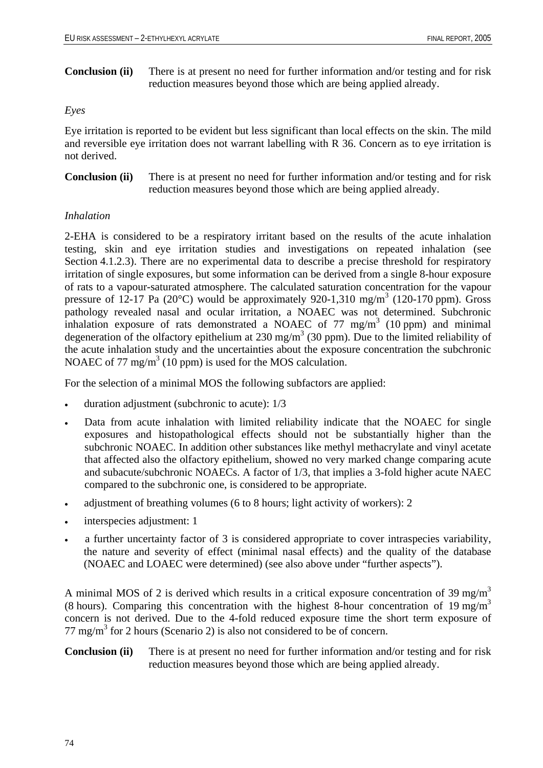**Conclusion (ii)** There is at present no need for further information and/or testing and for risk reduction measures beyond those which are being applied already.

# *Eyes*

Eye irritation is reported to be evident but less significant than local effects on the skin. The mild and reversible eye irritation does not warrant labelling with R 36. Concern as to eye irritation is not derived.

# **Conclusion (ii)** There is at present no need for further information and/or testing and for risk reduction measures beyond those which are being applied already.

# *Inhalation*

2-EHA is considered to be a respiratory irritant based on the results of the acute inhalation testing, skin and eye irritation studies and investigations on repeated inhalation (see Section 4.1.2.3). There are no experimental data to describe a precise threshold for respiratory irritation of single exposures, but some information can be derived from a single 8-hour exposure of rats to a vapour-saturated atmosphere. The calculated saturation concentration for the vapour pressure of 12-17 Pa (20 $^{\circ}$ C) would be approximately 920-1,310 mg/m<sup>3</sup> (120-170 ppm). Gross pathology revealed nasal and ocular irritation, a NOAEC was not determined. Subchronic inhalation exposure of rats demonstrated a NOAEC of  $77 \text{ mg/m}^3$  (10 ppm) and minimal degeneration of the olfactory epithelium at 230 mg/m<sup>3</sup> (30 ppm). Due to the limited reliability of the acute inhalation study and the uncertainties about the exposure concentration the subchronic NOAEC of 77 mg/m<sup>3</sup> (10 ppm) is used for the MOS calculation.

For the selection of a minimal MOS the following subfactors are applied:

- duration adjustment (subchronic to acute):  $1/3$
- Data from acute inhalation with limited reliability indicate that the NOAEC for single exposures and histopathological effects should not be substantially higher than the subchronic NOAEC. In addition other substances like methyl methacrylate and vinyl acetate that affected also the olfactory epithelium, showed no very marked change comparing acute and subacute/subchronic NOAECs. A factor of 1/3, that implies a 3-fold higher acute NAEC compared to the subchronic one, is considered to be appropriate.
- adjustment of breathing volumes (6 to 8 hours; light activity of workers): 2
- interspecies adjustment: 1
- a further uncertainty factor of 3 is considered appropriate to cover intraspecies variability, the nature and severity of effect (minimal nasal effects) and the quality of the database (NOAEC and LOAEC were determined) (see also above under "further aspects").

A minimal MOS of 2 is derived which results in a critical exposure concentration of 39 mg/m<sup>3</sup> (8 hours). Comparing this concentration with the highest 8-hour concentration of 19 mg/m<sup>3</sup> concern is not derived. Due to the 4-fold reduced exposure time the short term exposure of  $77 \text{ mg/m}^3$  for 2 hours (Scenario 2) is also not considered to be of concern.

# **Conclusion (ii)** There is at present no need for further information and/or testing and for risk reduction measures beyond those which are being applied already.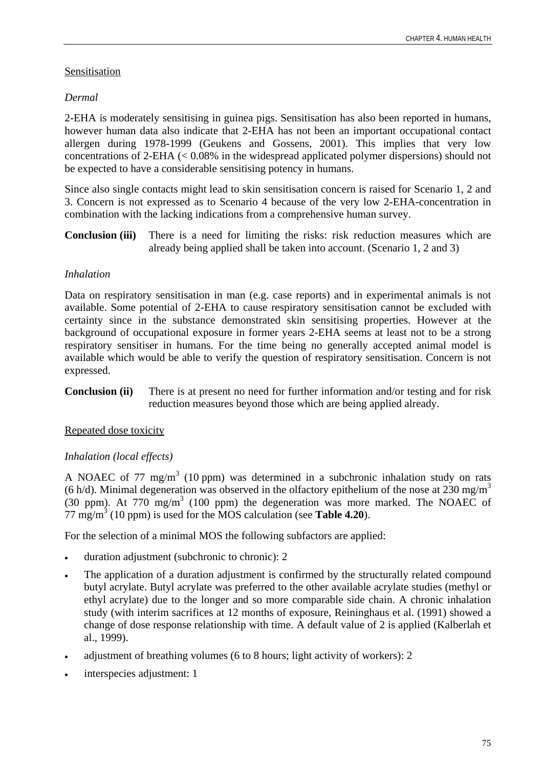# Sensitisation

# *Dermal*

2-EHA is moderately sensitising in guinea pigs. Sensitisation has also been reported in humans, however human data also indicate that 2-EHA has not been an important occupational contact allergen during 1978-1999 (Geukens and Gossens, 2001). This implies that very low concentrations of 2-EHA (< 0.08% in the widespread applicated polymer dispersions) should not be expected to have a considerable sensitising potency in humans.

Since also single contacts might lead to skin sensitisation concern is raised for Scenario 1, 2 and 3. Concern is not expressed as to Scenario 4 because of the very low 2-EHA-concentration in combination with the lacking indications from a comprehensive human survey.

**Conclusion (iii)** There is a need for limiting the risks: risk reduction measures which are already being applied shall be taken into account. (Scenario 1, 2 and 3)

# *Inhalation*

Data on respiratory sensitisation in man (e.g. case reports) and in experimental animals is not available. Some potential of 2-EHA to cause respiratory sensitisation cannot be excluded with certainty since in the substance demonstrated skin sensitising properties. However at the background of occupational exposure in former years 2-EHA seems at least not to be a strong respiratory sensitiser in humans. For the time being no generally accepted animal model is available which would be able to verify the question of respiratory sensitisation. Concern is not expressed.

**Conclusion (ii)** There is at present no need for further information and/or testing and for risk reduction measures beyond those which are being applied already.

# Repeated dose toxicity

# *Inhalation (local effects)*

A NOAEC of 77 mg/m<sup>3</sup> (10 ppm) was determined in a subchronic inhalation study on rats (6 h/d). Minimal degeneration was observed in the olfactory epithelium of the nose at 230 mg/m<sup>3</sup> (30 ppm). At 770  $\text{mg/m}^3$  (100 ppm) the degeneration was more marked. The NOAEC of  $77 \text{ mg/m}^3$  (10 ppm) is used for the MOS calculation (see **Table 4.20**).

For the selection of a minimal MOS the following subfactors are applied:

- duration adjustment (subchronic to chronic): 2
- The application of a duration adjustment is confirmed by the structurally related compound butyl acrylate. Butyl acrylate was preferred to the other available acrylate studies (methyl or ethyl acrylate) due to the longer and so more comparable side chain. A chronic inhalation study (with interim sacrifices at 12 months of exposure, Reininghaus et al. (1991) showed a change of dose response relationship with time. A default value of 2 is applied (Kalberlah et al., 1999).
- adjustment of breathing volumes (6 to 8 hours; light activity of workers): 2
- interspecies adjustment: 1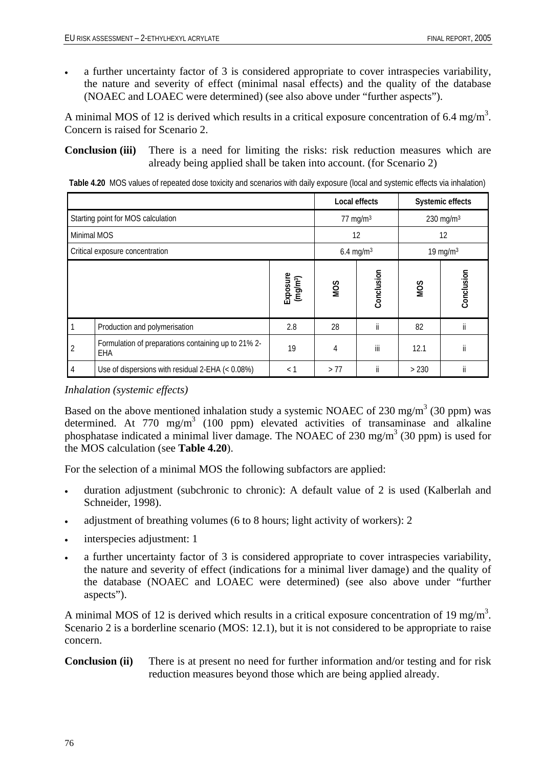• a further uncertainty factor of 3 is considered appropriate to cover intraspecies variability, the nature and severity of effect (minimal nasal effects) and the quality of the database (NOAEC and LOAEC were determined) (see also above under "further aspects").

A minimal MOS of 12 is derived which results in a critical exposure concentration of 6.4 mg/m<sup>3</sup>. Concern is raised for Scenario 2.

**Conclusion (iii)** There is a need for limiting the risks: risk reduction measures which are already being applied shall be taken into account. (for Scenario 2)

|                |                                                            |                                  |      | Local effects           | Systemic effects      |             |
|----------------|------------------------------------------------------------|----------------------------------|------|-------------------------|-----------------------|-------------|
|                | Starting point for MOS calculation                         |                                  |      | $77$ mg/m <sup>3</sup>  | 230 mg/m <sup>3</sup> |             |
| Minimal MOS    |                                                            |                                  |      | 12                      | 12                    |             |
|                | Critical exposure concentration                            |                                  |      | $6.4$ mg/m <sup>3</sup> |                       | 19 mg/m $3$ |
|                |                                                            | Exposure<br>(mg/m <sup>3</sup> ) | MOS  | Conclusion              | NOS                   | Conclusion  |
|                | Production and polymerisation                              | 2.8                              | 28   | ii                      | 82                    | ii          |
| $\overline{2}$ | Formulation of preparations containing up to 21% 2-<br>EHA | 19                               | 4    | Ϊİ                      | 12.1                  | ii          |
| 4              | Use of dispersions with residual 2-EHA (< 0.08%)           | $<$ 1                            | > 77 | ii                      | > 230                 | ii          |

**Table 4.20** MOS values of repeated dose toxicity and scenarios with daily exposure (local and systemic effects via inhalation)

*Inhalation (systemic effects)* 

Based on the above mentioned inhalation study a systemic NOAEC of 230 mg/m<sup>3</sup> (30 ppm) was determined. At 770  $mg/m<sup>3</sup>$  (100 ppm) elevated activities of transaminase and alkaline phosphatase indicated a minimal liver damage. The NOAEC of 230 mg/m<sup>3</sup> (30 ppm) is used for the MOS calculation (see **Table 4.20**).

For the selection of a minimal MOS the following subfactors are applied:

- duration adjustment (subchronic to chronic): A default value of 2 is used (Kalberlah and Schneider, 1998).
- adjustment of breathing volumes (6 to 8 hours; light activity of workers): 2
- interspecies adjustment: 1
- a further uncertainty factor of 3 is considered appropriate to cover intraspecies variability, the nature and severity of effect (indications for a minimal liver damage) and the quality of the database (NOAEC and LOAEC were determined) (see also above under "further aspects").

A minimal MOS of 12 is derived which results in a critical exposure concentration of 19 mg/m<sup>3</sup>. Scenario 2 is a borderline scenario (MOS: 12.1), but it is not considered to be appropriate to raise concern.

# **Conclusion (ii)** There is at present no need for further information and/or testing and for risk reduction measures beyond those which are being applied already.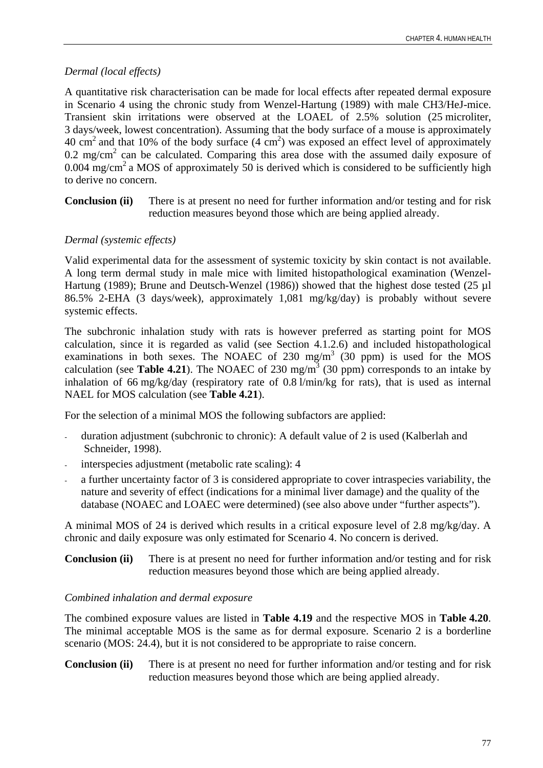# *Dermal (local effects)*

A quantitative risk characterisation can be made for local effects after repeated dermal exposure in Scenario 4 using the chronic study from Wenzel-Hartung (1989) with male CH3/HeJ-mice. Transient skin irritations were observed at the LOAEL of 2.5% solution (25 microliter, 3 days/week, lowest concentration). Assuming that the body surface of a mouse is approximately  $40 \text{ cm}^2$  and that 10% of the body surface  $(4 \text{ cm}^2)$  was exposed an effect level of approximately  $0.2 \text{ mg/cm}^2$  can be calculated. Comparing this area dose with the assumed daily exposure of  $0.004$  mg/cm<sup>2</sup> a MOS of approximately 50 is derived which is considered to be sufficiently high to derive no concern.

**Conclusion (ii)** There is at present no need for further information and/or testing and for risk reduction measures beyond those which are being applied already.

# *Dermal (systemic effects)*

Valid experimental data for the assessment of systemic toxicity by skin contact is not available. A long term dermal study in male mice with limited histopathological examination (Wenzel-Hartung (1989); Brune and Deutsch-Wenzel (1986)) showed that the highest dose tested (25 µl 86.5% 2-EHA (3 days/week), approximately 1,081 mg/kg/day) is probably without severe systemic effects.

The subchronic inhalation study with rats is however preferred as starting point for MOS calculation, since it is regarded as valid (see Section 4.1.2.6) and included histopathological examinations in both sexes. The NOAEC of 230 mg/m<sup>3</sup> (30 ppm) is used for the MOS calculation (see **Table 4.21**). The NOAEC of 230 mg/m<sup>3</sup> (30 ppm) corresponds to an intake by inhalation of 66 mg/kg/day (respiratory rate of 0.8 l/min/kg for rats), that is used as internal NAEL for MOS calculation (see **Table 4.21**).

For the selection of a minimal MOS the following subfactors are applied:

- duration adjustment (subchronic to chronic): A default value of 2 is used (Kalberlah and Schneider, 1998).
- interspecies adjustment (metabolic rate scaling): 4
- a further uncertainty factor of 3 is considered appropriate to cover intraspecies variability, the nature and severity of effect (indications for a minimal liver damage) and the quality of the database (NOAEC and LOAEC were determined) (see also above under "further aspects").

A minimal MOS of 24 is derived which results in a critical exposure level of 2.8 mg/kg/day. A chronic and daily exposure was only estimated for Scenario 4. No concern is derived.

**Conclusion (ii)** There is at present no need for further information and/or testing and for risk reduction measures beyond those which are being applied already.

# *Combined inhalation and dermal exposure*

The combined exposure values are listed in **Table 4.19** and the respective MOS in **Table 4.20**. The minimal acceptable MOS is the same as for dermal exposure. Scenario 2 is a borderline scenario (MOS: 24.4), but it is not considered to be appropriate to raise concern.

# **Conclusion (ii)** There is at present no need for further information and/or testing and for risk reduction measures beyond those which are being applied already.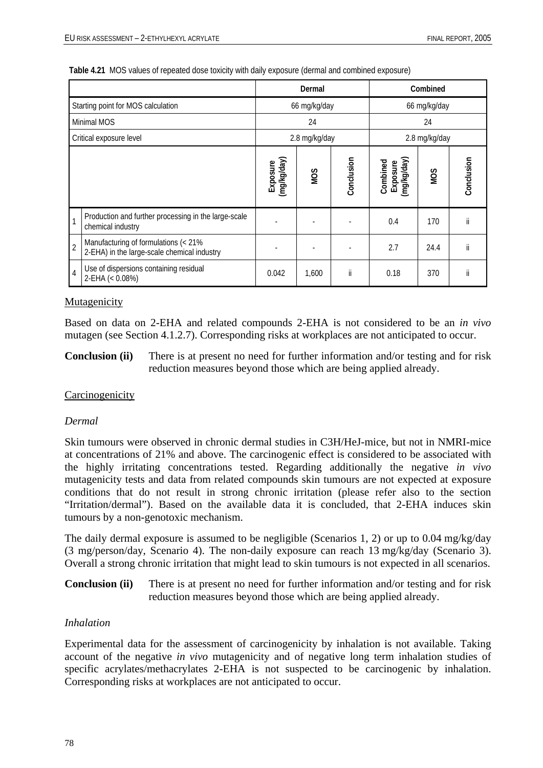|  |  |  |  | Table 4.21 MOS values of repeated dose toxicity with daily exposure (dermal and combined exposure) |  |
|--|--|--|--|----------------------------------------------------------------------------------------------------|--|
|--|--|--|--|----------------------------------------------------------------------------------------------------|--|

|                |                                                                                     | Dermal                  |               |            | Combined                            |      |            |
|----------------|-------------------------------------------------------------------------------------|-------------------------|---------------|------------|-------------------------------------|------|------------|
|                | Starting point for MOS calculation                                                  |                         | 66 mg/kg/day  |            | 66 mg/kg/day                        |      |            |
|                | <b>Minimal MOS</b>                                                                  |                         | 24            |            |                                     | 24   |            |
|                | Critical exposure level                                                             |                         | 2.8 mg/kg/day |            | 2.8 mg/kg/day                       |      |            |
|                |                                                                                     | (mg/kg/day)<br>Exposure | NOS           | Conclusion | Exposure<br>(mg/kg/day)<br>Combined | NOS  | Conclusion |
| $\overline{1}$ | Production and further processing in the large-scale<br>chemical industry           |                         |               |            | 0.4                                 | 170  | ii         |
| $\overline{2}$ | Manufacturing of formulations (< 21%<br>2-EHA) in the large-scale chemical industry |                         |               |            | 2.7                                 | 24.4 | ii         |
| $\overline{4}$ | Use of dispersions containing residual<br>2-EHA (< 0.08%)                           | 0.042                   | 1,600         | ii         | 0.18                                | 370  | ii         |

## **Mutagenicity**

Based on data on 2-EHA and related compounds 2-EHA is not considered to be an *in vivo* mutagen (see Section 4.1.2.7). Corresponding risks at workplaces are not anticipated to occur.

**Conclusion (ii)** There is at present no need for further information and/or testing and for risk reduction measures beyond those which are being applied already.

## **Carcinogenicity**

## *Dermal*

Skin tumours were observed in chronic dermal studies in C3H/HeJ-mice, but not in NMRI-mice at concentrations of 21% and above. The carcinogenic effect is considered to be associated with the highly irritating concentrations tested. Regarding additionally the negative *in vivo* mutagenicity tests and data from related compounds skin tumours are not expected at exposure conditions that do not result in strong chronic irritation (please refer also to the section "Irritation/dermal"). Based on the available data it is concluded, that 2-EHA induces skin tumours by a non-genotoxic mechanism.

The daily dermal exposure is assumed to be negligible (Scenarios 1, 2) or up to 0.04 mg/kg/day (3 mg/person/day, Scenario 4). The non-daily exposure can reach 13 mg/kg/day (Scenario 3). Overall a strong chronic irritation that might lead to skin tumours is not expected in all scenarios.

**Conclusion (ii)** There is at present no need for further information and/or testing and for risk reduction measures beyond those which are being applied already.

## *Inhalation*

Experimental data for the assessment of carcinogenicity by inhalation is not available. Taking account of the negative *in vivo* mutagenicity and of negative long term inhalation studies of specific acrylates/methacrylates 2-EHA is not suspected to be carcinogenic by inhalation. Corresponding risks at workplaces are not anticipated to occur.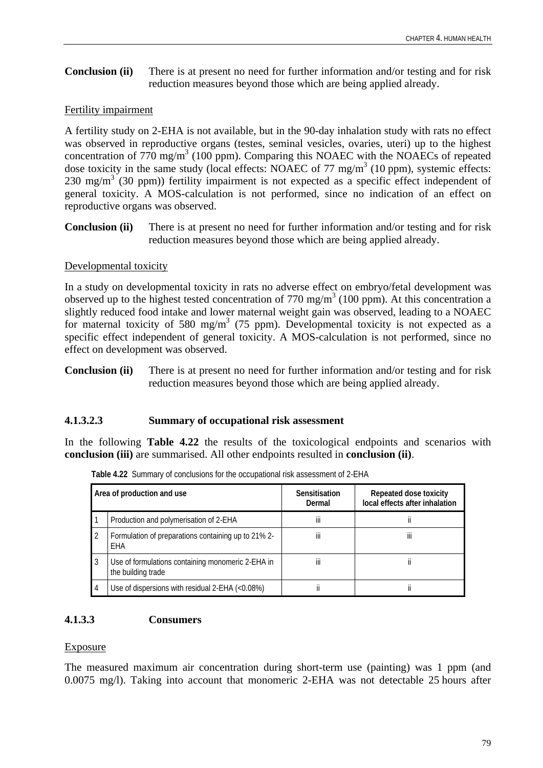**Conclusion (ii)** There is at present no need for further information and/or testing and for risk reduction measures beyond those which are being applied already.

# Fertility impairment

A fertility study on 2-EHA is not available, but in the 90-day inhalation study with rats no effect was observed in reproductive organs (testes, seminal vesicles, ovaries, uteri) up to the highest concentration of 770 mg/m<sup>3</sup> (100 ppm). Comparing this NOAEC with the NOAECs of repeated dose toxicity in the same study (local effects: NOAEC of 77 mg/m<sup>3</sup> (10 ppm), systemic effects:  $230 \text{ mg/m}^3$  (30 ppm)) fertility impairment is not expected as a specific effect independent of general toxicity. A MOS-calculation is not performed, since no indication of an effect on reproductive organs was observed.

**Conclusion (ii)** There is at present no need for further information and/or testing and for risk reduction measures beyond those which are being applied already.

# Developmental toxicity

In a study on developmental toxicity in rats no adverse effect on embryo/fetal development was observed up to the highest tested concentration of 770 mg/m<sup>3</sup> (100 ppm). At this concentration a slightly reduced food intake and lower maternal weight gain was observed, leading to a NOAEC for maternal toxicity of 580 mg/m<sup>3</sup> (75 ppm). Developmental toxicity is not expected as a specific effect independent of general toxicity. A MOS-calculation is not performed, since no effect on development was observed.

**Conclusion (ii)** There is at present no need for further information and/or testing and for risk reduction measures beyond those which are being applied already.

# **4.1.3.2.3 Summary of occupational risk assessment**

In the following **Table 4.22** the results of the toxicological endpoints and scenarios with **conclusion (iii)** are summarised. All other endpoints resulted in **conclusion (ii)**.

| Area of production and use |                                                                         | Sensitisation<br>Dermal | Repeated dose toxicity<br>local effects after inhalation |
|----------------------------|-------------------------------------------------------------------------|-------------------------|----------------------------------------------------------|
|                            | Production and polymerisation of 2-EHA                                  | iii                     | Ш                                                        |
|                            | Formulation of preparations containing up to 21% 2-<br>EHA              | iii                     | Ш                                                        |
| 3                          | Use of formulations containing monomeric 2-EHA in<br>the building trade | iii                     | Ш                                                        |
| $\overline{4}$             | Use of dispersions with residual 2-EHA (<0.08%)                         |                         | Ш                                                        |

**Table 4.22** Summary of conclusions for the occupational risk assessment of 2-EHA

## **4.1.3.3 Consumers**

## Exposure

The measured maximum air concentration during short-term use (painting) was 1 ppm (and 0.0075 mg/l). Taking into account that monomeric 2-EHA was not detectable 25 hours after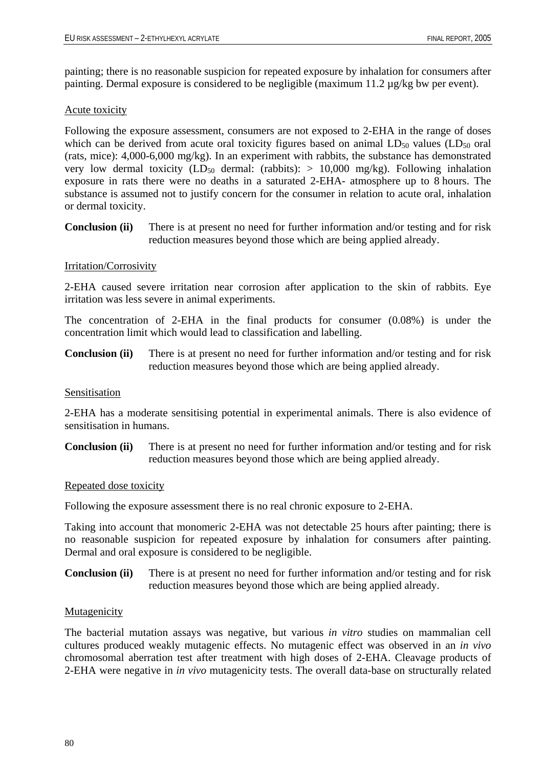painting; there is no reasonable suspicion for repeated exposure by inhalation for consumers after painting. Dermal exposure is considered to be negligible (maximum 11.2 µg/kg bw per event).

# Acute toxicity

Following the exposure assessment, consumers are not exposed to 2-EHA in the range of doses which can be derived from acute oral toxicity figures based on animal  $LD_{50}$  values ( $LD_{50}$  oral (rats, mice): 4,000-6,000 mg/kg). In an experiment with rabbits, the substance has demonstrated very low dermal toxicity  $(LD_{50}$  dermal: (rabbits): > 10,000 mg/kg). Following inhalation exposure in rats there were no deaths in a saturated 2-EHA- atmosphere up to 8 hours. The substance is assumed not to justify concern for the consumer in relation to acute oral, inhalation or dermal toxicity.

**Conclusion (ii)** There is at present no need for further information and/or testing and for risk reduction measures beyond those which are being applied already.

## Irritation/Corrosivity

2-EHA caused severe irritation near corrosion after application to the skin of rabbits. Eye irritation was less severe in animal experiments.

The concentration of 2-EHA in the final products for consumer (0.08%) is under the concentration limit which would lead to classification and labelling.

**Conclusion (ii)** There is at present no need for further information and/or testing and for risk reduction measures beyond those which are being applied already.

#### Sensitisation

2-EHA has a moderate sensitising potential in experimental animals. There is also evidence of sensitisation in humans.

**Conclusion (ii)** There is at present no need for further information and/or testing and for risk reduction measures beyond those which are being applied already.

#### Repeated dose toxicity

Following the exposure assessment there is no real chronic exposure to 2-EHA.

Taking into account that monomeric 2-EHA was not detectable 25 hours after painting; there is no reasonable suspicion for repeated exposure by inhalation for consumers after painting. Dermal and oral exposure is considered to be negligible.

**Conclusion (ii)** There is at present no need for further information and/or testing and for risk reduction measures beyond those which are being applied already.

#### **Mutagenicity**

The bacterial mutation assays was negative, but various *in vitro* studies on mammalian cell cultures produced weakly mutagenic effects. No mutagenic effect was observed in an *in vivo* chromosomal aberration test after treatment with high doses of 2-EHA. Cleavage products of 2-EHA were negative in *in vivo* mutagenicity tests. The overall data-base on structurally related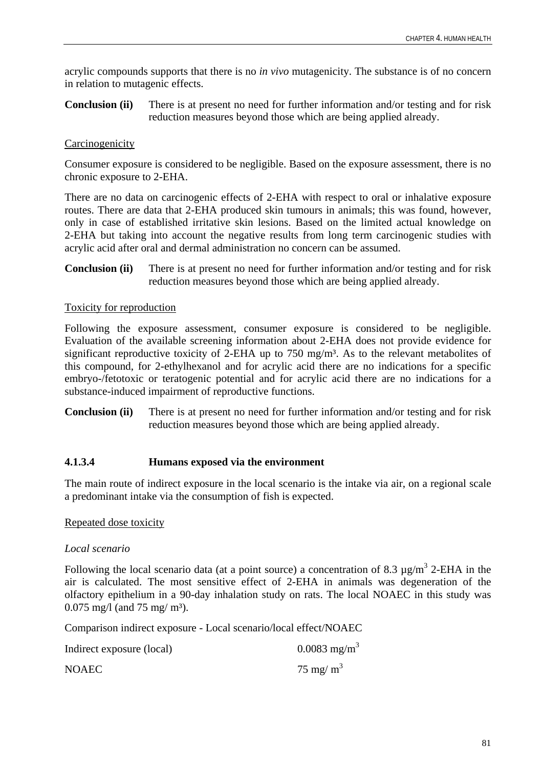acrylic compounds supports that there is no *in vivo* mutagenicity. The substance is of no concern in relation to mutagenic effects.

**Conclusion (ii)** There is at present no need for further information and/or testing and for risk reduction measures beyond those which are being applied already.

# **Carcinogenicity**

Consumer exposure is considered to be negligible. Based on the exposure assessment, there is no chronic exposure to 2-EHA.

There are no data on carcinogenic effects of 2-EHA with respect to oral or inhalative exposure routes. There are data that 2-EHA produced skin tumours in animals; this was found, however, only in case of established irritative skin lesions. Based on the limited actual knowledge on 2-EHA but taking into account the negative results from long term carcinogenic studies with acrylic acid after oral and dermal administration no concern can be assumed.

**Conclusion (ii)** There is at present no need for further information and/or testing and for risk reduction measures beyond those which are being applied already.

# Toxicity for reproduction

Following the exposure assessment, consumer exposure is considered to be negligible. Evaluation of the available screening information about 2-EHA does not provide evidence for significant reproductive toxicity of  $2$ -EHA up to 750 mg/m<sup>3</sup>. As to the relevant metabolites of this compound, for 2-ethylhexanol and for acrylic acid there are no indications for a specific embryo-/fetotoxic or teratogenic potential and for acrylic acid there are no indications for a substance-induced impairment of reproductive functions.

**Conclusion (ii)** There is at present no need for further information and/or testing and for risk reduction measures beyond those which are being applied already.

## **4.1.3.4 Humans exposed via the environment**

The main route of indirect exposure in the local scenario is the intake via air, on a regional scale a predominant intake via the consumption of fish is expected.

Repeated dose toxicity

## *Local scenario*

Following the local scenario data (at a point source) a concentration of 8.3  $\mu$ g/m<sup>3</sup> 2-EHA in the air is calculated. The most sensitive effect of 2-EHA in animals was degeneration of the olfactory epithelium in a 90-day inhalation study on rats. The local NOAEC in this study was 0.075 mg/l (and  $75$  mg/m<sup>3</sup>).

Comparison indirect exposure - Local scenario/local effect/NOAEC

| Indirect exposure (local) | $0.0083$ mg/m <sup>3</sup> |
|---------------------------|----------------------------|
| <b>NOAEC</b>              | $75 \text{ mg/m}^3$        |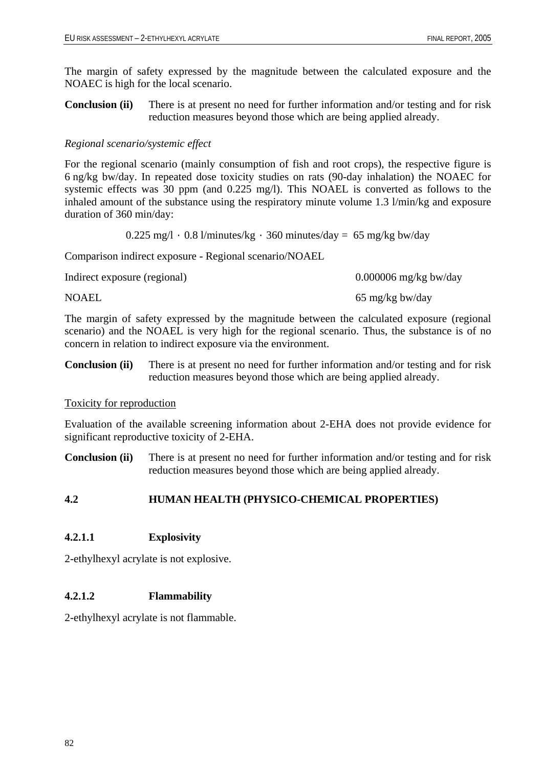The margin of safety expressed by the magnitude between the calculated exposure and the NOAEC is high for the local scenario.

**Conclusion (ii)** There is at present no need for further information and/or testing and for risk reduction measures beyond those which are being applied already.

# *Regional scenario/systemic effect*

For the regional scenario (mainly consumption of fish and root crops), the respective figure is 6 ng/kg bw/day. In repeated dose toxicity studies on rats (90-day inhalation) the NOAEC for systemic effects was 30 ppm (and 0.225 mg/l). This NOAEL is converted as follows to the inhaled amount of the substance using the respiratory minute volume 1.3 l/min/kg and exposure duration of 360 min/day:

 $0.225 \text{ mg}/\text{l} \cdot 0.8 \text{ l/minutes/kg} \cdot 360 \text{ minutes/day} = 65 \text{ mg/kg bw/day}$ 

Comparison indirect exposure - Regional scenario/NOAEL

Indirect exposure (regional) 0.000006 mg/kg bw/day

NOAEL 65 mg/kg bw/day

The margin of safety expressed by the magnitude between the calculated exposure (regional scenario) and the NOAEL is very high for the regional scenario. Thus, the substance is of no concern in relation to indirect exposure via the environment.

**Conclusion (ii)** There is at present no need for further information and/or testing and for risk reduction measures beyond those which are being applied already.

## Toxicity for reproduction

Evaluation of the available screening information about 2-EHA does not provide evidence for significant reproductive toxicity of 2-EHA.

**Conclusion (ii)** There is at present no need for further information and/or testing and for risk reduction measures beyond those which are being applied already.

# **4.2 HUMAN HEALTH (PHYSICO-CHEMICAL PROPERTIES)**

# **4.2.1.1 Explosivity**

2-ethylhexyl acrylate is not explosive.

# **4.2.1.2 Flammability**

2-ethylhexyl acrylate is not flammable.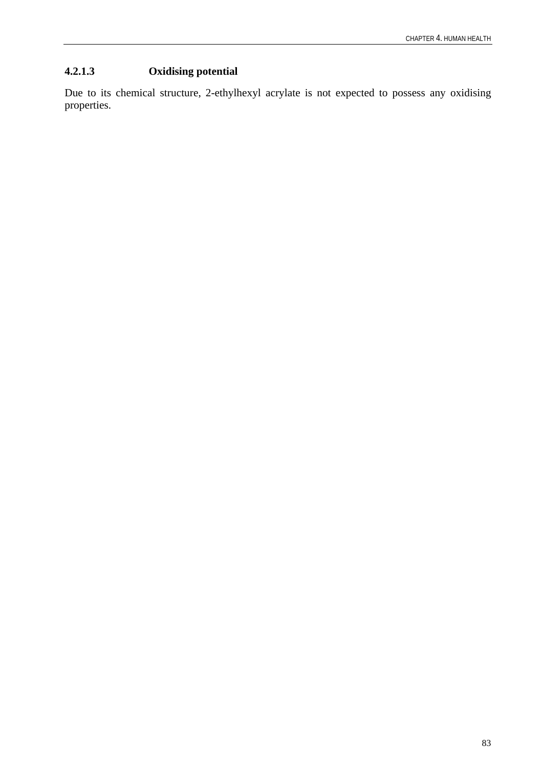# **4.2.1.3 Oxidising potential**

Due to its chemical structure, 2-ethylhexyl acrylate is not expected to possess any oxidising properties.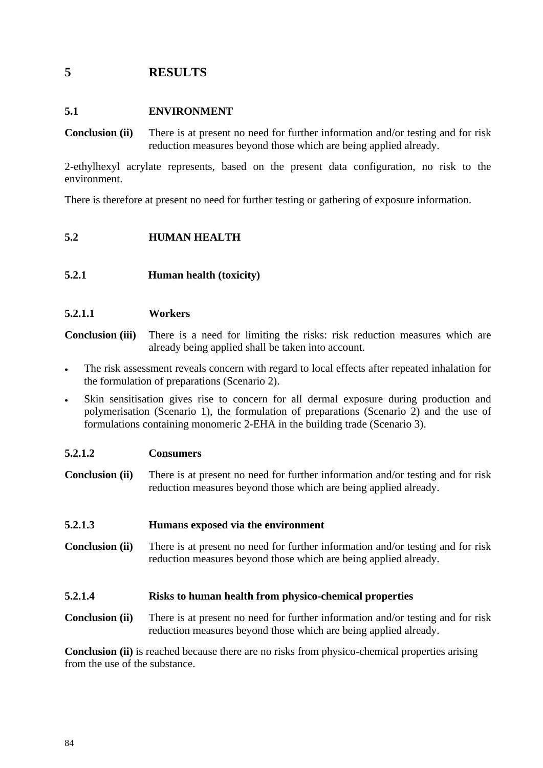# **5 RESULTS**

# **5.1 ENVIRONMENT**

**Conclusion (ii)** There is at present no need for further information and/or testing and for risk reduction measures beyond those which are being applied already.

2-ethylhexyl acrylate represents, based on the present data configuration, no risk to the environment.

There is therefore at present no need for further testing or gathering of exposure information.

# **5.2 HUMAN HEALTH**

**5.2.1 Human health (toxicity)** 

## **5.2.1.1 Workers**

**Conclusion (iii)** There is a need for limiting the risks: risk reduction measures which are already being applied shall be taken into account.

- The risk assessment reveals concern with regard to local effects after repeated inhalation for the formulation of preparations (Scenario 2).
- Skin sensitisation gives rise to concern for all dermal exposure during production and polymerisation (Scenario 1), the formulation of preparations (Scenario 2) and the use of formulations containing monomeric 2-EHA in the building trade (Scenario 3).

## **5.2.1.2 Consumers**

**Conclusion (ii)** There is at present no need for further information and/or testing and for risk reduction measures beyond those which are being applied already.

#### **5.2.1.3 Humans exposed via the environment**

**Conclusion (ii)** There is at present no need for further information and/or testing and for risk reduction measures beyond those which are being applied already.

## **5.2.1.4 Risks to human health from physico-chemical properties**

**Conclusion (ii)** There is at present no need for further information and/or testing and for risk reduction measures beyond those which are being applied already.

**Conclusion (ii)** is reached because there are no risks from physico-chemical properties arising from the use of the substance.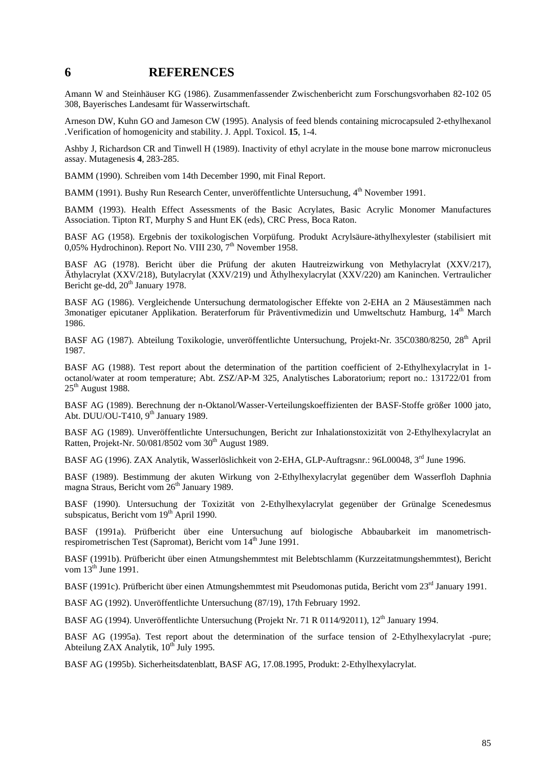#### **6 REFERENCES**

Amann W and Steinhäuser KG (1986). Zusammenfassender Zwischenbericht zum Forschungsvorhaben 82-102 05 308, Bayerisches Landesamt für Wasserwirtschaft.

Arneson DW, Kuhn GO and Jameson CW (1995). Analysis of feed blends containing microcapsuled 2-ethylhexanol .Verification of homogenicity and stability. J. Appl. Toxicol. **15**, 1-4.

Ashby J, Richardson CR and Tinwell H (1989). Inactivity of ethyl acrylate in the mouse bone marrow micronucleus assay. Mutagenesis **4**, 283-285.

BAMM (1990). Schreiben vom 14th December 1990, mit Final Report.

BAMM (1991). Bushy Run Research Center, unveröffentlichte Untersuchung, 4<sup>th</sup> November 1991.

BAMM (1993). Health Effect Assessments of the Basic Acrylates, Basic Acrylic Monomer Manufactures Association. Tipton RT, Murphy S and Hunt EK (eds), CRC Press, Boca Raton.

BASF AG (1958). Ergebnis der toxikologischen Vorpüfung. Produkt Acrylsäure-äthylhexylester (stabilisiert mit 0,05% Hydrochinon). Report No. VIII 230, 7<sup>th</sup> November 1958.

BASF AG (1978). Bericht über die Prüfung der akuten Hautreizwirkung von Methylacrylat (XXV/217), Äthylacrylat (XXV/218), Butylacrylat (XXV/219) und Äthylhexylacrylat (XXV/220) am Kaninchen. Vertraulicher Bericht ge-dd, 20<sup>th</sup> January 1978.

BASF AG (1986). Vergleichende Untersuchung dermatologischer Effekte von 2-EHA an 2 Mäusestämmen nach 3monatiger epicutaner Applikation. Beraterforum für Präventivmedizin und Umweltschutz Hamburg, 14<sup>th</sup> March 1986.

BASF AG (1987). Abteilung Toxikologie, unveröffentlichte Untersuchung, Projekt-Nr. 35C0380/8250, 28th April 1987.

BASF AG (1988). Test report about the determination of the partition coefficient of 2-Ethylhexylacrylat in 1 octanol/water at room temperature; Abt. ZSZ/AP-M 325, Analytisches Laboratorium; report no.: 131722/01 from  $25<sup>th</sup>$  August 1988.

BASF AG (1989). Berechnung der n-Oktanol/Wasser-Verteilungskoeffizienten der BASF-Stoffe größer 1000 jato, Abt. DUU/OU-T410, 9<sup>th</sup> January 1989.

BASF AG (1989). Unveröffentlichte Untersuchungen, Bericht zur Inhalationstoxizität von 2-Ethylhexylacrylat an Ratten, Projekt-Nr. 50/081/8502 vom 30<sup>th</sup> August 1989.

BASF AG (1996). ZAX Analytik, Wasserlöslichkeit von 2-EHA, GLP-Auftragsnr.: 96L00048, 3rd June 1996.

BASF (1989). Bestimmung der akuten Wirkung von 2-Ethylhexylacrylat gegenüber dem Wasserfloh Daphnia magna Straus, Bericht vom 26<sup>th</sup> January 1989.

BASF (1990). Untersuchung der Toxizität von 2-Ethylhexylacrylat gegenüber der Grünalge Scenedesmus subspicatus, Bericht vom  $19<sup>th</sup>$  April 1990.

BASF (1991a). Prüfbericht über eine Untersuchung auf biologische Abbaubarkeit im manometrischrespirometrischen Test (Sapromat), Bericht vom 14<sup>th</sup> June 1991.

BASF (1991b). Prüfbericht über einen Atmungshemmtest mit Belebtschlamm (Kurzzeitatmungshemmtest), Bericht vom 13<sup>th</sup> June 1991.

BASF (1991c). Prüfbericht über einen Atmungshemmtest mit Pseudomonas putida, Bericht vom 23rd January 1991.

BASF AG (1992). Unveröffentlichte Untersuchung (87/19), 17th February 1992.

BASF AG (1994). Unveröffentlichte Untersuchung (Projekt Nr. 71 R 0114/92011), 12<sup>th</sup> January 1994.

BASF AG (1995a). Test report about the determination of the surface tension of 2-Ethylhexylacrylat -pure; Abteilung ZAX Analytik,  $10^{th}$  July 1995.

BASF AG (1995b). Sicherheitsdatenblatt, BASF AG, 17.08.1995, Produkt: 2-Ethylhexylacrylat.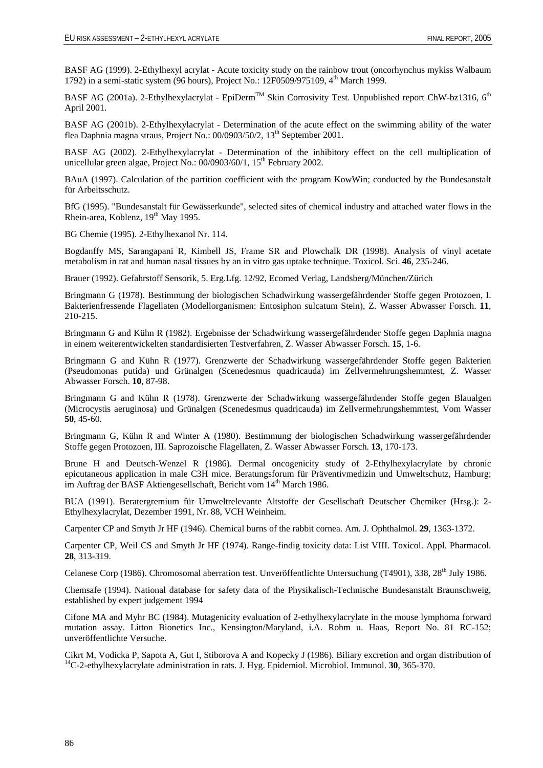BASF AG (1999). 2-Ethylhexyl acrylat - Acute toxicity study on the rainbow trout (oncorhynchus mykiss Walbaum 1792) in a semi-static system (96 hours), Project No.: 12F0509/975109, 4<sup>th</sup> March 1999.

BASF AG (2001a). 2-Ethylhexylacrylat - EpiDerm<sup>TM</sup> Skin Corrosivity Test. Unpublished report ChW-bz1316, 6<sup>th</sup> April 2001.

BASF AG (2001b). 2-Ethylhexylacrylat - Determination of the acute effect on the swimming ability of the water flea Daphnia magna straus, Project No.: 00/0903/50/2, 13<sup>th</sup> September 2001.

BASF AG (2002). 2-Ethylhexylacrylat - Determination of the inhibitory effect on the cell multiplication of unicellular green algae, Project No.: 00/0903/60/1, 15<sup>th</sup> February 2002.

BAuA (1997). Calculation of the partition coefficient with the program KowWin; conducted by the Bundesanstalt für Arbeitsschutz.

BfG (1995). "Bundesanstalt für Gewässerkunde", selected sites of chemical industry and attached water flows in the Rhein-area, Koblenz,  $19<sup>th</sup>$  May 1995.

BG Chemie (1995). 2-Ethylhexanol Nr. 114.

Bogdanffy MS, Sarangapani R, Kimbell JS, Frame SR and Plowchalk DR (1998). Analysis of vinyl acetate metabolism in rat and human nasal tissues by an in vitro gas uptake technique. Toxicol. Sci. **46**, 235-246.

Brauer (1992). Gefahrstoff Sensorik, 5. Erg.Lfg. 12/92, Ecomed Verlag, Landsberg/München/Zürich

Bringmann G (1978). Bestimmung der biologischen Schadwirkung wassergefährdender Stoffe gegen Protozoen, I. Bakterienfressende Flagellaten (Modellorganismen: Entosiphon sulcatum Stein), Z. Wasser Abwasser Forsch. **11**, 210-215.

Bringmann G and Kühn R (1982). Ergebnisse der Schadwirkung wassergefährdender Stoffe gegen Daphnia magna in einem weiterentwickelten standardisierten Testverfahren, Z. Wasser Abwasser Forsch. **15**, 1-6.

Bringmann G and Kühn R (1977). Grenzwerte der Schadwirkung wassergefährdender Stoffe gegen Bakterien (Pseudomonas putida) und Grünalgen (Scenedesmus quadricauda) im Zellvermehrungshemmtest, Z. Wasser Abwasser Forsch. **10**, 87-98.

Bringmann G and Kühn R (1978). Grenzwerte der Schadwirkung wassergefährdender Stoffe gegen Blaualgen (Microcystis aeruginosa) und Grünalgen (Scenedesmus quadricauda) im Zellvermehrungshemmtest, Vom Wasser **50**, 45-60.

Bringmann G, Kühn R and Winter A (1980). Bestimmung der biologischen Schadwirkung wassergefährdender Stoffe gegen Protozoen, III. Saprozoische Flagellaten, Z. Wasser Abwasser Forsch. **13**, 170-173.

Brune H and Deutsch-Wenzel R (1986). Dermal oncogenicity study of 2-Ethylhexylacrylate by chronic epicutaneous application in male C3H mice. Beratungsforum für Präventivmedizin und Umweltschutz, Hamburg; im Auftrag der BASF Aktiengesellschaft, Bericht vom 14<sup>th</sup> March 1986.

BUA (1991). Beratergremium für Umweltrelevante Altstoffe der Gesellschaft Deutscher Chemiker (Hrsg.): 2- Ethylhexylacrylat, Dezember 1991, Nr. 88, VCH Weinheim.

Carpenter CP and Smyth Jr HF (1946). Chemical burns of the rabbit cornea. Am. J. Ophthalmol. **29**, 1363-1372.

Carpenter CP, Weil CS and Smyth Jr HF (1974). Range-findig toxicity data: List VIII. Toxicol. Appl. Pharmacol. **28**, 313-319.

Celanese Corp (1986). Chromosomal aberration test. Unveröffentlichte Untersuchung (T4901), 338, 28<sup>th</sup> July 1986.

Chemsafe (1994). National database for safety data of the Physikalisch-Technische Bundesanstalt Braunschweig, established by expert judgement 1994

Cifone MA and Myhr BC (1984). Mutagenicity evaluation of 2-ethylhexylacrylate in the mouse lymphoma forward mutation assay. Litton Bionetics Inc., Kensington/Maryland, i.A. Rohm u. Haas, Report No. 81 RC-152; unveröffentlichte Versuche.

Cikrt M, Vodicka P, Sapota A, Gut I, Stiborova A and Kopecky J (1986). Biliary excretion and organ distribution of 14C-2-ethylhexylacrylate administration in rats. J. Hyg. Epidemiol. Microbiol. Immunol. **30**, 365-370.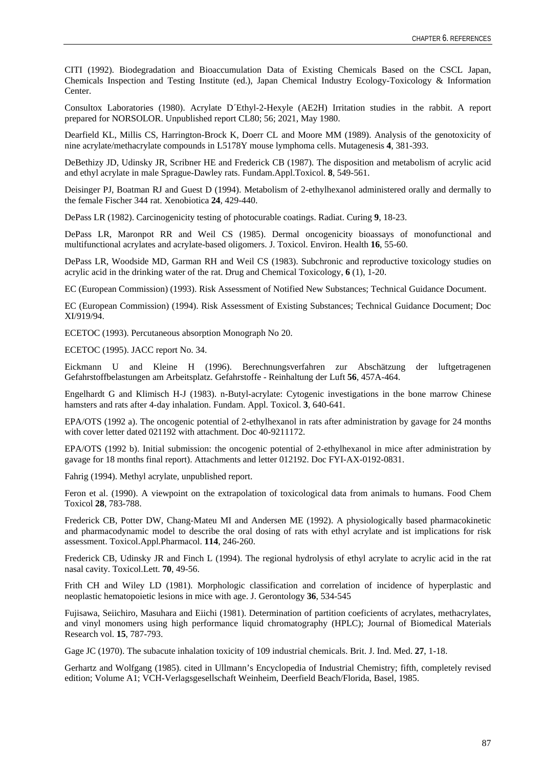CITI (1992). Biodegradation and Bioaccumulation Data of Existing Chemicals Based on the CSCL Japan, Chemicals Inspection and Testing Institute (ed.), Japan Chemical Industry Ecology-Toxicology & Information Center.

Consultox Laboratories (1980). Acrylate D´Ethyl-2-Hexyle (AE2H) Irritation studies in the rabbit. A report prepared for NORSOLOR. Unpublished report CL80; 56; 2021, May 1980.

Dearfield KL, Millis CS, Harrington-Brock K, Doerr CL and Moore MM (1989). Analysis of the genotoxicity of nine acrylate/methacrylate compounds in L5178Y mouse lymphoma cells. Mutagenesis **4**, 381-393.

DeBethizy JD, Udinsky JR, Scribner HE and Frederick CB (1987). The disposition and metabolism of acrylic acid and ethyl acrylate in male Sprague-Dawley rats. Fundam.Appl.Toxicol. **8**, 549-561.

Deisinger PJ, Boatman RJ and Guest D (1994). Metabolism of 2-ethylhexanol administered orally and dermally to the female Fischer 344 rat. Xenobiotica **24**, 429-440.

DePass LR (1982). Carcinogenicity testing of photocurable coatings. Radiat. Curing **9**, 18-23.

DePass LR, Maronpot RR and Weil CS (1985). Dermal oncogenicity bioassays of monofunctional and multifunctional acrylates and acrylate-based oligomers. J. Toxicol. Environ. Health **16**, 55-60.

DePass LR, Woodside MD, Garman RH and Weil CS (1983). Subchronic and reproductive toxicology studies on acrylic acid in the drinking water of the rat. Drug and Chemical Toxicology, **6** (1), 1-20.

EC (European Commission) (1993). Risk Assessment of Notified New Substances; Technical Guidance Document.

EC (European Commission) (1994). Risk Assessment of Existing Substances; Technical Guidance Document; Doc XI/919/94.

ECETOC (1993). Percutaneous absorption Monograph No 20.

ECETOC (1995). JACC report No. 34.

Eickmann U and Kleine H (1996). Berechnungsverfahren zur Abschätzung der luftgetragenen Gefahrstoffbelastungen am Arbeitsplatz. Gefahrstoffe - Reinhaltung der Luft **56**, 457A-464.

Engelhardt G and Klimisch H-J (1983). n-Butyl-acrylate: Cytogenic investigations in the bone marrow Chinese hamsters and rats after 4-day inhalation. Fundam. Appl. Toxicol. **3**, 640-641.

EPA/OTS (1992 a). The oncogenic potential of 2-ethylhexanol in rats after administration by gavage for 24 months with cover letter dated 021192 with attachment. Doc 40-9211172.

EPA/OTS (1992 b). Initial submission: the oncogenic potential of 2-ethylhexanol in mice after administration by gavage for 18 months final report). Attachments and letter 012192. Doc FYI-AX-0192-0831.

Fahrig (1994). Methyl acrylate, unpublished report.

Feron et al. (1990). A viewpoint on the extrapolation of toxicological data from animals to humans. Food Chem Toxicol **28**, 783-788.

Frederick CB, Potter DW, Chang-Mateu MI and Andersen ME (1992). A physiologically based pharmacokinetic and pharmacodynamic model to describe the oral dosing of rats with ethyl acrylate and ist implications for risk assessment. Toxicol.Appl.Pharmacol. **114**, 246-260.

Frederick CB, Udinsky JR and Finch L (1994). The regional hydrolysis of ethyl acrylate to acrylic acid in the rat nasal cavity. Toxicol.Lett. **70**, 49-56.

Frith CH and Wiley LD (1981). Morphologic classification and correlation of incidence of hyperplastic and neoplastic hematopoietic lesions in mice with age. J. Gerontology **36**, 534-545

Fujisawa, Seiichiro, Masuhara and Eiichi (1981). Determination of partition coeficients of acrylates, methacrylates, and vinyl monomers using high performance liquid chromatography (HPLC); Journal of Biomedical Materials Research vol. **15**, 787-793.

Gage JC (1970). The subacute inhalation toxicity of 109 industrial chemicals. Brit. J. Ind. Med. **27**, 1-18.

Gerhartz and Wolfgang (1985). cited in Ullmann's Encyclopedia of Industrial Chemistry; fifth, completely revised edition; Volume A1; VCH-Verlagsgesellschaft Weinheim, Deerfield Beach/Florida, Basel, 1985.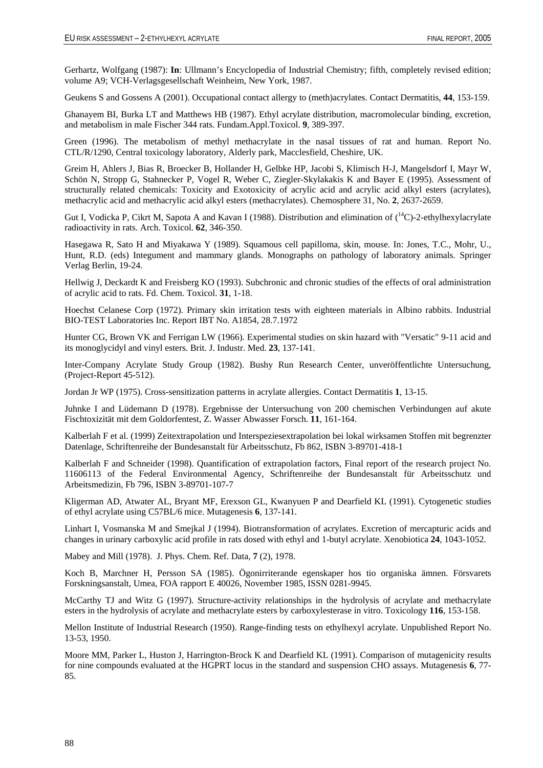Gerhartz, Wolfgang (1987): **In**: Ullmann's Encyclopedia of Industrial Chemistry; fifth, completely revised edition; volume A9; VCH-Verlagsgesellschaft Weinheim, New York, 1987.

Geukens S and Gossens A (2001). Occupational contact allergy to (meth)acrylates. Contact Dermatitis, **44**, 153-159.

Ghanayem BI, Burka LT and Matthews HB (1987). Ethyl acrylate distribution, macromolecular binding, excretion, and metabolism in male Fischer 344 rats. Fundam.Appl.Toxicol. **9**, 389-397.

Green (1996). The metabolism of methyl methacrylate in the nasal tissues of rat and human. Report No. CTL/R/1290, Central toxicology laboratory, Alderly park, Macclesfield, Cheshire, UK.

Greim H, Ahlers J, Bias R, Broecker B, Hollander H, Gelbke HP, Jacobi S, Klimisch H-J, Mangelsdorf I, Mayr W, Schön N, Stropp G, Stahnecker P, Vogel R, Weber C, Ziegler-Skylakakis K and Bayer E (1995). Assessment of structurally related chemicals: Toxicity and Exotoxicity of acrylic acid and acrylic acid alkyl esters (acrylates), methacrylic acid and methacrylic acid alkyl esters (methacrylates). Chemosphere 31, No. **2**, 2637-2659.

Gut I, Vodicka P, Cikrt M, Sapota A and Kavan I (1988). Distribution and elimination of  $\binom{14}{ }$ C)-2-ethylhexylacrylate radioactivity in rats. Arch. Toxicol. **62**, 346-350.

Hasegawa R, Sato H and Miyakawa Y (1989). Squamous cell papilloma, skin, mouse. In: Jones, T.C., Mohr, U., Hunt, R.D. (eds) Integument and mammary glands. Monographs on pathology of laboratory animals. Springer Verlag Berlin, 19-24.

Hellwig J, Deckardt K and Freisberg KO (1993). Subchronic and chronic studies of the effects of oral administration of acrylic acid to rats. Fd. Chem. Toxicol. **31**, 1-18.

Hoechst Celanese Corp (1972). Primary skin irritation tests with eighteen materials in Albino rabbits. Industrial BIO-TEST Laboratories Inc. Report IBT No. A1854, 28.7.1972

Hunter CG, Brown VK and Ferrigan LW (1966). Experimental studies on skin hazard with "Versatic" 9-11 acid and its monoglycidyl and vinyl esters. Brit. J. Industr. Med. **23**, 137-141.

Inter-Company Acrylate Study Group (1982). Bushy Run Research Center, unveröffentlichte Untersuchung, (Project-Report 45-512).

Jordan Jr WP (1975). Cross-sensitization patterns in acrylate allergies. Contact Dermatitis **1**, 13-15.

Juhnke I and Lüdemann D (1978). Ergebnisse der Untersuchung von 200 chemischen Verbindungen auf akute Fischtoxizität mit dem Goldorfentest, Z. Wasser Abwasser Forsch. **11**, 161-164.

Kalberlah F et al. (1999) Zeitextrapolation und Interspeziesextrapolation bei lokal wirksamen Stoffen mit begrenzter Datenlage, Schriftenreihe der Bundesanstalt für Arbeitsschutz, Fb 862, ISBN 3-89701-418-1

Kalberlah F and Schneider (1998). Quantification of extrapolation factors, Final report of the research project No. 11606113 of the Federal Environmental Agency, Schriftenreihe der Bundesanstalt für Arbeitsschutz und Arbeitsmedizin, Fb 796, ISBN 3-89701-107-7

Kligerman AD, Atwater AL, Bryant MF, Erexson GL, Kwanyuen P and Dearfield KL (1991). Cytogenetic studies of ethyl acrylate using C57BL/6 mice. Mutagenesis **6**, 137-141.

Linhart I, Vosmanska M and Smejkal J (1994). Biotransformation of acrylates. Excretion of mercapturic acids and changes in urinary carboxylic acid profile in rats dosed with ethyl and 1-butyl acrylate. Xenobiotica **24**, 1043-1052.

Mabey and Mill (1978). J. Phys. Chem. Ref. Data, **7** (2), 1978.

Koch B, Marchner H, Persson SA (1985). Ögonirriterande egenskaper hos tio organiska ämnen. Försvarets Forskningsanstalt, Umea, FOA rapport E 40026, November 1985, ISSN 0281-9945.

McCarthy TJ and Witz G (1997). Structure-activity relationships in the hydrolysis of acrylate and methacrylate esters in the hydrolysis of acrylate and methacrylate esters by carboxylesterase in vitro. Toxicology **116**, 153-158.

Mellon Institute of Industrial Research (1950). Range-finding tests on ethylhexyl acrylate. Unpublished Report No. 13-53, 1950.

Moore MM, Parker L, Huston J, Harrington-Brock K and Dearfield KL (1991). Comparison of mutagenicity results for nine compounds evaluated at the HGPRT locus in the standard and suspension CHO assays. Mutagenesis **6**, 77- 85.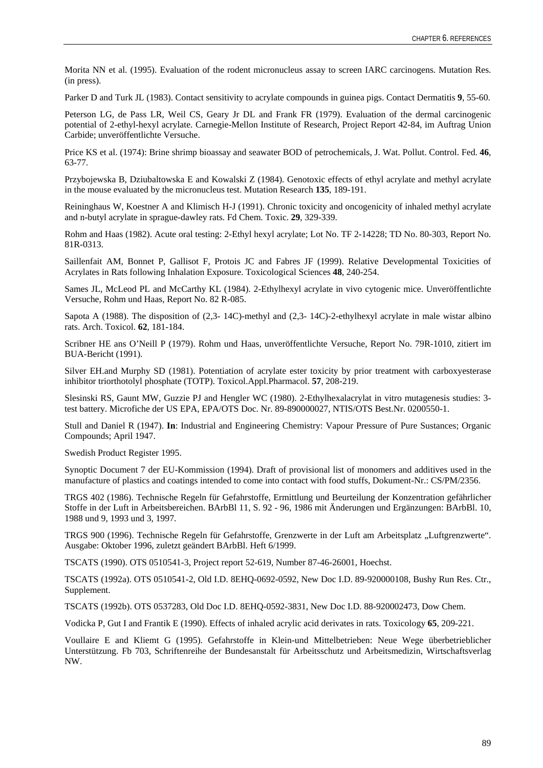Morita NN et al. (1995). Evaluation of the rodent micronucleus assay to screen IARC carcinogens. Mutation Res. (in press).

Parker D and Turk JL (1983). Contact sensitivity to acrylate compounds in guinea pigs. Contact Dermatitis **9**, 55-60.

Peterson LG, de Pass LR, Weil CS, Geary Jr DL and Frank FR (1979). Evaluation of the dermal carcinogenic potential of 2-ethyl-hexyl acrylate. Carnegie-Mellon Institute of Research, Project Report 42-84, im Auftrag Union Carbide; unveröffentlichte Versuche.

Price KS et al. (1974): Brine shrimp bioassay and seawater BOD of petrochemicals, J. Wat. Pollut. Control. Fed. **46**, 63-77.

Przybojewska B, Dziubaltowska E and Kowalski Z (1984). Genotoxic effects of ethyl acrylate and methyl acrylate in the mouse evaluated by the micronucleus test. Mutation Research **135**, 189-191.

Reininghaus W, Koestner A and Klimisch H-J (1991). Chronic toxicity and oncogenicity of inhaled methyl acrylate and n-butyl acrylate in sprague-dawley rats. Fd Chem. Toxic. **29**, 329-339.

Rohm and Haas (1982). Acute oral testing: 2-Ethyl hexyl acrylate; Lot No. TF 2-14228; TD No. 80-303, Report No. 81R-0313.

Saillenfait AM, Bonnet P, Gallisot F, Protois JC and Fabres JF (1999). Relative Developmental Toxicities of Acrylates in Rats following Inhalation Exposure. Toxicological Sciences **48**, 240-254.

Sames JL, McLeod PL and McCarthy KL (1984). 2-Ethylhexyl acrylate in vivo cytogenic mice. Unveröffentlichte Versuche, Rohm und Haas, Report No. 82 R-085.

Sapota A (1988). The disposition of (2,3- 14C)-methyl and (2,3- 14C)-2-ethylhexyl acrylate in male wistar albino rats. Arch. Toxicol. **62**, 181-184.

Scribner HE ans O'Neill P (1979). Rohm und Haas, unveröffentlichte Versuche, Report No. 79R-1010, zitiert im BUA-Bericht (1991).

Silver EH.and Murphy SD (1981). Potentiation of acrylate ester toxicity by prior treatment with carboxyesterase inhibitor triorthotolyl phosphate (TOTP). Toxicol.Appl.Pharmacol. **57**, 208-219.

Slesinski RS, Gaunt MW, Guzzie PJ and Hengler WC (1980). 2-Ethylhexalacrylat in vitro mutagenesis studies: 3 test battery. Microfiche der US EPA, EPA/OTS Doc. Nr. 89-890000027, NTIS/OTS Best.Nr. 0200550-1.

Stull and Daniel R (1947). **In**: Industrial and Engineering Chemistry: Vapour Pressure of Pure Sustances; Organic Compounds; April 1947.

Swedish Product Register 1995.

Synoptic Document 7 der EU-Kommission (1994). Draft of provisional list of monomers and additives used in the manufacture of plastics and coatings intended to come into contact with food stuffs, Dokument-Nr.: CS/PM/2356.

TRGS 402 (1986). Technische Regeln für Gefahrstoffe, Ermittlung und Beurteilung der Konzentration gefährlicher Stoffe in der Luft in Arbeitsbereichen. BArbBl 11, S. 92 - 96, 1986 mit Änderungen und Ergänzungen: BArbBl. 10, 1988 und 9, 1993 und 3, 1997.

TRGS 900 (1996). Technische Regeln für Gefahrstoffe, Grenzwerte in der Luft am Arbeitsplatz "Luftgrenzwerte". Ausgabe: Oktober 1996, zuletzt geändert BArbBl. Heft 6/1999.

TSCATS (1990). OTS 0510541-3, Project report 52-619, Number 87-46-26001, Hoechst.

TSCATS (1992a). OTS 0510541-2, Old I.D. 8EHQ-0692-0592, New Doc I.D. 89-920000108, Bushy Run Res. Ctr., Supplement.

TSCATS (1992b). OTS 0537283, Old Doc I.D. 8EHQ-0592-3831, New Doc I.D. 88-920002473, Dow Chem.

Vodicka P, Gut I and Frantik E (1990). Effects of inhaled acrylic acid derivates in rats. Toxicology **65**, 209-221.

Voullaire E and Kliemt G (1995). Gefahrstoffe in Klein-und Mittelbetrieben: Neue Wege überbetrieblicher Unterstützung. Fb 703, Schriftenreihe der Bundesanstalt für Arbeitsschutz und Arbeitsmedizin, Wirtschaftsverlag NW.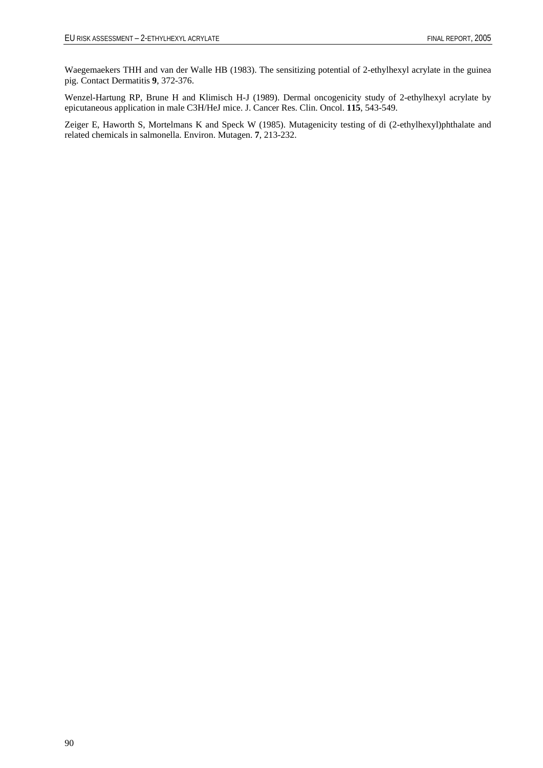Waegemaekers THH and van der Walle HB (1983). The sensitizing potential of 2-ethylhexyl acrylate in the guinea pig. Contact Dermatitis **9**, 372-376.

Wenzel-Hartung RP, Brune H and Klimisch H-J (1989). Dermal oncogenicity study of 2-ethylhexyl acrylate by epicutaneous application in male C3H/HeJ mice. J. Cancer Res. Clin. Oncol. **115**, 543-549.

Zeiger E, Haworth S, Mortelmans K and Speck W (1985). Mutagenicity testing of di (2-ethylhexyl)phthalate and related chemicals in salmonella. Environ. Mutagen. **7**, 213-232.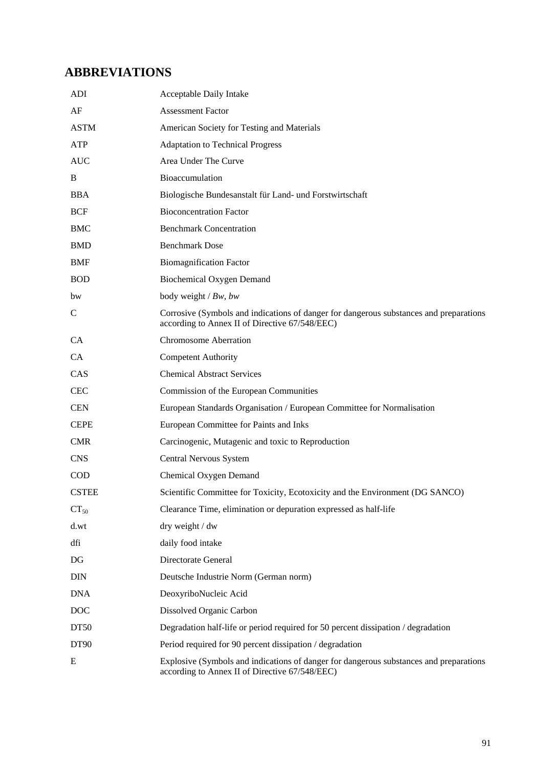# **ABBREVIATIONS**

| ADI          | Acceptable Daily Intake                                                                                                                  |
|--------------|------------------------------------------------------------------------------------------------------------------------------------------|
| AF           | <b>Assessment Factor</b>                                                                                                                 |
| <b>ASTM</b>  | American Society for Testing and Materials                                                                                               |
| ATP          | <b>Adaptation to Technical Progress</b>                                                                                                  |
| $\mbox{AUC}$ | Area Under The Curve                                                                                                                     |
| B            | <b>Bioaccumulation</b>                                                                                                                   |
| <b>BBA</b>   | Biologische Bundesanstalt für Land- und Forstwirtschaft                                                                                  |
| <b>BCF</b>   | <b>Bioconcentration Factor</b>                                                                                                           |
| <b>BMC</b>   | <b>Benchmark Concentration</b>                                                                                                           |
| <b>BMD</b>   | <b>Benchmark Dose</b>                                                                                                                    |
| <b>BMF</b>   | <b>Biomagnification Factor</b>                                                                                                           |
| <b>BOD</b>   | <b>Biochemical Oxygen Demand</b>                                                                                                         |
| bw           | body weight / $Bw$ , bw                                                                                                                  |
| $\mathsf{C}$ | Corrosive (Symbols and indications of danger for dangerous substances and preparations<br>according to Annex II of Directive 67/548/EEC) |
| <b>CA</b>    | <b>Chromosome Aberration</b>                                                                                                             |
| CA           | <b>Competent Authority</b>                                                                                                               |
| CAS          | <b>Chemical Abstract Services</b>                                                                                                        |
| <b>CEC</b>   | Commission of the European Communities                                                                                                   |
| <b>CEN</b>   | European Standards Organisation / European Committee for Normalisation                                                                   |
| <b>CEPE</b>  | European Committee for Paints and Inks                                                                                                   |
| CMR          | Carcinogenic, Mutagenic and toxic to Reproduction                                                                                        |
| <b>CNS</b>   | <b>Central Nervous System</b>                                                                                                            |
| <b>COD</b>   | Chemical Oxygen Demand                                                                                                                   |
| <b>CSTEE</b> | Scientific Committee for Toxicity, Ecotoxicity and the Environment (DG SANCO)                                                            |
| $CT_{50}$    | Clearance Time, elimination or depuration expressed as half-life                                                                         |
| d.wt         | dry weight / dw                                                                                                                          |
| dfi          | daily food intake                                                                                                                        |
| DG           | Directorate General                                                                                                                      |
| <b>DIN</b>   | Deutsche Industrie Norm (German norm)                                                                                                    |
| <b>DNA</b>   | DeoxyriboNucleic Acid                                                                                                                    |
| DOC          | Dissolved Organic Carbon                                                                                                                 |
| <b>DT50</b>  | Degradation half-life or period required for 50 percent dissipation / degradation                                                        |
| DT90         | Period required for 90 percent dissipation / degradation                                                                                 |
| Ε            | Explosive (Symbols and indications of danger for dangerous substances and preparations<br>according to Annex II of Directive 67/548/EEC) |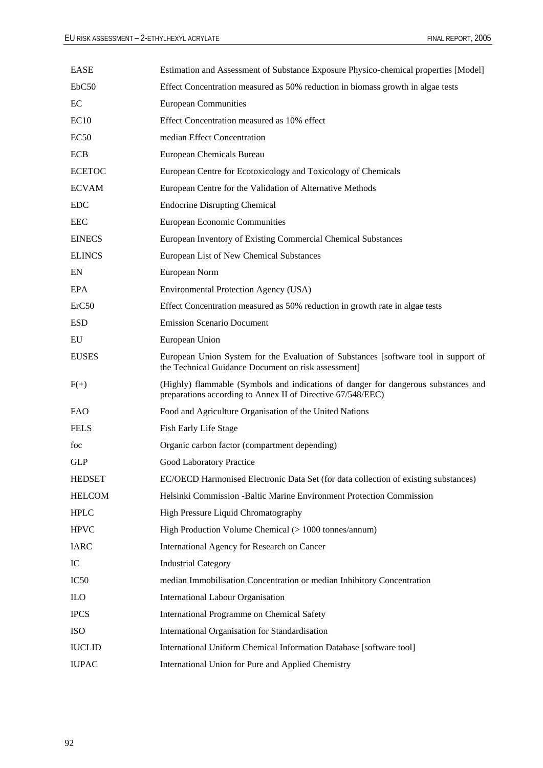| <b>EASE</b>      | Estimation and Assessment of Substance Exposure Physico-chemical properties [Model]                                                               |
|------------------|---------------------------------------------------------------------------------------------------------------------------------------------------|
| EbC50            | Effect Concentration measured as 50% reduction in biomass growth in algae tests                                                                   |
| EC               | <b>European Communities</b>                                                                                                                       |
| EC10             | Effect Concentration measured as 10% effect                                                                                                       |
| EC50             | median Effect Concentration                                                                                                                       |
| <b>ECB</b>       | European Chemicals Bureau                                                                                                                         |
| <b>ECETOC</b>    | European Centre for Ecotoxicology and Toxicology of Chemicals                                                                                     |
| <b>ECVAM</b>     | European Centre for the Validation of Alternative Methods                                                                                         |
| <b>EDC</b>       | <b>Endocrine Disrupting Chemical</b>                                                                                                              |
| <b>EEC</b>       | European Economic Communities                                                                                                                     |
| <b>EINECS</b>    | European Inventory of Existing Commercial Chemical Substances                                                                                     |
| <b>ELINCS</b>    | European List of New Chemical Substances                                                                                                          |
| EN               | European Norm                                                                                                                                     |
| <b>EPA</b>       | Environmental Protection Agency (USA)                                                                                                             |
| ErC50            | Effect Concentration measured as 50% reduction in growth rate in algae tests                                                                      |
| <b>ESD</b>       | <b>Emission Scenario Document</b>                                                                                                                 |
| EU               | European Union                                                                                                                                    |
| <b>EUSES</b>     | European Union System for the Evaluation of Substances [software tool in support of<br>the Technical Guidance Document on risk assessment]        |
| $F(+)$           | (Highly) flammable (Symbols and indications of danger for dangerous substances and<br>preparations according to Annex II of Directive 67/548/EEC) |
| <b>FAO</b>       | Food and Agriculture Organisation of the United Nations                                                                                           |
| <b>FELS</b>      | Fish Early Life Stage                                                                                                                             |
| foc              | Organic carbon factor (compartment depending)                                                                                                     |
| <b>GLP</b>       | Good Laboratory Practice                                                                                                                          |
| <b>HEDSET</b>    | EC/OECD Harmonised Electronic Data Set (for data collection of existing substances)                                                               |
| <b>HELCOM</b>    | Helsinki Commission -Baltic Marine Environment Protection Commission                                                                              |
| <b>HPLC</b>      | High Pressure Liquid Chromatography                                                                                                               |
| <b>HPVC</b>      | High Production Volume Chemical (> 1000 tonnes/annum)                                                                                             |
| <b>IARC</b>      | International Agency for Research on Cancer                                                                                                       |
| IC               | <b>Industrial Category</b>                                                                                                                        |
| IC <sub>50</sub> | median Immobilisation Concentration or median Inhibitory Concentration                                                                            |
| <b>ILO</b>       | International Labour Organisation                                                                                                                 |
| <b>IPCS</b>      | International Programme on Chemical Safety                                                                                                        |
| <b>ISO</b>       | International Organisation for Standardisation                                                                                                    |
| <b>IUCLID</b>    | International Uniform Chemical Information Database [software tool]                                                                               |
| <b>IUPAC</b>     | International Union for Pure and Applied Chemistry                                                                                                |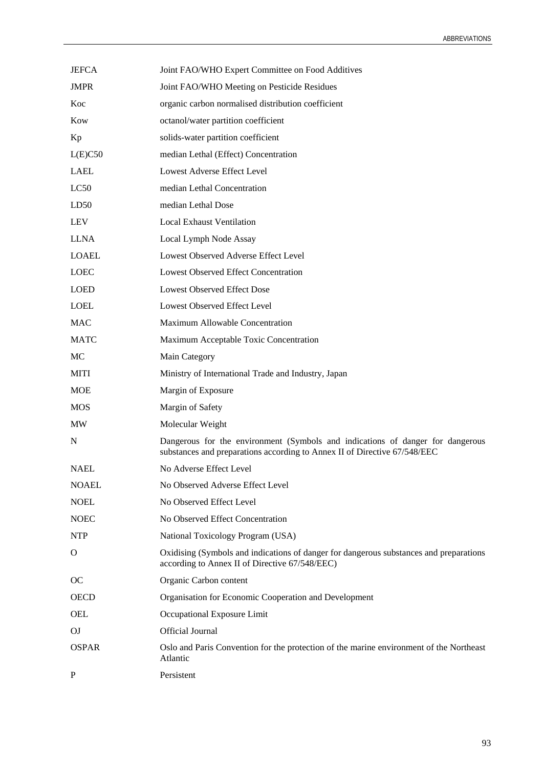| <b>JEFCA</b> | Joint FAO/WHO Expert Committee on Food Additives                                                                                                            |
|--------------|-------------------------------------------------------------------------------------------------------------------------------------------------------------|
| <b>JMPR</b>  | Joint FAO/WHO Meeting on Pesticide Residues                                                                                                                 |
| Koc          | organic carbon normalised distribution coefficient                                                                                                          |
| Kow          | octanol/water partition coefficient                                                                                                                         |
| Kp           | solids-water partition coefficient                                                                                                                          |
| L(E)C50      | median Lethal (Effect) Concentration                                                                                                                        |
| <b>LAEL</b>  | <b>Lowest Adverse Effect Level</b>                                                                                                                          |
| LC50         | median Lethal Concentration                                                                                                                                 |
| LD50         | median Lethal Dose                                                                                                                                          |
| <b>LEV</b>   | <b>Local Exhaust Ventilation</b>                                                                                                                            |
| <b>LLNA</b>  | Local Lymph Node Assay                                                                                                                                      |
| <b>LOAEL</b> | Lowest Observed Adverse Effect Level                                                                                                                        |
| <b>LOEC</b>  | <b>Lowest Observed Effect Concentration</b>                                                                                                                 |
| <b>LOED</b>  | <b>Lowest Observed Effect Dose</b>                                                                                                                          |
| <b>LOEL</b>  | Lowest Observed Effect Level                                                                                                                                |
| <b>MAC</b>   | Maximum Allowable Concentration                                                                                                                             |
| <b>MATC</b>  | Maximum Acceptable Toxic Concentration                                                                                                                      |
| MC           | Main Category                                                                                                                                               |
| <b>MITI</b>  | Ministry of International Trade and Industry, Japan                                                                                                         |
| <b>MOE</b>   | Margin of Exposure                                                                                                                                          |
| <b>MOS</b>   | Margin of Safety                                                                                                                                            |
| <b>MW</b>    | Molecular Weight                                                                                                                                            |
| N            | Dangerous for the environment (Symbols and indications of danger for dangerous<br>substances and preparations according to Annex II of Directive 67/548/EEC |
| <b>NAEL</b>  | No Adverse Effect Level                                                                                                                                     |
| <b>NOAEL</b> | No Observed Adverse Effect Level                                                                                                                            |
| <b>NOEL</b>  | No Observed Effect Level                                                                                                                                    |
| <b>NOEC</b>  | No Observed Effect Concentration                                                                                                                            |
| <b>NTP</b>   | National Toxicology Program (USA)                                                                                                                           |
| $\Omega$     | Oxidising (Symbols and indications of danger for dangerous substances and preparations<br>according to Annex II of Directive 67/548/EEC)                    |
| OC           | Organic Carbon content                                                                                                                                      |
| <b>OECD</b>  | Organisation for Economic Cooperation and Development                                                                                                       |
| <b>OEL</b>   | Occupational Exposure Limit                                                                                                                                 |
| <b>O</b>     | Official Journal                                                                                                                                            |
| <b>OSPAR</b> | Oslo and Paris Convention for the protection of the marine environment of the Northeast<br>Atlantic                                                         |
| P            | Persistent                                                                                                                                                  |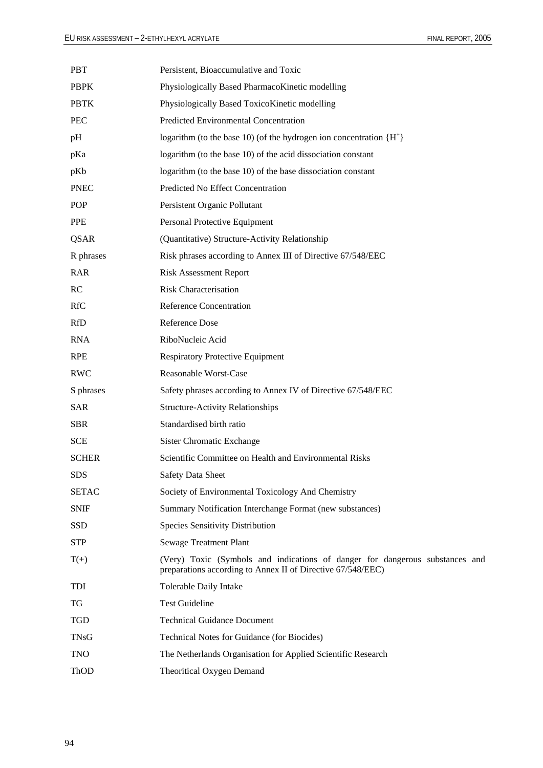| <b>PBT</b>   | Persistent, Bioaccumulative and Toxic                                                                                                       |
|--------------|---------------------------------------------------------------------------------------------------------------------------------------------|
| <b>PBPK</b>  | Physiologically Based PharmacoKinetic modelling                                                                                             |
| <b>PBTK</b>  | Physiologically Based ToxicoKinetic modelling                                                                                               |
| <b>PEC</b>   | <b>Predicted Environmental Concentration</b>                                                                                                |
| pH           | logarithm (to the base 10) (of the hydrogen ion concentration ${H^+}$ )                                                                     |
| pKa          | logarithm (to the base 10) of the acid dissociation constant                                                                                |
| pKb          | logarithm (to the base 10) of the base dissociation constant                                                                                |
| <b>PNEC</b>  | Predicted No Effect Concentration                                                                                                           |
| POP          | Persistent Organic Pollutant                                                                                                                |
| <b>PPE</b>   | Personal Protective Equipment                                                                                                               |
| <b>QSAR</b>  | (Quantitative) Structure-Activity Relationship                                                                                              |
| R phrases    | Risk phrases according to Annex III of Directive 67/548/EEC                                                                                 |
| <b>RAR</b>   | <b>Risk Assessment Report</b>                                                                                                               |
| RC           | <b>Risk Characterisation</b>                                                                                                                |
| RfC          | <b>Reference Concentration</b>                                                                                                              |
| <b>RfD</b>   | Reference Dose                                                                                                                              |
| <b>RNA</b>   | RiboNucleic Acid                                                                                                                            |
| <b>RPE</b>   | <b>Respiratory Protective Equipment</b>                                                                                                     |
| RWC          | Reasonable Worst-Case                                                                                                                       |
| S phrases    | Safety phrases according to Annex IV of Directive 67/548/EEC                                                                                |
| <b>SAR</b>   | <b>Structure-Activity Relationships</b>                                                                                                     |
| <b>SBR</b>   | Standardised birth ratio                                                                                                                    |
| <b>SCE</b>   | Sister Chromatic Exchange                                                                                                                   |
| <b>SCHER</b> | Scientific Committee on Health and Environmental Risks                                                                                      |
| <b>SDS</b>   | <b>Safety Data Sheet</b>                                                                                                                    |
| <b>SETAC</b> | Society of Environmental Toxicology And Chemistry                                                                                           |
| <b>SNIF</b>  | Summary Notification Interchange Format (new substances)                                                                                    |
| SSD          | <b>Species Sensitivity Distribution</b>                                                                                                     |
| <b>STP</b>   | <b>Sewage Treatment Plant</b>                                                                                                               |
| $T(+)$       | (Very) Toxic (Symbols and indications of danger for dangerous substances and<br>preparations according to Annex II of Directive 67/548/EEC) |
| TDI          | Tolerable Daily Intake                                                                                                                      |
| TG           | <b>Test Guideline</b>                                                                                                                       |
| <b>TGD</b>   | <b>Technical Guidance Document</b>                                                                                                          |
| TNsG         | Technical Notes for Guidance (for Biocides)                                                                                                 |
| <b>TNO</b>   | The Netherlands Organisation for Applied Scientific Research                                                                                |
| ThOD         | Theoritical Oxygen Demand                                                                                                                   |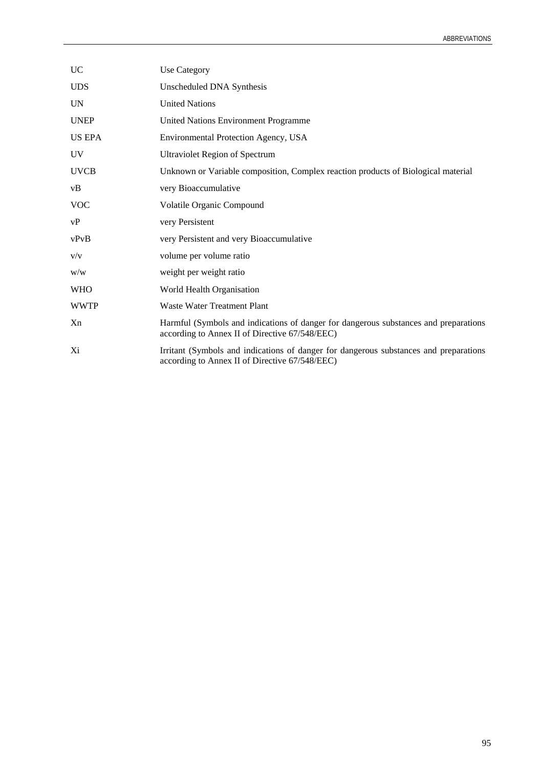| <b>UC</b>     | Use Category                                                                                                                            |
|---------------|-----------------------------------------------------------------------------------------------------------------------------------------|
| <b>UDS</b>    | Unscheduled DNA Synthesis                                                                                                               |
| <b>UN</b>     | <b>United Nations</b>                                                                                                                   |
| <b>UNEP</b>   | <b>United Nations Environment Programme</b>                                                                                             |
| <b>US EPA</b> | Environmental Protection Agency, USA                                                                                                    |
| <b>UV</b>     | <b>Ultraviolet Region of Spectrum</b>                                                                                                   |
| <b>UVCB</b>   | Unknown or Variable composition, Complex reaction products of Biological material                                                       |
| vB            | very Bioaccumulative                                                                                                                    |
| <b>VOC</b>    | Volatile Organic Compound                                                                                                               |
| vP            | very Persistent                                                                                                                         |
| vPvB          | very Persistent and very Bioaccumulative                                                                                                |
| V/V           | volume per volume ratio                                                                                                                 |
| W/W           | weight per weight ratio                                                                                                                 |
| <b>WHO</b>    | World Health Organisation                                                                                                               |
| <b>WWTP</b>   | <b>Waste Water Treatment Plant</b>                                                                                                      |
| Xn            | Harmful (Symbols and indications of danger for dangerous substances and preparations<br>according to Annex II of Directive 67/548/EEC)  |
| Xi            | Irritant (Symbols and indications of danger for dangerous substances and preparations<br>according to Annex II of Directive 67/548/EEC) |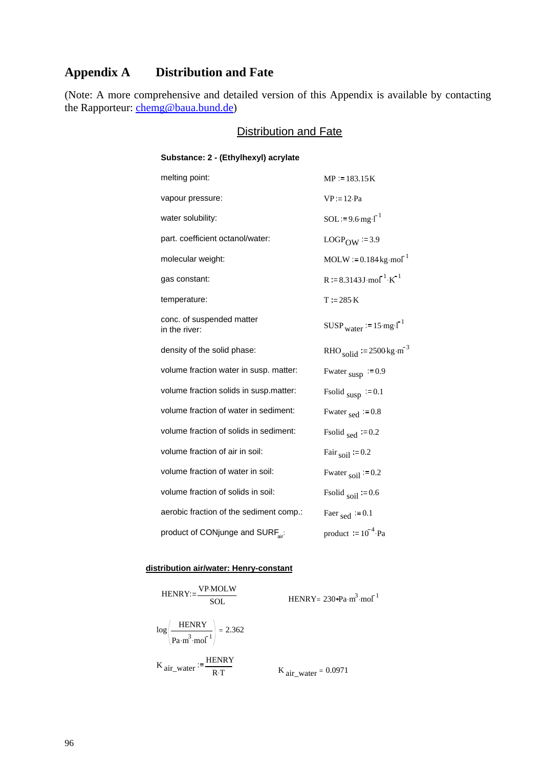# **Appendix A Distribution and Fate**

(Note: A more comprehensive and detailed version of this Appendix is available by contacting the Rapporteur: [chemg@baua.bund.de\)](mailto:chemg@baua.bund.de)

| Substance: 2 - (Ethylhexyl) acrylate          |                                                |
|-----------------------------------------------|------------------------------------------------|
| melting point:                                | $MP = 183.15K$                                 |
| vapour pressure:                              | $VP = 12 \cdot Pa$                             |
| water solubility:                             | $SOL := 9.6$ mg $I^{-1}$                       |
| part. coefficient octanol/water:              | $LOGP_{OW}$ = 3.9                              |
| molecular weight:                             | MOLW = $0.184$ kg·mol <sup>1</sup>             |
| gas constant:                                 | $R = 8.3143 J \text{ mol}^{-1} \text{ K}^{-1}$ |
| temperature:                                  | $T = 285$ K                                    |
| conc. of suspended matter<br>in the river:    | SUSP water $= 15$ mg $l^{-1}$                  |
| density of the solid phase:                   | RHO solid = 2500 kg m <sup>3</sup>             |
| volume fraction water in susp. matter:        | Fwater $_{\text{susp}}$ := 0.9                 |
| volume fraction solids in susp.matter:        | Fsolid $_{\text{susp}}$ = 0.1                  |
| volume fraction of water in sediment:         | Fwater $_{\text{sed}} := 0.8$                  |
| volume fraction of solids in sediment:        | Fsolid sed $= 0.2$                             |
| volume fraction of air in soil:               | Fair $_{\rm soil}$ = 0.2                       |
| volume fraction of water in soil:             | Fwater $_{\rm soil}$ := 0.2                    |
| volume fraction of solids in soil:            | Fsolid $_{\text{soil}}$ = 0.6                  |
| aerobic fraction of the sediment comp.:       | Faer sed $= 0.1$                               |
| product of CONjunge and SURF <sub>sir</sub> : | product $=10^{-4}$ Pa                          |

# **Distribution and Fate**

# **distribution air/water: Henry-constant**

| $HENRY = \frac{VP \cdot MOLW}{P}$<br>SOL                                                         | HENRY= $230 \text{°Pa} \cdot \text{m}^3 \cdot \text{mol}^{-1}$ |
|--------------------------------------------------------------------------------------------------|----------------------------------------------------------------|
| $\log \left( \frac{\text{HENRY}}{\text{Pa} \cdot \text{m}^3 \cdot \text{mol}^1} \right) = 2.362$ |                                                                |
| $K_{\text{air}\_\text{water}} := \frac{HENRY}{R \cdot T}$                                        | $K_{\text{air}\_\text{water}} = 0.0971$                        |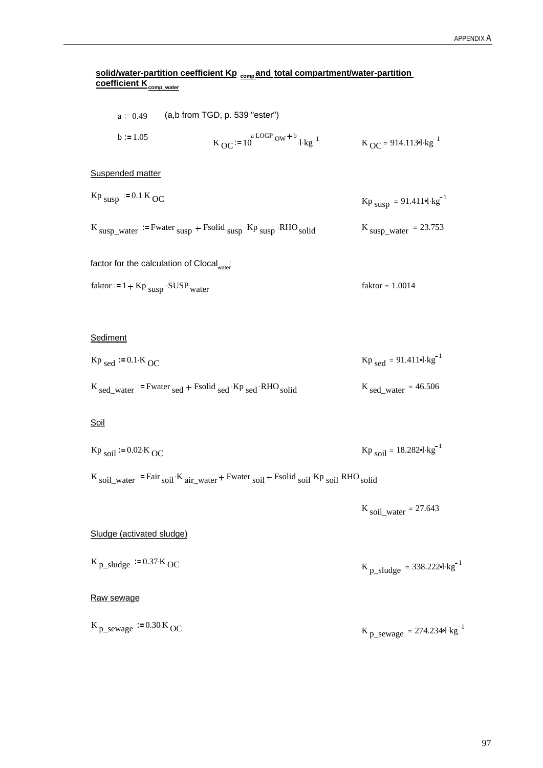#### **solid/water-partition ceefficient Kp comp and total compartment/water-partition**  <u>coefficient K<sub>comp\_water</u></u></sub>

| $a = 0.49$                                                                                                                      | (a,b from TGD, p. 539 "ester")                                                                                                                                                                       |                                                         |
|---------------------------------------------------------------------------------------------------------------------------------|------------------------------------------------------------------------------------------------------------------------------------------------------------------------------------------------------|---------------------------------------------------------|
| $b := 1.05$                                                                                                                     | $K_{OC}$ = 10 <sup>a-LOGP</sup> ow <sup>+b</sup> <sub>-1</sub> ·kg <sup>-1</sup>                                                                                                                     | $K_{OC}$ = 914.113 <sup>o</sup> l·kg <sup>-1</sup>      |
| Suspended matter                                                                                                                |                                                                                                                                                                                                      |                                                         |
| $Kp$ <sub>susp</sub> $:= 0.1 \cdot K$ OC                                                                                        |                                                                                                                                                                                                      | $Kp$ <sub>susp</sub> = 91.411 $q$ · $kg^{-1}$           |
| $K_{\text{susp\_water}} :=$ Fwater $_{\text{susp}}$ + Fsolid $_{\text{susp}}$ · Kp $_{\text{susp}}$ · RHO solid                 |                                                                                                                                                                                                      | $K_{\text{susp\_water}} = 23.753$                       |
| factor for the calculation of Clocal <sub>water</sub>                                                                           |                                                                                                                                                                                                      |                                                         |
| $faktor := 1 + Kp$ <sub>susp</sub> · SUSP <sub>water</sub>                                                                      |                                                                                                                                                                                                      | $faktor = 1.0014$                                       |
|                                                                                                                                 |                                                                                                                                                                                                      |                                                         |
| Sediment                                                                                                                        |                                                                                                                                                                                                      |                                                         |
| $Kp_{sed}$ = 0.1 $K_{OC}$                                                                                                       |                                                                                                                                                                                                      | $Kp_{sed} = 91.411$ ol·kg <sup>-1</sup>                 |
| $K_{\text{sed\_water}} :=$ Fwater $_{\text{sed}} +$ Fsolid $_{\text{sed}} \cdot$ Kp $_{\text{sed}} \cdot$ RHO $_{\text{solid}}$ |                                                                                                                                                                                                      | $K_{\text{sed\_water}} = 46.506$                        |
| Soil                                                                                                                            |                                                                                                                                                                                                      |                                                         |
| $Kp$ <sub>soil</sub> = 0.02 K <sub>OC</sub>                                                                                     |                                                                                                                                                                                                      | $Kp_{\text{soil}} = 18.2829 \text{ kg}^{-1}$            |
|                                                                                                                                 | $K_{\text{soil\_water}} := \text{Fair}_{\text{soil}} \cdot K_{\text{air\_water}} + \text{Fwater}_{\text{soil}} + \text{Fsolid}_{\text{soil}} \cdot Kp_{\text{soil}} \cdot \text{RHO}_{\text{solid}}$ |                                                         |
|                                                                                                                                 |                                                                                                                                                                                                      | $K_{\text{soil\_water}} = 27.643$                       |
| Sludge (activated sludge)                                                                                                       |                                                                                                                                                                                                      |                                                         |
| $K_{p\_sludge}$ = 0.37 $K_{OC}$                                                                                                 |                                                                                                                                                                                                      | $K_{p\_sludge}$ = 338.222 $0 \cdot kg^{-1}$             |
| Raw sewage                                                                                                                      |                                                                                                                                                                                                      |                                                         |
| $K_{p$ _sewage $= 0.30 K_{OC}$                                                                                                  |                                                                                                                                                                                                      | $K_{p\_sewage} = 274.234 \text{e} \cdot \text{kg}^{-1}$ |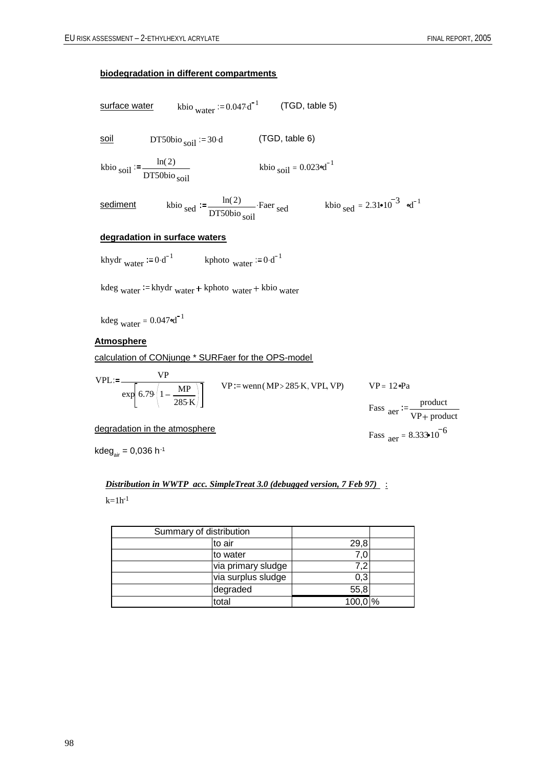#### **biodegradation in different compartments**

surface water

\nkbio<sub>waiter</sub> := 0.047d<sup>-1</sup> (TGD, table 5)

\nSoli

\nDT50bio<sub>soil</sub> := 30-d (TGD, table 6)

\nkbio<sub>soil</sub> := 
$$
\frac{\ln(2)}{DT50 \text{ bio solil}}
$$

\nkbio<sub>soil</sub> = 0.023d<sup>-1</sup>

\nsediment

\nkbio<sub>sed</sub> :=  $\frac{\ln(2)}{DT50 \text{ bio solil}}$ 

\nFrequency: Faer<sub>sed</sub>  $k \text{ bio } \text{sed } = 2.31 \cdot 10^{-3} \text{ ed}^{-1}$ 

\ndegradation in surface waters

\nkhydr<sub>water</sub> := 0 \cdot d<sup>-1</sup>

\nkdeg<sub>water</sub> := khydr<sub>water</sub> + kphoto<sub>water</sub> + kbio<sub>water</sub> + kbio<sub>water</sub>

\nkdeg<sub>water</sub> = 0.047d<sup>-1</sup>

\nAtmosphere

\ncalculation of CONjunge \* SURFaer for the OPS-model

\nVPL :=  $\frac{VP}{\exp(6.79) \left(1 - \frac{MP}{285 \cdot K}\right)}$ 

\nVP := venn(MP > 285 \cdot K, VPL, VP)

\nVP = 12 \cdot Pa

#### **Atmosphere**

calculation of CONjunge \* SURFaer for the OPS-model

$$
VPL := \frac{VP}{\exp\left[6.79 \cdot \left(1 - \frac{MP}{285 \cdot K}\right)\right]}
$$
 VP := wenn (MP > 285 K, VPL, VP) VP = 12·Pa  
Fass  $\text{aer} := \frac{\text{product}}{\text{VP} + \text{product}}$ 

degradation in the atmosphere Fass  $_{\text{aer}} = 8.333 \cdot 10^{-6}$ 

 $kdeg_{air} = 0,036 h^{-1}$ 

*Distribution in WWTP acc. SimpleTreat 3.0 (debugged version, 7 Feb 97)* :  $k=1h^{-1}$ 

| Summary of distribution |                    |           |  |
|-------------------------|--------------------|-----------|--|
|                         | to air             | 29,8      |  |
|                         | to water           | 7.0       |  |
|                         | via primary sludge | 7,2       |  |
|                         | via surplus sludge | 0,3       |  |
|                         | degraded           | 55,8      |  |
|                         | total              | $100,0\%$ |  |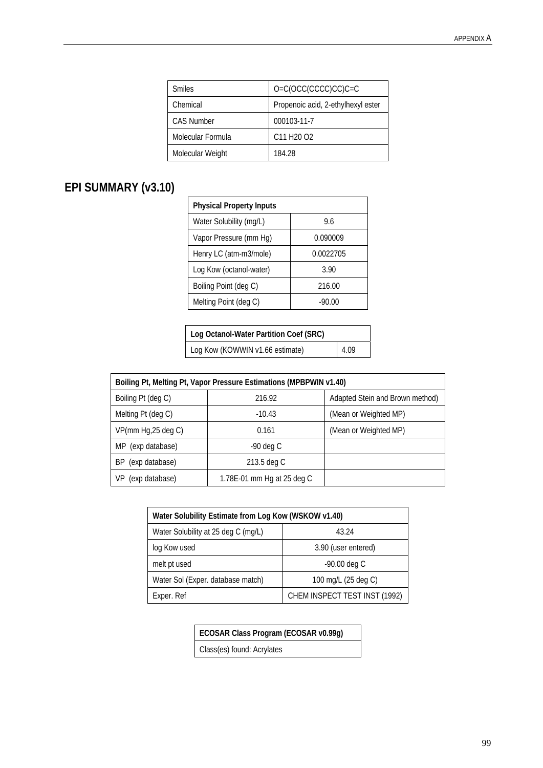| <b>Smiles</b>     | O=C(OCC(CCCC)CC)C=C                |
|-------------------|------------------------------------|
| Chemical          | Propenoic acid, 2-ethylhexyl ester |
| <b>CAS Number</b> | 000103-11-7                        |
| Molecular Formula | C11 H <sub>20</sub> O <sub>2</sub> |
| Molecular Weight  | 184.28                             |

# **EPI SUMMARY (v3.10)**

| <b>Physical Property Inputs</b> |           |  |  |
|---------------------------------|-----------|--|--|
| Water Solubility (mg/L)         | 9.6       |  |  |
| Vapor Pressure (mm Hg)          | 0.090009  |  |  |
| Henry LC (atm-m3/mole)          | 0.0022705 |  |  |
| Log Kow (octanol-water)         | 3.90      |  |  |
| Boiling Point (deg C)           | 216.00    |  |  |
| Melting Point (deg C)           | -90.00    |  |  |

**Log Octanol-Water Partition Coef (SRC)**  Log Kow (KOWWIN v1.66 estimate) 4.09

| Boiling Pt, Melting Pt, Vapor Pressure Estimations (MPBPWIN v1.40) |                            |                                 |  |
|--------------------------------------------------------------------|----------------------------|---------------------------------|--|
| Boiling Pt (deg C)                                                 | 216.92                     | Adapted Stein and Brown method) |  |
| Melting Pt (deg C)                                                 | $-10.43$                   | (Mean or Weighted MP)           |  |
| VP(mm Hg,25 deg C)                                                 | 0.161                      | (Mean or Weighted MP)           |  |
| (exp database)<br>MP.                                              | $-90$ deg C                |                                 |  |
| (exp database)<br>BP                                               | 213.5 deg C                |                                 |  |
| (exp database)<br>VP                                               | 1.78E-01 mm Hg at 25 deg C |                                 |  |

| Water Solubility Estimate from Log Kow (WSKOW v1.40) |                               |  |  |
|------------------------------------------------------|-------------------------------|--|--|
| Water Solubility at 25 deg C (mg/L)<br>43.24         |                               |  |  |
| log Kow used                                         | 3.90 (user entered)           |  |  |
| melt pt used                                         | $-90.00$ deg C                |  |  |
| Water Sol (Exper. database match)                    | 100 mg/L (25 deg C)           |  |  |
| Exper. Ref                                           | CHEM INSPECT TEST INST (1992) |  |  |

**ECOSAR Class Program (ECOSAR v0.99g)**  Class(es) found: Acrylates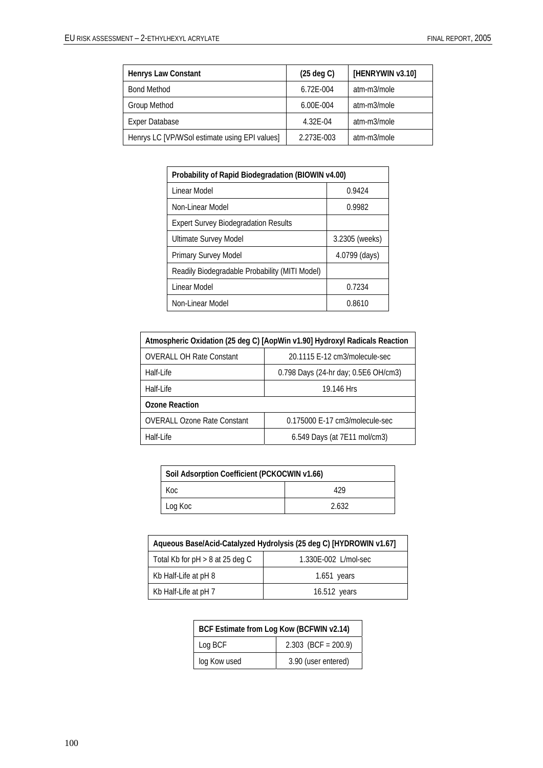| Henrys Law Constant                           | $(25 \deg C)$ | [HENRYWIN v3.10] |
|-----------------------------------------------|---------------|------------------|
| <b>Bond Method</b>                            | 6.72E-004     | atm-m3/mole      |
| Group Method                                  | $6.00E - 004$ | atm-m3/mole      |
| Exper Database                                | 4.32E-04      | atm-m3/mole      |
| Henrys LC [VP/WSol estimate using EPI values] | 2.273E-003    | atm-m3/mole      |

| Probability of Rapid Biodegradation (BIOWIN v4.00) |                |  |
|----------------------------------------------------|----------------|--|
| Linear Model                                       | 0.9424         |  |
| Non-Linear Model                                   | 0.9982         |  |
| <b>Expert Survey Biodegradation Results</b>        |                |  |
| Ultimate Survey Model                              | 3.2305 (weeks) |  |
| Primary Survey Model                               | 4.0799 (days)  |  |
| Readily Biodegradable Probability (MITI Model)     |                |  |
| Linear Model                                       | 0.7234         |  |
| Non-Linear Model                                   | 0.8610         |  |

| Atmospheric Oxidation (25 deg C) [AopWin v1.90] Hydroxyl Radicals Reaction |                                      |  |
|----------------------------------------------------------------------------|--------------------------------------|--|
| <b>OVERALL OH Rate Constant</b>                                            | 20.1115 E-12 cm3/molecule-sec        |  |
| Half-Life                                                                  | 0.798 Days (24-hr day; 0.5E6 OH/cm3) |  |
| Half-Life                                                                  | 19.146 Hrs                           |  |
| Ozone Reaction                                                             |                                      |  |
| <b>OVERALL Ozone Rate Constant</b>                                         | 0.175000 E-17 cm3/molecule-sec       |  |
| Half-Life                                                                  | 6.549 Days (at 7E11 mol/cm3)         |  |

| Soil Adsorption Coefficient (PCKOCWIN v1.66) |       |  |
|----------------------------------------------|-------|--|
| Koc                                          | 429   |  |
| Log Koc                                      | 2.632 |  |

| Aqueous Base/Acid-Catalyzed Hydrolysis (25 deg C) [HYDROWIN v1.67] |                      |  |
|--------------------------------------------------------------------|----------------------|--|
| Total Kb for $pH > 8$ at 25 deg C                                  | 1.330E-002 L/mol-sec |  |
| Kb Half-Life at pH 8                                               | 1.651 years          |  |
| Kb Half-Life at pH 7                                               | 16.512 years         |  |

| BCF Estimate from Log Kow (BCFWIN v2.14) |                       |
|------------------------------------------|-----------------------|
| Log BCF                                  | $2.303$ (BCF = 200.9) |
| log Kow used                             | 3.90 (user entered)   |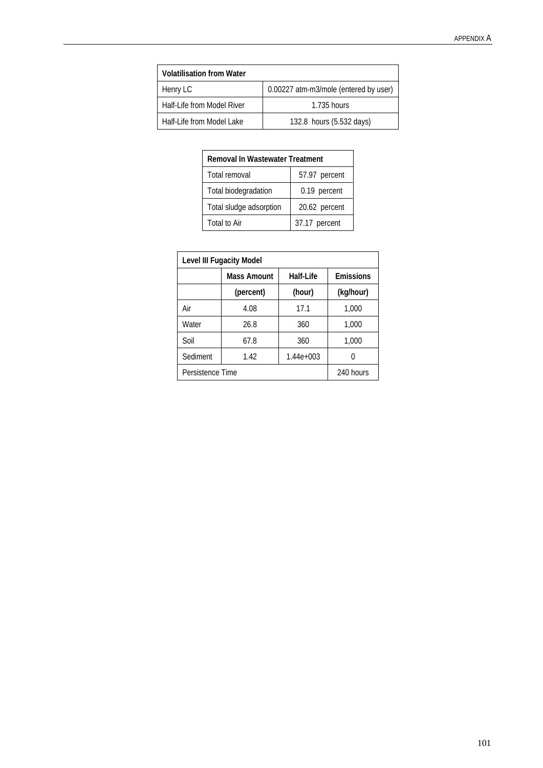| <b>Volatilisation from Water</b> |                                       |
|----------------------------------|---------------------------------------|
| Henry LC                         | 0.00227 atm-m3/mole (entered by user) |
| Half-Life from Model River       | 1.735 hours                           |
| Half-Life from Model Lake        | 132.8 hours (5.532 days)              |

| Removal In Wastewater Treatment |               |  |
|---------------------------------|---------------|--|
| Total removal                   | 57.97 percent |  |
| Total biodegradation            | 0.19 percent  |  |
| Total sludge adsorption         | 20.62 percent |  |
| Total to Air                    | 37.17 percent |  |

| Level III Fugacity Model |             |                  |           |
|--------------------------|-------------|------------------|-----------|
|                          | Mass Amount | <b>Half-Life</b> | Emissions |
|                          | (percent)   | (hour)           | (kg/hour) |
| Air                      | 4.08        | 17.1             | 1,000     |
| Water                    | 26.8        | 360              | 1,000     |
| Soil                     | 67.8        | 360              | 1,000     |
| Sediment                 | 1.42        | $1.44e+003$      |           |
| Persistence Time         |             |                  | 240 hours |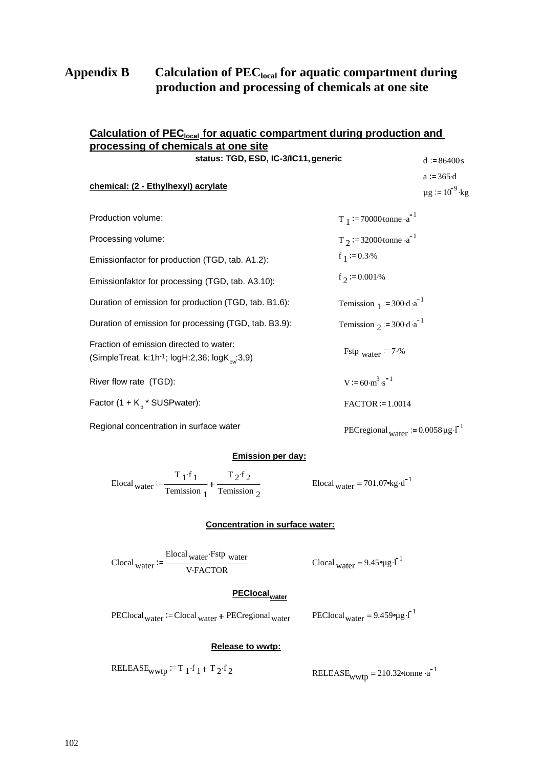# Appendix B Calculation of PEC<sub>local</sub> for aquatic compartment during **production and processing of chemicals at one site**

# **Calculation of PEC**<sub>local</sub> for aquatic compartment during production and **processing of chemicals at one site**

**status: TGD, ESD, IC-3/IC11, generic** d:=86400s.

 $a := 365 \cdot d$ 

**chemical: (2 - Ethylhexyl) acrylate properties**  $\mu$ g 10<sup>-9</sup> kg

| Production volume:                                                                                                | T <sub>1</sub> :=70000tonne $\cdot a^{-1}$                          |
|-------------------------------------------------------------------------------------------------------------------|---------------------------------------------------------------------|
| Processing volume:                                                                                                | T $2$ = 32000 tonne $a^{-1}$                                        |
| Emissionfactor for production (TGD, tab. A1.2):                                                                   | $f_1 := 0.3\%$                                                      |
| Emissionfaktor for processing (TGD, tab. A3.10):                                                                  | $f_2 := 0.001\%$                                                    |
| Duration of emission for production (TGD, tab. B1.6):                                                             | Temission $1 = 300 \text{ d} \cdot \text{a}^{-1}$                   |
| Duration of emission for processing (TGD, tab. B3.9):                                                             | Temission $\gamma$ = 300 d a <sup>-1</sup>                          |
| Fraction of emission directed to water:<br>(SimpleTreat, k:1h <sup>-1</sup> ; logH:2,36; logK <sub>ow</sub> :3,9) | Fstp water $= 7.%$                                                  |
| River flow rate (TGD):                                                                                            | $V := 60 \cdot m^3 \cdot s^{-1}$                                    |
| Factor $(1 + K_{p} * SUBPwater)$ :                                                                                | $FACTOR := 1.0014$                                                  |
| Regional concentration in surface water                                                                           | PECregional water $:= 0.0058 \mu g \cdot \overline{I}$ <sup>1</sup> |

#### **Emission per day:**

Elocal <sub>water</sub>  $T_1 f_1$ Temission 1  $T_2 \cdot f_2$ Temission 2

Elocal water = 701.07 kg  $d^{-1}$ 

### **Concentration in surface water:**

| $\text{Cloud}_{\text{water}} :=$ | $Elocal_{water}$ Fstp water |  |
|----------------------------------|-----------------------------|--|
|                                  | <b>V-FACTOR</b>             |  |

Clocal water =  $9.45$   $\mu$ g ·  $l^{-1}$ 

## **PEClocalwater**

PEClocal<sub>water</sub> := Clocal<sub>water</sub> + PECregional<sub>water</sub> PEClocal<sub>water</sub> =  $9.4599 \mu g \cdot l^{-1}$ 

### **Release to wwtp:**

RELEASE<sub>wwtp</sub>  $:= T_1 \cdot f_1 + T_2 \cdot f_2$ <br>RELEASE<sub>wwtp</sub> = 210.32 tonne a<sup>-1</sup>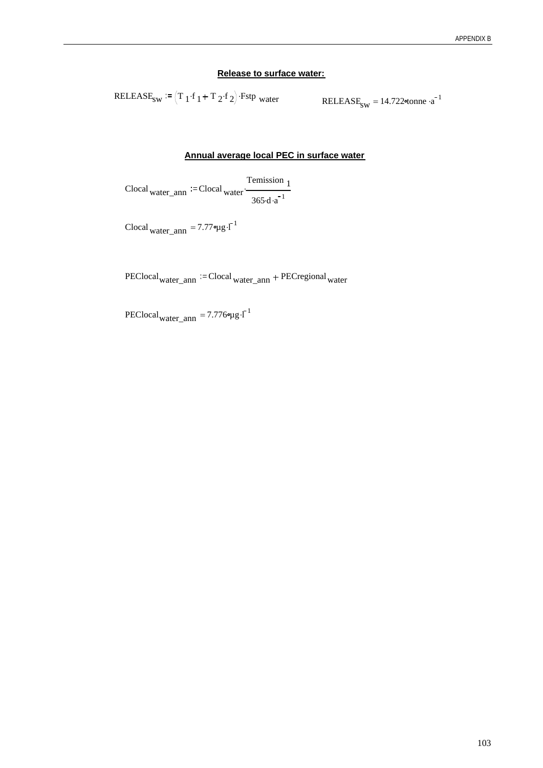## **Release to surface water:**

RELEASE<sub>SW</sub> :=  $(T_1 \cdot f_1 + T_2 \cdot f_2)$  Fstp water RELEASE<sub>SW</sub> = 14.722 tonne a<sup>-1</sup>

### **Annual average local PEC in surface water**

 $Clocal_{water\_ann}$  = Clocal <sub>water</sub> Temission 1  $365 \cdot d \cdot a^{-1}$ .

 $\text{Clocal}_{\text{water\_ann}} = 7.77 \text{ erg} \cdot \text{I}^{-1}$ 

 $\text{PECloud}_{\text{water\_ann}} := \text{Closed}_{\text{water\_ann}} + \text{PEC regional}_{\text{water}}$ 

 $\text{PECloud}_{\text{water\_ann}} = 7.776$ %qug l  $^{-1}$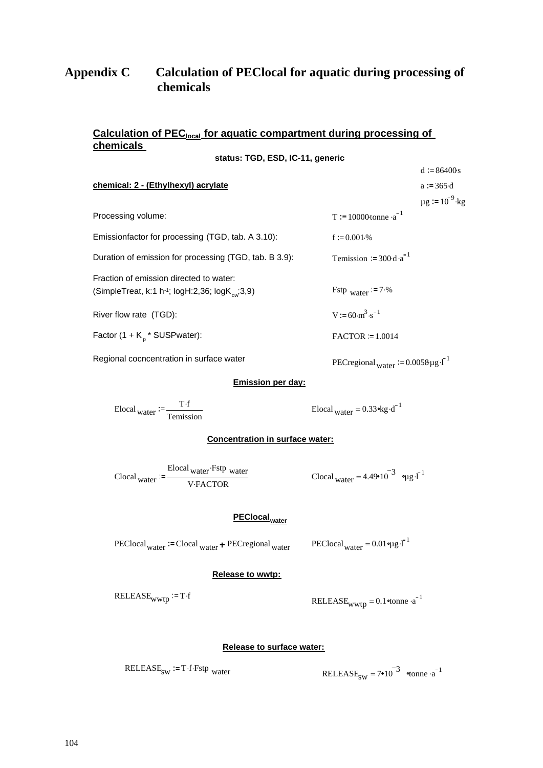## **Appendix C Calculation of PEClocal for aquatic during processing of chemicals**

## **Calculation of PEC**<sub>local</sub> for aquatic compartment during processing of **chemicals**

 **status: TGD, ESD, IC-11, generic**

#### **chemical: 2 - (Ethylhexyl) acrylate a** 365 d. **a** 365 d.

Processing volume: Emissionfactor for processing (TGD, tab. A 3.10): Duration of emission for processing (TGD, tab. B 3.9): Fraction of emission directed to water: (SimpleTreat, k:1 h-1; logH:2,36; logK<sub>ow</sub>:3,9) River flow rate (TGD): Factor (1 +  $K_{p}$  \* SUSPwater): T := 10000 tonne  $\cdot a^{-1}$  $f := 0.001\%$ Temission  $:= 300 \cdot d \cdot a^{-1}$ Fstp water  $:= 7.%$  $V := 60 \cdot m^3 \cdot s^{-1}$  $FACTOR := 1.0014$ 

Regional cocncentration in surface water

#### **Emission per day:**

Elocal <sub>water</sub> :=  $\frac{T \cdot f}{T \cdot \text{cmisc}}$ Temission

Elocal water =  $0.33$  kg $\cdot d^{-1}$ 

PECregional  $\text{water} := 0.0058 \mu \text{g} \cdot \text{l}^{-1}$ 

 $d := 86400s$ 

 $\mu$ g = 10<sup>-9</sup>·kg

**Concentration in surface water:**

Clocal water Elocal <sub>water</sub> Fstp water

Clocal water =  $4.49 \times 10^{-3}$   $\mu$ g ·  $I^{-1}$ 

**PEClocalwater**

 $PEClosed_{water}$  = Clocal <sub>water</sub> + PECregional <sub>water</sub> PEClocal <sub>water</sub> = 0.01 \times 1<sup>-1</sup>

#### **Release to wwtp:**

RELEASE<sub>wwtp</sub> := T·f RELEASE<sub>wwtp</sub> = 0.1  $\text{m} = 0.1 \times 10^{-11}$ 

#### **Release to surface water:**

RELEASE<sub>SW</sub> := T·f·Fstp water . RELEASE<sub>SW</sub> = 7•10<sup>-3</sup> otonne a<sup>-1</sup>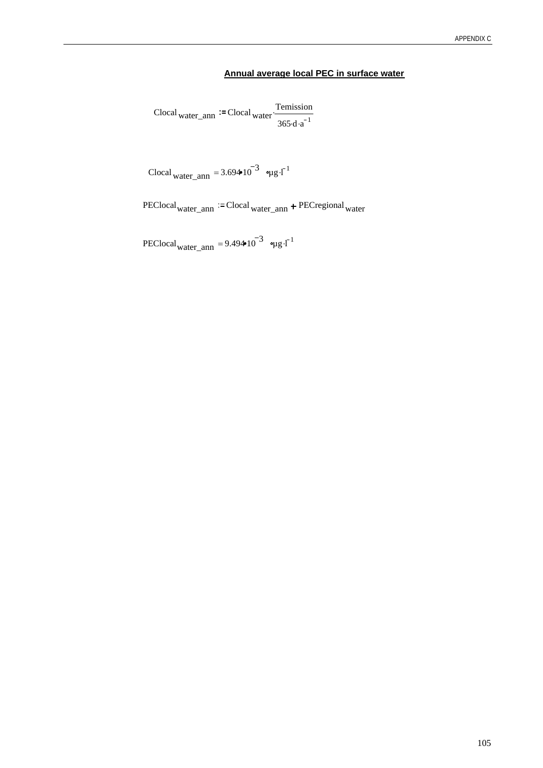### **Annual average local PEC in surface water**

 $\text{Clocal}_{\text{water}\_\text{ann}} := \text{Clocal}_{\text{water}\_\text{max}}$  $365 \cdot d \cdot a^{-1}$ .

 $\text{Clocal}_{\text{water\_ann}} = 3.694 \times 10^{-3} \text{ erg·}^{-1}$ 

 $\text{PECloud}_{\text{water\_ann}} := \text{Closed}_{\text{water\_ann}} + \text{PEC regional}_{\text{water}}$ 

PEClocal<sub>water\_ann</sub> =  $9.494 \times 10^{-3}$   $\mu$ g.<sup>1</sup>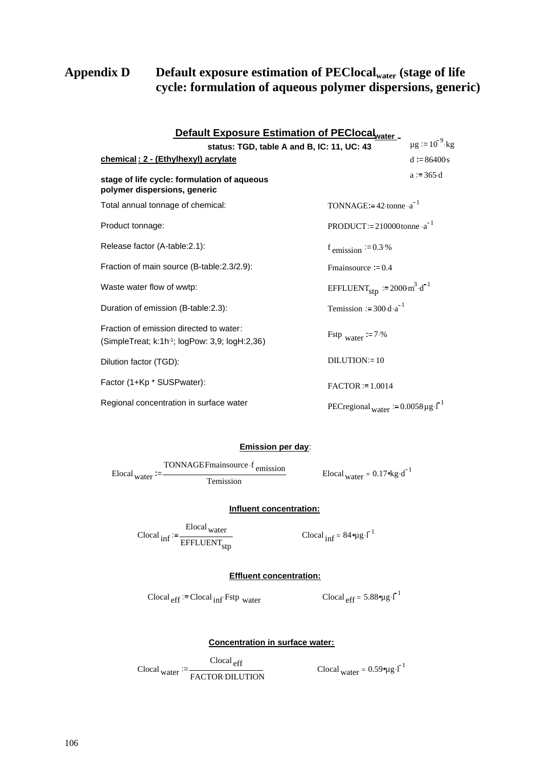# Appendix D Default exposure estimation of PEClocal<sub>water</sub> (stage of life **cycle: formulation of aqueous polymer dispersions, generic)**

| Default Exposure Estimation of PEClocal <sub>water</sub><br>$\mu$ g := 10 <sup>-9</sup> ·kg<br>status: TGD, table A and B, IC: 11, UC: 43 |                                                                   |                      |  |
|-------------------------------------------------------------------------------------------------------------------------------------------|-------------------------------------------------------------------|----------------------|--|
| chemical: 2 - (Ethylhexyl) acrylate                                                                                                       |                                                                   | $d := 86400s$        |  |
| stage of life cycle: formulation of aqueous<br>polymer dispersions, generic                                                               |                                                                   | $a := 365 \text{ d}$ |  |
| Total annual tonnage of chemical:                                                                                                         | TONNAGE:= $42$ ·tonne ·a <sup>-1</sup>                            |                      |  |
| Product tonnage:                                                                                                                          | PRODUCT:= $210000$ tonne $\cdot a^{-1}$                           |                      |  |
| Release factor (A-table:2.1):                                                                                                             | $f_{\text{emission}} = 0.3\%$                                     |                      |  |
| Fraction of main source (B-table: 2.3/2.9):                                                                                               | Fmainsource $= 0.4$                                               |                      |  |
| Waste water flow of wwtp:                                                                                                                 | EFFLUENT <sub>stp</sub> := $2000 \text{ m}^3 \cdot \text{d}^{-1}$ |                      |  |
| Duration of emission (B-table:2.3):                                                                                                       | Temission $:= 300 \text{ d} \cdot \text{a}^{-1}$                  |                      |  |
| Fraction of emission directed to water:<br>(SimpleTreat; $k:1h^{-1}$ ; logPow: 3,9; logH:2,36)                                            | Fstp water $:= 7.%$                                               |                      |  |
| Dilution factor (TGD):                                                                                                                    | $DILUTION = 10$                                                   |                      |  |
| Factor (1+Kp * SUSPwater):                                                                                                                | $FACTOR := 1.0014$                                                |                      |  |
| Regional concentration in surface water                                                                                                   | PECregional $_{\text{water}}$ := 0.0058µg · $\Gamma$ <sup>1</sup> |                      |  |

### **Emission per day**:

Elocal <sub>water</sub> TONNAGEFmainsource f emission Temission

Elocal water =  $0.17$  kg·d<sup>-1</sup>

#### **Influent concentration:**

Clocal<sub>inf</sub> Elocal <sub>water</sub> EFFLUENT<sub>stp</sub>

Clocal  $_{\text{inf}} = 84$  qug  $I^{-1}$ 

#### **Effluent concentration:**

Clocal  $_{\text{eff}}$  := Clocal  $_{\text{inf}}$  Fstp water . Clocal  $_{\text{eff}}$  = 5.88 $_{\text{PUS}}$  1<sup>-1</sup>

#### **Concentration in surface water:**

Clocal water Clocal eff

 $Clocal_{water} = 0.59$   $\gamma$ g ·  $l^{-1}$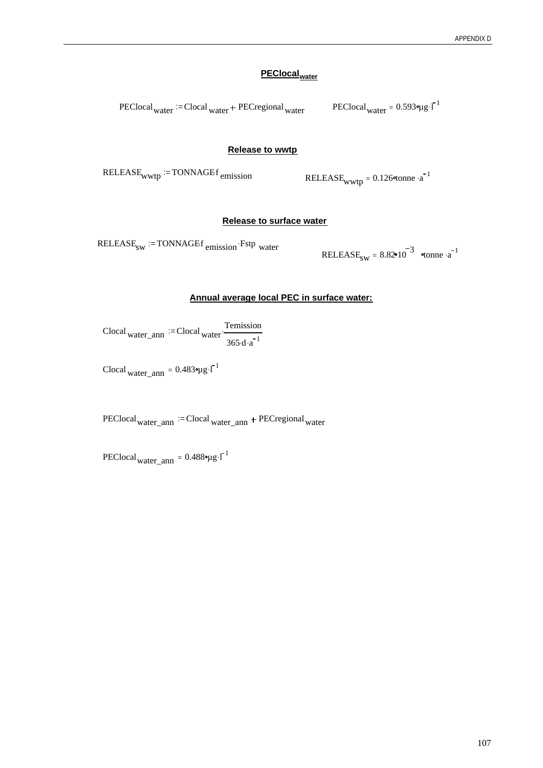# **PEClocal**<sub>water</sub>

PEClocal<sub>water</sub> = Clocal<sub>water</sub> + PECregional<sub>water</sub> PEClocal<sub>water</sub> =  $0.593$   $_{\text{W}}$  1<sup>1</sup>

#### **Release to wwtp**

RELEASE<sub>wwtp</sub>  $=$  TONNAGEf emission . RELEASE<sub>wwtp</sub> = 0.126 $\text{...}$  a<sup>-1</sup>

#### **Release to surface water**

 $RELEASE<sub>sw</sub>$  := TONNAGEf  $_{emission}$  . Fstp water

RELEASE<sub>SW</sub> =  $8.82 \cdot 10^{-3}$  vtonne a<sup>-1</sup>

#### **Annual average local PEC in surface water:**

 $\text{Clocal}_{\text{water}\_\text{ann}}$  = Clocal <sub>water</sub>  $\frac{\text{Temission}}{\text{Coul}}$  $365 \cdot d \cdot a^{-1}$ .

Clocal <sub>water\_ann</sub> =  $0.483$   $\mu$ g · $l^{-1}$ 

 $PEClosed_{water\_ann}$  = Clocal water  $_{ann}$  + PECregional water

 $PEClosed_{water\_ann} = 0.4889 \mu g \cdot l^{-1}$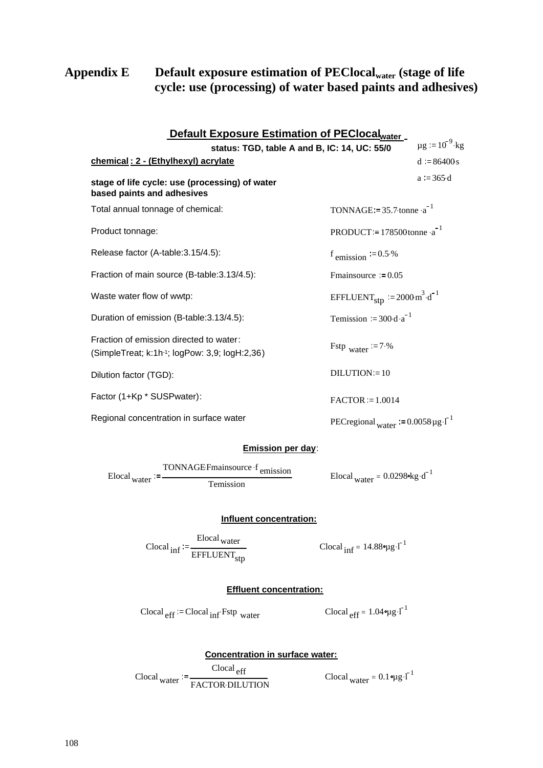## Appendix E Default exposure estimation of PEClocal<sub>water</sub> (stage of life **cycle: use (processing) of water based paints and adhesives)**

| Default Exposure Estimation of PEClocal <sub>water</sub>                                 |                                                                     |                                |
|------------------------------------------------------------------------------------------|---------------------------------------------------------------------|--------------------------------|
| status: TGD, table A and B, IC: 14, UC: 55/0                                             |                                                                     | $\mu$ g = 10 <sup>-9</sup> ·kg |
| chemical: 2 - (Ethylhexyl) acrylate                                                      |                                                                     | $d = 86400s$                   |
| stage of life cycle: use (processing) of water<br>based paints and adhesives             |                                                                     | $a = 365d$                     |
| Total annual tonnage of chemical:                                                        | TONNAGE = $35.7$ tonne $a^{-1}$                                     |                                |
| Product tonnage:                                                                         | PRODUCT = $178500$ tonne $a^{-1}$                                   |                                |
| Release factor (A-table: 3.15/4.5):                                                      | $f_{\text{emission}} = 0.5\%$                                       |                                |
| Fraction of main source (B-table: 3.13/4.5):                                             | Fmainsource $= 0.05$                                                |                                |
| Waste water flow of wwtp:                                                                | EFFLUENT <sub>stp</sub> $:= 2000 \text{ m}^3 \cdot \text{d}^{-1}$   |                                |
| Duration of emission (B-table: 3.13/4.5):                                                | Temission = $300 d \cdot a^{-1}$                                    |                                |
| Fraction of emission directed to water:<br>(SimpleTreat; k:1h-1; logPow: 3,9; logH:2,36) | Fstp water $= 7.%$                                                  |                                |
| Dilution factor (TGD):                                                                   | $DILUTION = 10$                                                     |                                |
| Factor (1+Kp * SUSPwater):                                                               | $FACTOR = 1.0014$                                                   |                                |
| Regional concentration in surface water                                                  | PECregional water $:= 0.0058 \mu g \cdot \overline{I}$ <sup>1</sup> |                                |

### **Emission per day**:

Elocal <sub>water</sub> TONNAGEFmainsource f emission Temission Elocal water =  $0.0298$ <sup>o</sup>kg · d<sup>-1</sup>

#### **Influent concentration:**

Clocal <sub>inf</sub> Elocal <sub>water</sub> EFFLUENT<sub>stp</sub>

Clocal  $_{\text{inf}}$  = 14.88  $_{\text{up}}$  l<sup>-1</sup>

### **Effluent concentration:**

Clocal  $_{\text{eff}}$  := Clocal  $_{\text{inf}}$  Fstp water . Clocal  $_{\text{eff}}$  = 1.04  $_{\text{P}}$  l  $^{-1}$ 

Clocal water

## **Concentration in surface water:**

 $\frac{Clocal_{eff}}{FACTOR.DILUTION}$   $\qquad \qquad \text{Clocal}_{water} = 0.1 \text{ erg} \cdot \Gamma^{1}$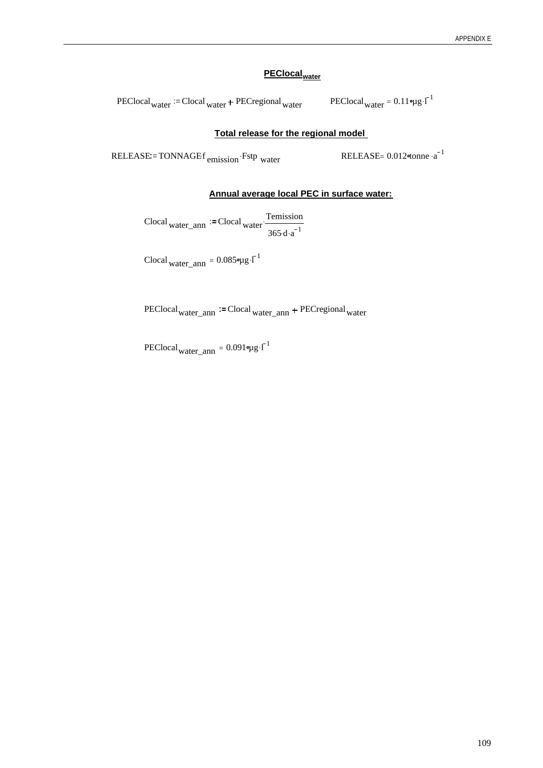## **PEClocalwater**

PEClocal<sub>water</sub> = Clocal<sub>water</sub> + PECregional<sub>water</sub> PEClocal<sub>water</sub> =  $0.11 \text{ erg} \cdot \text{I}^{-1}$ 

### **Total release for the regional model**

RELEASE = TONNAGEf emission  $\cdot$  Fstp water  $\cdot$  RELEASE = 0.012 \* tonne  $\cdot$  a<sup>-1</sup>

#### **Annual average local PEC in surface water:**

 $\text{Clocal}_{\text{water\_ann}}$  = Clocal <sub>water</sub>  $\frac{\text{Temission}}{\text{Coul}_{\text{water}}}\$  $365 \cdot d \cdot a^{-1}$ .

Clocal water\_ann =  $0.085$   $\mu$ g · l<sup>-1</sup>

 $\text{PEClocal}_{\text{water}\_\text{ann}} := \text{Clocal}_{\text{water}\_\text{ann}} + \text{PEC regional}_{\text{water}}$ 

 $\text{PECloudwater\_ann} = 0.091$ qug l  $^{-1}$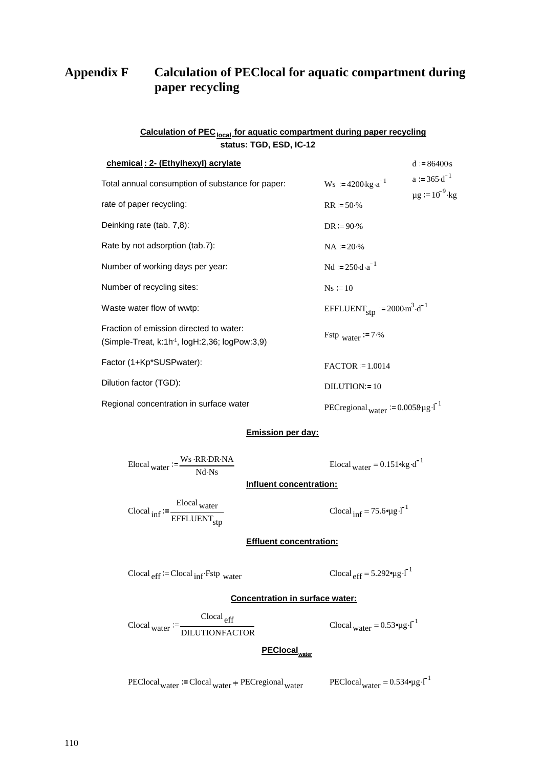# **Appendix F Calculation of PEClocal for aquatic compartment during paper recycling**

| Calculation of PEC <sub>local</sub> for aquatic compartment during paper recycling |
|------------------------------------------------------------------------------------|
| status: TGD, ESD, IC-12                                                            |

| chemical: 2- (Ethylhexyl) acrylate                                                                    |                                                                  | $d := 86400s$                   |
|-------------------------------------------------------------------------------------------------------|------------------------------------------------------------------|---------------------------------|
| Total annual consumption of substance for paper:                                                      | $Ws := 4200 \text{ kg} \cdot a^{-1}$                             | $a := 365 \cdot d^{-1}$         |
| rate of paper recycling:                                                                              | $RR = 50.%$                                                      | $\mu$ g := 10 <sup>-9</sup> ·kg |
| Deinking rate (tab. 7,8):                                                                             | $DR := 90.%$                                                     |                                 |
| Rate by not adsorption (tab.7):                                                                       | $NA := 20.%$                                                     |                                 |
| Number of working days per year:                                                                      | Nd = $250 \text{ d} \cdot a^{-1}$                                |                                 |
| Number of recycling sites:                                                                            | $Ns := 10$                                                       |                                 |
| Waste water flow of wwtp:                                                                             | EFFLUENT <sub>stp</sub> = $2000 \text{ m}^3 \cdot \text{d}^{-1}$ |                                 |
| Fraction of emission directed to water:<br>(Simple-Treat, k:1h <sup>-1</sup> , logH:2,36; logPow:3,9) | Fstp water $:= 7.%$                                              |                                 |
| Factor (1+Kp*SUSPwater):                                                                              | $FACTOR := 1.0014$                                               |                                 |
| Dilution factor (TGD):                                                                                | $DILUTION = 10$                                                  |                                 |
| Regional concentration in surface water                                                               | PECregional water $= 0.0058 \mu g \cdot \overline{I}$            |                                 |

#### **Emission per day:**

| $\text{Slocal}_{\text{water}} := \frac{\text{Ws} \cdot \text{RR} \cdot \text{DR} \cdot \text{NA}}{1}$<br>$Nd$ $Ns$ | Elocal <sub>water</sub> = $0.151$ kg·d <sup>-1</sup>          |
|--------------------------------------------------------------------------------------------------------------------|---------------------------------------------------------------|
|                                                                                                                    | Influent concentration:                                       |
| Elocal <sub>water</sub><br>$\text{Clocal}_{\text{inf}} := \frac{1}{\text{EFFLUENT}_{\text{stp}}}$                  | Clocal $_{\text{inf}} = 75.6$ $\mu$ g $\cdot$ l <sup>-1</sup> |

#### **Effluent concentration:**

Clocal  $_{\text{eff}}$  := Clocal  $_{\text{inf}}$  Fstp water . Clocal  $_{\text{eff}}$  = 5.292 $_{\text{PQ}}$  l<sup>-1</sup>

### **Concentration in surface water:**

Clocal water  $\frac{Clocal_{\text{eff}}}{DILLUTIONFACTOR}$   $\qquad \qquad \text{Clocal}_{\text{water}} = 0.53 \text{ g} \cdot \text{I}^{-1}$ 

## **PEClocalwater**

PEClocal<sub>water</sub> := Clocal<sub>water</sub> + PECregional<sub>water</sub> PEClocal<sub>water</sub> =  $0.534 \mu g \cdot l^{-1}$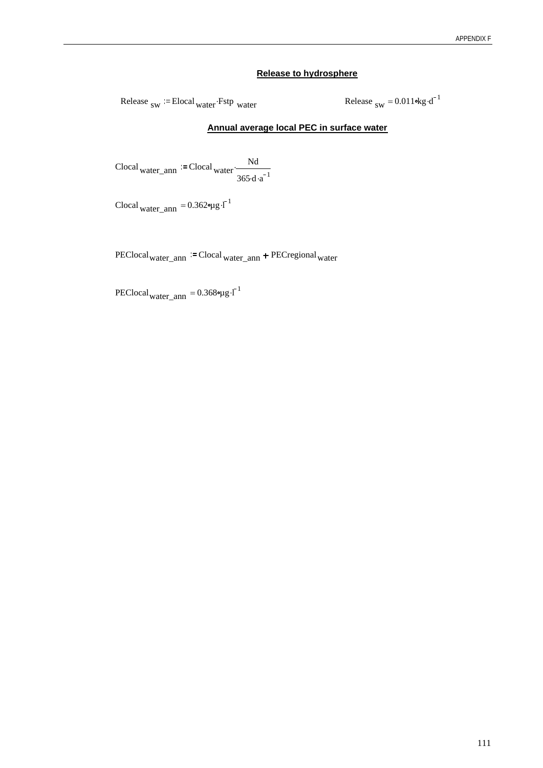#### **Release to hydrosphere**

Release  $_{\text{sw}}$  = Elocal water Fstp water . Release  $_{\text{sw}}$  = 0.011 kg d<sup>-1</sup>

#### **Annual average local PEC in surface water**

 $\text{Clocal}_{\text{water\_ann}}$  = Clocal <sub>water</sub>  $\frac{\text{Nd}}{\text{C}}$  $365 \cdot d \cdot a^{-1}$ .

Clocal water\_ann =  $0.362$   $\mu$ g ·  $I^{-1}$ 

 $PEClosed_{water}$  ann  $=$ Clocal water ann  $+$  PECregional water

 $\text{PECloud}_{\text{water\_ann}} = 0.368$ %  $\cdot$  l  $^{-1}$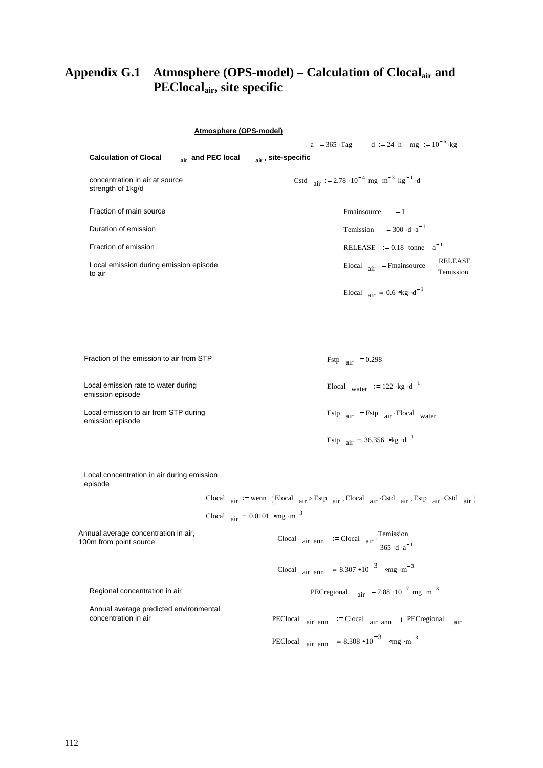## **Appendix G.1 Atmosphere (OPS-model) – Calculation of Clocalair and PEClocalair, site specific**

| Atmosphere (OPS-model)                                         |                                                                                                                          |                                                                                     |                                                                              |                      |
|----------------------------------------------------------------|--------------------------------------------------------------------------------------------------------------------------|-------------------------------------------------------------------------------------|------------------------------------------------------------------------------|----------------------|
| <b>Calculation of Clocal</b>                                   | air and PEC local<br>air, site-specific                                                                                  |                                                                                     | a := 365 · Tag d := 24 · h mg := $10^{-6}$ · kg                              |                      |
|                                                                |                                                                                                                          |                                                                                     |                                                                              |                      |
| concentration in air at source<br>strength of 1kg/d            |                                                                                                                          | Cstd air $:= 2.78 \cdot 10^{-4}$ mg $\cdot m^{-3} \cdot kg^{-1} \cdot d$            |                                                                              |                      |
| Fraction of main source                                        |                                                                                                                          |                                                                                     | Fmainsource $:= 1$                                                           |                      |
| Duration of emission                                           |                                                                                                                          |                                                                                     | Temission $:= 300 \cdot d \cdot a^{-1}$                                      |                      |
| Fraction of emission                                           |                                                                                                                          |                                                                                     | RELEASE $:= 0.18$ tonne $\cdot a^{-1}$                                       |                      |
| Local emission during emission episode<br>to air               |                                                                                                                          |                                                                                     | Elocal $_{\text{air}}$ := Fmainsource                                        | RELEASE<br>Temission |
|                                                                |                                                                                                                          |                                                                                     | Elocal $_{\text{air}} = 0.6$ okg $\cdot d^{-1}$                              |                      |
|                                                                |                                                                                                                          |                                                                                     |                                                                              |                      |
| Fraction of the emission to air from STP                       |                                                                                                                          | Fstp $_{\text{air}}$ := 0.298                                                       |                                                                              |                      |
| Local emission rate to water during<br>emission episode        |                                                                                                                          |                                                                                     | Elocal <sub>water</sub> $:= 122 \cdot kg \cdot d^{-1}$                       |                      |
| Local emission to air from STP during<br>emission episode      |                                                                                                                          |                                                                                     | Estp $_{\text{air}}$ := Fstp $_{\text{air}}$ Elocal <sub>water</sub>         |                      |
|                                                                |                                                                                                                          |                                                                                     | Estp $_{\text{air}}$ = 36.356 $\text{ekg} \cdot \text{d}^{-1}$               |                      |
| Local concentration in air during emission<br>episode          |                                                                                                                          |                                                                                     |                                                                              |                      |
|                                                                | Clocal $_{air}$ := wenn (Elocal $_{air}$ > Estp $_{air}$ , Elocal $_{air}$ Cstd $_{air}$ , Estp $_{air}$ Cstd $_{air}$ ) |                                                                                     |                                                                              |                      |
|                                                                | Clocal $_{\text{air}} = 0.0101$ mg ·m <sup>-3</sup>                                                                      |                                                                                     |                                                                              |                      |
| Annual average concentration in air,<br>100m from point source |                                                                                                                          | Clocal $air\_ann$ := Clocal $air \frac{\text{Temission}}{365 \cdot d \cdot a^{-1}}$ |                                                                              |                      |
|                                                                |                                                                                                                          | Clocal $_{air\_ann}$ = 8.307 $\cdot 10^{-3}$ omg ·m <sup>-3</sup>                   |                                                                              |                      |
| Regional concentration in air                                  |                                                                                                                          |                                                                                     | PECregional $_{\text{air}}$ = 7.88 · 10 <sup>-7</sup> · mg · m <sup>-3</sup> |                      |
| Annual average predicted environmental<br>concentration in air | PEClocal                                                                                                                 |                                                                                     | $air_{\text{ann}}$ := Clocal $air_{\text{ann}}$ + PECregional                | air                  |
|                                                                | PEClocal                                                                                                                 | $air\_ann$ = 8.308 $\bullet 10^{-3}$ omg ·m <sup>-3</sup>                           |                                                                              |                      |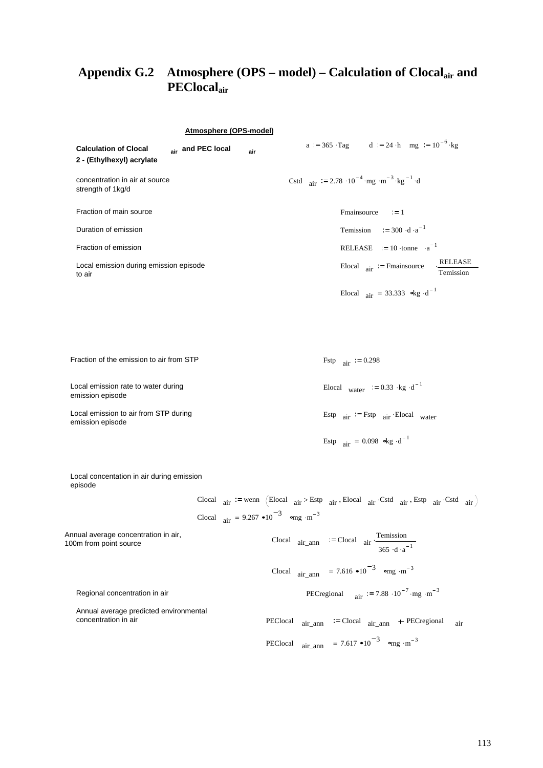# **Appendix G.2 Atmosphere (OPS – model) – Calculation of Clocalair and PEClocalair**

|                                                                | Atmosphere (OPS-model)                                     |                   |                                        |                                                                                                                          |                             |
|----------------------------------------------------------------|------------------------------------------------------------|-------------------|----------------------------------------|--------------------------------------------------------------------------------------------------------------------------|-----------------------------|
| <b>Calculation of Clocal</b><br>2 - (Ethylhexyl) acrylate      | air and PEC local<br>air                                   |                   |                                        | a = 365 · Tag d : = 24 · h mg = $10^{-6}$ · kg                                                                           |                             |
| concentration in air at source<br>strength of 1kg/d            |                                                            |                   |                                        | Cstd $_{\text{air}}$ := 2.78 · 10 <sup>-4</sup> · mg · m <sup>-3</sup> · kg <sup>-1</sup> · d                            |                             |
| Fraction of main source                                        |                                                            |                   |                                        | Fmainsource<br>$:= 1$                                                                                                    |                             |
| Duration of emission                                           |                                                            |                   |                                        | Temission $:= 300 \cdot d \cdot a^{-1}$                                                                                  |                             |
| Fraction of emission                                           |                                                            |                   |                                        | RELEASE $:= 10$ tonne $a^{-1}$                                                                                           |                             |
| Local emission during emission episode<br>to air               |                                                            |                   |                                        | Elocal $_{\text{air}}$ := Fmainsource                                                                                    | <b>RELEASE</b><br>Temission |
|                                                                |                                                            |                   |                                        | Elocal $_{\text{air}}$ = 33.333 $\text{ekg} \cdot \text{d}^{-1}$                                                         |                             |
|                                                                |                                                            |                   |                                        |                                                                                                                          |                             |
| Fraction of the emission to air from STP                       |                                                            |                   | Fstp $_{\text{air}}$ := 0.298          |                                                                                                                          |                             |
| Local emission rate to water during<br>emission episode        |                                                            |                   |                                        | Elocal water $= 0.33 \text{ kg} \cdot d^{-1}$                                                                            |                             |
| Local emission to air from STP during<br>emission episode      |                                                            |                   |                                        | Estp $_{air}$ := Fstp $_{air}$ · Elocal <sub>water</sub>                                                                 |                             |
|                                                                |                                                            |                   |                                        | Estp $_{\text{air}}$ = 0.098 $\sigma$ kg · d <sup>-1</sup>                                                               |                             |
| Local concentation in air during emission<br>episode           |                                                            |                   |                                        |                                                                                                                          |                             |
|                                                                |                                                            |                   |                                        | Clocal $_{air}$ := wenn (Elocal $_{air}$ > Estp $_{air}$ , Elocal $_{air}$ Cstd $_{air}$ , Estp $_{air}$ Cstd $_{air}$ ) |                             |
|                                                                | Clocal $_{air} = 9.267 \cdot 10^{-3}$ omg ·m <sup>-3</sup> |                   |                                        |                                                                                                                          |                             |
| Annual average concentration in air,<br>100m from point source |                                                            | Clocal<br>air_ann | $=$ Clocal $_{\text{air}} \frac{1}{2}$ | Temission<br>365 $\cdot$ d $\cdot$ a <sup>-1</sup>                                                                       |                             |
|                                                                |                                                            | Clocal<br>air ann |                                        | $= 7.616 \cdot 10^{-3}$ omg m <sup>-3</sup>                                                                              |                             |
| Regional concentration in air                                  |                                                            |                   | PECregional                            | $_{\text{air}}$ := 7.88 $\cdot 10^{-7}$ mg $\cdot \text{m}^{-3}$                                                         |                             |

Annual average predicted environmental concentration in air

PEClocal  $\arctan \frac{\arctan 7.617}{\text{cm}^3}$   $\text{cm}^{-3}$ 

PEClocal  $\arctan \frac{1}{\arctan \frac{\pi}{2}}$  = Clocal  $\arctan \frac{\pi}{2}$  + PECregional  $\arctan \frac{\pi}{2}$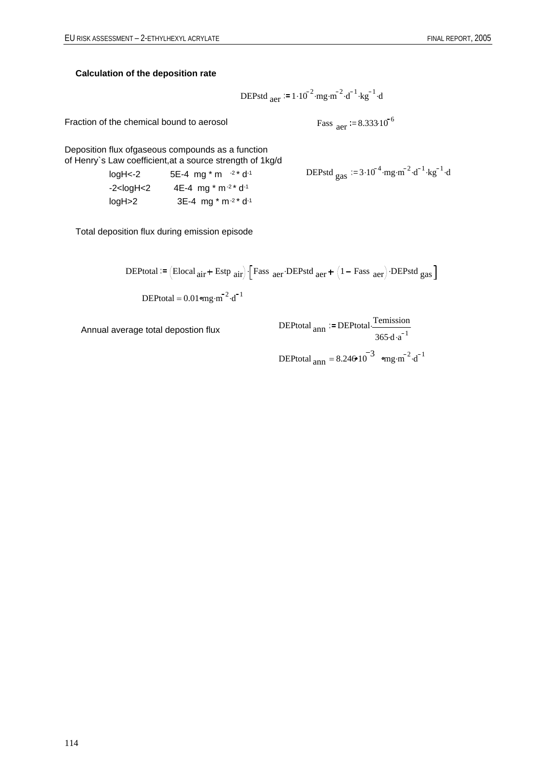### **Calculation of the deposition rate**

DEPstd<sub>aer</sub> := 
$$
1 \cdot 10^{-2} \cdot mg \cdot m^{-2} \cdot d^{-1} \cdot kg^{-1} \cdot d
$$

\nFraction of the chemical bound to aerosol

\nPass<sub>aer</sub> := 8.333·10<sup>-6</sup>

Deposition flux ofgaseous compounds as a function of Henry`s Law coefficient,at a source strength of 1kg/d

> $log H < -2$  5E-4 mg \* m  $-2$  \* d<sup>-1</sup>  $-2$ <logH<2 4E-4 mg \* m $-2$  \* d $-1$  $logH > 2$  3E-4 mg \* m $^{-2}$  \* d<sup>-1</sup>

DEPstd 
$$
_{gas}
$$
 := 3.10<sup>-4</sup> mg·m<sup>-2</sup>·d<sup>-1</sup>·kg<sup>-1</sup>·d

Total deposition flux during emission episode

DEPtotal := (Elocal<sub>air</sub> + Estp<sub>air</sub>) 
$$
\cdot
$$
 [Fass<sub>aer</sub> · DEPstd<sub>aer</sub> + (1 – Fass<sub>aer</sub>) · DEPstd<sub>gas</sub> ]  
DEPtotal = 0.01<sup>-1</sup>

 $DEP$ total  $_{ann}$  := DEPtotal  $\frac{\text{Temission}}{1}$ Annual average total depostion flux<br>  $365 \cdot d \cdot a^{-1}$ <br>  $365 \cdot d \cdot a^{-1}$ 

DEPtotal  $_{\text{ann}} = 8.246 \times 10^{-3} \text{ erg} \cdot \text{m}^2 \cdot \text{d}^{-1}$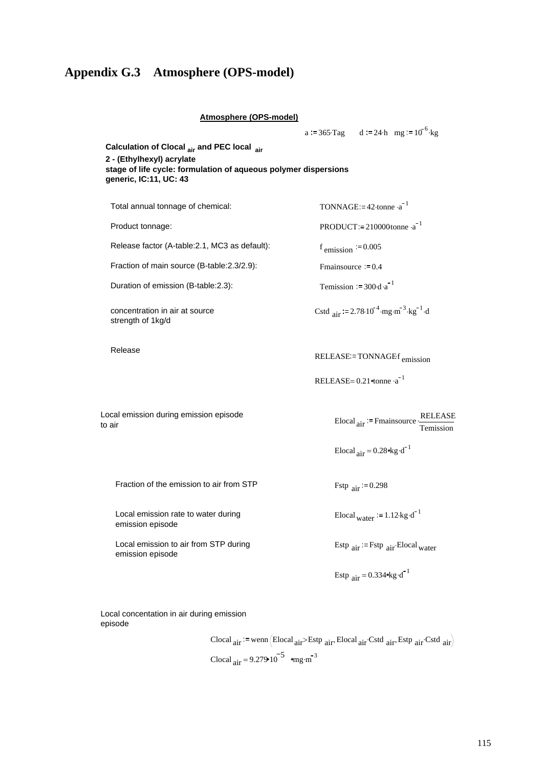## **Appendix G.3 Atmosphere (OPS-model)**

#### **Atmosphere (OPS-model)**

a = 365 Tag  $d = 24$  h mg =  $10^{-6}$  kg

TONNAGE  $= 42$  tonne  $\cdot a^{-1}$ 

 $f_{\rm emission}$  = 0.005 Fmainsource  $= 0.4$ 

PRODUCT:= $210000$ tonne  $\cdot a^{-1}$ 

**Calculation of Clocal air and PEC local air 2 - (Ethylhexyl) acrylate stage of life cycle: formulation of aqueous polymer dispersions generic, IC:11, UC: 43**

Total annual tonnage of chemical:

Product tonnage:

Release factor (A-table:2.1, MC3 as default):

Fraction of main source (B-table:2.3/2.9):

Duration of emission (B-table:2.3): Temission  $= 300 d \cdot a^{-1}$ 

concentration in air at source strength of 1kg/d

Release

RELEASE = TONNAGEf emission

Cstd  $_{air}$  = 2.78 10<sup>-4</sup>  $\cdot$ mg  $\cdot$ m<sup>-3</sup>  $\cdot$ kg<sup>-1</sup>  $\cdot$ d

RELEASE= $0.21$ <sup>otonne  $a^{-1}$ </sup>

Local emission during emission episode

Fraction of the emission to air from STP

Local emission rate to water during

Local emission to air from STP during

emission episode

emission episode

Local emission during emission episode<br>to air Fmainsource RELEASE<br>Temission .

Elocal  $_{\text{air}} = 0.28$  kg $\cdot d^{-1}$ 

Fstp  $_{\text{air}}$  = 0.298

Elocal water  $= 1.12$  kg  $d^{-1}$ 

Estp  $_{air}$  = Fstp  $_{air}$  Elocal water

Estp  $_{\text{air}} = 0.334$  kg $\cdot$ d<sup>-1</sup>

Local concentation in air during emission episode

> $\text{Clocal}_{\text{air}} := \text{wenn} \left( \text{Elocal}_{\text{air}} > \text{Estp}_{\text{air}} \text{, Elocal}_{\text{air}} \cdot \text{Cstd}_{\text{air}} \right)$  .  $\text{Estp}_{\text{air}} \cdot \text{Cstd}_{\text{air}}$ Clocal  $_{\text{air}} = 9.279910^{-5}$  omg·m<sup>-3</sup>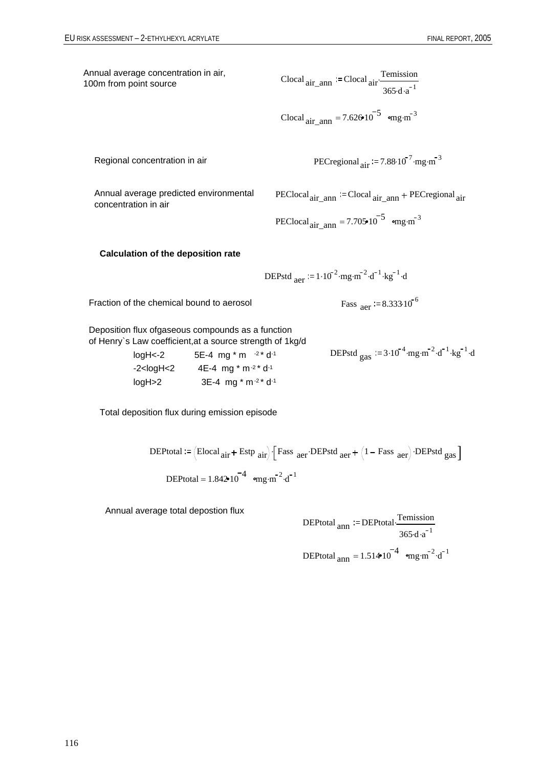Annual average concentration in air, 100m from point source

$$
Clocal_{\text{air}\_\text{ann}} := Clocal_{\text{air}} \cdot \frac{\text{Temission}}{365 \cdot d \cdot a^{-1}}
$$

$$
Clocal_{\text{air\_ann}} = 7.626 \times 10^{-5} \text{ mg} \cdot \text{m}^{-3}
$$

Regional concentration in air

$$
PEC regional_{\text{air}} := 7.88 \cdot 10^{-7} \cdot mg \cdot m^{-3}
$$

Annual average predicted environmental concentration in air

 $PEClocal_{air\_ann}$  := Clocal air  $_{ann}$  + PECregional air

PEClocal<sub>air\_ann</sub> =  $7.705 \cdot 10^{-5}$  omg·m<sup>-3</sup>

#### **Calculation of the deposition rate**

DEPstd<sub>aer</sub> := 
$$
1 \cdot 10^{-2}
$$
 mg·m<sup>-2</sup>·d<sup>-1</sup>·kg<sup>-1</sup>·d

Fraction of the chemical bound to aerosol Fraction  $S^2 = 8.333 \cdot 10^{-6}$ 

$$
Fass_{\text{a}er} := 8.333 \cdot 10
$$

Deposition flux ofgaseous compounds as a function of Henry`s Law coefficient,at a source strength of 1kg/d

| $logH < -2$                                                                                      | 5E-4 mg $*$ m $-2*$ d $-1$   |
|--------------------------------------------------------------------------------------------------|------------------------------|
| $-2$ <logh<2< td=""><td>4E-4 mg <math>*</math> m<math>-2*</math> d<math>-1</math></td></logh<2<> | 4E-4 mg $*$ m $-2*$ d $-1$   |
| logH > 2                                                                                         | $3E-4$ mg $*$ m $-2*$ d $-1$ |

DEPstd  $_{\text{gas}}$  := 3.10<sup>-4</sup> mg m<sup>-2</sup> d<sup>-1</sup> kg<sup>-1</sup> d

Total deposition flux during emission episode

DEPtotal := (Elocal<sub>air</sub> + Estp<sub>air</sub>) 
$$
[Fass_{aer} \cdot DEPstd_{aer} + (1 - Fass_{aer}) \cdot DEPstd_{gas}]
$$
   
\nDEPtotal = 1.842 10<sup>-4</sup>  $mg \cdot m^2 \cdot d^{-1}$ 

Annual average total depostion flux

DEPtotal<sub>ann</sub> := DEPtotal
$$
\frac{\text{Temission}}{365 \cdot \text{d} \cdot \text{a}^{-1}}
$$
  
DEPtotal<sub>ann</sub> = 1.51410<sup>-4</sup> <sup>9</sup>mg·m<sup>-2</sup>·d<sup>-1</sup>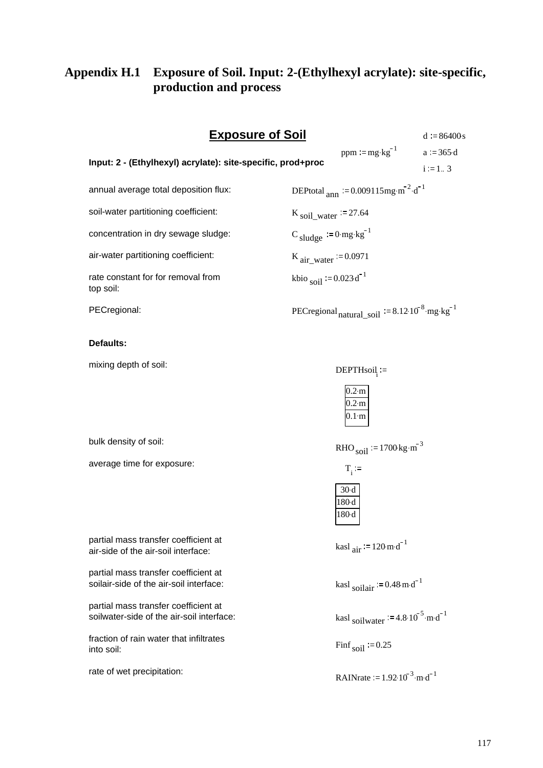## **Appendix H.1 Exposure of Soil. Input: 2-(Ethylhexyl acrylate): site-specific, production and process**

| <u>Exposure of Soil</u><br>$d := 86400s$                                          |                                                                         |                                   |  |
|-----------------------------------------------------------------------------------|-------------------------------------------------------------------------|-----------------------------------|--|
| Input: 2 - (Ethylhexyl) acrylate): site-specific, prod+proc                       | ppm $:=$ mg·kg <sup>-1</sup>                                            | $a := 365 \text{ d}$<br>$i := 13$ |  |
| annual average total deposition flux:                                             | DEPtotal $_{ann}$ = 0.009115mg·m <sup>-2</sup> ·d <sup>-1</sup>         |                                   |  |
| soil-water partitioning coefficient:                                              | K soil water $= 27.64$                                                  |                                   |  |
| concentration in dry sewage sludge:                                               | $C_{sludge}$ = 0.mg $\text{kg}^{-1}$                                    |                                   |  |
| air-water partitioning coefficient:                                               | $K_{\text{air}\_\text{water}} = 0.0971$                                 |                                   |  |
| rate constant for for removal from<br>top soil:                                   | kbio <sub>soil</sub> $= 0.023 d^{-1}$                                   |                                   |  |
| PECregional:                                                                      | PECregional natural soil $:= 8.12 \cdot 10^{-8} \cdot mg \cdot kg^{-1}$ |                                   |  |
| <b>Defaults:</b>                                                                  |                                                                         |                                   |  |
| mixing depth of soil:                                                             | DEPTHsoil :=                                                            |                                   |  |
|                                                                                   | $0.2 \text{m}$<br>$0.2 \text{·m}$<br> 0.1∙m                             |                                   |  |
| bulk density of soil:                                                             | RHO soil:= $1700 \text{ kg} \cdot \text{m}^{-3}$                        |                                   |  |
| average time for exposure:                                                        | $T_i :=$                                                                |                                   |  |
|                                                                                   | 30d<br>180d<br>180d                                                     |                                   |  |
| partial mass transfer coefficient at<br>air-side of the air-soil interface:       | kasl $_{air}$ = 120 m·d <sup>-1</sup>                                   |                                   |  |
| partial mass transfer coefficient at<br>soilair-side of the air-soil interface:   | kasl soilair $= 0.48 \text{ m} \cdot \text{d}^{-1}$                     |                                   |  |
| partial mass transfer coefficient at<br>soilwater-side of the air-soil interface: | kasl soilwater $:= 4.8 \cdot 10^{-5}$ m d <sup>-1</sup>                 |                                   |  |
| fraction of rain water that infiltrates<br>into soil:                             | Finf soil: = $0.25$                                                     |                                   |  |
| rate of wet precipitation:                                                        | RAINrate $:= 1.92 \cdot 10^{-3} \cdot \text{m} \cdot \text{d}^{-1}$     |                                   |  |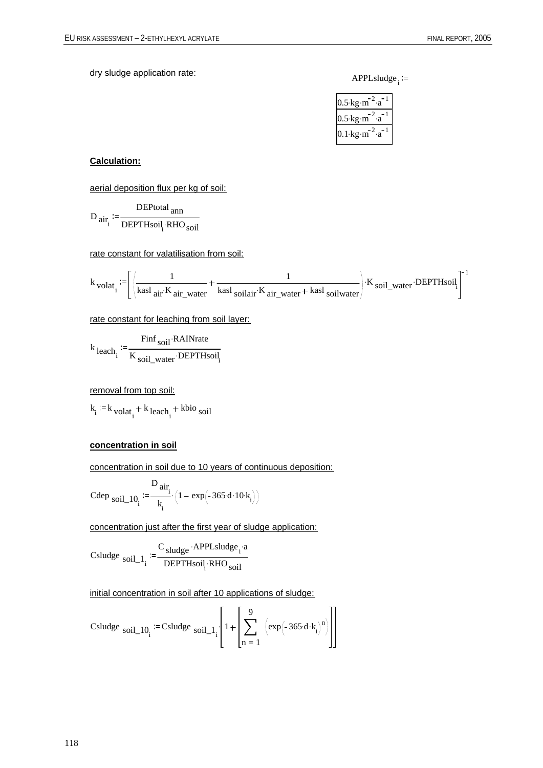dry sludge application rate: APPL sludge i=

| $0.5 \text{ kg} \cdot \text{m}^{-2} \cdot \text{a}$      |  |
|----------------------------------------------------------|--|
| $0.5 \text{ kg} \cdot \text{m}^{-2} \cdot \text{a}^{-1}$ |  |
| $0.1 \text{ kg} \cdot \text{m}^{-2} \cdot \text{a}$      |  |

#### **Calculation:**

aerial deposition flux per kg of soil:

$$
D_{\text{air}_i} := \frac{DEP_{\text{total}}}{DEPTH\text{soi}_i \cdot RHO_{\text{soi}}}
$$

rate constant for valatilisation from soil:

$$
k_{\textrm{ }{\textrm{volat}}_{i}}:=\!\!\!\left[\left(\!\frac{1}{\textrm{kasl air}\cdot\!K_{\textrm{ air\_water}}}\!+\frac{1}{\textrm{kasl }{\textrm{sollair}\cdot\!K_{\textrm{ air\_water}}}\!+\textrm{kasl }{\textrm{sollwater}}}\right)\!\cdot\!K_{\textrm{ }{\textrm{sol\_water}}}\!\cdot\!D\mathrm{EPTHsoi}\!\!1_{1}\!\!\right]^{-1}
$$

rate constant for leaching from soil layer:

$$
k_{\text{leach}_i} := \frac{\text{Find } \text{soil} \cdot \text{RAINrate}}{K_{\text{soil\_water}} \cdot \text{DEPTHsoil}_i}
$$

removal from top soil:

 $k_i$  =  $k$  volat<sub>i</sub> +  $k$  leach<sub>i</sub> +  $k$ bio soil

#### **concentration in soil**

concentration in soil due to 10 years of continuous deposition:

Cdep 
$$
soil_1O_i := \frac{D_{air_i}}{k_i} \cdot \left(1 - exp(-365 \cdot d \cdot 10 \cdot k_i)\right)
$$

concentration just after the first year of sludge application:

$$
Csludge \frac{1}{\text{solid}_{i}} := \frac{1}{\text{DEPTH}\text{solid}_{i} \cdot \text{RHO}_{\text{solid}}}
$$

initial concentration in soil after 10 applications of sludge:

\n
$$
\text{Csludge } \text{soil}_1 \cdot 10_i := \text{Csludge } \text{soil}_1 \cdot 1_i \left[ 1 + \left[ \sum_{n=1}^{9} \left( \exp\left( -365 \cdot d \cdot k_i \right)^n \right) \right] \right]
$$
\n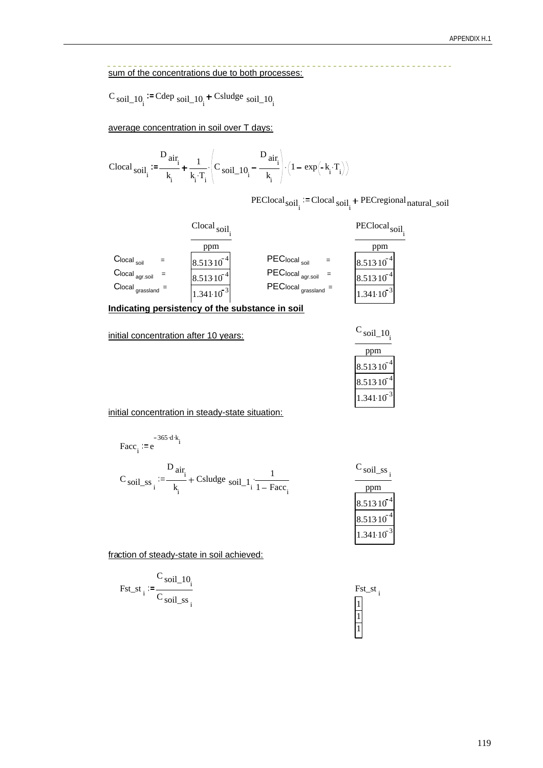#### sum of the concentrations due to both processes:

$$
C_{\text{soil}\_10_i} := \text{Cdep}_{\text{soil}\_10_i} + \text{Csludge}_{\text{soil}\_10_i}
$$

average concentration in soil over T days:

$$
Clocal_{\text{soil}_i} := \frac{D_{\text{air}_i}}{k_i} + \frac{1}{k_i \cdot T_i} \cdot \left( C_{\text{soil}\_10_i} - \frac{D_{\text{air}_i}}{k_i} \right) \cdot \left( 1 - \exp\left(-k_i \cdot T_i\right) \right)
$$

PEClocal<sub>soil<sub>i</sub></sub> := Clocal<sub>soil<sub>i</sub></sub> + PECregional<sub>natural\_soil</sub>

|                                             | $\text{Clocal}_{\text{soil}}$ |                                                | PEClocal <sub>soil</sub> |
|---------------------------------------------|-------------------------------|------------------------------------------------|--------------------------|
| Clocal <sub>soil</sub>                      | ppm                           | PEClocal <sub>soil</sub>                       | ppm                      |
| $\mathsf{C}$ local $_{\mathsf{agr.soil}}$ - | $8.513 \cdot 10^{-4}$         | $=$                                            | $18.51310^{4}$           |
| $C$ local                                   | $8.513 \cdot 10^{-4}$         | PEClocal <sub>agr.soil</sub>                   | $8.51310^{4}$            |
| grassland                                   | $1.341 \cdot 10^{-3}$         | $\mathsf{PEC}$ local $_{\mathsf{grassland}}$ = | $1.341 \cdot 10^{-3}$    |

**Indicating persistency of the substance in soil**

initial concentration after 10 years:  $C_{\text{soil}\_10}$ 

| эm      |  |
|---------|--|
| 8.51310 |  |
| 8.51310 |  |
| .341.10 |  |

initial concentration in steady-state situation:

$$
\begin{aligned}\n\text{Facc}_{i} &:= e^{-365 \cdot \text{d} \cdot \text{k}_{i}} \\
C_{\text{soil}\_ \text{ss}\_i} &:= \frac{D_{\text{air}}}{\text{k}_{i}} + \text{Csludge }_{\text{soil}\_1} \cdot \frac{1}{1 - \text{Facc}_{i}}\n\end{aligned}
$$

 $C_{\text{soil}\_ss}$ <sub>i</sub>

| 'n          |  |  |
|-------------|--|--|
| 8.51310     |  |  |
| .51310<br>x |  |  |
| 341.10      |  |  |

fraction of steady-state in soil achieved:

$$
Fst\_st_i := \frac{C_{\text{soil}\_10_i}}{C_{\text{soil}\_s}} \qquad \qquad \frac{Fst\_st_i}{\frac{1}{1}}
$$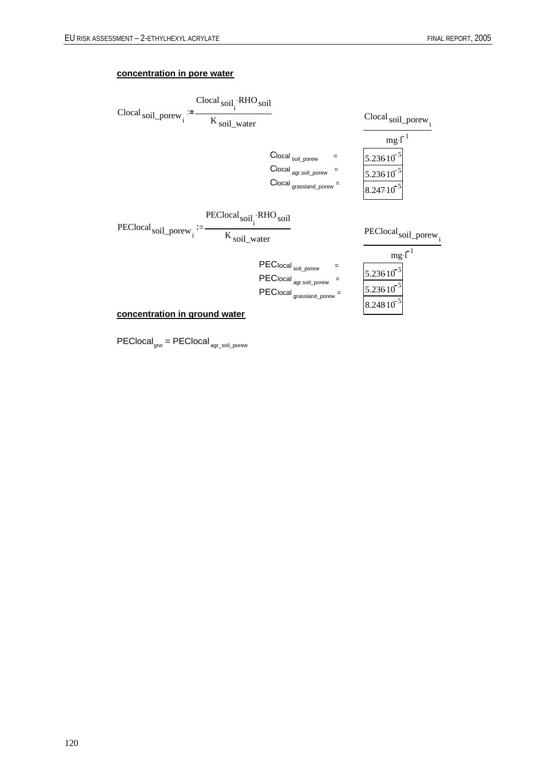#### **concentration in pore water**



PEClocal<sub>grw</sub> = PEClocal <sub>agr\_soil\_porew</sub>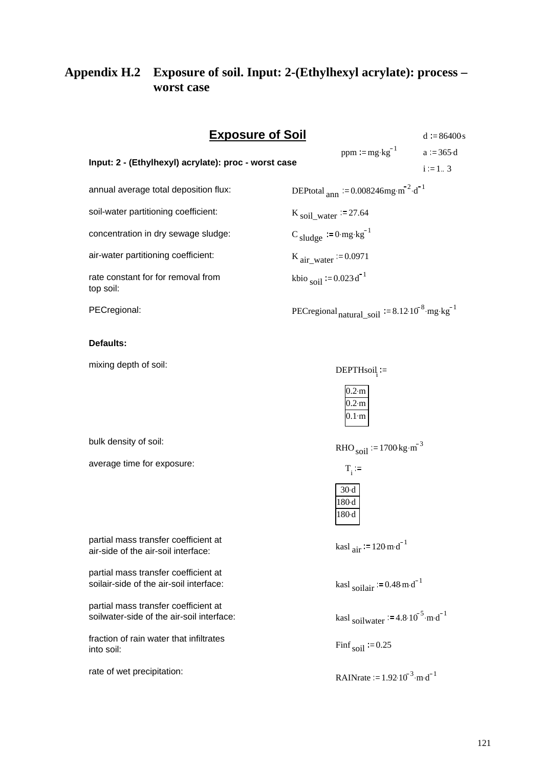# **Appendix H.2 Exposure of soil. Input: 2-(Ethylhexyl acrylate): process – worst case**

| <b>Exposure of Soil</b>                                                           |                                                                          |                                    |  |
|-----------------------------------------------------------------------------------|--------------------------------------------------------------------------|------------------------------------|--|
| Input: 2 - (Ethylhexyl) acrylate): proc - worst case                              | $ppm := mg \cdot kg^{-1}$                                                | $a := 365 \text{ d}$<br>$i := 1.3$ |  |
| annual average total deposition flux:                                             | DEPtotal $_{ann}$ = 0.008246mg·m <sup>-2</sup> ·d <sup>-1</sup>          |                                    |  |
| soil-water partitioning coefficient:                                              | K soil water $= 27.64$                                                   |                                    |  |
| concentration in dry sewage sludge:                                               | $C_{sludge}$ = 0 mg kg <sup>-1</sup>                                     |                                    |  |
| air-water partitioning coefficient:                                               | $K_{\text{air}\_\text{water}} = 0.0971$                                  |                                    |  |
| rate constant for for removal from<br>top soil:                                   | kbio <sub>soil</sub> $= 0.023 d^{-1}$                                    |                                    |  |
| PECregional:                                                                      | PECregional natural soil $= 8.12 \cdot 10^{-8} \cdot mg \cdot kg^{-1}$   |                                    |  |
| <b>Defaults:</b>                                                                  |                                                                          |                                    |  |
| mixing depth of soil:                                                             | DEPTHsoil :=                                                             |                                    |  |
|                                                                                   | $0.2 \text{m}$<br>$0.2 \text{m}$<br>$0.1 \text{m}$                       |                                    |  |
| bulk density of soil:                                                             | RHO soil:=1700 kg $\cdot$ m <sup>-3</sup>                                |                                    |  |
| average time for exposure:                                                        | $T_i :=$                                                                 |                                    |  |
|                                                                                   | 30d<br>180d<br>180d                                                      |                                    |  |
| partial mass transfer coefficient at<br>air-side of the air-soil interface:       | kasl $_{\text{air}}$ = 120 m·d <sup>-1</sup>                             |                                    |  |
| partial mass transfer coefficient at<br>soilair-side of the air-soil interface:   | kasl soilair $= 0.48 \text{ m} \cdot \text{d}^{-1}$                      |                                    |  |
| partial mass transfer coefficient at<br>soilwater-side of the air-soil interface: | kasl soilwater $:= 4.8 \cdot 10^{-5} \cdot \text{m} \cdot \text{d}^{-1}$ |                                    |  |
| fraction of rain water that infiltrates<br>into soil:                             | Finf soil: = $0.25$                                                      |                                    |  |
| rate of wet precipitation:                                                        | RAINrate $:= 1.92 \cdot 10^{-3} \cdot \text{m} \cdot \text{d}^{-1}$      |                                    |  |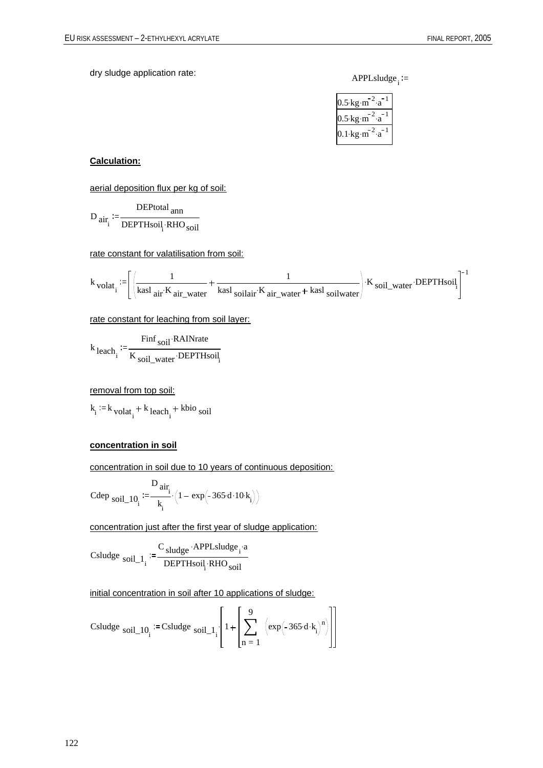dry sludge application rate: APPL sludge i=

| $0.5 \text{ kg} \cdot \text{m}^{-2} \cdot \text{a}$      |  |
|----------------------------------------------------------|--|
| $0.5 \text{ kg} \cdot \text{m}^{-2} \cdot \text{a}^{-1}$ |  |
| $0.1 \text{ kg} \cdot \text{m}^{-2} \cdot \text{a}$      |  |

#### **Calculation:**

aerial deposition flux per kg of soil:

$$
D_{\text{air}_i} := \frac{DEP_{\text{total}}}{DEPTH\text{soi}_i \cdot RHO_{\text{soi}}}
$$

rate constant for valatilisation from soil:

$$
k_{\textrm{ }{\textrm{volat}}_{i}}:=\!\!\!\left[\left(\!\frac{1}{\textrm{kasl air}\cdot\!K_{\textrm{ air\_water}}}\!+\frac{1}{\textrm{kasl }{\textrm{sollair}\cdot\!K_{\textrm{ air\_water}}}\!+\textrm{kasl }{\textrm{sollwater}}}\right)\!\cdot\!K_{\textrm{ }{\textrm{sol\_water}}}\!\cdot\!D\mathrm{EPTHsoi}\!\!1_{1}\!\!\right]^{-1}
$$

rate constant for leaching from soil layer:

$$
k_{\text{leach}_i} := \frac{\text{Find } \text{soil} \cdot \text{RAINrate}}{K_{\text{soil\_water}} \cdot \text{DEPTHsoil}_i}
$$

removal from top soil:

 $k_i$  =  $k$  volat<sub>i</sub> +  $k$  leach<sub>i</sub> +  $k$ bio soil

#### **concentration in soil**

concentration in soil due to 10 years of continuous deposition:

Cdep 
$$
soil_1O_i := \frac{D_{air_i}}{k_i} \cdot \left(1 - exp(-365 \cdot d \cdot 10 \cdot k_i)\right)
$$

concentration just after the first year of sludge application:

$$
Csludge \frac{1}{\text{solid}_{i}} := \frac{1}{\text{DEPTH}\text{solid}_{i} \cdot \text{RHO}_{\text{solid}}}
$$

initial concentration in soil after 10 applications of sludge:

\n
$$
\text{Csludge } \text{soil}_1 \cdot 10_i := \text{Csludge } \text{soil}_1 \cdot 1 \cdot \left[ 1 + \left[ \sum_{n=1}^{9} \left( \exp\left(-365 \cdot d \cdot k_i\right)^n \right) \right] \right]
$$
\n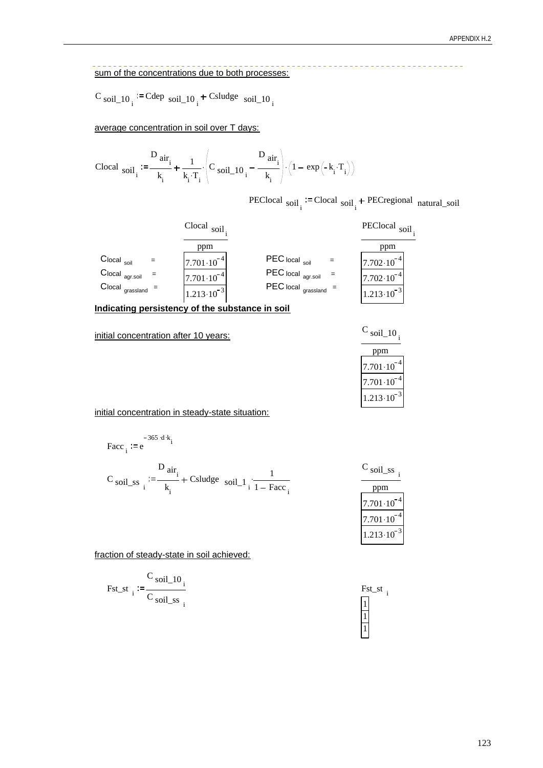## sum of the concentrations due to both processes:

$$
C_{\text{soil}\_10}^{\text{}} := \text{Cdep } \text{soil}\_10^{\text{}} + \text{Csludge } \text{soil}\_10^{\text{}}
$$

average concentration in soil over T days:

$$
\text{Clocal } \operatorname{soil}_{i} := \!\frac{D\operatorname{air}_{i}}{k_{i}} + \frac{1}{k_{i} \cdot T_{i}} \cdot \left( C\operatorname{soil}_{-1} 0\operatorname{ar}_{i} - \frac{D\operatorname{air}_{i}}{k_{i}} \right) \cdot \left( 1 - \exp\left(-k_{i} \cdot T_{i}\right) \right)
$$

 $\text{PEClosed }_{\text{soil}_{i}} := \text{Closed }_{\text{soil}_{i}} + \text{PEC regional }_{\text{natural\_soil}_{i}}$ 

\_\_\_\_\_\_\_\_\_\_\_\_\_\_\_\_\_\_\_\_\_\_\_\_\_\_\_\_\_\_\_\_\_\_\_

|                                                                                    | Clocal soil                                                     |                                                                                                    | PEClocal <sub>soil</sub>                                                        |
|------------------------------------------------------------------------------------|-----------------------------------------------------------------|----------------------------------------------------------------------------------------------------|---------------------------------------------------------------------------------|
| $\mathsf{C}$ local $_{\mathsf{soil}}$<br>Clocal<br>agr.soil<br>Clocal<br>grassland | ppm<br>701.10<br>$7.701 \cdot 10^{-2}$<br>$1.213 \cdot 10^{-3}$ | $\mathsf{PEC}$ local $_{\mathsf{soil}}$<br>PEC local <sub>agr.soil</sub><br>PEC local<br>grassland | ppm<br>$7.702 \cdot 10^{-7}$<br>$17.702 \cdot 10^{-4}$<br>$1.213 \cdot 10^{-5}$ |

**Indicating persistency of the substance in soil**

initial concentration after 10 years:  $C_{\text{soil}\_10}$  initial concentration after 10 years:

| эm              |  |  |  |
|-----------------|--|--|--|
| $.701 \cdot 10$ |  |  |  |
| $.701 \cdot 10$ |  |  |  |
| $.213 \cdot 10$ |  |  |  |

initial concentration in steady-state situation:

$$
\begin{aligned} \text{Facc}_{i} &:= e^{-365 \cdot d \cdot k_{i}} \\ \text{C}_{\text{soil}\_ \text{ss}} &:= \frac{\text{D}_{\text{air}_{i}}}{k_{i}} + \text{Csludge} \quad \text{soil}\_ 1 \cdot \frac{1}{1 - \text{Face}_{i}} \end{aligned}
$$

| soil ss                         |
|---------------------------------|
| ppm                             |
| $.701 \cdot 10$                 |
| $\frac{1}{0.701 \cdot 10^{10}}$ |
| $.213 \cdot 10$                 |

1

fraction of steady-state in soil achieved:

$$
Fst_st_i := \frac{C_{\text{soil}\_10}}{C_{\text{soil}\_s}}\n \qquad \qquad \text{Fst}\_t_i
$$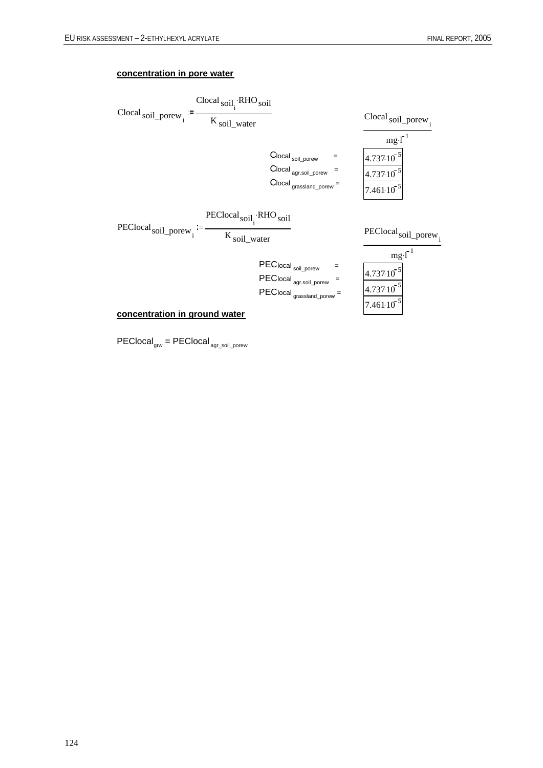#### **concentration in pore water**



PEClocal<sub>grw</sub> = PEClocal <sub>agr\_soil\_porew</sub>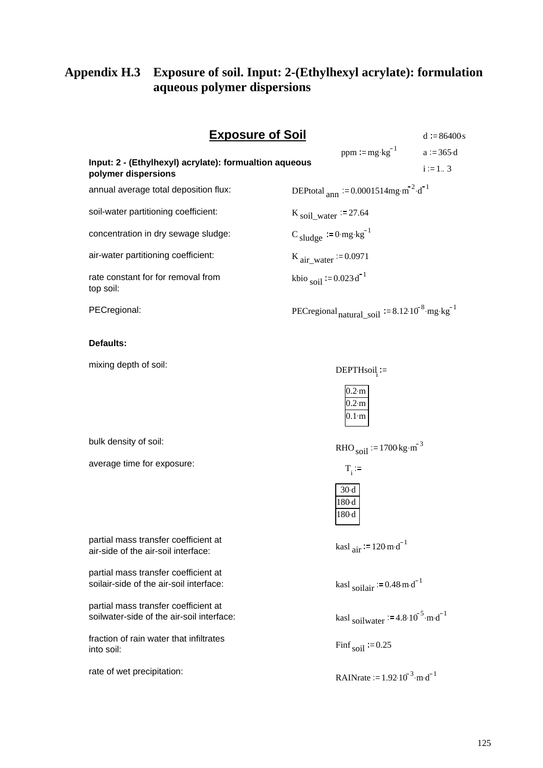## **Appendix H.3 Exposure of soil. Input: 2-(Ethylhexyl acrylate): formulation aqueous polymer dispersions**

| <b>Exposure of Soil</b>                                                           |                                                                          |                                    |  |
|-----------------------------------------------------------------------------------|--------------------------------------------------------------------------|------------------------------------|--|
| Input: 2 - (Ethylhexyl) acrylate): formualtion aqueous<br>polymer dispersions     | $ppm := mg \cdot kg^{-1}$                                                | $a := 365 \text{ d}$<br>$i := 1.3$ |  |
| annual average total deposition flux:                                             | DEPtotal $_{\text{ann}}$ := 0.0001514mg·m <sup>-2</sup> ·d <sup>-1</sup> |                                    |  |
| soil-water partitioning coefficient:                                              | K soil_water $= 27.64$                                                   |                                    |  |
| concentration in dry sewage sludge:                                               | $C_{sludge}$ = 0.mg $\text{kg}^{-1}$                                     |                                    |  |
| air-water partitioning coefficient:                                               | $K_{\text{air}\_\text{water}} = 0.0971$                                  |                                    |  |
| rate constant for for removal from<br>top soil:                                   | kbio <sub>soil</sub> = $0.023 d^{-1}$                                    |                                    |  |
| PECregional:                                                                      | PECregional natural soil $= 8.12 \cdot 10^{-8}$ mg kg <sup>-1</sup>      |                                    |  |
| <b>Defaults:</b>                                                                  |                                                                          |                                    |  |
| mixing depth of soil:                                                             | DEPTHsoil :=                                                             |                                    |  |
|                                                                                   | $0.2 \text{m}$<br>$0.2 \text{m}$<br>$0.1 \, \mathrm{m}$                  |                                    |  |
| bulk density of soil:                                                             | RHO soil:=1700 kg·m <sup>-3</sup>                                        |                                    |  |
| average time for exposure:                                                        | $T_i :=$                                                                 |                                    |  |
|                                                                                   | 30d<br>180d<br>180d                                                      |                                    |  |
| partial mass transfer coefficient at<br>air-side of the air-soil interface:       | kasl $_{\text{air}}$ = 120 m·d <sup>-1</sup>                             |                                    |  |
| partial mass transfer coefficient at<br>soilair-side of the air-soil interface:   | kasl soilair $= 0.48 \text{ m} \cdot \text{d}^{-1}$                      |                                    |  |
| partial mass transfer coefficient at<br>soilwater-side of the air-soil interface: | kasl soilwater $:= 4.8 \cdot 10^{-5} \cdot \text{m} \cdot \text{d}^{-1}$ |                                    |  |
| fraction of rain water that infiltrates<br>into soil:                             | Finf soil: = $0.25$                                                      |                                    |  |
| rate of wet precipitation:                                                        | RAINrate := $1.92 \cdot 10^{-3} \cdot \text{m} \cdot \text{d}^{-1}$      |                                    |  |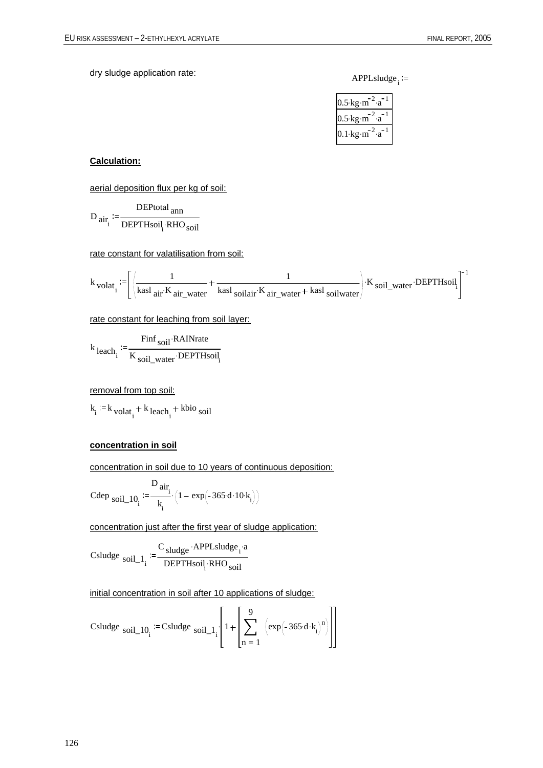dry sludge application rate: APPL sludge i=

| $0.5 \text{ kg} \cdot \text{m}^{-2} \cdot \text{a}$      |  |
|----------------------------------------------------------|--|
| $0.5 \text{ kg} \cdot \text{m}^{-2} \cdot \text{a}^{-1}$ |  |
| $0.1 \text{ kg} \cdot \text{m}^{-2} \cdot \text{a}$      |  |

#### **Calculation:**

aerial deposition flux per kg of soil:

$$
D_{\text{air}_i} := \frac{DEP_{\text{total}}}{DEPTH\text{soi}_i \cdot RHO_{\text{soi}}}
$$

rate constant for valatilisation from soil:

$$
k_{\textrm{ }{\textrm{volat}}_{i}}:=\!\!\!\left[\left(\!\frac{1}{\textrm{kasl air}\cdot\!K_{\textrm{ air\_water}}}\!+\frac{1}{\textrm{kasl }{\textrm{sollair}\cdot\!K_{\textrm{ air\_water}}}\!+\textrm{kasl }{\textrm{sollwater}}}\right)\!\cdot\!K_{\textrm{ }{\textrm{sol\_water}}}\!\cdot\!D\mathrm{EPTHsoi}\!\!1\!\right]^{-1}
$$

rate constant for leaching from soil layer:

$$
k_{\text{leach}_i} := \frac{\text{Find } \text{soil} \cdot \text{RAINrate}}{K_{\text{soil\_water}} \cdot \text{DEPTHsoil}_i}
$$

removal from top soil:

 $k_i$  =  $k$  volat<sub>i</sub> +  $k$  leach<sub>i</sub> +  $k$ bio soil

#### **concentration in soil**

concentration in soil due to 10 years of continuous deposition:

Cdep <sub>soil\_10</sub>: 
$$
=\frac{D_{air_i}}{k_i} \cdot (1 - exp(-365 \cdot d \cdot 10 \cdot k_i))
$$

concentration just after the first year of sludge application:

$$
Csludge \frac{1}{\text{solid}_{i}} := \frac{1}{\text{DEPTH}\text{solid}_{i} \cdot \text{RHO}_{\text{solid}}}
$$

initial concentration in soil after 10 applications of sludge:

\n
$$
\text{Csludge } \text{soil}_1 \cdot 10_i := \text{Csludge } \text{soil}_1 \cdot 1_i \left[ 1 + \left[ \sum_{n=1}^{9} \left( \exp\left( -365 \cdot d \cdot k_i \right)^n \right) \right] \right]
$$
\n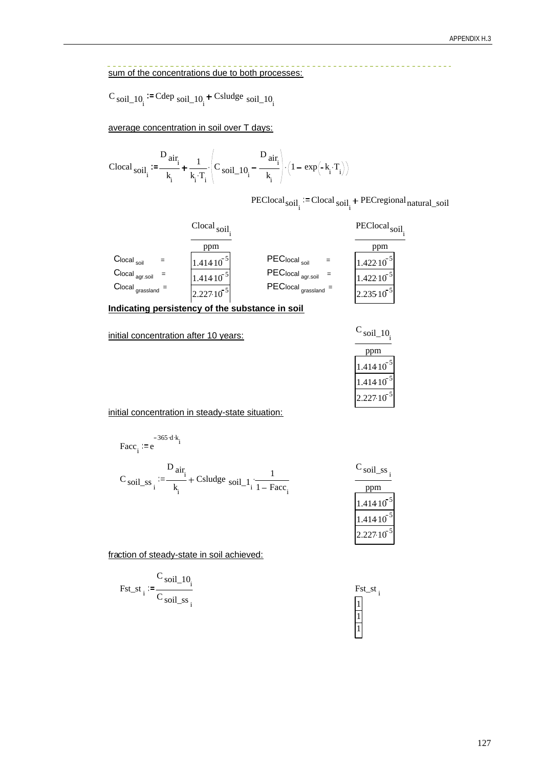## sum of the concentrations due to both processes:

$$
C_{\text{soil}\_10_i} = \text{Cdep}_{\text{soil}\_10_i} + \text{Csludge}_{\text{soil}\_10_i}
$$

average concentration in soil over T days:

$$
Clocal_{\text{soil}_i} := \frac{D_{\text{air}_i}}{k_i} + \frac{1}{k_i \cdot T_i} \cdot \left( C_{\text{soil}\_10_i} - \frac{D_{\text{air}_i}}{k_i} \right) \cdot \left( 1 - \exp\left(-k_i \cdot T_i\right) \right)
$$

PEClocal<sub>soil<sub>i</sub></sub> := Clocal<sub>soil<sub>i</sub></sub> + PECregional<sub>natural\_soil</sub>

| Clocal soil |  |
|-------------|--|
|-------------|--|

 $PECloud<sub>soil<sub>i</sub></sub>$ 

\_\_\_\_\_\_\_\_\_\_\_\_\_\_\_\_\_\_\_\_\_\_\_\_\_\_\_\_\_

|                                        | ppm                   |                                            | ppm             |
|----------------------------------------|-----------------------|--------------------------------------------|-----------------|
| Clocal <sub>soil</sub>                 | $.41410^{5}$          | PEClocal <sub>soil</sub><br>$=$            | $1.42210^{-5}$  |
| $\mathbf C$ local $_{\rm agr. soil}$ - | $.41410^{5}$          | PEClocal <sub>agr.soil</sub>               | $1.42210^{-5}$  |
| Clocal<br>grassland                    | $2.227 \cdot 10^{-5}$ | $\text{PEC}$ local $_{\text{grassland}}$ = | $12.23510^{-5}$ |

**Indicating persistency of the substance in soil**

initial concentration after 10 years:  $C_{\text{soil}\_10}$ 

| 'n       |
|----------|
| 41410    |
| $-41410$ |
| 227.10   |

initial concentration in steady-state situation:

$$
\begin{aligned}\n\text{Facc}_{i} &:= e^{-365 \cdot \text{d} \cdot \text{k}} \\
C_{\text{soil}\_ \text{ss}} &:= \frac{D_{\text{air}_i}}{\text{k}_i} + \text{Csludge } \text{soil}\_ 1_i \cdot \frac{1}{1 - \text{Face}_i}\n\end{aligned}
$$

 $\rm{C}$   $\rm{soil\_ss}$   $\rm_{i}$ 

|  | 41410 |  |
|--|-------|--|
|  | 41410 |  |
|  | 27.10 |  |

fraction of steady-state in soil achieved:

$$
\text{Fst\_st}_{i} := \frac{C_{\text{soil\_10}_{i}}}{C_{\text{soil\_ss}_{i}}} \qquad \qquad \text{Fst\_st}_{i}
$$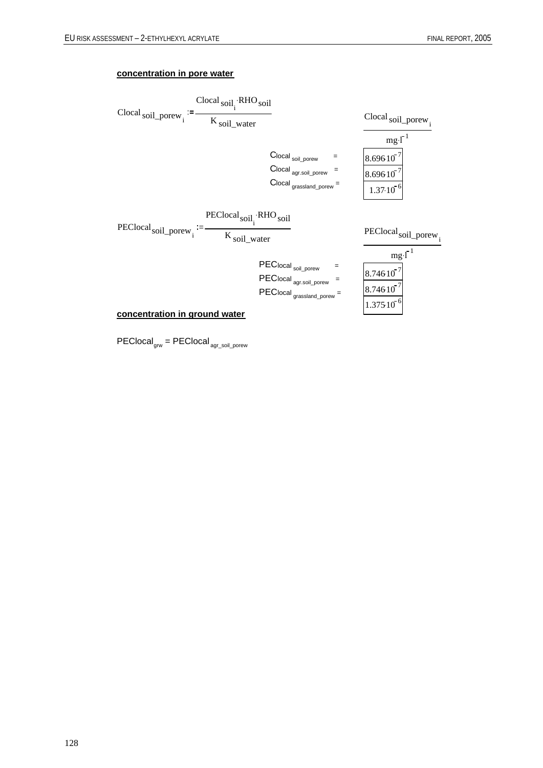#### **concentration in pore water**



PEClocal<sub>grw</sub> = PEClocal <sub>agr\_soil\_porew</sub>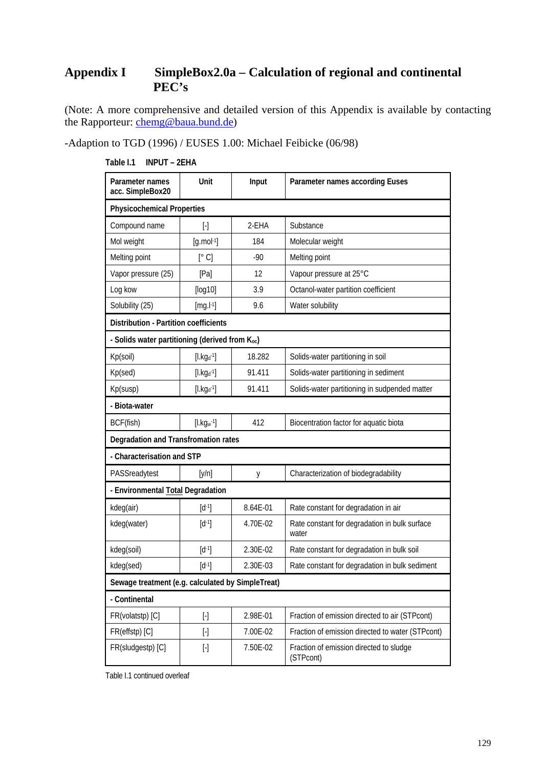## **Appendix I SimpleBox2.0a – Calculation of regional and continental PEC's**

(Note: A more comprehensive and detailed version of this Appendix is available by contacting the Rapporteur: [chemg@baua.bund.de\)](mailto:chemg@baua.bund.de)

-Adaption to TGD (1996) / EUSES 1.00: Michael Feibicke (06/98)

| Parameter names<br>acc. SimpleBox20                         | Unit                                                                                                                                                                                                                                                                                                                                                                                                                                                                                                                                                                                    | Input    | Parameter names according Euses                        |
|-------------------------------------------------------------|-----------------------------------------------------------------------------------------------------------------------------------------------------------------------------------------------------------------------------------------------------------------------------------------------------------------------------------------------------------------------------------------------------------------------------------------------------------------------------------------------------------------------------------------------------------------------------------------|----------|--------------------------------------------------------|
| <b>Physicochemical Properties</b>                           |                                                                                                                                                                                                                                                                                                                                                                                                                                                                                                                                                                                         |          |                                                        |
| Compound name                                               | $[\cdot]$                                                                                                                                                                                                                                                                                                                                                                                                                                                                                                                                                                               | 2-EHA    | Substance                                              |
| Mol weight                                                  | $[g$ .mol $-1]$                                                                                                                                                                                                                                                                                                                                                                                                                                                                                                                                                                         | 184      | Molecular weight                                       |
| Melting point                                               | $[^\circ \text{C}]$                                                                                                                                                                                                                                                                                                                                                                                                                                                                                                                                                                     | $-90$    | Melting point                                          |
| Vapor pressure (25)                                         | [Pa]                                                                                                                                                                                                                                                                                                                                                                                                                                                                                                                                                                                    | 12       | Vapour pressure at 25°C                                |
| Log kow                                                     | [log10]                                                                                                                                                                                                                                                                                                                                                                                                                                                                                                                                                                                 | 3.9      | Octanol-water partition coefficient                    |
| Solubility (25)                                             | $[mg.l^{-1}]$                                                                                                                                                                                                                                                                                                                                                                                                                                                                                                                                                                           | 9.6      | Water solubility                                       |
| <b>Distribution - Partition coefficients</b>                |                                                                                                                                                                                                                                                                                                                                                                                                                                                                                                                                                                                         |          |                                                        |
| - Solids water partitioning (derived from K <sub>oc</sub> ) |                                                                                                                                                                                                                                                                                                                                                                                                                                                                                                                                                                                         |          |                                                        |
| Kp(soil)                                                    | $[l.kgd-1]$                                                                                                                                                                                                                                                                                                                                                                                                                                                                                                                                                                             | 18.282   | Solids-water partitioning in soil                      |
| Kp(sed)                                                     | $[l.kgd^{-1}]$                                                                                                                                                                                                                                                                                                                                                                                                                                                                                                                                                                          | 91.411   | Solids-water partitioning in sediment                  |
| Kp(susp)                                                    | $[l.kgd-1]$                                                                                                                                                                                                                                                                                                                                                                                                                                                                                                                                                                             | 91.411   | Solids-water partitioning in sudpended matter          |
| - Biota-water                                               |                                                                                                                                                                                                                                                                                                                                                                                                                                                                                                                                                                                         |          |                                                        |
| BCF(fish)                                                   | $[l.kg_w^{-1}]$                                                                                                                                                                                                                                                                                                                                                                                                                                                                                                                                                                         | 412      | Biocentration factor for aquatic biota                 |
| Degradation and Transfromation rates                        |                                                                                                                                                                                                                                                                                                                                                                                                                                                                                                                                                                                         |          |                                                        |
| - Characterisation and STP                                  |                                                                                                                                                                                                                                                                                                                                                                                                                                                                                                                                                                                         |          |                                                        |
| PASSreadytest                                               | [y/n]                                                                                                                                                                                                                                                                                                                                                                                                                                                                                                                                                                                   | y        | Characterization of biodegradability                   |
| - Environmental Total Degradation                           |                                                                                                                                                                                                                                                                                                                                                                                                                                                                                                                                                                                         |          |                                                        |
| kdeg(air)                                                   | $[d-1]$                                                                                                                                                                                                                                                                                                                                                                                                                                                                                                                                                                                 | 8.64E-01 | Rate constant for degradation in air                   |
| kdeg(water)                                                 | $[d^{-1}]$                                                                                                                                                                                                                                                                                                                                                                                                                                                                                                                                                                              | 4.70E-02 | Rate constant for degradation in bulk surface<br>water |
| kdeg(soil)                                                  | $[d^{-1}]$                                                                                                                                                                                                                                                                                                                                                                                                                                                                                                                                                                              | 2.30E-02 | Rate constant for degradation in bulk soil             |
| kdeg(sed)                                                   | $[d^{-1}]$                                                                                                                                                                                                                                                                                                                                                                                                                                                                                                                                                                              | 2.30E-03 | Rate constant for degradation in bulk sediment         |
| Sewage treatment (e.g. calculated by SimpleTreat)           |                                                                                                                                                                                                                                                                                                                                                                                                                                                                                                                                                                                         |          |                                                        |
| - Continental                                               |                                                                                                                                                                                                                                                                                                                                                                                                                                                                                                                                                                                         |          |                                                        |
| FR(volatstp) [C]                                            | $[\cdot] % \centering \includegraphics[width=0.9\columnwidth]{figures/fig_10.pdf} \caption{The graph $\mathcal{N}_1$ is a function of the number of~\textit{N}_1$-error of the number of~\textit{N}_2$-error of the number of~\textit{N}_1$-error of the number of~\textit{N}_2$-error of the number of~\textit{N}_1$-error of the number of~\textit{N}_2$-error of the number of~\textit{N}_1$-error of the number of~\textit{N}_2$-error of the number of~\textit{N}_1$-error of the number of~\textit{N}_2$-error of the number of~\textit{N}_1$-error of the number of~\textit{N}_$ | 2.98E-01 | Fraction of emission directed to air (STPcont)         |
| FR(effstp) [C]                                              | $[\cdot] % \centering \includegraphics[width=0.9\columnwidth]{figures/fig_10.pdf} \caption{The average of the number of~\acp{fig_10}~\acp{fig_10}~\acp{fig_10}}% \label{fig:fig_10}%$                                                                                                                                                                                                                                                                                                                                                                                                   | 7.00E-02 | Fraction of emission directed to water (STPcont)       |
| FR(sludgestp) [C]                                           | $[\cdot] % \centering \includegraphics[width=0.9\columnwidth]{figures/fig_10.pdf} \caption{The graph $\mathcal{N}_1$ is a function of the number of~\textit{N}_1$ in the left and right.} \label{fig:1}$                                                                                                                                                                                                                                                                                                                                                                                | 7.50E-02 | Fraction of emission directed to sludge<br>(STPcont)   |

**Table I.1 INPUT – 2EHA** 

Table I.1 continued overleaf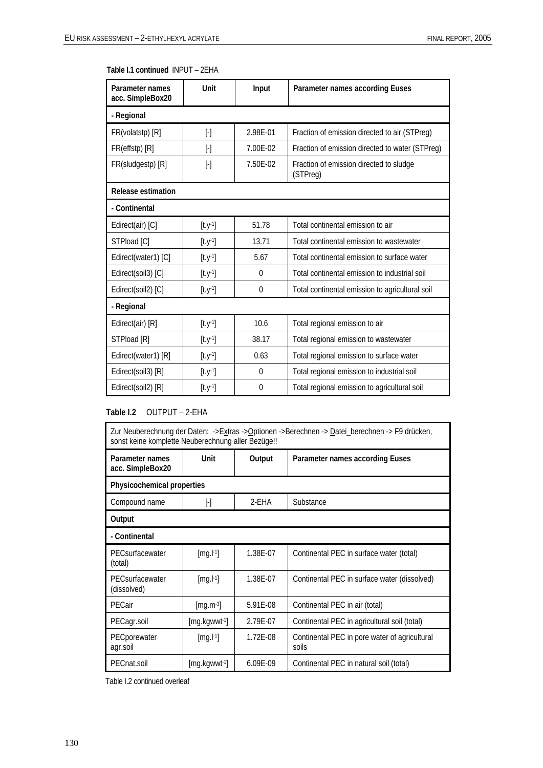#### **Table I.1 continued** INPUT – 2EHA

| Parameter names<br>acc. SimpleBox20 | Unit                                                                                                                                                                                                | Input       | Parameter names according Euses                     |
|-------------------------------------|-----------------------------------------------------------------------------------------------------------------------------------------------------------------------------------------------------|-------------|-----------------------------------------------------|
| - Regional                          |                                                                                                                                                                                                     |             |                                                     |
| FR(volatstp) [R]                    | $[\cdot] % \centering % {\includegraphics[width=0.9\textwidth]{images/TrDiS/NR_WM1.png} } % \caption{The figure shows the results of the estimators in the left and right.} \label{TrDiS/NR_WM1} %$ | 2.98E-01    | Fraction of emission directed to air (STPreg)       |
| FR(effstp) [R]                      | $[\cdot]$                                                                                                                                                                                           | 7.00E-02    | Fraction of emission directed to water (STPreg)     |
| FR(sludgestp) [R]                   | $[\cdot] % \centering \includegraphics[width=0.9\columnwidth]{figures/fig_10.pdf} \caption{The graph $\mathcal{N}_1$ is a function of the input and the input $n=1$.} \label{fig:fig_11}$           | 7.50E-02    | Fraction of emission directed to sludge<br>(STPreg) |
| Release estimation                  |                                                                                                                                                                                                     |             |                                                     |
| - Continental                       |                                                                                                                                                                                                     |             |                                                     |
| Edirect(air) [C]                    | $[t.y-1]$                                                                                                                                                                                           | 51.78       | Total continental emission to air                   |
| STPload [C]                         | $[t.y-1]$                                                                                                                                                                                           | 13.71       | Total continental emission to wastewater            |
| Edirect(water1) [C]                 | $[t.y-1]$                                                                                                                                                                                           | 5.67        | Total continental emission to surface water         |
| Edirect(soil3) [C]                  | $[t.y-1]$                                                                                                                                                                                           | $\theta$    | Total continental emission to industrial soil       |
| Edirect(soil2) [C]                  | $[t.y-1]$                                                                                                                                                                                           | $\mathbf 0$ | Total continental emission to agricultural soil     |
| - Regional                          |                                                                                                                                                                                                     |             |                                                     |
| Edirect(air) [R]                    | $[t.y-1]$                                                                                                                                                                                           | 10.6        | Total regional emission to air                      |
| STPload [R]                         | $[t.y-1]$                                                                                                                                                                                           | 38.17       | Total regional emission to wastewater               |
| Edirect(water1) [R]                 | $[t.y-1]$                                                                                                                                                                                           | 0.63        | Total regional emission to surface water            |
| Edirect(soil3) [R]                  | $[t.y-1]$                                                                                                                                                                                           | $\theta$    | Total regional emission to industrial soil          |
| Edirect(soil2) [R]                  | $[t.y-1]$                                                                                                                                                                                           | 0           | Total regional emission to agricultural soil        |

### **Table I.2** OUTPUT – 2-EHA

| Zur Neuberechnung der Daten: ->Extras ->Optionen ->Berechnen -> Datei_berechnen -> F9 drücken,<br>sonst keine komplette Neuberechnung aller Bezüge!! |                |          |                                                        |
|------------------------------------------------------------------------------------------------------------------------------------------------------|----------------|----------|--------------------------------------------------------|
| Parameter names<br>acc. SimpleBox20                                                                                                                  | Unit           | Output   | Parameter names according Euses                        |
| Physicochemical properties                                                                                                                           |                |          |                                                        |
| Compound name                                                                                                                                        | $[\cdot]$      | 2-EHA    | Substance                                              |
| Output                                                                                                                                               |                |          |                                                        |
| - Continental                                                                                                                                        |                |          |                                                        |
| PECsurfacewater<br>(total)                                                                                                                           | $[mg.l^{-1}]$  | 1.38E-07 | Continental PEC in surface water (total)               |
| PECsurfacewater<br>(dissolved)                                                                                                                       | $[mq.l^{-1}]$  | 1.38E-07 | Continental PEC in surface water (dissolved)           |
| PECair                                                                                                                                               | $[mq.m^{-3}]$  | 5.91E-08 | Continental PEC in air (total)                         |
| PECagr.soil                                                                                                                                          | $[mq.kqwwt-1]$ | 2.79E-07 | Continental PEC in agricultural soil (total)           |
| PECporewater<br>agr.soil                                                                                                                             | $[mg.l^{-1}]$  | 1.72E-08 | Continental PEC in pore water of agricultural<br>soils |
| PECnat.soil                                                                                                                                          | [mg.kgwwt-1]   | 6.09E-09 | Continental PEC in natural soil (total)                |

Table I.2 continued overleaf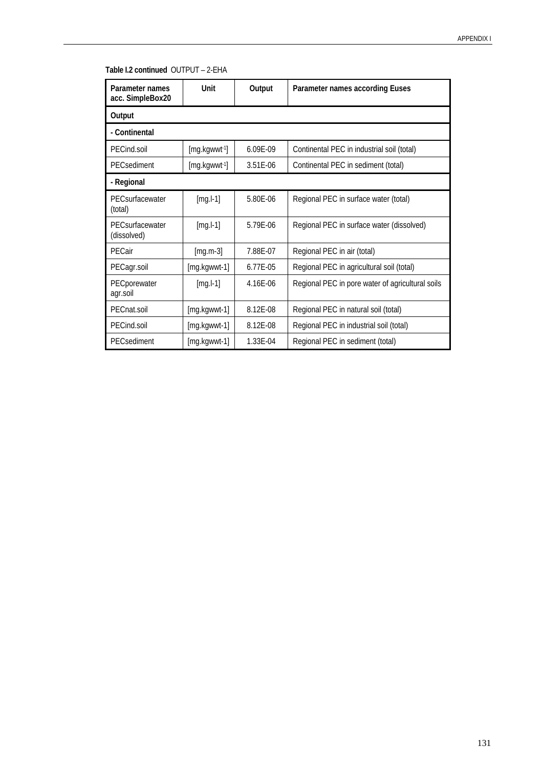**Table I.2 continued** OUTPUT – 2-EHA

| Parameter names<br>acc. SimpleBox20 | Unit                      | Output       | Parameter names according Euses                  |
|-------------------------------------|---------------------------|--------------|--------------------------------------------------|
| Output                              |                           |              |                                                  |
| - Continental                       |                           |              |                                                  |
| PFCind.soil                         | [mg.kgwwt-1]              | 6.09E-09     | Continental PEC in industrial soil (total)       |
| PECsediment                         | [mg.kgwwt <sup>-1</sup> ] | 3.51E-06     | Continental PEC in sediment (total)              |
| - Regional                          |                           |              |                                                  |
| PFCsurfacewater<br>(total)          | $[mq.l-1]$                | 5.80F-06     | Regional PEC in surface water (total)            |
| PECsurfacewater<br>(dissolved)      | $[mg.l-1]$                | 5.79E-06     | Regional PEC in surface water (dissolved)        |
| PFCair                              | $[mg.m-3]$                | 7.88F-07     | Regional PEC in air (total)                      |
| PECagr.soil                         | [mg.kgwwt-1]              | $6.77E-05$   | Regional PEC in agricultural soil (total)        |
| PECporewater<br>agr.soil            | $[mq.l-1]$                | $4.16F - 06$ | Regional PEC in pore water of agricultural soils |
| PECnat.soil                         | [mg.kgwwt-1]              | 8.12E-08     | Regional PEC in natural soil (total)             |
| PECind.soil                         | [mg.kgwwt-1]              | 8.12E-08     | Regional PEC in industrial soil (total)          |
| PECsediment                         | [mg.kgwwt-1]              | 1.33E-04     | Regional PEC in sediment (total)                 |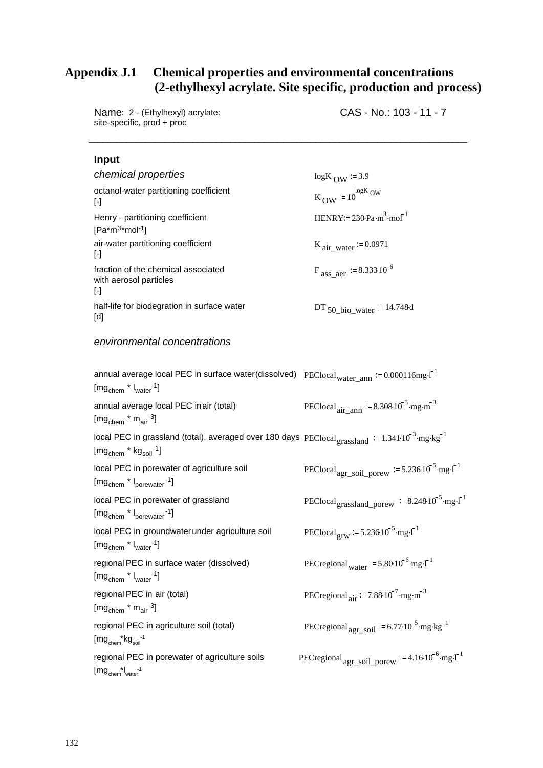## **Appendix J.1 Chemical properties and environmental concentrations (2-ethylhexyl acrylate. Site specific, production and process)**

\_\_\_\_\_\_\_\_\_\_\_\_\_\_\_\_\_\_\_\_\_\_\_\_\_\_\_\_\_\_\_\_\_\_\_\_\_\_\_\_\_\_\_\_\_\_\_\_\_\_\_\_\_\_\_\_\_\_\_\_\_\_\_\_\_\_\_\_\_\_\_\_\_\_\_\_\_\_\_\_

Name: 2 - (Ethylhexyl) acrylate: site-specific, prod + proc

CAS - No.: 103 - 11 - 7

| <b>Input</b>                                                                                                                                                  |                                                                                       |
|---------------------------------------------------------------------------------------------------------------------------------------------------------------|---------------------------------------------------------------------------------------|
| chemical properties                                                                                                                                           | $log K_{\text{OW}} := 3.9$                                                            |
| octanol-water partitioning coefficient<br>$\lceil - \rceil$                                                                                                   | K <sub>OW</sub> = $10^{logK}$ ow                                                      |
| Henry - partitioning coefficient<br>$[Pa*3*mol-1]$                                                                                                            | HENRY:= $230 \cdot Pa \cdot m^3 \cdot mol^{-1}$                                       |
| air-water partitioning coefficient<br>$[\cdot]$                                                                                                               | K air water $= 0.0971$                                                                |
| fraction of the chemical associated<br>with aerosol particles<br>$\lbrack \cdot \rbrack$                                                                      | $F_{\text{ass}\_\text{a}er}$ := 8.333.10 <sup>-6</sup>                                |
| half-life for biodegration in surface water<br>[d]                                                                                                            | $DT_{50\_bio\_water}$ = 14.748d                                                       |
| environmental concentrations                                                                                                                                  |                                                                                       |
| annual average local PEC in surface water(dissolved) PEClocal water ann $:= 0.000116$ mg·l <sup>-1</sup><br>$[mg_{chem} * I_{water}^{-1}]$                    |                                                                                       |
| annual average local PEC inair (total)<br>$[mg_{chem}$ <sup>*</sup> $m_{air}$ <sup>-3</sup> ]                                                                 | PEClocal <sub>air</sub> ann $= 8.30810^{-3}$ ·mg·m <sup>-3</sup>                      |
| local PEC in grassland (total), averaged over 180 days PEClocal grassland $\approx 1.341 \cdot 10^{-3}$ mg kg <sup>-1</sup><br>$[mg_{chem} * kg_{soil}^{-1}]$ |                                                                                       |
| local PEC in porewater of agriculture soil<br>$[mgchem * Ipower -1]$                                                                                          | PEClocal $_{\text{agr\_soil\_porew}}$ := 5.23610 <sup>-5</sup> mg · $I^{-1}$          |
| local PEC in porewater of grassland<br>$[mgchem * Ipower -1]$                                                                                                 | PEClocal grassland_porew $= 8.24810^{-5}$ ·mg·l <sup>-1</sup>                         |
| local PEC in groundwater under agriculture soil<br>$[mg_{chem} * I_{water}^{-1}]$                                                                             | PEClocal grw $= 5.23610^{-5}$ ·mg·l <sup>-1</sup>                                     |
| regional PEC in surface water (dissolved)<br>$[mg_{chem} * I_{water}^{-1}]$                                                                                   | PECregional water = $5.8010^{-6}$ mg·l <sup>-1</sup>                                  |
| regional PEC in air (total)<br>$[mg_{chem}$ * $m_{air}$ <sup>-3</sup> ]                                                                                       | PECregional $_{air}$ = 7.88.10 <sup>-7</sup> ·mg·m <sup>-3</sup>                      |
| regional PEC in agriculture soil (total)<br>$[mg_{chem}$ * $kg_{soil}$ -1                                                                                     | PECregional $_{\text{agr\_soil}}$ = 6.77.10 <sup>-5</sup> · mg · kg <sup>-1</sup>     |
| regional PEC in porewater of agriculture soils<br>$\left[\text{mg}_{\text{chem}}\text{*}\right]_{\text{water}}$ -1                                            | PECregional $_{\text{agr\_soil\_porew}}$ = 4.16 10 <sup>-6</sup> · mg·l <sup>-1</sup> |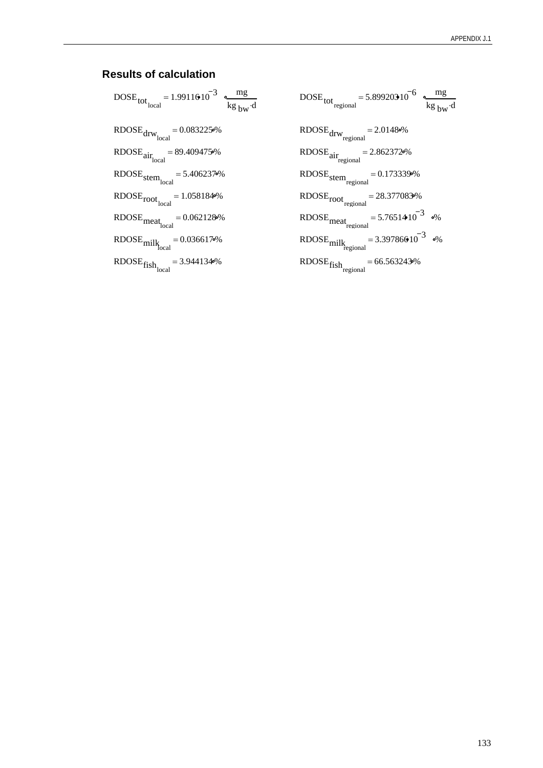# **Results of calculation**

| $\text{DOSE}_{\text{tot}} = 1.9911610^{-3} \text{ g} \frac{\text{mg}}{\text{kg}_{\text{bw}} \cdot \text{d}}$ | $\text{DOSE}_{\text{tot}} = 5.89920310^{-6} \text{ g} \frac{\text{mg}}{\text{kg}_{\text{bw}} \cdot \text{d}}$ |
|--------------------------------------------------------------------------------------------------------------|---------------------------------------------------------------------------------------------------------------|
| $\text{RDOSE}_{\text{drw}_{\text{local}}} = 0.083225\%$                                                      | $\text{RDOSE}_{\text{drw}} = 2.0148\%$                                                                        |
| $\text{RDOSE}_{\text{air}_{\text{local}}} = 89.409475\%$                                                     | $\mathrm{RDOSE}_{\mathrm{air}_{\mathrm{regional}}} = 2.862372\%$                                              |
| $\text{RDOSE}_{\text{stem}} = 5.406237\%$                                                                    | $\text{RDOSE}_{\text{stem}} = 0.173339\%$                                                                     |
| $\text{RDOSE}_{\text{root}} = 1.058184\%$                                                                    | $\text{RDOSE}_{\text{root}} = 28.377083\%$                                                                    |
| $\text{RDOSE}_{\text{meat}_{\text{local}}} = 0.062128\%$                                                     | RDOSE <sub>meatregional</sub> = $5.7651410^{-3}$ %                                                            |
| $\text{RDOSE}_{\text{milk}_{\text{local}}} = 0.036617\%$                                                     | RDOSE <sub>milk</sub> $=$ 3.39786 $\div$ 10 <sup>-3</sup> %                                                   |
| $\text{RDOSE}_{\text{fish}} = 3.944134\%$                                                                    | $\text{RDOSE}_{\text{fish}} = 66.563243\%$                                                                    |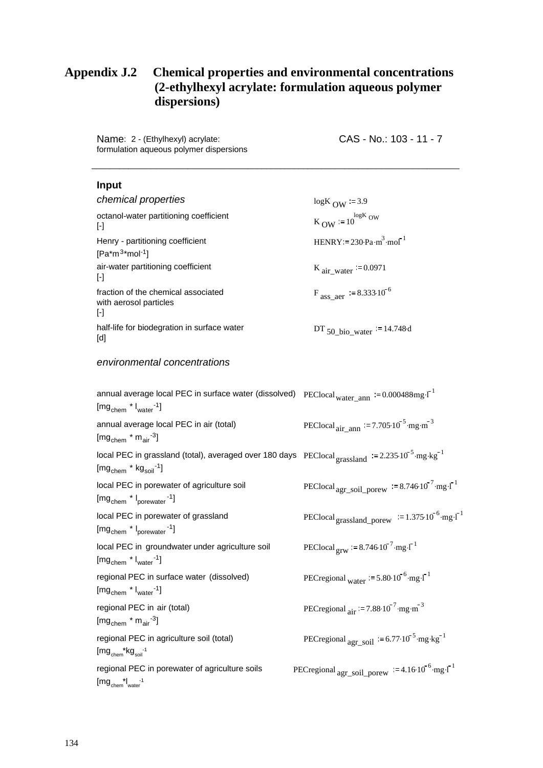# **Appendix J.2 Chemical properties and environmental concentrations (2-ethylhexyl acrylate: formulation aqueous polymer dispersions)**

\_\_\_\_\_\_\_\_\_\_\_\_\_\_\_\_\_\_\_\_\_\_\_\_\_\_\_\_\_\_\_\_\_\_\_\_\_\_\_\_\_\_\_\_\_\_\_\_\_\_\_\_\_\_\_\_\_\_\_\_\_\_\_\_\_\_\_\_\_\_\_\_\_\_\_\_\_\_\_\_

Name: 2 - (Ethylhexyl) acrylate: formulation aqueous polymer dispersions CAS - No.: 103 - 11 - 7

## **Input**

| iliput                                                                                                                                                                                                         |                                                                                       |
|----------------------------------------------------------------------------------------------------------------------------------------------------------------------------------------------------------------|---------------------------------------------------------------------------------------|
| chemical properties                                                                                                                                                                                            | $log K$ OW $=$ 3.9                                                                    |
| octanol-water partitioning coefficient<br>[-]                                                                                                                                                                  | K <sub>OW</sub> := $10^{logK}$ ow                                                     |
| Henry - partitioning coefficient<br>[Pa*m $3*$ mol-1]                                                                                                                                                          | HENRY:= $230 \cdot Pa \cdot m^3 \cdot mol^{-1}$                                       |
| air-water partitioning coefficient<br>[-]                                                                                                                                                                      | $K_{\text{air}\_\text{water}} = 0.0971$                                               |
| fraction of the chemical associated<br>with aerosol particles<br>[-]                                                                                                                                           | $F_{\text{ass\_aer}}$ = 8.333.10 <sup>-6</sup>                                        |
| half-life for biodegration in surface water<br>[d]                                                                                                                                                             | DT $_{50\_bio\_water}$ := 14.748d                                                     |
| environmental concentrations                                                                                                                                                                                   |                                                                                       |
| annual average local PEC in surface water (dissolved) $\rm\, PEClocal_{water\_ann} \approx 0.000488mg \cdot I^{-1}$<br>$[mg_{chem} * I_{water}^{-1}]$                                                          |                                                                                       |
| annual average local PEC in air (total)<br>$[mg_{chem}$ * $m_{air}$ <sup>-3</sup> ]                                                                                                                            | PEClocal $_{\text{air}$ ann $\approx 7.705 \cdot 10^{-5}$ mg m <sup>-3</sup>          |
| local PEC in grassland (total), averaged over 180 days PEClocal $_{\rm grassland}$ :=2.235·10 <sup>5</sup> ·mg·kg <sup>-1</sup><br>$\left[\text{mg}_{\text{chem}}\right]^*$ kg <sub>soil</sub> <sup>-1</sup> ] |                                                                                       |
| local PEC in porewater of agriculture soil<br>[mg <sub>chem</sub> * I <sub>porewater</sub> -1]                                                                                                                 | PEClocal $_{\text{agr\_soil\_porew}}$ = 8.746 10 <sup>-7</sup> · mg·l <sup>-1</sup>   |
| local PEC in porewater of grassland<br>[mg <sub>chem</sub> * I <sub>porewater</sub> -1]                                                                                                                        | PEClocal grassland_porew $:= 1.375 \cdot 10^{-6} \cdot mg \cdot 1^{-1}$               |
| local PEC in groundwater under agriculture soil<br>$[mg_{chem} * I_{water}^{-1}]$                                                                                                                              | PEClocal grw = 8.746 10 <sup>-7</sup> mg 1 <sup>-1</sup>                              |
| regional PEC in surface water (dissolved)<br>$\left[\text{mg}_{\text{chem}}\right.^* \text{I}_{\text{water}}^{-1}\right]$                                                                                      | PECregional water $=$ 5.80 10 <sup>-6</sup> ·mg·l <sup>-1</sup>                       |
| regional PEC in air (total)<br>$[mg_{chem}$ * $m_{air}$ -3]                                                                                                                                                    | PECregional $_{\text{air}}$ := 7.88.10 <sup>-7</sup> · mg·m <sup>-3</sup>             |
| regional PEC in agriculture soil (total)<br>$[mg_{chem}^*kg_{soil}^{-1}]$                                                                                                                                      | PECregional $_{\text{agr\_soil}}$ = 6.77.10 <sup>-5</sup> ·mg·kg <sup>-1</sup>        |
| regional PEC in porewater of agriculture soils<br>$[mg_{chem}^{\star}]_{water}^{-1}$                                                                                                                           | PECregional $_{\text{agr\_soil\_porew}}$ := 4.16.10 <sup>-6</sup> ·mg·l <sup>-1</sup> |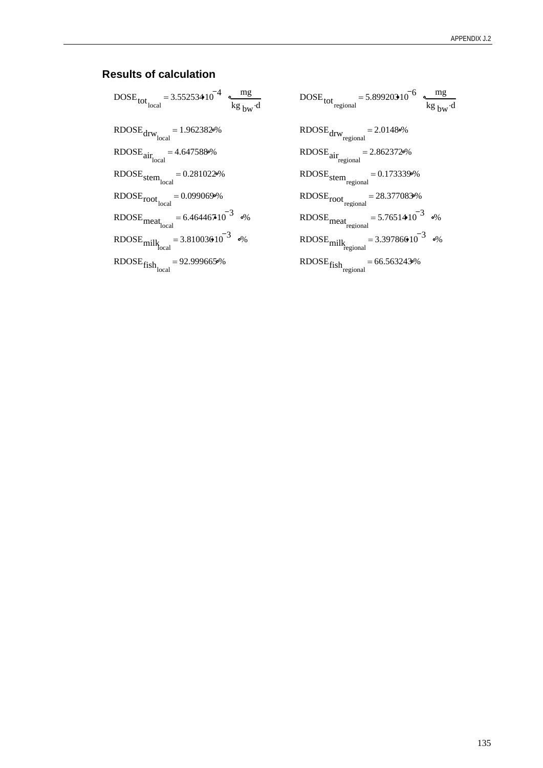# **Results of calculation**

| $\text{DOSE}_{\text{tot}} = 3.55253410^{-4} \text{ g} \frac{\text{mg}}{\text{kg}_{\text{bw}} \cdot \text{d}}$ | DOSE <sub>totregional</sub> = 5.89920310 <sup>-6</sup> $\frac{mg}{kg_{bw} \cdot d}$ |
|---------------------------------------------------------------------------------------------------------------|-------------------------------------------------------------------------------------|
|                                                                                                               |                                                                                     |
| $\text{RDOSE}_{\text{drw}_{\text{local}}} = 1.962382\%$                                                       | $\text{RDOSE}_{\text{drw}} = 2.0148\text{°\%}$                                      |
| $\text{RDOSE}_{\text{air}_{\text{local}}} = 4.647588\%$                                                       | $\text{RDOSE}_{\text{air}} = 2.862372\%$                                            |
| $\text{RDOSE}_{\text{stem}_{\text{local}}} = 0.281022\%$                                                      | $RDOSE$ <sub>stem</sub> = $0.173339%$                                               |
| $\text{RDOSE}_{\text{root}} = 0.099069\%$                                                                     | $\text{RDOSE}_{\text{root}} = 28.377083\%$                                          |
| RDOSE <sub>meat<sub>local</sub> = 6.46446710<sup>-3</sup> <math>\cdot\%</math></sub>                          | RDOSE <sub>meatregional</sub> = $5.7651410^{-3}$ %                                  |
| RDOSE <sub>mil</sub> $\frac{1}{2}$ = 3.81003610 <sup>-3</sup> %                                               | RDOSE <sub>milkregional</sub> = 3.39786 $\div 10^{-3}$ $\cdot\%$                    |
| $\text{RDOSE}_{\text{fish}} = 92.999665\%$                                                                    | $\text{RDOSE}_{\text{fish}} = 66.563243\%$                                          |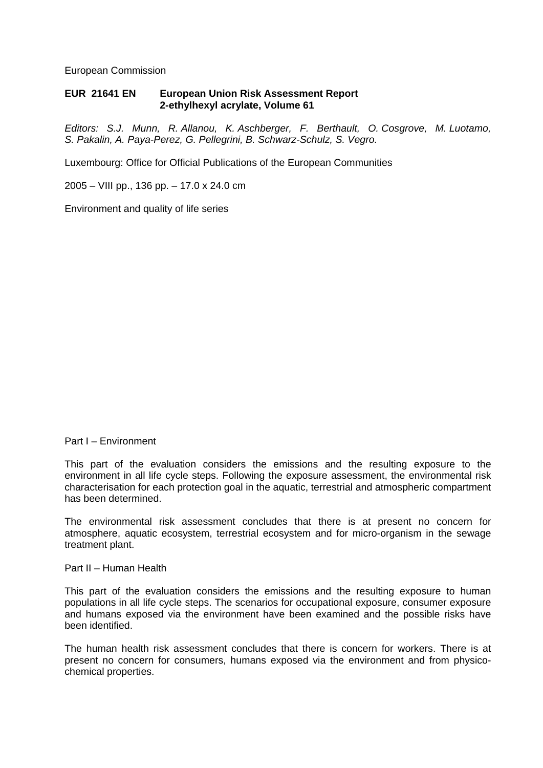European Commission

### **EUR 21641 EN European Union Risk Assessment Report 2-ethylhexyl acrylate, Volume 61**

*Editors: S.J. Munn, R. Allanou, K. Aschberger, F. Berthault, O. Cosgrove, M. Luotamo, S. Pakalin, A. Paya-Perez, G. Pellegrini, B. Schwarz-Schulz, S. Vegro.* 

Luxembourg: Office for Official Publications of the European Communities

2005 – VIII pp., 136 pp. – 17.0 x 24.0 cm

Environment and quality of life series

#### Part I – Environment

This part of the evaluation considers the emissions and the resulting exposure to the environment in all life cycle steps. Following the exposure assessment, the environmental risk characterisation for each protection goal in the aquatic, terrestrial and atmospheric compartment has been determined.

The environmental risk assessment concludes that there is at present no concern for atmosphere, aquatic ecosystem, terrestrial ecosystem and for micro-organism in the sewage treatment plant.

Part II – Human Health

This part of the evaluation considers the emissions and the resulting exposure to human populations in all life cycle steps. The scenarios for occupational exposure, consumer exposure and humans exposed via the environment have been examined and the possible risks have been identified.

The human health risk assessment concludes that there is concern for workers. There is at present no concern for consumers, humans exposed via the environment and from physicochemical properties.